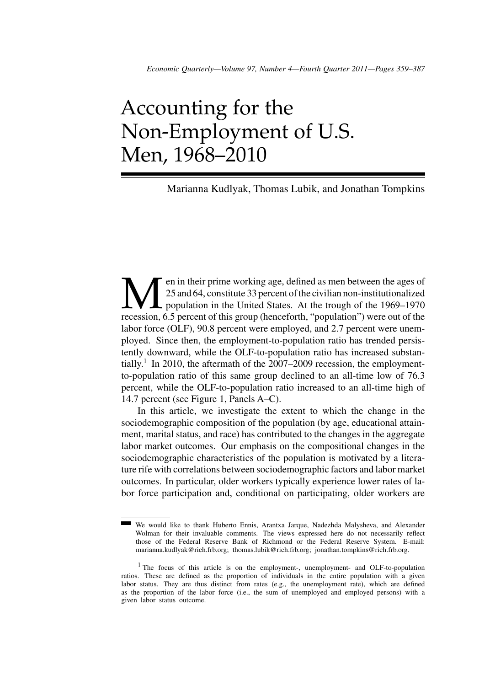# Accounting for the Non-Employment of U.S. Men, 1968–2010

# Marianna Kudlyak, Thomas Lubik, and Jonathan Tompkins

Men in their prime working age, defined as men between the ages of<br>25 and 64, constitute 33 percent of the civilian non-institutionalized<br>population in the United States. At the trough of the 1969–1970<br>recession, 6.5 perce 25 and 64, constitute 33 percent of the civilian non-institutionalized population in the United States. At the trough of the 1969–1970 recession, 6.5 percent of this group (henceforth, "population") were out of the labor force (OLF), 90.8 percent were employed, and 2.7 percent were unemployed. Since then, the employment-to-population ratio has trended persistently downward, while the OLF-to-population ratio has increased substantially.<sup>1</sup> In 2010, the aftermath of the 2007–2009 recession, the employmentto-population ratio of this same group declined to an all-time low of 76.3 percent, while the OLF-to-population ratio increased to an all-time high of 14.7 percent (see Figure 1, Panels A–C).

In this article, we investigate the extent to which the change in the sociodemographic composition of the population (by age, educational attainment, marital status, and race) has contributed to the changes in the aggregate labor market outcomes. Our emphasis on the compositional changes in the sociodemographic characteristics of the population is motivated by a literature rife with correlations between sociodemographic factors and labor market outcomes. In particular, older workers typically experience lower rates of labor force participation and, conditional on participating, older workers are

We would like to thank Huberto Ennis, Arantxa Jarque, Nadezhda Malysheva, and Alexander Wolman for their invaluable comments. The views expressed here do not necessarily reflect those of the Federal Reserve Bank of Richmond or the Federal Reserve System. E-mail: marianna.kudlyak@rich.frb.org; thomas.lubik@rich.frb.org; jonathan.tompkins@rich.frb.org.

<sup>&</sup>lt;sup>1</sup> The focus of this article is on the employment-, unemployment- and OLF-to-population ratios. These are defined as the proportion of individuals in the entire population with a given labor status. They are thus distinct from rates (e.g., the unemployment rate), which are defined as the proportion of the labor force (i.e., the sum of unemployed and employed persons) with a given labor status outcome.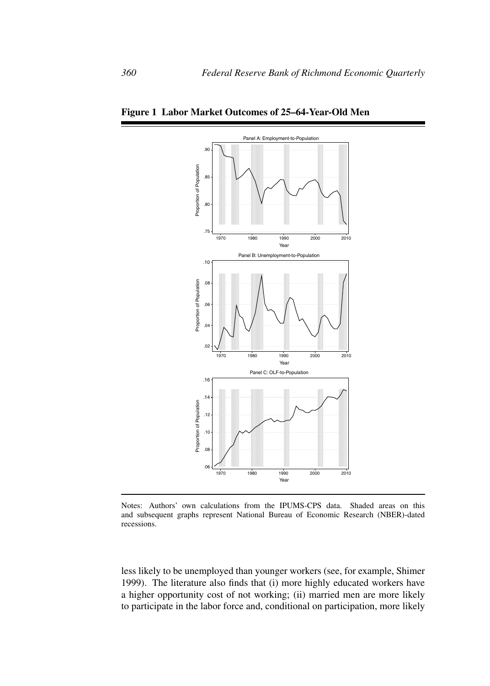



Notes: Authors' own calculations from the IPUMS-CPS data. Shaded areas on this and subsequent graphs represent National Bureau of Economic Research (NBER)-dated recessions.

less likely to be unemployed than younger workers (see, for example, Shimer 1999). The literature also finds that (i) more highly educated workers have a higher opportunity cost of not working; (ii) married men are more likely to participate in the labor force and, conditional on participation, more likely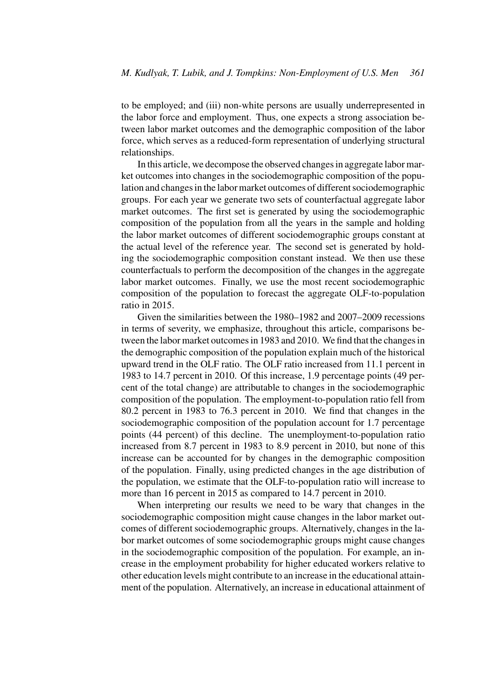to be employed; and (iii) non-white persons are usually underrepresented in the labor force and employment. Thus, one expects a strong association between labor market outcomes and the demographic composition of the labor force, which serves as a reduced-form representation of underlying structural relationships.

In this article, we decompose the observed changes in aggregate labor market outcomes into changes in the sociodemographic composition of the population and changes in the labor market outcomes of different sociodemographic groups. For each year we generate two sets of counterfactual aggregate labor market outcomes. The first set is generated by using the sociodemographic composition of the population from all the years in the sample and holding the labor market outcomes of different sociodemographic groups constant at the actual level of the reference year. The second set is generated by holding the sociodemographic composition constant instead. We then use these counterfactuals to perform the decomposition of the changes in the aggregate labor market outcomes. Finally, we use the most recent sociodemographic composition of the population to forecast the aggregate OLF-to-population ratio in 2015.

Given the similarities between the 1980–1982 and 2007–2009 recessions in terms of severity, we emphasize, throughout this article, comparisons between the labor market outcomes in 1983 and 2010. We find that the changes in the demographic composition of the population explain much of the historical upward trend in the OLF ratio. The OLF ratio increased from 11.1 percent in 1983 to 14.7 percent in 2010. Of this increase, 1.9 percentage points (49 percent of the total change) are attributable to changes in the sociodemographic composition of the population. The employment-to-population ratio fell from 80.2 percent in 1983 to 76.3 percent in 2010. We find that changes in the sociodemographic composition of the population account for 1.7 percentage points (44 percent) of this decline. The unemployment-to-population ratio increased from 8.7 percent in 1983 to 8.9 percent in 2010, but none of this increase can be accounted for by changes in the demographic composition of the population. Finally, using predicted changes in the age distribution of the population, we estimate that the OLF-to-population ratio will increase to more than 16 percent in 2015 as compared to 14.7 percent in 2010.

When interpreting our results we need to be wary that changes in the sociodemographic composition might cause changes in the labor market outcomes of different sociodemographic groups. Alternatively, changes in the labor market outcomes of some sociodemographic groups might cause changes in the sociodemographic composition of the population. For example, an increase in the employment probability for higher educated workers relative to other education levels might contribute to an increase in the educational attainment of the population. Alternatively, an increase in educational attainment of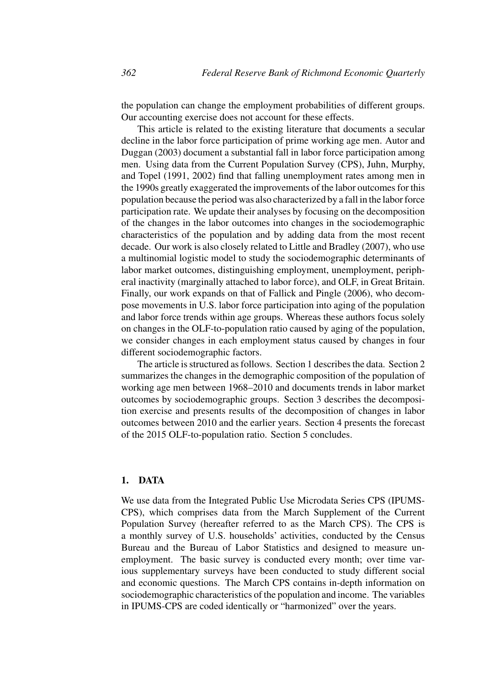the population can change the employment probabilities of different groups. Our accounting exercise does not account for these effects.

This article is related to the existing literature that documents a secular decline in the labor force participation of prime working age men. Autor and Duggan (2003) document a substantial fall in labor force participation among men. Using data from the Current Population Survey (CPS), Juhn, Murphy, and Topel (1991, 2002) find that falling unemployment rates among men in the 1990s greatly exaggerated the improvements of the labor outcomes for this population because the period was also characterized by a fall in the labor force participation rate. We update their analyses by focusing on the decomposition of the changes in the labor outcomes into changes in the sociodemographic characteristics of the population and by adding data from the most recent decade. Our work is also closely related to Little and Bradley (2007), who use a multinomial logistic model to study the sociodemographic determinants of labor market outcomes, distinguishing employment, unemployment, peripheral inactivity (marginally attached to labor force), and OLF, in Great Britain. Finally, our work expands on that of Fallick and Pingle (2006), who decompose movements in U.S. labor force participation into aging of the population and labor force trends within age groups. Whereas these authors focus solely on changes in the OLF-to-population ratio caused by aging of the population, we consider changes in each employment status caused by changes in four different sociodemographic factors.

The article is structured as follows. Section 1 describes the data. Section 2 summarizes the changes in the demographic composition of the population of working age men between 1968–2010 and documents trends in labor market outcomes by sociodemographic groups. Section 3 describes the decomposition exercise and presents results of the decomposition of changes in labor outcomes between 2010 and the earlier years. Section 4 presents the forecast of the 2015 OLF-to-population ratio. Section 5 concludes.

# **1. DATA**

We use data from the Integrated Public Use Microdata Series CPS (IPUMS-CPS), which comprises data from the March Supplement of the Current Population Survey (hereafter referred to as the March CPS). The CPS is a monthly survey of U.S. households' activities, conducted by the Census Bureau and the Bureau of Labor Statistics and designed to measure unemployment. The basic survey is conducted every month; over time various supplementary surveys have been conducted to study different social and economic questions. The March CPS contains in-depth information on sociodemographic characteristics of the population and income. The variables in IPUMS-CPS are coded identically or "harmonized" over the years.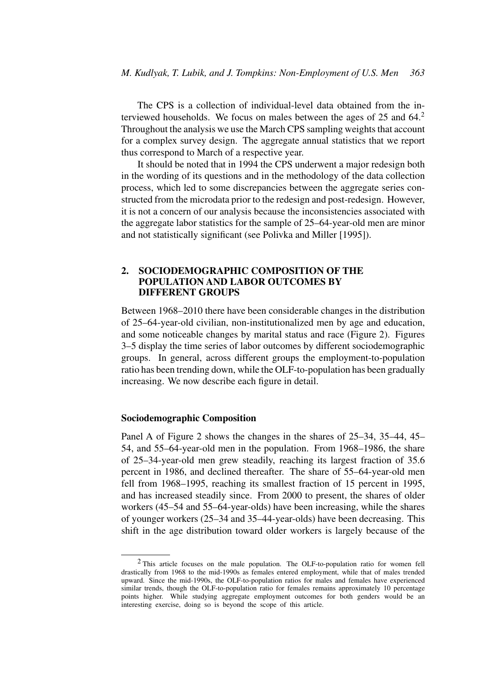The CPS is a collection of individual-level data obtained from the interviewed households. We focus on males between the ages of 25 and  $64<sup>2</sup>$ . Throughout the analysis we use the March CPS sampling weights that account for a complex survey design. The aggregate annual statistics that we report thus correspond to March of a respective year.

It should be noted that in 1994 the CPS underwent a major redesign both in the wording of its questions and in the methodology of the data collection process, which led to some discrepancies between the aggregate series constructed from the microdata prior to the redesign and post-redesign. However, it is not a concern of our analysis because the inconsistencies associated with the aggregate labor statistics for the sample of 25–64-year-old men are minor and not statistically significant (see Polivka and Miller [1995]).

# **2. SOCIODEMOGRAPHIC COMPOSITION OF THE POPULATION AND LABOR OUTCOMES BY DIFFERENT GROUPS**

Between 1968–2010 there have been considerable changes in the distribution of 25–64-year-old civilian, non-institutionalized men by age and education, and some noticeable changes by marital status and race (Figure 2). Figures 3–5 display the time series of labor outcomes by different sociodemographic groups. In general, across different groups the employment-to-population ratio has been trending down, while the OLF-to-population has been gradually increasing. We now describe each figure in detail.

## **Sociodemographic Composition**

Panel A of Figure 2 shows the changes in the shares of 25–34, 35–44, 45– 54, and 55–64-year-old men in the population. From 1968–1986, the share of 25–34-year-old men grew steadily, reaching its largest fraction of 35.6 percent in 1986, and declined thereafter. The share of 55–64-year-old men fell from 1968–1995, reaching its smallest fraction of 15 percent in 1995, and has increased steadily since. From 2000 to present, the shares of older workers (45–54 and 55–64-year-olds) have been increasing, while the shares of younger workers (25–34 and 35–44-year-olds) have been decreasing. This shift in the age distribution toward older workers is largely because of the

<sup>2</sup> This article focuses on the male population. The OLF-to-population ratio for women fell drastically from 1968 to the mid-1990s as females entered employment, while that of males trended upward. Since the mid-1990s, the OLF-to-population ratios for males and females have experienced similar trends, though the OLF-to-population ratio for females remains approximately 10 percentage points higher. While studying aggregate employment outcomes for both genders would be an interesting exercise, doing so is beyond the scope of this article.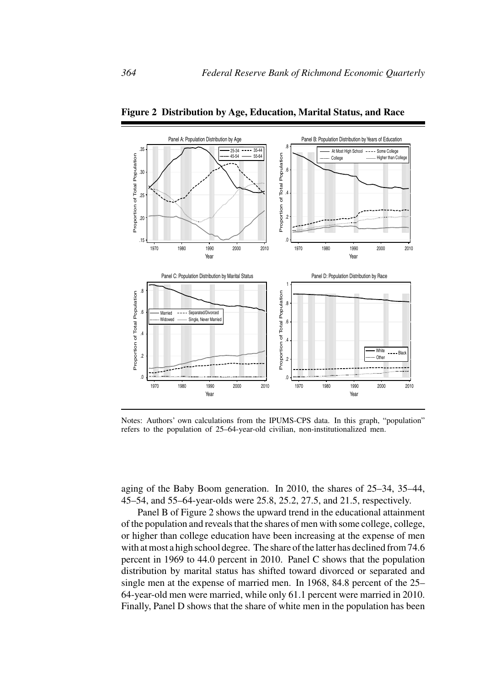

**Figure 2 Distribution by Age, Education, Marital Status, and Race**

Notes: Authors' own calculations from the IPUMS-CPS data. In this graph, "population" refers to the population of 25–64-year-old civilian, non-institutionalized men.

aging of the Baby Boom generation. In 2010, the shares of 25–34, 35–44, 45–54, and 55–64-year-olds were 25.8, 25.2, 27.5, and 21.5, respectively.

Panel B of Figure 2 shows the upward trend in the educational attainment of the population and reveals that the shares of men with some college, college, or higher than college education have been increasing at the expense of men with at most a high school degree. The share of the latter has declined from 74.6 percent in 1969 to 44.0 percent in 2010. Panel C shows that the population distribution by marital status has shifted toward divorced or separated and single men at the expense of married men. In 1968, 84.8 percent of the 25– 64-year-old men were married, while only 61.1 percent were married in 2010. Finally, Panel D shows that the share of white men in the population has been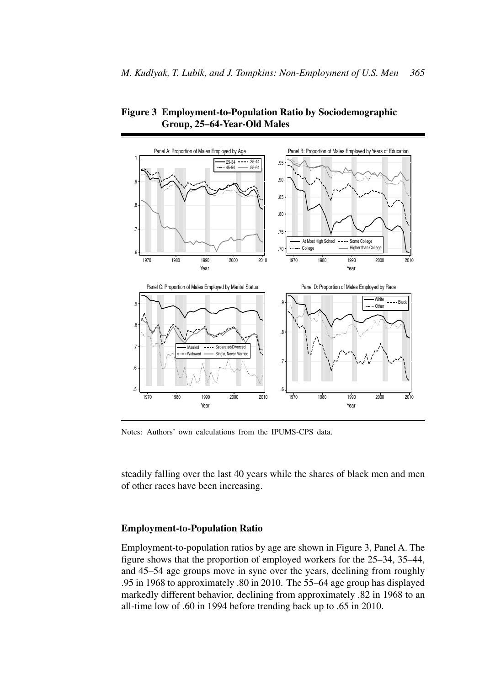

**Figure 3 Employment-to-Population Ratio by Sociodemographic Group, 25–64-Year-Old Males**

Notes: Authors' own calculations from the IPUMS-CPS data.

steadily falling over the last 40 years while the shares of black men and men of other races have been increasing.

## **Employment-to-Population Ratio**

Employment-to-population ratios by age are shown in Figure 3, Panel A. The figure shows that the proportion of employed workers for the 25–34, 35–44, and 45–54 age groups move in sync over the years, declining from roughly .95 in 1968 to approximately .80 in 2010. The 55–64 age group has displayed markedly different behavior, declining from approximately .82 in 1968 to an all-time low of .60 in 1994 before trending back up to .65 in 2010.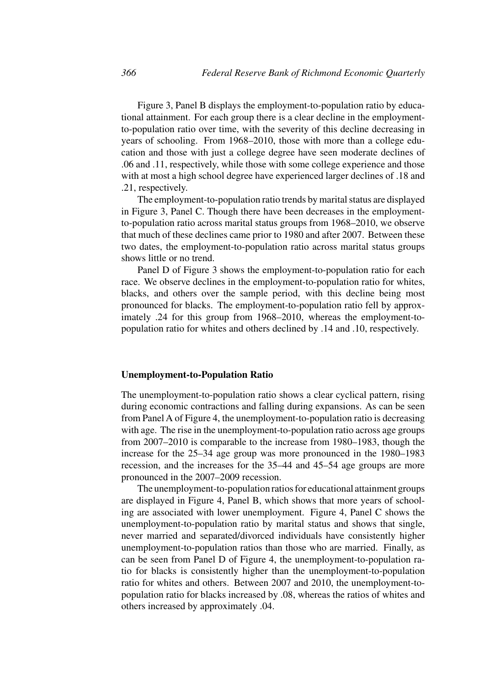Figure 3, Panel B displays the employment-to-population ratio by educational attainment. For each group there is a clear decline in the employmentto-population ratio over time, with the severity of this decline decreasing in years of schooling. From 1968–2010, those with more than a college education and those with just a college degree have seen moderate declines of .06 and .11, respectively, while those with some college experience and those with at most a high school degree have experienced larger declines of .18 and .21, respectively.

The employment-to-population ratio trends by marital status are displayed in Figure 3, Panel C. Though there have been decreases in the employmentto-population ratio across marital status groups from 1968–2010, we observe that much of these declines came prior to 1980 and after 2007. Between these two dates, the employment-to-population ratio across marital status groups shows little or no trend.

Panel D of Figure 3 shows the employment-to-population ratio for each race. We observe declines in the employment-to-population ratio for whites, blacks, and others over the sample period, with this decline being most pronounced for blacks. The employment-to-population ratio fell by approximately .24 for this group from 1968–2010, whereas the employment-topopulation ratio for whites and others declined by .14 and .10, respectively.

### **Unemployment-to-Population Ratio**

The unemployment-to-population ratio shows a clear cyclical pattern, rising during economic contractions and falling during expansions. As can be seen from Panel A of Figure 4, the unemployment-to-population ratio is decreasing with age. The rise in the unemployment-to-population ratio across age groups from 2007–2010 is comparable to the increase from 1980–1983, though the increase for the 25–34 age group was more pronounced in the 1980–1983 recession, and the increases for the 35–44 and 45–54 age groups are more pronounced in the 2007–2009 recession.

The unemployment-to-population ratios for educational attainment groups are displayed in Figure 4, Panel B, which shows that more years of schooling are associated with lower unemployment. Figure 4, Panel C shows the unemployment-to-population ratio by marital status and shows that single, never married and separated/divorced individuals have consistently higher unemployment-to-population ratios than those who are married. Finally, as can be seen from Panel D of Figure 4, the unemployment-to-population ratio for blacks is consistently higher than the unemployment-to-population ratio for whites and others. Between 2007 and 2010, the unemployment-topopulation ratio for blacks increased by .08, whereas the ratios of whites and others increased by approximately .04.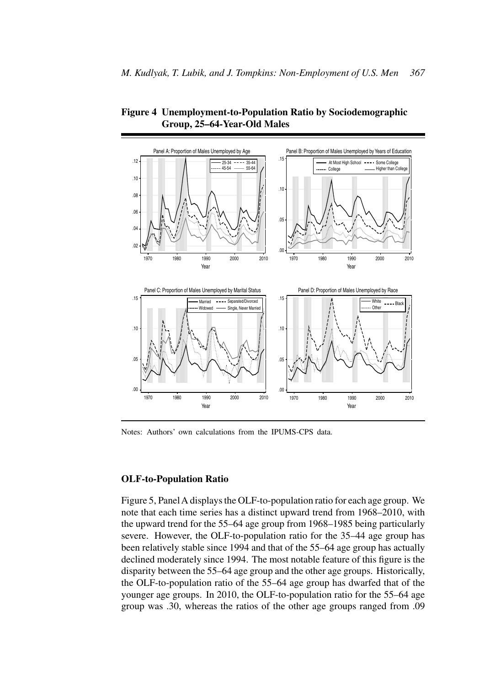

**Figure 4 Unemployment-to-Population Ratio by Sociodemographic Group, 25–64-Year-Old Males**

Notes: Authors' own calculations from the IPUMS-CPS data.

# **OLF-to-Population Ratio**

Figure 5, Panel A displays the OLF-to-population ratio for each age group. We note that each time series has a distinct upward trend from 1968–2010, with the upward trend for the 55–64 age group from 1968–1985 being particularly severe. However, the OLF-to-population ratio for the 35–44 age group has been relatively stable since 1994 and that of the 55–64 age group has actually declined moderately since 1994. The most notable feature of this figure is the disparity between the 55–64 age group and the other age groups. Historically, the OLF-to-population ratio of the 55–64 age group has dwarfed that of the younger age groups. In 2010, the OLF-to-population ratio for the 55–64 age group was .30, whereas the ratios of the other age groups ranged from .09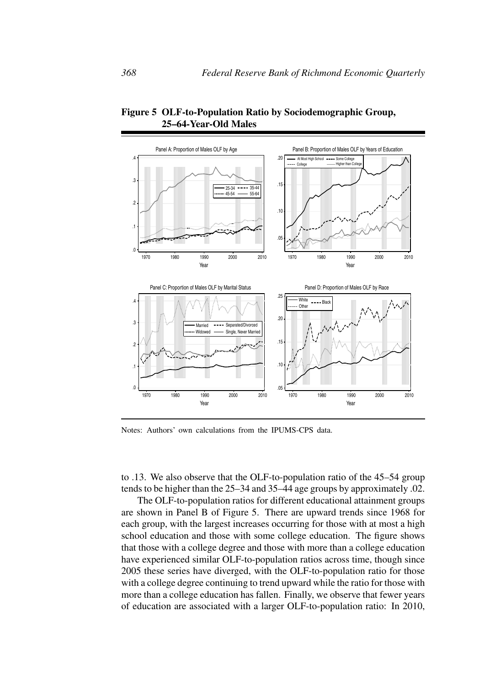

**Figure 5 OLF-to-Population Ratio by Sociodemographic Group, 25–64-Year-Old Males**

Notes: Authors' own calculations from the IPUMS-CPS data.

to .13. We also observe that the OLF-to-population ratio of the 45–54 group tends to be higher than the 25–34 and 35–44 age groups by approximately .02.

The OLF-to-population ratios for different educational attainment groups are shown in Panel B of Figure 5. There are upward trends since 1968 for each group, with the largest increases occurring for those with at most a high school education and those with some college education. The figure shows that those with a college degree and those with more than a college education have experienced similar OLF-to-population ratios across time, though since 2005 these series have diverged, with the OLF-to-population ratio for those with a college degree continuing to trend upward while the ratio for those with more than a college education has fallen. Finally, we observe that fewer years of education are associated with a larger OLF-to-population ratio: In 2010,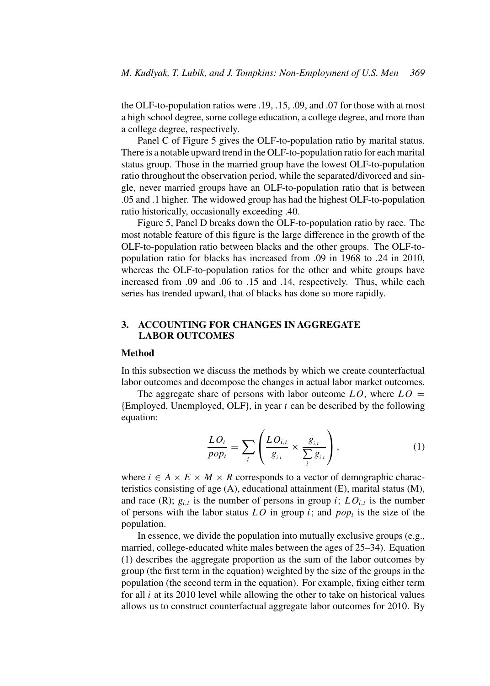the OLF-to-population ratios were .19, .15, .09, and .07 for those with at most a high school degree, some college education, a college degree, and more than a college degree, respectively.

Panel C of Figure 5 gives the OLF-to-population ratio by marital status. There is a notable upward trend in the OLF-to-population ratio for each marital status group. Those in the married group have the lowest OLF-to-population ratio throughout the observation period, while the separated/divorced and single, never married groups have an OLF-to-population ratio that is between .05 and .1 higher. The widowed group has had the highest OLF-to-population ratio historically, occasionally exceeding .40.

Figure 5, Panel D breaks down the OLF-to-population ratio by race. The most notable feature of this figure is the large difference in the growth of the OLF-to-population ratio between blacks and the other groups. The OLF-topopulation ratio for blacks has increased from .09 in 1968 to .24 in 2010, whereas the OLF-to-population ratios for the other and white groups have increased from .09 and .06 to .15 and .14, respectively. Thus, while each series has trended upward, that of blacks has done so more rapidly.

# **3. ACCOUNTING FOR CHANGES IN AGGREGATE LABOR OUTCOMES**

# **Method**

In this subsection we discuss the methods by which we create counterfactual labor outcomes and decompose the changes in actual labor market outcomes.

The aggregate share of persons with labor outcome  $LO$ , where  $LO =$  ${Emploved, Unemployed, OLF}, in year *t* can be described by the following.$ equation:

$$
\frac{LO_t}{pop_t} = \sum_i \left( \frac{LO_{i,t}}{g_{i,t}} \times \frac{g_{i,t}}{\sum_i g_{i,t}} \right),\tag{1}
$$

where  $i \in A \times E \times M \times R$  corresponds to a vector of demographic characteristics consisting of age (A), educational attainment (E), marital status (M), and race (R);  $g_{i,t}$  is the number of persons in group i;  $LO_{i,t}$  is the number of persons with the labor status  $LO$  in group *i*; and  $pop<sub>t</sub>$  is the size of the population.

In essence, we divide the population into mutually exclusive groups (e.g., married, college-educated white males between the ages of 25–34). Equation (1) describes the aggregate proportion as the sum of the labor outcomes by group (the first term in the equation) weighted by the size of the groups in the population (the second term in the equation). For example, fixing either term for all  $i$  at its 2010 level while allowing the other to take on historical values allows us to construct counterfactual aggregate labor outcomes for 2010. By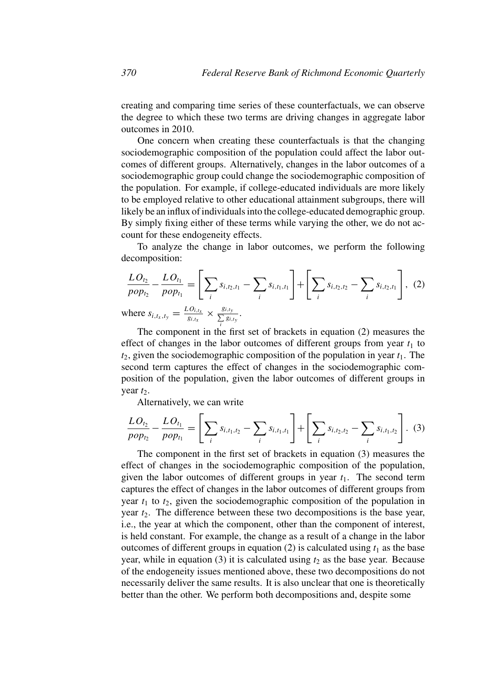creating and comparing time series of these counterfactuals, we can observe the degree to which these two terms are driving changes in aggregate labor outcomes in 2010.

One concern when creating these counterfactuals is that the changing sociodemographic composition of the population could affect the labor outcomes of different groups. Alternatively, changes in the labor outcomes of a sociodemographic group could change the sociodemographic composition of the population. For example, if college-educated individuals are more likely to be employed relative to other educational attainment subgroups, there will likely be an influx of individuals into the college-educated demographic group. By simply fixing either of these terms while varying the other, we do not account for these endogeneity effects.

To analyze the change in labor outcomes, we perform the following decomposition:

$$
\frac{LO_{t_2}}{pop_{t_2}} - \frac{LO_{t_1}}{pop_{t_1}} = \left[ \sum_i s_{i,t_2,t_1} - \sum_i s_{i,t_1,t_1} \right] + \left[ \sum_i s_{i,t_2,t_2} - \sum_i s_{i,t_2,t_1} \right], (2)
$$
  
where  $s_{i,t_x,t_y} = \frac{LO_{i,t_x}}{q_{i,t_x}} \times \frac{g_{i,t_y}}{\sum_i q_{i,t_x}}.$ 

where  $s_{i,t_x,t_y} = \frac{LO_{i,t_x}}{g_{i,t_x}}$  $g_{i,t_X}$  $\times \frac{g_{i,ty}}{\sum\limits_{i} g_{i,ty}}$ 

The component in the first set of brackets in equation (2) measures the effect of changes in the labor outcomes of different groups from year  $t_1$  to  $t_2$ , given the sociodemographic composition of the population in year  $t_1$ . The second term captures the effect of changes in the sociodemographic composition of the population, given the labor outcomes of different groups in year  $t_2$ .

Alternatively, we can write

$$
\frac{LO_{t_2}}{pop_{t_2}} - \frac{LO_{t_1}}{pop_{t_1}} = \left[ \sum_i s_{i,t_1,t_2} - \sum_i s_{i,t_1,t_1} \right] + \left[ \sum_i s_{i,t_2,t_2} - \sum_i s_{i,t_1,t_2} \right].
$$
 (3)

The component in the first set of brackets in equation (3) measures the effect of changes in the sociodemographic composition of the population, given the labor outcomes of different groups in year  $t_1$ . The second term captures the effect of changes in the labor outcomes of different groups from year  $t_1$  to  $t_2$ , given the sociodemographic composition of the population in year  $t_2$ . The difference between these two decompositions is the base year, i.e., the year at which the component, other than the component of interest, is held constant. For example, the change as a result of a change in the labor outcomes of different groups in equation (2) is calculated using  $t_1$  as the base year, while in equation (3) it is calculated using  $t_2$  as the base year. Because of the endogeneity issues mentioned above, these two decompositions do not necessarily deliver the same results. It is also unclear that one is theoretically better than the other. We perform both decompositions and, despite some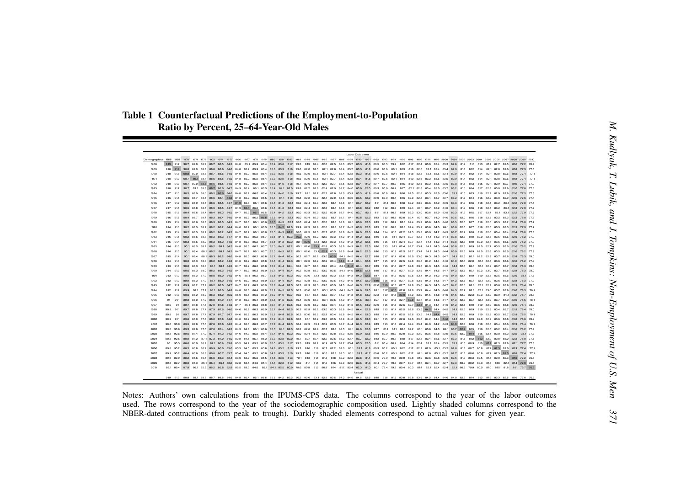# **Table 1 Counterfactual Predictions of the Employment-to-Population**

|                     |         |                                                                                                                                                                     |  |  |  |  |  |  | Labor Outcomes |  |  |  |  |  |                                                                                                                                                                                                                                                                                                                                                                                                                                       |  |  |
|---------------------|---------|---------------------------------------------------------------------------------------------------------------------------------------------------------------------|--|--|--|--|--|--|----------------|--|--|--|--|--|---------------------------------------------------------------------------------------------------------------------------------------------------------------------------------------------------------------------------------------------------------------------------------------------------------------------------------------------------------------------------------------------------------------------------------------|--|--|
|                     |         |                                                                                                                                                                     |  |  |  |  |  |  |                |  |  |  |  |  |                                                                                                                                                                                                                                                                                                                                                                                                                                       |  |  |
| <b>TARR</b><br>1969 |         |                                                                                                                                                                     |  |  |  |  |  |  |                |  |  |  |  |  | 919 917 90.7 89.0 88.7 88.5 84.5 84.8 85.1 85.9 85.4 85.2 83.8 817 79.5 819 82.4 82.0 82.5 83.3 83.7 83.3 816 80.5 80.5 79.9 812 817 82.4 83.0 83.4 83.3 82.8 812 811 813 819 82.7 82.5 816 772 76.9<br>918 919 908 890 888 888 886 846 848 852 859 854 853 839 818 796 820 825 821 826 834 837 833 818 806 806 801 813 818 825 831 834 834 829 813 812 814 821 826 826 818 773 770                                                   |  |  |
| 1970                |         | 918 918 908 890 888 887 886 846 849 852 859 864 853 839 818 796 820 825 821 827 834 838 833 818 806 806 801 814 818 825 831 835 834 829 814 812 814 821 828 826 818 |  |  |  |  |  |  |                |  |  |  |  |  |                                                                                                                                                                                                                                                                                                                                                                                                                                       |  |  |
| 1971                |         |                                                                                                                                                                     |  |  |  |  |  |  |                |  |  |  |  |  | 918 917 907 891 887 886 885 845 848 852 859 864 853 839 818 796 820 825 821 827 834 838 834 818 807 806 801 814 819 826 832 835 835 835 829 814 812 814 821 826 826 818 774 771                                                                                                                                                                                                                                                       |  |  |
| 1972                | 918 917 |                                                                                                                                                                     |  |  |  |  |  |  |                |  |  |  |  |  |                                                                                                                                                                                                                                                                                                                                                                                                                                       |  |  |
| 1973                |         |                                                                                                                                                                     |  |  |  |  |  |  |                |  |  |  |  |  | 90.7 89.1 88.8 88.7 88.6 84.7 84.9 85.4 86.1 86.5 85.4 84.1 82.0 79.8 82.2 82.8 82.4 82.9 83.7 84.0 83.6 82.0 80.9 80.9 80.4 81.7 82.1 82.8 83.4 83.6 83.7 83.2 81.6 81.4 81.7 82.3 83.0 82.9 82.0 77.6 77.8                                                                                                                                                                                                                          |  |  |
| 1974                |         |                                                                                                                                                                     |  |  |  |  |  |  |                |  |  |  |  |  | 90.5 88.9 88.5 88.5 88.6 84.8 85.2 86.0 86.4 85.4 84.0 819 79.7 82.1 82.7 82.8 83.6 83.9 83.5 819 80.8 80.8 80.4 816 82.0 82.8 83.3 83.6 83.5 83.5 83.1 816 813 816 82.2 82.9 82.8 82.0 77.5 77.3                                                                                                                                                                                                                                     |  |  |
| 1975                |         |                                                                                                                                                                     |  |  |  |  |  |  |                |  |  |  |  |  | 90.5 88.7 88.5 88.5 88.4 84.6 84.8 85.2 86.0 86.5 85.4 84.1 818 79.8 822 82.7 82.4 82.9 83.6 83.9 83.5 82.0 80.9 80.9 80.9 80.4 816 82.0 82.8 83.4 83.7 83.7 83.7 83.2 817 814 816 822 83.0 82.9 820 77.6 77.4                                                                                                                                                                                                                        |  |  |
| 1976                |         |                                                                                                                                                                     |  |  |  |  |  |  |                |  |  |  |  |  | 90.6 88.9 88.6 88.5 84.7 84.9 85.3 86.1 86.6 85.5 84.3 82.1 80.0 82.4 82.9 82.6 83.1 83.8 84.1 83.7 82.2 811 811 80.6 81.8 822 83.0 83.6 83.9 83.9 83.3 819 816 818 824 83.2 83.1 82.2 77.8 77.6                                                                                                                                                                                                                                      |  |  |
| 1977                | 917 916 |                                                                                                                                                                     |  |  |  |  |  |  |                |  |  |  |  |  | 905 888 885 885 885 847 849 854 862 866 855 843 821 800 824 830 826 831 838 841 838 822 812 812 812 814 834 834 839 840 834 819 816 818 825 832 831 823 779 777<br>904 886 884 884 883 845 847 852 861 865 854 842 821 800 823 829 825 830 837 840 837 821 811 811 810 823 830 833 839 839 839 833 819 815 817 824 831 822 779 776                                                                                                    |  |  |
| 1978<br>1979        |         |                                                                                                                                                                     |  |  |  |  |  |  |                |  |  |  |  |  | 904 887 884 883 884 846 848 853 862 866 855 843 821 800 824 829 826 831 837 841 838 823 813 812 808 820 824 831 837 840 840 835 820 816 818 825 832 832 823 780 777                                                                                                                                                                                                                                                                   |  |  |
| 1980                |         |                                                                                                                                                                     |  |  |  |  |  |  |                |  |  |  |  |  |                                                                                                                                                                                                                                                                                                                                                                                                                                       |  |  |
| 1981                |         |                                                                                                                                                                     |  |  |  |  |  |  |                |  |  |  |  |  | 902 885 882 882 882 844 846 852 861 865 855 842 820 799 823 829 826 831 837 842 839 823 813 812 808 821 824 832 838 840 841 836 820 817 818 825 833 823 779 777                                                                                                                                                                                                                                                                       |  |  |
| 1982                | 915 914 |                                                                                                                                                                     |  |  |  |  |  |  |                |  |  |  |  |  | 902 885 882 882 882 845 847 852 861 865 855 843 822 800 825 830 827 832 838 842 840 823 814 814 810 822 825 833 839 842 843 837 822 818 819 826 834 834 824 780 778                                                                                                                                                                                                                                                                   |  |  |
| 1983                |         |                                                                                                                                                                     |  |  |  |  |  |  |                |  |  |  |  |  | 902 885 883 883 883 847 848 853 862 867 856 844 823 802 826 832 829 833 840 844 842 825 815 815 811 824 827 835 841 843 844 838 823 819 820 828 835 836 826 779                                                                                                                                                                                                                                                                       |  |  |
| 1984                |         |                                                                                                                                                                     |  |  |  |  |  |  |                |  |  |  |  |  | 903 886 882 883 882 846 848 853 862 867 856 843 822 801 826 831 828 833 840 843 842 825 816 815 811 824 827 834 847 843 844 838 823 819 820 827 835 836 826 779                                                                                                                                                                                                                                                                       |  |  |
| 1985                |         |                                                                                                                                                                     |  |  |  |  |  |  |                |  |  |  |  |  | 90.1 88.5 88.2 88.2 88.1 84.5 84.8 85.3 86.2 86.7 85.5 84.3 82.2 80.1 82.6 83.1 82.8 83.3 83.9 84.3 84.2 82.5 816 815 811 82.4 82.7 83.4 84.1 84.3 84.4 83.8 82.3 81.9 82.0 82.7 83.5 83.6 82.6 82.6 82.6 82.6 82.6 82.6 82.6 8                                                                                                                                                                                                       |  |  |
| 1986<br>1987        |         |                                                                                                                                                                     |  |  |  |  |  |  |                |  |  |  |  |  | 90.1 884 88.1 88.2 88.1 84.5 84.7 85.2 86.1 86.7 85.5 84.3 82.2 80.1 82.6 83.1 82.9 83.3 83.9 84.4 84.2 82.5 815 815 815 82 82.5 82.4 83.4 84.4 83.9 82.3 81.9 82.0 82.8 83.5 83.6 82.6 78.2 77.9<br>.<br>901 884 881 883 882 846 848 853 852 858 857 844 824 802 837 832 830 835 841 845 844 827 818 825 829 836 843 845 847 845 847 841 825 821 822 829 837 838 828 780                                                             |  |  |
| 1988                |         |                                                                                                                                                                     |  |  |  |  |  |  |                |  |  |  |  |  | 900 883 880 882 882 845 846 852 862 868 856 844 823 801 826 832 829 834 840 844 846 817 815 813 825 828 835 842 844 846 840 824 820 821 828 836 836 826 779                                                                                                                                                                                                                                                                           |  |  |
| 1989                |         |                                                                                                                                                                     |  |  |  |  |  |  |                |  |  |  |  |  | 900 883 880 881 881 845 847 852 862 863 857 844 824 802 827 833 830 834 841 846 844 827 819 816 814 827 828 836 843 845 845 845 841 825 821 821 829 837 837 838 780                                                                                                                                                                                                                                                                   |  |  |
| 1990                |         |                                                                                                                                                                     |  |  |  |  |  |  |                |  |  |  |  |  | 900 883 880 882 882 845 847 853 863 869 857 844 824 802 828 833 830 835 841 846 845 828 819 817 815 827 829 836 844 845 847 842 826 821 822 830 837 838 828 780                                                                                                                                                                                                                                                                       |  |  |
| 1991                |         |                                                                                                                                                                     |  |  |  |  |  |  |                |  |  |  |  |  | 89.9 88.2 87.9 88.0 88.0 84.5 84.6 85.1 86.2 86.7 85.6 84.2 82.2 80.0 82.6 83.1 82.8 83.3 83.8 84.3 84.3 84.5 81.9 82.6 83.4 84.2 84.3 84.5 84.0 82.4 81.9 81.9 82.8 83.5 83.6 82.6 78.1 77.8                                                                                                                                                                                                                                         |  |  |
| 1992                |         |                                                                                                                                                                     |  |  |  |  |  |  |                |  |  |  |  |  | 899 882 879 881 880 846 852 863 869 857 844 824 802 828 832 830 835 840 846 845 829 819 816 815 827 828 836 843 845 847 842 826 821 821 829 836 838 828 783 779                                                                                                                                                                                                                                                                       |  |  |
| 1993                |         |                                                                                                                                                                     |  |  |  |  |  |  |                |  |  |  |  |  | 89.9 88.2 87.9 88.2 88.0 84.7 84.7 85.2 86.3 86.9 85.8 84.4 82.5 80.3 82.9 83.3 83.0 83.5 84.0 84.6 84.9 82.9 82.0 816 815 82.7 82.8 83.6 84.3 84.5 84.7 84.2 82.6 82.1 82.1 82.9 83.6 83.9 829 78.4 78.0                                                                                                                                                                                                                             |  |  |
| 1994                |         |                                                                                                                                                                     |  |  |  |  |  |  |                |  |  |  |  |  | 899 881 879 881 880 848 853 864 870 859 845 825 803 830 833 831 835 841 847 846 830 821 817 816 828 828 837 844 846 848 843 827 821 820 837 839 830 785 781                                                                                                                                                                                                                                                                           |  |  |
| 1995<br>1996        |         |                                                                                                                                                                     |  |  |  |  |  |  |                |  |  |  |  |  | 90.0 88.2 88.0 88.3 88.0 85.0 85.5 86.6 87.2 86.0 84.6 82.7 80.5 83.1 83.5 83.2 83.7 84.2 84.8 84.8 84.2 82.9 81.9 83.0 83.9 84.5 84.8 84.9 84.5 84.9 84.5 82.9 82.3 82.3 83.2 83.9 84.1 83.2 78.3<br>89.8 88.0 87.9 88.0 87.9 84.7 84.8 85.3 86.4 86.9 85.8 845 82.6 80.4 83.0 83.3 83.1 83.5 84.0 84.7 84.6 82.7 82.8 83.7 84.3 84.6 84.7 84.3 84.5 84.7 84.3 84.7 84.3 84.7 84.3 84.7 84.3 84.7 84.3 84.7 84.3 84.7 84.3 84.7 84.3 |  |  |
| 1997                |         |                                                                                                                                                                     |  |  |  |  |  |  |                |  |  |  |  |  | 89.7 87.8 87.8 87.9 87.8 84.6 84.7 85.1 86.3 86.8 85.7 84.4 82.5 80.3 82.9 83.2 83.0 83.4 83.9 84.5 83.0 82.0 81.5 81.5 82.6 82.7 83.6 84.3 84.4 84.5 84.2 82.6 81.9 81.9 82.9 83.6 83.8 82.9 78.4                                                                                                                                                                                                                                    |  |  |
| 1998                |         |                                                                                                                                                                     |  |  |  |  |  |  |                |  |  |  |  |  | 897 878 877 879 876 846 846 852 863 869 857 844 825 803 829 832 830 833 838 845 844 829 815 815 814 825 826 835 842 844 845 841 825 819 819 828 834 837 829 784 780                                                                                                                                                                                                                                                                   |  |  |
| 1999                |         |                                                                                                                                                                     |  |  |  |  |  |  |                |  |  |  |  |  | 89.7 87.8 87.7 87.9 87.7 84.6 85.2 86.3 86.9 85.8 84.4 82.6 80.3 83.0 83.2 82.9 83.4 83.8 84.4 84.9 83.0 81.4 81.4 81.8 82.5 83.4 84.4 84.4 84.5 84.1 84.4 84.5 84.1 82.5 81.9 81.9 82.8 83.5 83.7 82.9 78.5 78.1                                                                                                                                                                                                                     |  |  |
| 2000                |         |                                                                                                                                                                     |  |  |  |  |  |  |                |  |  |  |  |  | 89.6 88.0 87.8 88.0 87.8 84.8 84.6 85.2 86.5 87.0 85.9 84.5 82.8 80.5 83.1 83.2 83.0 83.5 83.9 84.6 84.5 83.0 82.1 81.5 81.5 82.6 82.6 83.6 84.2 84.4 84.6 84.1 82.6 81.9 82.0 82.9 83.6 83.8 83.0 78.6 78.2                                                                                                                                                                                                                          |  |  |
| 2001                |         |                                                                                                                                                                     |  |  |  |  |  |  |                |  |  |  |  |  | 89.5 87.8 87.6 87.8 87.6 84.5 84.4 85.0 86.3 86.7 85.7 84.4 82.5 80.4 82.9 83.1 82.9 83.3 83.7 84.4 84.3 82.9 81.9 81.3 82.4 83.4 84.4 83.4 84.0 84.2 84.3 84.0 82.4 81.8 81.8 81.8 82.8 83.4 83.6 82.9 78.4 78.1                                                                                                                                                                                                                     |  |  |
| 2002                |         |                                                                                                                                                                     |  |  |  |  |  |  |                |  |  |  |  |  | 893 875 875 876 874 845 843 848 851 855 849 849 849 849 849 849 841 846 849 840 847 811 821 822 849 849 840 841 837 822 815 816 825 832 844 825 834 825 834 835 836 837 8                                                                                                                                                                                                                                                             |  |  |
| 2003<br>2004        |         |                                                                                                                                                                     |  |  |  |  |  |  |                |  |  |  |  |  | 89.0 87.4 87.2 87.4 87.2 84.2 84.0 84.7 85.9 86.4 85.4 84.0 82.2 80.0 82.4 82.5 82.8 83.3 83.9 83.9 82.5 816 80.9 80.9 82.0 83.0 83.6 83.9 83.5 83.9 83.5 82.0 814 815 82.4 83.0 83.2 82.5 78.1 77.7<br>88.9 87.2 87.1 87.3 87.0 84.0 83.8 84.5 85.7 86.2 85.3 83.8 82.0 79.7 82.1 82.4 82.2 82.6 83.0 83.7 83.7 82.2 813 80.7 80.7 81.8 817 82.8 83.4 83.6 83.7 83.3 81.8 81.2 81.2 82.2 82.8 83.0 82.3 78.0 77.6                    |  |  |
| 2005                |         |                                                                                                                                                                     |  |  |  |  |  |  |                |  |  |  |  |  | 88.6 86.9 86.9 87.1 86.8 83.8 83.5 84.2 85.5 86.0 85.0 83.5 817 79.5 819 82.2 819 82.3 82.7 83.4 83.3 82.0 811 80.4 80.4 80.4 814 824 83.1 83.4 83.5 83.1 816 80.9 810 819 82.5 82.8 82.1 77.7 77.3                                                                                                                                                                                                                                   |  |  |
| 2006                |         |                                                                                                                                                                     |  |  |  |  |  |  |                |  |  |  |  |  | 88.5 86.8 86.7 86.9 86.6 83.6 83.3 84.0 85.3 85.8 84.8 83.2 816 79.3 816 817 822 82.6 83.1 831 810 80.9 80.2 80.1 812 812 82.2 82.9 83.1 83.2 82.8 813 80.7 80.8 817 82.3 82.6 819 77.4 77.1                                                                                                                                                                                                                                          |  |  |
| 2007                |         |                                                                                                                                                                     |  |  |  |  |  |  |                |  |  |  |  |  | 88.4 86.8 86.8 86.8 86.7 83.7 83.4 84.0 85.2 85.8 84.8 83.3 816 79.3 816 819 816 82.1 82.5 83.1 831 80.2 80.1 812 812 82.1 82.3 82.3 83.1 83.2 82.7 81.3 80.6 80.8 817 82.3 82.5 818 77.4 77.1                                                                                                                                                                                                                                        |  |  |
| 2008                |         |                                                                                                                                                                     |  |  |  |  |  |  |                |  |  |  |  |  | 882 866 864 866 863 834 830 837 850 855 846 830 813 791 813 816 813 818 822 828 828 814 806 799 798 809 808 819 825 828 829 825 810 803 805 815 820 823 816 772 768                                                                                                                                                                                                                                                                   |  |  |
| 2009                |         |                                                                                                                                                                     |  |  |  |  |  |  |                |  |  |  |  |  | 89.3 89.7 88.0 86.3 86.1 86.4 86.1 83.2 82.8 83.6 84.9 85.4 84.4 82.8 812 78.9 811 815 812 816 82.0 82.6 82.6 813 80.4 79.7 79.7 80.7 80.7 80.7 817 82.4 82.7 82.7 82.3 80.9 80.2 80.3 813 818 82.1 814 77.0 76.6                                                                                                                                                                                                                     |  |  |
| 2010                |         |                                                                                                                                                                     |  |  |  |  |  |  | Actual         |  |  |  |  |  | 89.1 89.4 87.8 86.1 85.9 86.2 85.8 82.9 82.5 83.3 84.6 85.1 84.1 82.5 80.9 78.6 80.8 812 80.9 814 817 824 823 810 80.1 79.4 79.3 80.4 80.3 814 82.1 82.4 82.1 80.5 79.9 80.0 810 815 818 811 76.7 76.3                                                                                                                                                                                                                                |  |  |
|                     |         |                                                                                                                                                                     |  |  |  |  |  |  |                |  |  |  |  |  | 919 919 908 89.1 88.8 88.7 88.6 84.6 84.9 85.4 86.1 86.6 85.5 84.2 82.2 80.2 82.6 83.1 82.9 83.5 84.0 84.6 84.6 816 810 82.8 83.6 84.9 83.8 84.4 84.6 84.0 82.2 814 812 819 82.3 82.5 816 77.0 76.3                                                                                                                                                                                                                                   |  |  |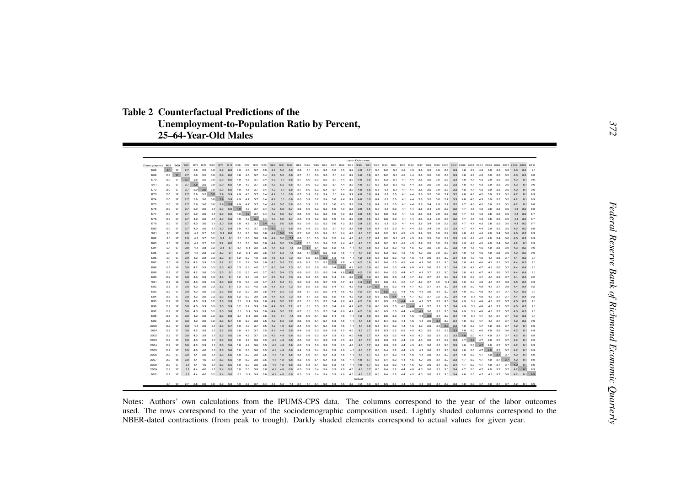**Table 2 Counterfactual Predictions of the Unemployment-to-Population Ratio by Percent, 25–64-Year-Old Males**

| Labor Outcomes<br>Demographics 1968<br>1969<br>1970<br>1971 1972 1973 1974 1975<br>1979 1980 1981 1982 1983 1984 1985 1986 1987 1988 1989 1991 1992 1993 1994 1995 1998 1997 1998 1999 2000 2001 2002 2003 2004 2005 2006 2007 2008 2009 2010<br>1976<br>1977 1978<br>2.1<br>17<br>2.7<br>3.8<br>3.5<br>3.0<br>2.9<br>4.6<br>3.7<br>3.5<br>5.2<br>8.8<br>6.1<br>3.9<br>4.0<br>5.7<br>6.5<br>6.2<br>5.1<br>4.2<br>4.5<br>3.8<br>3.0<br>2.8<br>4.3<br>3.9<br>3.3<br>3.6<br>9.1<br>THER<br>60<br>49<br>43<br>69<br>53<br>成長<br>52<br>45<br>35<br>33<br>48<br>47<br>82<br>1969<br>2.0<br>17<br>27<br>38<br>3.5<br>3.0<br>2.9<br>4.6<br>3.7<br>3.4<br>5.2<br>8.7<br>6.1<br>4.2<br>4.4<br>3.8<br>3.0<br>4.3<br>3.9<br>3.3<br>60<br>4.8<br>4.2<br>6.8<br>5.3<br>5.5<br>5.1<br>4.4<br>3.9<br>4.0<br>5.6<br>6.5<br>6.2<br>5.1<br>3.5<br>2.8<br>3.3<br>4.8<br>47<br>3.5<br>4.3<br>82<br>90<br>1970<br>2.0<br>17<br>2.7<br>3.8<br>3.5<br>3.0<br>2.9<br>4.9<br>3.7<br>4.3<br>5.1<br>8.7<br>4.4<br>4.0<br>5.6<br>6.2<br>5.1<br>4.1<br>4.4<br>3.8<br>3.0<br>2.7<br>3.3<br>4.3<br>3.9<br>3.3<br>3.5<br>4.3<br>8.1<br>9.0<br>60<br>46<br>34<br>68<br>60<br>53<br>成長<br>5.1<br>39<br>兵兵<br>35<br>4R<br>47<br>1971<br>2.0<br>17<br>2.7<br>3.8<br>2.9<br>5.2<br>8.7<br>4.4<br>4.0<br>4.2<br>4.4<br>3.8<br>3.0<br>3.9<br>4.3<br>35<br>30<br>49<br>47<br>37<br>3.5<br>43<br>68<br>60<br>53<br>成成<br>5.1<br>39<br>5.7<br>6.5<br>6.2<br>51<br>35<br>27<br>33<br>4R<br>47<br>43<br>33<br>35<br>81<br>90<br>60<br><b>1972</b><br>2.7<br>3.9<br>3.0<br>20<br>17<br>3.5<br>2.9<br>6.0<br>4.9<br>4.6<br>3.7<br>3.4<br>42<br>5.1<br>6.8<br>8.7<br>6.0<br>52<br>5.4<br>5.1<br>44<br>3.9<br>4.0<br>5.6<br>6.4<br>61<br>5.1<br>41<br>4.4<br>3.8<br>35<br>3.0<br>27<br>3.3<br>4R<br>47<br>4.3<br>39<br>33<br>35<br>42<br>8.1<br>90<br>3.8<br>3.5<br>1973<br>2.0<br>17<br>2.7<br>3.0<br>2.9<br>4.9<br>4.6<br>3.7<br>3.4<br>4.2<br>5.1<br>6.8<br>8.7<br>5.9<br>5.2<br>5.1<br>4.4<br>3.9<br>4.0<br>5.6<br>6.4<br>6.1<br>5.0<br>4.1<br>4.4<br>3.8<br>3.5<br>3.0<br>2.7<br>3.2<br>4.8<br>4.2<br>3.9<br>3.2<br>3.5<br>4.2<br>8.1<br>8.9<br>59<br>5.4<br>46<br>1974<br>2.0<br>17<br>2.7<br>3.9<br>3.6<br>3.0<br>2.9<br>4.9<br>4.7<br>3.7<br>3.4<br>4.2<br>5.1<br>6.8<br>8.6<br>5.2<br>5.0<br>4.4<br>3.9<br>4.0<br>6.4<br>5.0<br>4.4<br>3.8<br>3.0<br>2.7<br>3.3<br>4.8<br>4.3<br>3.9<br>3.3<br>3.5<br>4.2<br>59<br>59<br>5.4<br>馬森<br>6.1<br>41<br>35<br>46<br>81<br>89<br>1975<br>2.0<br>17<br>2.7<br>3.9<br>3.6<br>3.0<br>2.9<br>4.9<br>4.7<br>3.7<br>3.4<br>4.2<br>5.0<br>6.8<br>8.6<br>5.2<br>5.3<br>5.0<br>4.3<br>3.8<br>3.9<br>6.4<br>5.0<br>4.4<br>3.8<br>2.9<br>2.7<br>3.2<br>4.7<br>4.2<br>3.9<br>3.3<br>59<br>5.9<br>5.6<br>61<br>41<br>34<br>46<br>35<br>42<br>8.1<br>88<br>1976<br>2.0<br>17<br>2.7<br>3.1<br>2.9<br>5.9<br>4.9<br>4.7<br>3.7<br>3.4<br>4.2<br>5.0<br>6.7<br>8.6<br>39<br>36<br>5.9<br>52<br>5.3<br>5.0<br>4.3<br>3.8<br>3.9<br>5.5<br>6.3<br>6.1<br>5.0<br>41<br>4.4<br>3.8<br>3.4<br>2.9<br>27<br>3.2<br>47<br>4.3<br>3.8<br>3.3<br>35<br>41<br>8.0<br>8.8<br>4.6<br>1977<br>17<br>4.9<br>4.7<br>3.7<br>5.0<br>2.0<br>2.7<br>3.9<br>3.1<br>3.0<br>3.4<br>4.2<br>6.7<br>8.5<br>5.3<br>6.3<br>2.9<br>3.2<br>4.3<br>3.3<br>3.5<br>8.0<br>急病<br>59<br>59<br>52<br>50<br>43<br>3.8<br>3.9<br>5.5<br>6.0<br>5.0<br>41<br>4.3<br>38<br>34<br>27<br>47<br>46<br>38<br>41<br>87<br>49<br>4.7<br>3.7<br>4.2<br>5.0<br>3.9<br>1978<br>20<br>17<br>27<br>4.0<br>3.6<br>3.1<br>3.0<br>59<br>3.4<br>6.7<br>8.5<br>5.9<br>5.2<br>5.3<br>5.0<br>4.3<br>3.9<br>5.5<br>6.3<br>6.0<br>5.0<br>41<br>4.4<br>3.8<br>3.4<br>2.9<br>2.8<br>3.2<br>4.7<br>4.6<br>4.3<br>3.8<br>3.3<br>3.5<br>41<br>8.0<br>87<br>5.0<br>1979<br>2.0<br>17<br>2.7<br>4.0<br>3.1<br>3.0<br>5.9<br>5.0<br>4.8<br>3.7<br>3.4<br>4.2<br>6.8<br>8.5<br>5.9<br>5.2<br>5.3<br>5.0<br>4.3<br>3.9<br>3.9<br>5.5<br>6.3<br>6.1<br>5.0<br>4.1<br>4.4<br>3.8<br>3.4<br>2.9<br>2.8<br>3.2<br>4.7<br>4.3<br>3.8<br>3.3<br>3.5<br>4.1<br>8.0<br>急病<br>47<br>87<br>1980<br>2.0<br>17<br>3.0<br>5.0<br>4.9<br>3.7<br>3.5<br>4.3<br>5.1<br>8.6<br>4.3<br>4.0<br>4.4<br>3.8<br>2.9<br>4.7<br>3.9<br>3.3<br>3.5<br>4.2<br>8.0<br>27<br>40<br>36<br>31<br>59<br>6.8<br>59<br>52<br>5.3<br>5.1<br>39<br>馬森<br>64<br>61 50<br>41<br>34<br>28<br>33<br>47<br>44<br>88<br>1981<br>17<br>3.8<br>3.6<br>5.2<br>8.7<br>21<br>2R<br>37<br>3.2<br>3.1<br>60<br>5.1<br>5.0<br>44<br>7.0<br>6.0<br>5.3<br>5.4<br>5.1<br>4.4<br>4.0<br>4.1<br>5.7<br>6.4<br>6.2<br>4.2<br>4.5<br>3.9<br>3.5<br>3.0<br>29<br>3.3<br>4.8<br>44<br>4.0<br>3.4<br>3.6<br>43<br>8.2<br>89<br>41<br>5.1<br>4R<br>1982<br>2.1<br>17<br>4.1<br>3.7<br>3.2<br>3.1<br>6.1<br>5.1<br>5.0<br>3.8<br>3.6<br>4.4<br>5.2<br>7.1<br>8.8<br>6.1<br>5.3<br>5.4<br>5.2<br>4.4<br>4.0<br>4.1<br>5.7<br>6.4<br>6.2<br>5.1<br>4.2<br>4.5<br>3.9<br>3.5<br>3.0<br>2.9<br>3.3<br>4.9<br>4.5<br>4.0<br>3.4<br>3.6<br>4.3<br>8.2<br>8.9<br>2R<br>48<br>1983<br>2.1<br>17<br>3.7<br>3.2<br>3.2<br>5.1<br>5.0<br>3.8<br>3.6<br>4.4<br>5.2<br>7.0<br>8.7<br>6.1<br>5.3<br>5.4<br>5.2<br>4.4<br>4.0<br>4.1<br>5.7<br>6.4<br>6.2<br>5.1<br>4.2<br>4.5<br>3.9<br>3.5<br>3.0<br>2.9<br>3.3<br>4.9<br>4.5<br>4.0<br>3.4<br>3.6<br>4.2<br>8.1<br>2R<br>41<br>60<br>48<br>89<br>8.8<br>1984<br>17<br>3.2<br>5.3<br>7.1<br>6.1<br>5.2<br>4.1<br>6.5<br>3.0<br>21<br>28<br>4.1<br>3.8<br>3.1<br>6.1<br>5.1<br>5.1<br>3.9<br>3.6<br>4.4<br>5.4<br>5.5<br>4.5<br>4.1<br>5.8<br>6.3<br>5.2<br>4.3<br>4.5<br>4.0<br>3.5<br>2.9<br>3.3<br>4.9<br>4R<br>4.5<br>4.0<br>3.5<br>3.6<br>4.3<br>8.2<br>90<br>7.1<br>6.1<br>5.4<br>1985<br>2.1<br>17<br>3.2<br>3.2<br>5.2<br>5.1<br>3.9<br>5.3<br>8.8<br>5.5<br>5.2<br>4.5<br>4.1<br>4.1 5.8<br>6.5<br>6.3<br>5.2<br>4.0<br>3.0<br>4.3<br>29<br>41<br>38<br>61<br>36<br>44<br>43<br>46<br>3.5<br>29<br>3.4<br>49<br>4R<br>46<br>40<br>35<br>36<br>B2<br>90<br>1986<br>2.1<br>17<br>8.9<br>6.2<br>5.5<br>5.3<br>4.2 5.8<br>2.9<br>42<br>3.8<br>3.3<br>3.2<br>5.2<br>5.2<br>4.0<br>3.6<br>5.3<br>7.2<br>5.5<br>4.6<br>4.1<br>6.5<br>6.3<br>5.2<br>3.1<br>3.4<br>3.5<br>3.7<br>4.4<br>8.3<br>9.1<br>61<br>45<br>43<br>46<br>41<br>36<br>30<br>50<br>49<br>46<br>41<br>5.5<br>5.3<br>1987<br>2.1<br>5.3<br>7.2<br>8.9<br>6.2<br>5.5<br>4.6<br>4.1<br>4.2<br>6.6<br>18<br>29<br>42<br>39<br>33<br>3.2<br>6.1<br>52<br>5.2<br>3.9<br>3.6<br>4.5<br>5.9<br>6.4<br>5.3<br>4.3<br>4.6<br>41<br>3.6<br>3.1<br>3.0<br>3.4<br>50<br>4.9<br>4.6<br>41<br>3.5<br>3.7<br>44<br>83<br>91<br>9.0<br>1988<br>22<br>18<br>3.0<br>42<br>3.9<br>3.3<br>3.3<br>6.2<br>5.3<br>5.3<br>4.0<br>3.7<br>4.5<br>5.4<br>7.3<br>6.2<br>5.6<br>5.6<br>5.4<br>4.6<br>4.2<br>4.2<br>5.9<br>6.6<br>6.4<br>5.3<br>4.4<br>4.6<br>4.1<br>3.6<br>3.1<br>3.0<br>3.4<br>5.0<br>4.9<br>4.7<br>4.1<br>3.6<br>3.7<br>4.4<br>8.4<br>9.1<br>1989<br>2.2<br>17<br>42 3.8<br>3.3<br>3.3<br>5.3<br>4.0<br>3.7<br>4.5<br>5.4<br>7.3<br>8.9<br>6.2<br>5.5<br>5.6<br>5.4<br>4.6<br>4.2<br>4.2<br>5.9<br>6.6<br>6.4<br>5.3<br>3.1<br>3.0<br>3.4<br>4.1<br>3.6<br>3.7<br>4.4<br>9.1<br>30<br>61<br>52<br>44<br>47<br>41<br>37<br>50<br>49<br>47<br>84<br>n <sub>90</sub><br>22<br>17<br>8.9<br>6.2<br>46<br>4.2<br>30 <sub>0</sub><br>43<br>39<br>33<br>33<br>52<br>53<br>40<br>3.7<br>45<br>54<br>7.3<br>馬馬<br>5.6<br>64<br>4.2<br>5.9<br>6.6<br>6.5<br>53<br>47<br>4.2<br>37<br>31<br>3.0<br>3.4<br>5.0<br>47<br>41<br>3.6<br>3.7<br>44<br>RA<br>92<br>61<br>44<br>50<br>4.3<br>1991<br>23<br>18<br>4.3 3.9<br>3.3<br>3.3<br>5.3<br>4.0<br>3.7<br>4.5<br>5.4<br>7.4<br>9.0<br>6.3<br>5.6<br>4.7<br>4.3<br>6.0<br>6.7<br>6.6<br>4.7<br>4.2<br>3.7<br>3.2<br>3.1<br>3.5<br>4.1<br>3.7<br>3.8<br>4.5<br>8.5<br>30<br>62<br>53<br>5.7<br>馬馬<br>54<br>45<br>50<br>50<br>48<br>92<br>5.9<br>1992<br>2.3<br>17<br>3.0<br>4.3<br>3.9<br>3.3<br>3.3<br>6.1<br>5.3<br>5.3<br>4.0<br>3.6<br>4.5<br>5.3<br>7.3<br>8.9<br>6.2<br>5.6<br>5.6<br>5.4<br>4.7<br>4.2<br>4.3<br>6.7<br>6.5<br>5.3<br>4.4<br>4.7<br>4.2<br>3.7<br>3.1<br>3.0<br>3.4<br>5.0<br>4.8<br>4.1<br>3.7<br>3.8<br>4.4<br>8.4<br>92<br>50<br>1993<br>2.2<br>17<br>4.3<br>3.3<br>5.2<br>3.9<br>5.2<br>7.2<br>8.8<br>6.1<br>4.6<br>4.2<br>4.2<br>5.9<br>6.6<br>6.5<br>5.3<br>4.1<br>3.6<br>3.1<br>3.0<br>3.4<br>4.9<br>3.7<br>3.7<br>8.3<br>9.1<br>30<br>39<br>3.3<br>60<br>5.2<br>3.6<br>44<br>5.5<br>5.5<br>5.4<br>44<br>4.6<br>50<br>4.8<br>4.1<br>43<br>4.2<br>6.6<br>6.5<br>5.4<br>1994<br>2.3<br>17<br>30<br>4.3<br>3.9<br>3.3<br>3.3<br>6.0<br>5.2<br>5.2<br>3.9<br>3.6<br>4.4<br>5.3<br>7.2<br>8.8<br>6.1<br>5.6<br>5.6<br>5.5<br>4.6<br>4.2<br>5.9<br>4.4<br>4.7<br>4.2<br>3.7<br>3.2<br>3.0<br>3.4<br>4.9<br>5.1<br>4.8<br>4.1<br>3.7<br>3.7<br>4.4<br>8.4<br>92<br>5.3<br>1995<br>2.2<br>17<br>4.3<br>3.9<br>3.2<br>3.3<br>3.9<br>3.6<br>5.2<br>7.2<br>8.7<br>6.1<br>- 5.5<br>5.4<br>4.6<br>4.2<br>4.2<br>5.9<br>6.5<br>6.5<br>4.4<br>4.6<br>4.1<br>3.7<br>3.1<br>3.0<br>3.4<br>4.9<br>4.8<br>4.1<br>3.7<br>3.7<br>4.3<br>8.3<br>9.1<br>30<br>59<br>5.1<br>51<br>44<br>5.5<br>5.1<br>1996<br>2.3<br>17<br>5.2<br>7.2<br>8.7<br>6.1<br>5.5<br>5.4<br>4.2<br>6.6<br>6.5<br>5.3<br>4.5<br>4.6<br>3.7<br>$3.1\quad 3.0$<br>30 <sub>0</sub><br>43 39<br>33<br>3.3<br>59<br>52<br>52<br>39<br>3.6<br>44<br>5.5<br>4.6<br>4.2<br>5.9<br>41<br>3.4<br>4.9<br>5.1<br>4.8<br>41<br>3.7<br>-37<br>43<br>83<br>91<br>1997<br>17<br>5.2<br>8.7<br>6.6<br>4.6<br>3.1<br>23<br>3.0<br>43<br>3.9<br>3.2<br>3.3<br>5.8<br>5.1<br>5.1<br>3.9<br>3.6<br>4.4<br>7.2<br>6.1<br>5.5<br>5.5<br>5.4<br>4.6<br>4.2<br>4.2<br>5.9<br>6.5<br>5.3<br>4.4<br>4.1<br>3.6<br>3.0<br>3.4<br>4.9<br>5.1<br>4.8<br>4.1<br>3.7<br>3.7<br>4.3<br>8.3<br>9.1<br>1998<br>2.3<br>17<br>3.0<br>43<br>3.9<br>3.2<br>3.3<br>5.1<br>5.1<br>3.8<br>3.6<br>4.3<br>5.1<br>7.1<br>8.6<br>6.0<br>5.4<br>5.5<br>5.4<br>4.6<br>4.1<br>4.2<br>5.8<br>6.6<br>6.5<br>5.3<br>4.4<br>4.6<br>4.1<br>3.6<br>3.1<br>3.0<br>3.4<br>4.9<br>5.1<br>4.7<br>4.1<br>3.7<br>3.7<br>4.3<br>8.3<br>9.1<br>5.8<br>1999<br>23<br>17<br>50<br>85<br>4.1 5.8<br>3.1<br>3.0<br>3.7<br>30 <sub>0</sub><br>42.39<br>32<br>33<br>50<br>50<br>38<br>35<br>42<br>7.0<br>59<br>64<br>5.3<br>45<br>41<br>6.5<br>64<br>53<br>4.6<br>41<br>36<br>3.4<br>4.8<br>47<br>41<br>3.7<br>42<br>82<br>90<br>57<br>54<br>44<br>50<br>2000<br>17<br>3.1<br>2.9<br>22<br>3.1<br>3.3<br>4.9<br>3.7<br>3.5<br>4.2<br>4.9<br>6.9<br>8.4<br>4.1<br>6.4<br>6.4<br>4.0<br>3.5<br>3.3<br>4.8<br>4.0<br>3.6<br>3.7<br>4.2<br>30<br>41<br>39<br>57<br>50<br>59<br>54<br>64<br>53<br>45<br>41<br>5.8<br>52<br>44<br>4.5<br>50<br>47<br>81<br>89<br>2001<br>2.2<br>17<br>42 3.9<br>3.2<br>3.7<br>4.9<br>6.3<br>3.5<br>3.1<br>2.9<br>3.3<br>4.8<br>4.2<br>30 <sub>0</sub><br>31<br>50<br>49<br>3.5<br>42<br>6.8<br>RA<br>5.8<br>53<br>5.4<br>53<br>45<br>4.0<br>4.1<br>5.7<br>6.4<br>5.2<br>4.3<br>4.5<br>40<br>5.0<br>4.6<br>40<br>36<br>3.6<br>8.1<br>89<br>56<br>2002<br>2.2<br>17<br>4.3<br>3.1<br>3.3<br>4.9<br>3.7<br>3.5<br>4.9<br>6.8<br>8.3<br>5.3<br>4.5<br>4.0<br>4.0<br>5.7<br>6.4<br>6.3<br>5.2<br>4.0<br>3.5<br>3.1<br>2.9<br>3.3<br>4.8<br>5.0<br>4.7<br>4.0<br>3.7<br>3.7<br>4.2<br>30<br>39<br>馬兵<br>50<br>42<br>5.8<br>5.3<br>5.4<br>44<br>4.5<br>8.1<br>89<br>2003<br>2.2<br>8.3<br>3.1<br>2.9<br>3.3<br>4.7<br>5.0<br>4.7<br>4.0<br>3.7<br>3.7<br>17<br>30<br>43<br>39<br>31<br>3.3<br>5.6<br>5.0<br>4.9<br>3.8<br>3.5<br>4.1<br>4.9<br>6.8<br>5.8<br>5.4<br>5.3<br>5.3<br>4.5<br>4.0<br>4.1<br>5.7<br>6.4<br>6.3<br>5.2<br>4.4<br>4.5<br>4.0<br>3.6<br>4.2<br>8.1<br>8.9<br>2004<br>2.2<br>17<br>4.3<br>3.1<br>3.3<br>5.0<br>4.9<br>3.8<br>3.5<br>4.1<br>4.9<br>6.8<br>8.3<br>4.5<br>4.0<br>4.1<br>5.7<br>6.4<br>6.3<br>5.2<br>4.0<br>3.1<br>3.0<br>3.3<br>4.8<br>5.0<br>4.7<br>4.0<br>3.7<br>3.7<br>4.2<br>8.1<br>8.9<br>30 <sub>0</sub><br>39<br>馬島<br>5.9<br>5.3<br>5.3<br>5.3<br>44<br>4.5<br>3.6<br>2005<br>2.2<br>17<br>4.3<br>3.8<br>3.5<br>4.1<br>4.9<br>6.9<br>8.4<br>4.1<br>$4.1\quad 5.7$<br>6.5<br>6.4<br>5.2<br>3.1<br>3.0<br>3.4<br>4.8<br>4.7<br>4.0<br>3.7<br>3.7<br>4.2<br>30 <sub>0</sub><br>40<br>31<br>33<br>馬島<br>50<br>50<br>5.9<br>54<br>5.4<br>53<br>46<br>44<br>4.5<br>$-41$<br>3.6<br>50<br>81<br>89<br>2006<br>17<br>3.7<br>3.7<br>22<br>3.0<br>44<br>3.9<br>3.1<br>3.3<br>5.6<br>5.0<br>5.0<br>3.8<br>3.5<br>4.1<br>4.9<br>6.8<br>8.4<br>5.9<br>5.4<br>5.4<br>5.3<br>4.6<br>4.1<br>4.1<br>5.7<br>6.5<br>6.4<br>5.2<br>4.4<br>4.6<br>4.1<br>3.6<br>3.1<br>3.0<br>3.4<br>4.8<br>5.0<br>4.7<br>40<br>4.2<br>8.1<br>89<br>3.7<br>2007<br>2.2<br>16<br>3.0<br>4A<br>4.0<br>3.1<br>3.3<br>4.9<br>5.0<br>3.8<br>3.5<br>4.1<br>4.8<br>6.8<br>8.3<br>5.9<br>5.4<br>5.3<br>4.6<br>4.1<br>4.0<br>5.7<br>6.5<br>6.4<br>5.2<br>4.4<br>4.5<br>4.0<br>3.6<br>3.1<br>3.0<br>3.3<br>4.7<br>5.0<br>4.7<br>4.0<br>3.7<br>4.2<br>8.1<br>8.9<br>馬兵<br>64<br>2008<br>2.2<br>17<br>3.1<br>4.4<br>4.0<br>3.1<br>3.3<br>5.0<br>5.0<br>3.8<br>3.6<br>4.8<br>8.3<br>5.3<br>4.1<br>4.0<br>5.7<br>6.5<br>6.3<br>5.2<br>4.5<br>4.0<br>3.1<br>3.0<br>3.4<br>4.7<br>4.7<br>4.0<br>3.7<br>3.7<br>4.2<br>8.1<br>5.5<br>41<br>6.8<br>5.8<br>64<br>5.3<br>45<br>4.4<br>36<br>50<br>89<br>2009<br>22<br>17<br>3.4<br>3.8<br>4.8<br>8.3<br>4.1<br>5.2<br>4.0<br>4.0<br>3.7<br>3.7<br>4.2<br>8.1<br>31<br>44<br>40<br>31<br>50<br>50<br>36<br>41<br>6.8<br>59<br>64<br>53<br>46<br>40<br>5.7<br>兵馬<br>64<br>44<br>46<br>36<br>31<br>30<br>34<br>47<br>50<br>47<br>89<br>馬馬<br>54<br>20 <sub>D</sub><br>17<br>3.1<br>3.2<br>3.4<br>5.1<br>5.1<br>3.9<br>3.6<br>4.1<br>4.8<br>6.8<br>8.3<br>4.6<br>4.0<br>4.1 5.7<br>6.4 5.2 4.4 4.5<br>4.0<br>3.6<br>$3.1\quad 3.0$<br>3.4<br>3.7<br>3.8<br>4.2<br>8.1 8.9<br>22<br>4A<br>40<br>5.6<br>59<br>5.4<br>53<br>6.5<br>4 <sup>8</sup><br>50<br>4.7<br>41<br>54<br>Actual<br>49 47 37 34 43 52 71 87 61 54 55 53 46 42 42 60 67 65 54 44 46 41 36<br>3.0<br>2.9<br>$3.1$ $2.9$ $3.3$<br>5.0 4.7 4.0 3.7 3.7 4.2 8.1 8.9<br>$2.1$ 17<br>2.7<br>3.8 3.5<br>5.9<br>4.8 |  |  |  |  |  |  |  |  |  |  |  |  |  |  |  |  |  |  |  |  |  |  |
|----------------------------------------------------------------------------------------------------------------------------------------------------------------------------------------------------------------------------------------------------------------------------------------------------------------------------------------------------------------------------------------------------------------------------------------------------------------------------------------------------------------------------------------------------------------------------------------------------------------------------------------------------------------------------------------------------------------------------------------------------------------------------------------------------------------------------------------------------------------------------------------------------------------------------------------------------------------------------------------------------------------------------------------------------------------------------------------------------------------------------------------------------------------------------------------------------------------------------------------------------------------------------------------------------------------------------------------------------------------------------------------------------------------------------------------------------------------------------------------------------------------------------------------------------------------------------------------------------------------------------------------------------------------------------------------------------------------------------------------------------------------------------------------------------------------------------------------------------------------------------------------------------------------------------------------------------------------------------------------------------------------------------------------------------------------------------------------------------------------------------------------------------------------------------------------------------------------------------------------------------------------------------------------------------------------------------------------------------------------------------------------------------------------------------------------------------------------------------------------------------------------------------------------------------------------------------------------------------------------------------------------------------------------------------------------------------------------------------------------------------------------------------------------------------------------------------------------------------------------------------------------------------------------------------------------------------------------------------------------------------------------------------------------------------------------------------------------------------------------------------------------------------------------------------------------------------------------------------------------------------------------------------------------------------------------------------------------------------------------------------------------------------------------------------------------------------------------------------------------------------------------------------------------------------------------------------------------------------------------------------------------------------------------------------------------------------------------------------------------------------------------------------------------------------------------------------------------------------------------------------------------------------------------------------------------------------------------------------------------------------------------------------------------------------------------------------------------------------------------------------------------------------------------------------------------------------------------------------------------------------------------------------------------------------------------------------------------------------------------------------------------------------------------------------------------------------------------------------------------------------------------------------------------------------------------------------------------------------------------------------------------------------------------------------------------------------------------------------------------------------------------------------------------------------------------------------------------------------------------------------------------------------------------------------------------------------------------------------------------------------------------------------------------------------------------------------------------------------------------------------------------------------------------------------------------------------------------------------------------------------------------------------------------------------------------------------------------------------------------------------------------------------------------------------------------------------------------------------------------------------------------------------------------------------------------------------------------------------------------------------------------------------------------------------------------------------------------------------------------------------------------------------------------------------------------------------------------------------------------------------------------------------------------------------------------------------------------------------------------------------------------------------------------------------------------------------------------------------------------------------------------------------------------------------------------------------------------------------------------------------------------------------------------------------------------------------------------------------------------------------------------------------------------------------------------------------------------------------------------------------------------------------------------------------------------------------------------------------------------------------------------------------------------------------------------------------------------------------------------------------------------------------------------------------------------------------------------------------------------------------------------------------------------------------------------------------------------------------------------------------------------------------------------------------------------------------------------------------------------------------------------------------------------------------------------------------------------------------------------------------------------------------------------------------------------------------------------------------------------------------------------------------------------------------------------------------------------------------------------------------------------------------------------------------------------------------------------------------------------------------------------------------------------------------------------------------------------------------------------------------------------------------------------------------------------------------------------------------------------------------------------------------------------------------------------------------------------------------------------------------------------------------------------------------------------------------------------------------------------------------------------------------------------------------------------------------------------------------------------------------------------------------------------------------------------------------------------------------------------------------------------------------------------------------------------------------------------------------------------------------------------------------------------------------------------------------------------------------------------------------------------------------------------------------------------------------------------------------------------------------------------------------------------------------------------------------------------------------------------------------------------------------------------------------------------------------------------------------------------------------------------------------------------------------------------------------------------------------------------------------------------------------------------------------------------------------------------------------------------------------------------------------------------------------------------------------------------------------------------------------------------------------------------------------------------------------------------------------------------------------------------------------------------------------------------------------------------------------------------------------------------------------------------------------------------------------------------------------------------------------------------------------------------------------------------------------------------------------------------------------------------------------------------------------------------------------------------------------------------------------------------------------------------------------------------------------------------------------------------------------------------------------------------------------------------------------------------------------------------------------------------------------------------------------------------------------------------------------------------------------------------------------------------------------------------------------------------------------------------------------------------------------------------------------------------------------------------------------------------------------------------------------------------------------------------------------------------------------------------------------------------------------------------------------------------------------------------------------------------------------------------------------------------------------------------------------------------------------------------------------------------------------------------------------------------------------------------------------------------------------------------------------------------------------------------------------------------------------------------------------------------------------------------------------------------------------------------------------------------------------------------------------------------------------------------------------------------------------------------------------------------------------------------------------------------------------------------------------------------------------------------------------------------------------------------------------------------------------------------------------------------------------------------------------------------------------------------------------------------------------------------------------------------------------------------------------------------------------------------------------------------------------------------------------------------------------------------------------------------------------------------------------------------------------------------------------------------------------------------------------------------------------------------------------------------------------------------------------------------------------------------------------------------------------------------------------------------------------------------------------------------------------------------------------------------------------------------------------------------------------------------------------------------------------------------------------------------------------------------------------------------------------------------------------------------------------------------------------------------------------------------------------------------------------------------------------------------------------------------------------------------------------------------------------------------------------------------------------------------------------------------------------------------------------------------------------------------------------------------------------------------------------------------------------------------------------------------------------------------------------------------------------------------------------------------------------------------------------------------------------------------------------------------------------------------------------------------------------------------------------------------------------------------------------------------------------------------------------------------------------------------------------------------------------------------------------------------------------------------------------------------------------------------|--|--|--|--|--|--|--|--|--|--|--|--|--|--|--|--|--|--|--|--|--|--|
|                                                                                                                                                                                                                                                                                                                                                                                                                                                                                                                                                                                                                                                                                                                                                                                                                                                                                                                                                                                                                                                                                                                                                                                                                                                                                                                                                                                                                                                                                                                                                                                                                                                                                                                                                                                                                                                                                                                                                                                                                                                                                                                                                                                                                                                                                                                                                                                                                                                                                                                                                                                                                                                                                                                                                                                                                                                                                                                                                                                                                                                                                                                                                                                                                                                                                                                                                                                                                                                                                                                                                                                                                                                                                                                                                                                                                                                                                                                                                                                                                                                                                                                                                                                                                                                                                                                                                                                                                                                                                                                                                                                                                                                                                                                                                                                                                                                                                                                                                                                                                                                                                                                                                                                                                                                                                                                                                                                                                                                                                                                                                                                                                                                                                                                                                                                                                                                                                                                                                                                                                                                                                                                                                                                                                                                                                                                                                                                                                                                                                                                                                                                                                                                                                                                                                                                                                                                                                                                                                                                                                                                                                                                                                                                                                                                                                                                                                                                                                                                                                                                                                                                                                                                                                                                                                                                                                                                                                                                                                                                                                                                                                                                                                                                                                                                                                                                                                                                                                                                                                                                                                                                                                                                                                                                                                                                                                                                                                                                                                                                                                                                                                                                                                                                                                                                                                                                                                                                                                                                                                                                                                                                                                                                                                                                                                                                                                                                                                                                                                                                                                                                                                                                                                                                                                                                                                                                                                                                                                                                                                                                                                                                                                                                                                                                                                                                                                                                                                                                                                                                                                                                                                                                                                                                                                                                                                                                                                                                                                                                                                                                                                                                                                                                                                                                                                                                                                                                                                                                                                                                                                                                                                                                                                                                                                                                                                                                                                                                                                                                                                                                                                                                                                                                                                                                                                                                                                                                                                                                                                                                                                                                                                                                                                                                                                                                                                                                                                                                                                                                                                                                                                                                                                                                                                                                                                                                                                                                                                                                |  |  |  |  |  |  |  |  |  |  |  |  |  |  |  |  |  |  |  |  |  |  |
|                                                                                                                                                                                                                                                                                                                                                                                                                                                                                                                                                                                                                                                                                                                                                                                                                                                                                                                                                                                                                                                                                                                                                                                                                                                                                                                                                                                                                                                                                                                                                                                                                                                                                                                                                                                                                                                                                                                                                                                                                                                                                                                                                                                                                                                                                                                                                                                                                                                                                                                                                                                                                                                                                                                                                                                                                                                                                                                                                                                                                                                                                                                                                                                                                                                                                                                                                                                                                                                                                                                                                                                                                                                                                                                                                                                                                                                                                                                                                                                                                                                                                                                                                                                                                                                                                                                                                                                                                                                                                                                                                                                                                                                                                                                                                                                                                                                                                                                                                                                                                                                                                                                                                                                                                                                                                                                                                                                                                                                                                                                                                                                                                                                                                                                                                                                                                                                                                                                                                                                                                                                                                                                                                                                                                                                                                                                                                                                                                                                                                                                                                                                                                                                                                                                                                                                                                                                                                                                                                                                                                                                                                                                                                                                                                                                                                                                                                                                                                                                                                                                                                                                                                                                                                                                                                                                                                                                                                                                                                                                                                                                                                                                                                                                                                                                                                                                                                                                                                                                                                                                                                                                                                                                                                                                                                                                                                                                                                                                                                                                                                                                                                                                                                                                                                                                                                                                                                                                                                                                                                                                                                                                                                                                                                                                                                                                                                                                                                                                                                                                                                                                                                                                                                                                                                                                                                                                                                                                                                                                                                                                                                                                                                                                                                                                                                                                                                                                                                                                                                                                                                                                                                                                                                                                                                                                                                                                                                                                                                                                                                                                                                                                                                                                                                                                                                                                                                                                                                                                                                                                                                                                                                                                                                                                                                                                                                                                                                                                                                                                                                                                                                                                                                                                                                                                                                                                                                                                                                                                                                                                                                                                                                                                                                                                                                                                                                                                                                                                                                                                                                                                                                                                                                                                                                                                                                                                                                                                                                                                |  |  |  |  |  |  |  |  |  |  |  |  |  |  |  |  |  |  |  |  |  |  |
|                                                                                                                                                                                                                                                                                                                                                                                                                                                                                                                                                                                                                                                                                                                                                                                                                                                                                                                                                                                                                                                                                                                                                                                                                                                                                                                                                                                                                                                                                                                                                                                                                                                                                                                                                                                                                                                                                                                                                                                                                                                                                                                                                                                                                                                                                                                                                                                                                                                                                                                                                                                                                                                                                                                                                                                                                                                                                                                                                                                                                                                                                                                                                                                                                                                                                                                                                                                                                                                                                                                                                                                                                                                                                                                                                                                                                                                                                                                                                                                                                                                                                                                                                                                                                                                                                                                                                                                                                                                                                                                                                                                                                                                                                                                                                                                                                                                                                                                                                                                                                                                                                                                                                                                                                                                                                                                                                                                                                                                                                                                                                                                                                                                                                                                                                                                                                                                                                                                                                                                                                                                                                                                                                                                                                                                                                                                                                                                                                                                                                                                                                                                                                                                                                                                                                                                                                                                                                                                                                                                                                                                                                                                                                                                                                                                                                                                                                                                                                                                                                                                                                                                                                                                                                                                                                                                                                                                                                                                                                                                                                                                                                                                                                                                                                                                                                                                                                                                                                                                                                                                                                                                                                                                                                                                                                                                                                                                                                                                                                                                                                                                                                                                                                                                                                                                                                                                                                                                                                                                                                                                                                                                                                                                                                                                                                                                                                                                                                                                                                                                                                                                                                                                                                                                                                                                                                                                                                                                                                                                                                                                                                                                                                                                                                                                                                                                                                                                                                                                                                                                                                                                                                                                                                                                                                                                                                                                                                                                                                                                                                                                                                                                                                                                                                                                                                                                                                                                                                                                                                                                                                                                                                                                                                                                                                                                                                                                                                                                                                                                                                                                                                                                                                                                                                                                                                                                                                                                                                                                                                                                                                                                                                                                                                                                                                                                                                                                                                                                                                                                                                                                                                                                                                                                                                                                                                                                                                                                                                                                |  |  |  |  |  |  |  |  |  |  |  |  |  |  |  |  |  |  |  |  |  |  |
|                                                                                                                                                                                                                                                                                                                                                                                                                                                                                                                                                                                                                                                                                                                                                                                                                                                                                                                                                                                                                                                                                                                                                                                                                                                                                                                                                                                                                                                                                                                                                                                                                                                                                                                                                                                                                                                                                                                                                                                                                                                                                                                                                                                                                                                                                                                                                                                                                                                                                                                                                                                                                                                                                                                                                                                                                                                                                                                                                                                                                                                                                                                                                                                                                                                                                                                                                                                                                                                                                                                                                                                                                                                                                                                                                                                                                                                                                                                                                                                                                                                                                                                                                                                                                                                                                                                                                                                                                                                                                                                                                                                                                                                                                                                                                                                                                                                                                                                                                                                                                                                                                                                                                                                                                                                                                                                                                                                                                                                                                                                                                                                                                                                                                                                                                                                                                                                                                                                                                                                                                                                                                                                                                                                                                                                                                                                                                                                                                                                                                                                                                                                                                                                                                                                                                                                                                                                                                                                                                                                                                                                                                                                                                                                                                                                                                                                                                                                                                                                                                                                                                                                                                                                                                                                                                                                                                                                                                                                                                                                                                                                                                                                                                                                                                                                                                                                                                                                                                                                                                                                                                                                                                                                                                                                                                                                                                                                                                                                                                                                                                                                                                                                                                                                                                                                                                                                                                                                                                                                                                                                                                                                                                                                                                                                                                                                                                                                                                                                                                                                                                                                                                                                                                                                                                                                                                                                                                                                                                                                                                                                                                                                                                                                                                                                                                                                                                                                                                                                                                                                                                                                                                                                                                                                                                                                                                                                                                                                                                                                                                                                                                                                                                                                                                                                                                                                                                                                                                                                                                                                                                                                                                                                                                                                                                                                                                                                                                                                                                                                                                                                                                                                                                                                                                                                                                                                                                                                                                                                                                                                                                                                                                                                                                                                                                                                                                                                                                                                                                                                                                                                                                                                                                                                                                                                                                                                                                                                                                                                |  |  |  |  |  |  |  |  |  |  |  |  |  |  |  |  |  |  |  |  |  |  |
|                                                                                                                                                                                                                                                                                                                                                                                                                                                                                                                                                                                                                                                                                                                                                                                                                                                                                                                                                                                                                                                                                                                                                                                                                                                                                                                                                                                                                                                                                                                                                                                                                                                                                                                                                                                                                                                                                                                                                                                                                                                                                                                                                                                                                                                                                                                                                                                                                                                                                                                                                                                                                                                                                                                                                                                                                                                                                                                                                                                                                                                                                                                                                                                                                                                                                                                                                                                                                                                                                                                                                                                                                                                                                                                                                                                                                                                                                                                                                                                                                                                                                                                                                                                                                                                                                                                                                                                                                                                                                                                                                                                                                                                                                                                                                                                                                                                                                                                                                                                                                                                                                                                                                                                                                                                                                                                                                                                                                                                                                                                                                                                                                                                                                                                                                                                                                                                                                                                                                                                                                                                                                                                                                                                                                                                                                                                                                                                                                                                                                                                                                                                                                                                                                                                                                                                                                                                                                                                                                                                                                                                                                                                                                                                                                                                                                                                                                                                                                                                                                                                                                                                                                                                                                                                                                                                                                                                                                                                                                                                                                                                                                                                                                                                                                                                                                                                                                                                                                                                                                                                                                                                                                                                                                                                                                                                                                                                                                                                                                                                                                                                                                                                                                                                                                                                                                                                                                                                                                                                                                                                                                                                                                                                                                                                                                                                                                                                                                                                                                                                                                                                                                                                                                                                                                                                                                                                                                                                                                                                                                                                                                                                                                                                                                                                                                                                                                                                                                                                                                                                                                                                                                                                                                                                                                                                                                                                                                                                                                                                                                                                                                                                                                                                                                                                                                                                                                                                                                                                                                                                                                                                                                                                                                                                                                                                                                                                                                                                                                                                                                                                                                                                                                                                                                                                                                                                                                                                                                                                                                                                                                                                                                                                                                                                                                                                                                                                                                                                                                                                                                                                                                                                                                                                                                                                                                                                                                                                                                                                |  |  |  |  |  |  |  |  |  |  |  |  |  |  |  |  |  |  |  |  |  |  |
|                                                                                                                                                                                                                                                                                                                                                                                                                                                                                                                                                                                                                                                                                                                                                                                                                                                                                                                                                                                                                                                                                                                                                                                                                                                                                                                                                                                                                                                                                                                                                                                                                                                                                                                                                                                                                                                                                                                                                                                                                                                                                                                                                                                                                                                                                                                                                                                                                                                                                                                                                                                                                                                                                                                                                                                                                                                                                                                                                                                                                                                                                                                                                                                                                                                                                                                                                                                                                                                                                                                                                                                                                                                                                                                                                                                                                                                                                                                                                                                                                                                                                                                                                                                                                                                                                                                                                                                                                                                                                                                                                                                                                                                                                                                                                                                                                                                                                                                                                                                                                                                                                                                                                                                                                                                                                                                                                                                                                                                                                                                                                                                                                                                                                                                                                                                                                                                                                                                                                                                                                                                                                                                                                                                                                                                                                                                                                                                                                                                                                                                                                                                                                                                                                                                                                                                                                                                                                                                                                                                                                                                                                                                                                                                                                                                                                                                                                                                                                                                                                                                                                                                                                                                                                                                                                                                                                                                                                                                                                                                                                                                                                                                                                                                                                                                                                                                                                                                                                                                                                                                                                                                                                                                                                                                                                                                                                                                                                                                                                                                                                                                                                                                                                                                                                                                                                                                                                                                                                                                                                                                                                                                                                                                                                                                                                                                                                                                                                                                                                                                                                                                                                                                                                                                                                                                                                                                                                                                                                                                                                                                                                                                                                                                                                                                                                                                                                                                                                                                                                                                                                                                                                                                                                                                                                                                                                                                                                                                                                                                                                                                                                                                                                                                                                                                                                                                                                                                                                                                                                                                                                                                                                                                                                                                                                                                                                                                                                                                                                                                                                                                                                                                                                                                                                                                                                                                                                                                                                                                                                                                                                                                                                                                                                                                                                                                                                                                                                                                                                                                                                                                                                                                                                                                                                                                                                                                                                                                                                                                |  |  |  |  |  |  |  |  |  |  |  |  |  |  |  |  |  |  |  |  |  |  |
|                                                                                                                                                                                                                                                                                                                                                                                                                                                                                                                                                                                                                                                                                                                                                                                                                                                                                                                                                                                                                                                                                                                                                                                                                                                                                                                                                                                                                                                                                                                                                                                                                                                                                                                                                                                                                                                                                                                                                                                                                                                                                                                                                                                                                                                                                                                                                                                                                                                                                                                                                                                                                                                                                                                                                                                                                                                                                                                                                                                                                                                                                                                                                                                                                                                                                                                                                                                                                                                                                                                                                                                                                                                                                                                                                                                                                                                                                                                                                                                                                                                                                                                                                                                                                                                                                                                                                                                                                                                                                                                                                                                                                                                                                                                                                                                                                                                                                                                                                                                                                                                                                                                                                                                                                                                                                                                                                                                                                                                                                                                                                                                                                                                                                                                                                                                                                                                                                                                                                                                                                                                                                                                                                                                                                                                                                                                                                                                                                                                                                                                                                                                                                                                                                                                                                                                                                                                                                                                                                                                                                                                                                                                                                                                                                                                                                                                                                                                                                                                                                                                                                                                                                                                                                                                                                                                                                                                                                                                                                                                                                                                                                                                                                                                                                                                                                                                                                                                                                                                                                                                                                                                                                                                                                                                                                                                                                                                                                                                                                                                                                                                                                                                                                                                                                                                                                                                                                                                                                                                                                                                                                                                                                                                                                                                                                                                                                                                                                                                                                                                                                                                                                                                                                                                                                                                                                                                                                                                                                                                                                                                                                                                                                                                                                                                                                                                                                                                                                                                                                                                                                                                                                                                                                                                                                                                                                                                                                                                                                                                                                                                                                                                                                                                                                                                                                                                                                                                                                                                                                                                                                                                                                                                                                                                                                                                                                                                                                                                                                                                                                                                                                                                                                                                                                                                                                                                                                                                                                                                                                                                                                                                                                                                                                                                                                                                                                                                                                                                                                                                                                                                                                                                                                                                                                                                                                                                                                                                                                                                |  |  |  |  |  |  |  |  |  |  |  |  |  |  |  |  |  |  |  |  |  |  |
|                                                                                                                                                                                                                                                                                                                                                                                                                                                                                                                                                                                                                                                                                                                                                                                                                                                                                                                                                                                                                                                                                                                                                                                                                                                                                                                                                                                                                                                                                                                                                                                                                                                                                                                                                                                                                                                                                                                                                                                                                                                                                                                                                                                                                                                                                                                                                                                                                                                                                                                                                                                                                                                                                                                                                                                                                                                                                                                                                                                                                                                                                                                                                                                                                                                                                                                                                                                                                                                                                                                                                                                                                                                                                                                                                                                                                                                                                                                                                                                                                                                                                                                                                                                                                                                                                                                                                                                                                                                                                                                                                                                                                                                                                                                                                                                                                                                                                                                                                                                                                                                                                                                                                                                                                                                                                                                                                                                                                                                                                                                                                                                                                                                                                                                                                                                                                                                                                                                                                                                                                                                                                                                                                                                                                                                                                                                                                                                                                                                                                                                                                                                                                                                                                                                                                                                                                                                                                                                                                                                                                                                                                                                                                                                                                                                                                                                                                                                                                                                                                                                                                                                                                                                                                                                                                                                                                                                                                                                                                                                                                                                                                                                                                                                                                                                                                                                                                                                                                                                                                                                                                                                                                                                                                                                                                                                                                                                                                                                                                                                                                                                                                                                                                                                                                                                                                                                                                                                                                                                                                                                                                                                                                                                                                                                                                                                                                                                                                                                                                                                                                                                                                                                                                                                                                                                                                                                                                                                                                                                                                                                                                                                                                                                                                                                                                                                                                                                                                                                                                                                                                                                                                                                                                                                                                                                                                                                                                                                                                                                                                                                                                                                                                                                                                                                                                                                                                                                                                                                                                                                                                                                                                                                                                                                                                                                                                                                                                                                                                                                                                                                                                                                                                                                                                                                                                                                                                                                                                                                                                                                                                                                                                                                                                                                                                                                                                                                                                                                                                                                                                                                                                                                                                                                                                                                                                                                                                                                                                                                |  |  |  |  |  |  |  |  |  |  |  |  |  |  |  |  |  |  |  |  |  |  |
|                                                                                                                                                                                                                                                                                                                                                                                                                                                                                                                                                                                                                                                                                                                                                                                                                                                                                                                                                                                                                                                                                                                                                                                                                                                                                                                                                                                                                                                                                                                                                                                                                                                                                                                                                                                                                                                                                                                                                                                                                                                                                                                                                                                                                                                                                                                                                                                                                                                                                                                                                                                                                                                                                                                                                                                                                                                                                                                                                                                                                                                                                                                                                                                                                                                                                                                                                                                                                                                                                                                                                                                                                                                                                                                                                                                                                                                                                                                                                                                                                                                                                                                                                                                                                                                                                                                                                                                                                                                                                                                                                                                                                                                                                                                                                                                                                                                                                                                                                                                                                                                                                                                                                                                                                                                                                                                                                                                                                                                                                                                                                                                                                                                                                                                                                                                                                                                                                                                                                                                                                                                                                                                                                                                                                                                                                                                                                                                                                                                                                                                                                                                                                                                                                                                                                                                                                                                                                                                                                                                                                                                                                                                                                                                                                                                                                                                                                                                                                                                                                                                                                                                                                                                                                                                                                                                                                                                                                                                                                                                                                                                                                                                                                                                                                                                                                                                                                                                                                                                                                                                                                                                                                                                                                                                                                                                                                                                                                                                                                                                                                                                                                                                                                                                                                                                                                                                                                                                                                                                                                                                                                                                                                                                                                                                                                                                                                                                                                                                                                                                                                                                                                                                                                                                                                                                                                                                                                                                                                                                                                                                                                                                                                                                                                                                                                                                                                                                                                                                                                                                                                                                                                                                                                                                                                                                                                                                                                                                                                                                                                                                                                                                                                                                                                                                                                                                                                                                                                                                                                                                                                                                                                                                                                                                                                                                                                                                                                                                                                                                                                                                                                                                                                                                                                                                                                                                                                                                                                                                                                                                                                                                                                                                                                                                                                                                                                                                                                                                                                                                                                                                                                                                                                                                                                                                                                                                                                                                                                                                |  |  |  |  |  |  |  |  |  |  |  |  |  |  |  |  |  |  |  |  |  |  |
|                                                                                                                                                                                                                                                                                                                                                                                                                                                                                                                                                                                                                                                                                                                                                                                                                                                                                                                                                                                                                                                                                                                                                                                                                                                                                                                                                                                                                                                                                                                                                                                                                                                                                                                                                                                                                                                                                                                                                                                                                                                                                                                                                                                                                                                                                                                                                                                                                                                                                                                                                                                                                                                                                                                                                                                                                                                                                                                                                                                                                                                                                                                                                                                                                                                                                                                                                                                                                                                                                                                                                                                                                                                                                                                                                                                                                                                                                                                                                                                                                                                                                                                                                                                                                                                                                                                                                                                                                                                                                                                                                                                                                                                                                                                                                                                                                                                                                                                                                                                                                                                                                                                                                                                                                                                                                                                                                                                                                                                                                                                                                                                                                                                                                                                                                                                                                                                                                                                                                                                                                                                                                                                                                                                                                                                                                                                                                                                                                                                                                                                                                                                                                                                                                                                                                                                                                                                                                                                                                                                                                                                                                                                                                                                                                                                                                                                                                                                                                                                                                                                                                                                                                                                                                                                                                                                                                                                                                                                                                                                                                                                                                                                                                                                                                                                                                                                                                                                                                                                                                                                                                                                                                                                                                                                                                                                                                                                                                                                                                                                                                                                                                                                                                                                                                                                                                                                                                                                                                                                                                                                                                                                                                                                                                                                                                                                                                                                                                                                                                                                                                                                                                                                                                                                                                                                                                                                                                                                                                                                                                                                                                                                                                                                                                                                                                                                                                                                                                                                                                                                                                                                                                                                                                                                                                                                                                                                                                                                                                                                                                                                                                                                                                                                                                                                                                                                                                                                                                                                                                                                                                                                                                                                                                                                                                                                                                                                                                                                                                                                                                                                                                                                                                                                                                                                                                                                                                                                                                                                                                                                                                                                                                                                                                                                                                                                                                                                                                                                                                                                                                                                                                                                                                                                                                                                                                                                                                                                                                                                |  |  |  |  |  |  |  |  |  |  |  |  |  |  |  |  |  |  |  |  |  |  |
|                                                                                                                                                                                                                                                                                                                                                                                                                                                                                                                                                                                                                                                                                                                                                                                                                                                                                                                                                                                                                                                                                                                                                                                                                                                                                                                                                                                                                                                                                                                                                                                                                                                                                                                                                                                                                                                                                                                                                                                                                                                                                                                                                                                                                                                                                                                                                                                                                                                                                                                                                                                                                                                                                                                                                                                                                                                                                                                                                                                                                                                                                                                                                                                                                                                                                                                                                                                                                                                                                                                                                                                                                                                                                                                                                                                                                                                                                                                                                                                                                                                                                                                                                                                                                                                                                                                                                                                                                                                                                                                                                                                                                                                                                                                                                                                                                                                                                                                                                                                                                                                                                                                                                                                                                                                                                                                                                                                                                                                                                                                                                                                                                                                                                                                                                                                                                                                                                                                                                                                                                                                                                                                                                                                                                                                                                                                                                                                                                                                                                                                                                                                                                                                                                                                                                                                                                                                                                                                                                                                                                                                                                                                                                                                                                                                                                                                                                                                                                                                                                                                                                                                                                                                                                                                                                                                                                                                                                                                                                                                                                                                                                                                                                                                                                                                                                                                                                                                                                                                                                                                                                                                                                                                                                                                                                                                                                                                                                                                                                                                                                                                                                                                                                                                                                                                                                                                                                                                                                                                                                                                                                                                                                                                                                                                                                                                                                                                                                                                                                                                                                                                                                                                                                                                                                                                                                                                                                                                                                                                                                                                                                                                                                                                                                                                                                                                                                                                                                                                                                                                                                                                                                                                                                                                                                                                                                                                                                                                                                                                                                                                                                                                                                                                                                                                                                                                                                                                                                                                                                                                                                                                                                                                                                                                                                                                                                                                                                                                                                                                                                                                                                                                                                                                                                                                                                                                                                                                                                                                                                                                                                                                                                                                                                                                                                                                                                                                                                                                                                                                                                                                                                                                                                                                                                                                                                                                                                                                                                                                |  |  |  |  |  |  |  |  |  |  |  |  |  |  |  |  |  |  |  |  |  |  |
|                                                                                                                                                                                                                                                                                                                                                                                                                                                                                                                                                                                                                                                                                                                                                                                                                                                                                                                                                                                                                                                                                                                                                                                                                                                                                                                                                                                                                                                                                                                                                                                                                                                                                                                                                                                                                                                                                                                                                                                                                                                                                                                                                                                                                                                                                                                                                                                                                                                                                                                                                                                                                                                                                                                                                                                                                                                                                                                                                                                                                                                                                                                                                                                                                                                                                                                                                                                                                                                                                                                                                                                                                                                                                                                                                                                                                                                                                                                                                                                                                                                                                                                                                                                                                                                                                                                                                                                                                                                                                                                                                                                                                                                                                                                                                                                                                                                                                                                                                                                                                                                                                                                                                                                                                                                                                                                                                                                                                                                                                                                                                                                                                                                                                                                                                                                                                                                                                                                                                                                                                                                                                                                                                                                                                                                                                                                                                                                                                                                                                                                                                                                                                                                                                                                                                                                                                                                                                                                                                                                                                                                                                                                                                                                                                                                                                                                                                                                                                                                                                                                                                                                                                                                                                                                                                                                                                                                                                                                                                                                                                                                                                                                                                                                                                                                                                                                                                                                                                                                                                                                                                                                                                                                                                                                                                                                                                                                                                                                                                                                                                                                                                                                                                                                                                                                                                                                                                                                                                                                                                                                                                                                                                                                                                                                                                                                                                                                                                                                                                                                                                                                                                                                                                                                                                                                                                                                                                                                                                                                                                                                                                                                                                                                                                                                                                                                                                                                                                                                                                                                                                                                                                                                                                                                                                                                                                                                                                                                                                                                                                                                                                                                                                                                                                                                                                                                                                                                                                                                                                                                                                                                                                                                                                                                                                                                                                                                                                                                                                                                                                                                                                                                                                                                                                                                                                                                                                                                                                                                                                                                                                                                                                                                                                                                                                                                                                                                                                                                                                                                                                                                                                                                                                                                                                                                                                                                                                                                                                                                |  |  |  |  |  |  |  |  |  |  |  |  |  |  |  |  |  |  |  |  |  |  |
|                                                                                                                                                                                                                                                                                                                                                                                                                                                                                                                                                                                                                                                                                                                                                                                                                                                                                                                                                                                                                                                                                                                                                                                                                                                                                                                                                                                                                                                                                                                                                                                                                                                                                                                                                                                                                                                                                                                                                                                                                                                                                                                                                                                                                                                                                                                                                                                                                                                                                                                                                                                                                                                                                                                                                                                                                                                                                                                                                                                                                                                                                                                                                                                                                                                                                                                                                                                                                                                                                                                                                                                                                                                                                                                                                                                                                                                                                                                                                                                                                                                                                                                                                                                                                                                                                                                                                                                                                                                                                                                                                                                                                                                                                                                                                                                                                                                                                                                                                                                                                                                                                                                                                                                                                                                                                                                                                                                                                                                                                                                                                                                                                                                                                                                                                                                                                                                                                                                                                                                                                                                                                                                                                                                                                                                                                                                                                                                                                                                                                                                                                                                                                                                                                                                                                                                                                                                                                                                                                                                                                                                                                                                                                                                                                                                                                                                                                                                                                                                                                                                                                                                                                                                                                                                                                                                                                                                                                                                                                                                                                                                                                                                                                                                                                                                                                                                                                                                                                                                                                                                                                                                                                                                                                                                                                                                                                                                                                                                                                                                                                                                                                                                                                                                                                                                                                                                                                                                                                                                                                                                                                                                                                                                                                                                                                                                                                                                                                                                                                                                                                                                                                                                                                                                                                                                                                                                                                                                                                                                                                                                                                                                                                                                                                                                                                                                                                                                                                                                                                                                                                                                                                                                                                                                                                                                                                                                                                                                                                                                                                                                                                                                                                                                                                                                                                                                                                                                                                                                                                                                                                                                                                                                                                                                                                                                                                                                                                                                                                                                                                                                                                                                                                                                                                                                                                                                                                                                                                                                                                                                                                                                                                                                                                                                                                                                                                                                                                                                                                                                                                                                                                                                                                                                                                                                                                                                                                                                                                                                |  |  |  |  |  |  |  |  |  |  |  |  |  |  |  |  |  |  |  |  |  |  |
|                                                                                                                                                                                                                                                                                                                                                                                                                                                                                                                                                                                                                                                                                                                                                                                                                                                                                                                                                                                                                                                                                                                                                                                                                                                                                                                                                                                                                                                                                                                                                                                                                                                                                                                                                                                                                                                                                                                                                                                                                                                                                                                                                                                                                                                                                                                                                                                                                                                                                                                                                                                                                                                                                                                                                                                                                                                                                                                                                                                                                                                                                                                                                                                                                                                                                                                                                                                                                                                                                                                                                                                                                                                                                                                                                                                                                                                                                                                                                                                                                                                                                                                                                                                                                                                                                                                                                                                                                                                                                                                                                                                                                                                                                                                                                                                                                                                                                                                                                                                                                                                                                                                                                                                                                                                                                                                                                                                                                                                                                                                                                                                                                                                                                                                                                                                                                                                                                                                                                                                                                                                                                                                                                                                                                                                                                                                                                                                                                                                                                                                                                                                                                                                                                                                                                                                                                                                                                                                                                                                                                                                                                                                                                                                                                                                                                                                                                                                                                                                                                                                                                                                                                                                                                                                                                                                                                                                                                                                                                                                                                                                                                                                                                                                                                                                                                                                                                                                                                                                                                                                                                                                                                                                                                                                                                                                                                                                                                                                                                                                                                                                                                                                                                                                                                                                                                                                                                                                                                                                                                                                                                                                                                                                                                                                                                                                                                                                                                                                                                                                                                                                                                                                                                                                                                                                                                                                                                                                                                                                                                                                                                                                                                                                                                                                                                                                                                                                                                                                                                                                                                                                                                                                                                                                                                                                                                                                                                                                                                                                                                                                                                                                                                                                                                                                                                                                                                                                                                                                                                                                                                                                                                                                                                                                                                                                                                                                                                                                                                                                                                                                                                                                                                                                                                                                                                                                                                                                                                                                                                                                                                                                                                                                                                                                                                                                                                                                                                                                                                                                                                                                                                                                                                                                                                                                                                                                                                                                                                                                |  |  |  |  |  |  |  |  |  |  |  |  |  |  |  |  |  |  |  |  |  |  |
|                                                                                                                                                                                                                                                                                                                                                                                                                                                                                                                                                                                                                                                                                                                                                                                                                                                                                                                                                                                                                                                                                                                                                                                                                                                                                                                                                                                                                                                                                                                                                                                                                                                                                                                                                                                                                                                                                                                                                                                                                                                                                                                                                                                                                                                                                                                                                                                                                                                                                                                                                                                                                                                                                                                                                                                                                                                                                                                                                                                                                                                                                                                                                                                                                                                                                                                                                                                                                                                                                                                                                                                                                                                                                                                                                                                                                                                                                                                                                                                                                                                                                                                                                                                                                                                                                                                                                                                                                                                                                                                                                                                                                                                                                                                                                                                                                                                                                                                                                                                                                                                                                                                                                                                                                                                                                                                                                                                                                                                                                                                                                                                                                                                                                                                                                                                                                                                                                                                                                                                                                                                                                                                                                                                                                                                                                                                                                                                                                                                                                                                                                                                                                                                                                                                                                                                                                                                                                                                                                                                                                                                                                                                                                                                                                                                                                                                                                                                                                                                                                                                                                                                                                                                                                                                                                                                                                                                                                                                                                                                                                                                                                                                                                                                                                                                                                                                                                                                                                                                                                                                                                                                                                                                                                                                                                                                                                                                                                                                                                                                                                                                                                                                                                                                                                                                                                                                                                                                                                                                                                                                                                                                                                                                                                                                                                                                                                                                                                                                                                                                                                                                                                                                                                                                                                                                                                                                                                                                                                                                                                                                                                                                                                                                                                                                                                                                                                                                                                                                                                                                                                                                                                                                                                                                                                                                                                                                                                                                                                                                                                                                                                                                                                                                                                                                                                                                                                                                                                                                                                                                                                                                                                                                                                                                                                                                                                                                                                                                                                                                                                                                                                                                                                                                                                                                                                                                                                                                                                                                                                                                                                                                                                                                                                                                                                                                                                                                                                                                                                                                                                                                                                                                                                                                                                                                                                                                                                                                                                                                |  |  |  |  |  |  |  |  |  |  |  |  |  |  |  |  |  |  |  |  |  |  |
|                                                                                                                                                                                                                                                                                                                                                                                                                                                                                                                                                                                                                                                                                                                                                                                                                                                                                                                                                                                                                                                                                                                                                                                                                                                                                                                                                                                                                                                                                                                                                                                                                                                                                                                                                                                                                                                                                                                                                                                                                                                                                                                                                                                                                                                                                                                                                                                                                                                                                                                                                                                                                                                                                                                                                                                                                                                                                                                                                                                                                                                                                                                                                                                                                                                                                                                                                                                                                                                                                                                                                                                                                                                                                                                                                                                                                                                                                                                                                                                                                                                                                                                                                                                                                                                                                                                                                                                                                                                                                                                                                                                                                                                                                                                                                                                                                                                                                                                                                                                                                                                                                                                                                                                                                                                                                                                                                                                                                                                                                                                                                                                                                                                                                                                                                                                                                                                                                                                                                                                                                                                                                                                                                                                                                                                                                                                                                                                                                                                                                                                                                                                                                                                                                                                                                                                                                                                                                                                                                                                                                                                                                                                                                                                                                                                                                                                                                                                                                                                                                                                                                                                                                                                                                                                                                                                                                                                                                                                                                                                                                                                                                                                                                                                                                                                                                                                                                                                                                                                                                                                                                                                                                                                                                                                                                                                                                                                                                                                                                                                                                                                                                                                                                                                                                                                                                                                                                                                                                                                                                                                                                                                                                                                                                                                                                                                                                                                                                                                                                                                                                                                                                                                                                                                                                                                                                                                                                                                                                                                                                                                                                                                                                                                                                                                                                                                                                                                                                                                                                                                                                                                                                                                                                                                                                                                                                                                                                                                                                                                                                                                                                                                                                                                                                                                                                                                                                                                                                                                                                                                                                                                                                                                                                                                                                                                                                                                                                                                                                                                                                                                                                                                                                                                                                                                                                                                                                                                                                                                                                                                                                                                                                                                                                                                                                                                                                                                                                                                                                                                                                                                                                                                                                                                                                                                                                                                                                                                                                                                |  |  |  |  |  |  |  |  |  |  |  |  |  |  |  |  |  |  |  |  |  |  |
|                                                                                                                                                                                                                                                                                                                                                                                                                                                                                                                                                                                                                                                                                                                                                                                                                                                                                                                                                                                                                                                                                                                                                                                                                                                                                                                                                                                                                                                                                                                                                                                                                                                                                                                                                                                                                                                                                                                                                                                                                                                                                                                                                                                                                                                                                                                                                                                                                                                                                                                                                                                                                                                                                                                                                                                                                                                                                                                                                                                                                                                                                                                                                                                                                                                                                                                                                                                                                                                                                                                                                                                                                                                                                                                                                                                                                                                                                                                                                                                                                                                                                                                                                                                                                                                                                                                                                                                                                                                                                                                                                                                                                                                                                                                                                                                                                                                                                                                                                                                                                                                                                                                                                                                                                                                                                                                                                                                                                                                                                                                                                                                                                                                                                                                                                                                                                                                                                                                                                                                                                                                                                                                                                                                                                                                                                                                                                                                                                                                                                                                                                                                                                                                                                                                                                                                                                                                                                                                                                                                                                                                                                                                                                                                                                                                                                                                                                                                                                                                                                                                                                                                                                                                                                                                                                                                                                                                                                                                                                                                                                                                                                                                                                                                                                                                                                                                                                                                                                                                                                                                                                                                                                                                                                                                                                                                                                                                                                                                                                                                                                                                                                                                                                                                                                                                                                                                                                                                                                                                                                                                                                                                                                                                                                                                                                                                                                                                                                                                                                                                                                                                                                                                                                                                                                                                                                                                                                                                                                                                                                                                                                                                                                                                                                                                                                                                                                                                                                                                                                                                                                                                                                                                                                                                                                                                                                                                                                                                                                                                                                                                                                                                                                                                                                                                                                                                                                                                                                                                                                                                                                                                                                                                                                                                                                                                                                                                                                                                                                                                                                                                                                                                                                                                                                                                                                                                                                                                                                                                                                                                                                                                                                                                                                                                                                                                                                                                                                                                                                                                                                                                                                                                                                                                                                                                                                                                                                                                                                                                |  |  |  |  |  |  |  |  |  |  |  |  |  |  |  |  |  |  |  |  |  |  |
|                                                                                                                                                                                                                                                                                                                                                                                                                                                                                                                                                                                                                                                                                                                                                                                                                                                                                                                                                                                                                                                                                                                                                                                                                                                                                                                                                                                                                                                                                                                                                                                                                                                                                                                                                                                                                                                                                                                                                                                                                                                                                                                                                                                                                                                                                                                                                                                                                                                                                                                                                                                                                                                                                                                                                                                                                                                                                                                                                                                                                                                                                                                                                                                                                                                                                                                                                                                                                                                                                                                                                                                                                                                                                                                                                                                                                                                                                                                                                                                                                                                                                                                                                                                                                                                                                                                                                                                                                                                                                                                                                                                                                                                                                                                                                                                                                                                                                                                                                                                                                                                                                                                                                                                                                                                                                                                                                                                                                                                                                                                                                                                                                                                                                                                                                                                                                                                                                                                                                                                                                                                                                                                                                                                                                                                                                                                                                                                                                                                                                                                                                                                                                                                                                                                                                                                                                                                                                                                                                                                                                                                                                                                                                                                                                                                                                                                                                                                                                                                                                                                                                                                                                                                                                                                                                                                                                                                                                                                                                                                                                                                                                                                                                                                                                                                                                                                                                                                                                                                                                                                                                                                                                                                                                                                                                                                                                                                                                                                                                                                                                                                                                                                                                                                                                                                                                                                                                                                                                                                                                                                                                                                                                                                                                                                                                                                                                                                                                                                                                                                                                                                                                                                                                                                                                                                                                                                                                                                                                                                                                                                                                                                                                                                                                                                                                                                                                                                                                                                                                                                                                                                                                                                                                                                                                                                                                                                                                                                                                                                                                                                                                                                                                                                                                                                                                                                                                                                                                                                                                                                                                                                                                                                                                                                                                                                                                                                                                                                                                                                                                                                                                                                                                                                                                                                                                                                                                                                                                                                                                                                                                                                                                                                                                                                                                                                                                                                                                                                                                                                                                                                                                                                                                                                                                                                                                                                                                                                                                                                |  |  |  |  |  |  |  |  |  |  |  |  |  |  |  |  |  |  |  |  |  |  |
|                                                                                                                                                                                                                                                                                                                                                                                                                                                                                                                                                                                                                                                                                                                                                                                                                                                                                                                                                                                                                                                                                                                                                                                                                                                                                                                                                                                                                                                                                                                                                                                                                                                                                                                                                                                                                                                                                                                                                                                                                                                                                                                                                                                                                                                                                                                                                                                                                                                                                                                                                                                                                                                                                                                                                                                                                                                                                                                                                                                                                                                                                                                                                                                                                                                                                                                                                                                                                                                                                                                                                                                                                                                                                                                                                                                                                                                                                                                                                                                                                                                                                                                                                                                                                                                                                                                                                                                                                                                                                                                                                                                                                                                                                                                                                                                                                                                                                                                                                                                                                                                                                                                                                                                                                                                                                                                                                                                                                                                                                                                                                                                                                                                                                                                                                                                                                                                                                                                                                                                                                                                                                                                                                                                                                                                                                                                                                                                                                                                                                                                                                                                                                                                                                                                                                                                                                                                                                                                                                                                                                                                                                                                                                                                                                                                                                                                                                                                                                                                                                                                                                                                                                                                                                                                                                                                                                                                                                                                                                                                                                                                                                                                                                                                                                                                                                                                                                                                                                                                                                                                                                                                                                                                                                                                                                                                                                                                                                                                                                                                                                                                                                                                                                                                                                                                                                                                                                                                                                                                                                                                                                                                                                                                                                                                                                                                                                                                                                                                                                                                                                                                                                                                                                                                                                                                                                                                                                                                                                                                                                                                                                                                                                                                                                                                                                                                                                                                                                                                                                                                                                                                                                                                                                                                                                                                                                                                                                                                                                                                                                                                                                                                                                                                                                                                                                                                                                                                                                                                                                                                                                                                                                                                                                                                                                                                                                                                                                                                                                                                                                                                                                                                                                                                                                                                                                                                                                                                                                                                                                                                                                                                                                                                                                                                                                                                                                                                                                                                                                                                                                                                                                                                                                                                                                                                                                                                                                                                                                                                |  |  |  |  |  |  |  |  |  |  |  |  |  |  |  |  |  |  |  |  |  |  |
|                                                                                                                                                                                                                                                                                                                                                                                                                                                                                                                                                                                                                                                                                                                                                                                                                                                                                                                                                                                                                                                                                                                                                                                                                                                                                                                                                                                                                                                                                                                                                                                                                                                                                                                                                                                                                                                                                                                                                                                                                                                                                                                                                                                                                                                                                                                                                                                                                                                                                                                                                                                                                                                                                                                                                                                                                                                                                                                                                                                                                                                                                                                                                                                                                                                                                                                                                                                                                                                                                                                                                                                                                                                                                                                                                                                                                                                                                                                                                                                                                                                                                                                                                                                                                                                                                                                                                                                                                                                                                                                                                                                                                                                                                                                                                                                                                                                                                                                                                                                                                                                                                                                                                                                                                                                                                                                                                                                                                                                                                                                                                                                                                                                                                                                                                                                                                                                                                                                                                                                                                                                                                                                                                                                                                                                                                                                                                                                                                                                                                                                                                                                                                                                                                                                                                                                                                                                                                                                                                                                                                                                                                                                                                                                                                                                                                                                                                                                                                                                                                                                                                                                                                                                                                                                                                                                                                                                                                                                                                                                                                                                                                                                                                                                                                                                                                                                                                                                                                                                                                                                                                                                                                                                                                                                                                                                                                                                                                                                                                                                                                                                                                                                                                                                                                                                                                                                                                                                                                                                                                                                                                                                                                                                                                                                                                                                                                                                                                                                                                                                                                                                                                                                                                                                                                                                                                                                                                                                                                                                                                                                                                                                                                                                                                                                                                                                                                                                                                                                                                                                                                                                                                                                                                                                                                                                                                                                                                                                                                                                                                                                                                                                                                                                                                                                                                                                                                                                                                                                                                                                                                                                                                                                                                                                                                                                                                                                                                                                                                                                                                                                                                                                                                                                                                                                                                                                                                                                                                                                                                                                                                                                                                                                                                                                                                                                                                                                                                                                                                                                                                                                                                                                                                                                                                                                                                                                                                                                                                                                |  |  |  |  |  |  |  |  |  |  |  |  |  |  |  |  |  |  |  |  |  |  |
|                                                                                                                                                                                                                                                                                                                                                                                                                                                                                                                                                                                                                                                                                                                                                                                                                                                                                                                                                                                                                                                                                                                                                                                                                                                                                                                                                                                                                                                                                                                                                                                                                                                                                                                                                                                                                                                                                                                                                                                                                                                                                                                                                                                                                                                                                                                                                                                                                                                                                                                                                                                                                                                                                                                                                                                                                                                                                                                                                                                                                                                                                                                                                                                                                                                                                                                                                                                                                                                                                                                                                                                                                                                                                                                                                                                                                                                                                                                                                                                                                                                                                                                                                                                                                                                                                                                                                                                                                                                                                                                                                                                                                                                                                                                                                                                                                                                                                                                                                                                                                                                                                                                                                                                                                                                                                                                                                                                                                                                                                                                                                                                                                                                                                                                                                                                                                                                                                                                                                                                                                                                                                                                                                                                                                                                                                                                                                                                                                                                                                                                                                                                                                                                                                                                                                                                                                                                                                                                                                                                                                                                                                                                                                                                                                                                                                                                                                                                                                                                                                                                                                                                                                                                                                                                                                                                                                                                                                                                                                                                                                                                                                                                                                                                                                                                                                                                                                                                                                                                                                                                                                                                                                                                                                                                                                                                                                                                                                                                                                                                                                                                                                                                                                                                                                                                                                                                                                                                                                                                                                                                                                                                                                                                                                                                                                                                                                                                                                                                                                                                                                                                                                                                                                                                                                                                                                                                                                                                                                                                                                                                                                                                                                                                                                                                                                                                                                                                                                                                                                                                                                                                                                                                                                                                                                                                                                                                                                                                                                                                                                                                                                                                                                                                                                                                                                                                                                                                                                                                                                                                                                                                                                                                                                                                                                                                                                                                                                                                                                                                                                                                                                                                                                                                                                                                                                                                                                                                                                                                                                                                                                                                                                                                                                                                                                                                                                                                                                                                                                                                                                                                                                                                                                                                                                                                                                                                                                                                                                                                |  |  |  |  |  |  |  |  |  |  |  |  |  |  |  |  |  |  |  |  |  |  |
|                                                                                                                                                                                                                                                                                                                                                                                                                                                                                                                                                                                                                                                                                                                                                                                                                                                                                                                                                                                                                                                                                                                                                                                                                                                                                                                                                                                                                                                                                                                                                                                                                                                                                                                                                                                                                                                                                                                                                                                                                                                                                                                                                                                                                                                                                                                                                                                                                                                                                                                                                                                                                                                                                                                                                                                                                                                                                                                                                                                                                                                                                                                                                                                                                                                                                                                                                                                                                                                                                                                                                                                                                                                                                                                                                                                                                                                                                                                                                                                                                                                                                                                                                                                                                                                                                                                                                                                                                                                                                                                                                                                                                                                                                                                                                                                                                                                                                                                                                                                                                                                                                                                                                                                                                                                                                                                                                                                                                                                                                                                                                                                                                                                                                                                                                                                                                                                                                                                                                                                                                                                                                                                                                                                                                                                                                                                                                                                                                                                                                                                                                                                                                                                                                                                                                                                                                                                                                                                                                                                                                                                                                                                                                                                                                                                                                                                                                                                                                                                                                                                                                                                                                                                                                                                                                                                                                                                                                                                                                                                                                                                                                                                                                                                                                                                                                                                                                                                                                                                                                                                                                                                                                                                                                                                                                                                                                                                                                                                                                                                                                                                                                                                                                                                                                                                                                                                                                                                                                                                                                                                                                                                                                                                                                                                                                                                                                                                                                                                                                                                                                                                                                                                                                                                                                                                                                                                                                                                                                                                                                                                                                                                                                                                                                                                                                                                                                                                                                                                                                                                                                                                                                                                                                                                                                                                                                                                                                                                                                                                                                                                                                                                                                                                                                                                                                                                                                                                                                                                                                                                                                                                                                                                                                                                                                                                                                                                                                                                                                                                                                                                                                                                                                                                                                                                                                                                                                                                                                                                                                                                                                                                                                                                                                                                                                                                                                                                                                                                                                                                                                                                                                                                                                                                                                                                                                                                                                                                                                                                |  |  |  |  |  |  |  |  |  |  |  |  |  |  |  |  |  |  |  |  |  |  |
|                                                                                                                                                                                                                                                                                                                                                                                                                                                                                                                                                                                                                                                                                                                                                                                                                                                                                                                                                                                                                                                                                                                                                                                                                                                                                                                                                                                                                                                                                                                                                                                                                                                                                                                                                                                                                                                                                                                                                                                                                                                                                                                                                                                                                                                                                                                                                                                                                                                                                                                                                                                                                                                                                                                                                                                                                                                                                                                                                                                                                                                                                                                                                                                                                                                                                                                                                                                                                                                                                                                                                                                                                                                                                                                                                                                                                                                                                                                                                                                                                                                                                                                                                                                                                                                                                                                                                                                                                                                                                                                                                                                                                                                                                                                                                                                                                                                                                                                                                                                                                                                                                                                                                                                                                                                                                                                                                                                                                                                                                                                                                                                                                                                                                                                                                                                                                                                                                                                                                                                                                                                                                                                                                                                                                                                                                                                                                                                                                                                                                                                                                                                                                                                                                                                                                                                                                                                                                                                                                                                                                                                                                                                                                                                                                                                                                                                                                                                                                                                                                                                                                                                                                                                                                                                                                                                                                                                                                                                                                                                                                                                                                                                                                                                                                                                                                                                                                                                                                                                                                                                                                                                                                                                                                                                                                                                                                                                                                                                                                                                                                                                                                                                                                                                                                                                                                                                                                                                                                                                                                                                                                                                                                                                                                                                                                                                                                                                                                                                                                                                                                                                                                                                                                                                                                                                                                                                                                                                                                                                                                                                                                                                                                                                                                                                                                                                                                                                                                                                                                                                                                                                                                                                                                                                                                                                                                                                                                                                                                                                                                                                                                                                                                                                                                                                                                                                                                                                                                                                                                                                                                                                                                                                                                                                                                                                                                                                                                                                                                                                                                                                                                                                                                                                                                                                                                                                                                                                                                                                                                                                                                                                                                                                                                                                                                                                                                                                                                                                                                                                                                                                                                                                                                                                                                                                                                                                                                                                                                                                |  |  |  |  |  |  |  |  |  |  |  |  |  |  |  |  |  |  |  |  |  |  |
|                                                                                                                                                                                                                                                                                                                                                                                                                                                                                                                                                                                                                                                                                                                                                                                                                                                                                                                                                                                                                                                                                                                                                                                                                                                                                                                                                                                                                                                                                                                                                                                                                                                                                                                                                                                                                                                                                                                                                                                                                                                                                                                                                                                                                                                                                                                                                                                                                                                                                                                                                                                                                                                                                                                                                                                                                                                                                                                                                                                                                                                                                                                                                                                                                                                                                                                                                                                                                                                                                                                                                                                                                                                                                                                                                                                                                                                                                                                                                                                                                                                                                                                                                                                                                                                                                                                                                                                                                                                                                                                                                                                                                                                                                                                                                                                                                                                                                                                                                                                                                                                                                                                                                                                                                                                                                                                                                                                                                                                                                                                                                                                                                                                                                                                                                                                                                                                                                                                                                                                                                                                                                                                                                                                                                                                                                                                                                                                                                                                                                                                                                                                                                                                                                                                                                                                                                                                                                                                                                                                                                                                                                                                                                                                                                                                                                                                                                                                                                                                                                                                                                                                                                                                                                                                                                                                                                                                                                                                                                                                                                                                                                                                                                                                                                                                                                                                                                                                                                                                                                                                                                                                                                                                                                                                                                                                                                                                                                                                                                                                                                                                                                                                                                                                                                                                                                                                                                                                                                                                                                                                                                                                                                                                                                                                                                                                                                                                                                                                                                                                                                                                                                                                                                                                                                                                                                                                                                                                                                                                                                                                                                                                                                                                                                                                                                                                                                                                                                                                                                                                                                                                                                                                                                                                                                                                                                                                                                                                                                                                                                                                                                                                                                                                                                                                                                                                                                                                                                                                                                                                                                                                                                                                                                                                                                                                                                                                                                                                                                                                                                                                                                                                                                                                                                                                                                                                                                                                                                                                                                                                                                                                                                                                                                                                                                                                                                                                                                                                                                                                                                                                                                                                                                                                                                                                                                                                                                                                                                                                |  |  |  |  |  |  |  |  |  |  |  |  |  |  |  |  |  |  |  |  |  |  |
|                                                                                                                                                                                                                                                                                                                                                                                                                                                                                                                                                                                                                                                                                                                                                                                                                                                                                                                                                                                                                                                                                                                                                                                                                                                                                                                                                                                                                                                                                                                                                                                                                                                                                                                                                                                                                                                                                                                                                                                                                                                                                                                                                                                                                                                                                                                                                                                                                                                                                                                                                                                                                                                                                                                                                                                                                                                                                                                                                                                                                                                                                                                                                                                                                                                                                                                                                                                                                                                                                                                                                                                                                                                                                                                                                                                                                                                                                                                                                                                                                                                                                                                                                                                                                                                                                                                                                                                                                                                                                                                                                                                                                                                                                                                                                                                                                                                                                                                                                                                                                                                                                                                                                                                                                                                                                                                                                                                                                                                                                                                                                                                                                                                                                                                                                                                                                                                                                                                                                                                                                                                                                                                                                                                                                                                                                                                                                                                                                                                                                                                                                                                                                                                                                                                                                                                                                                                                                                                                                                                                                                                                                                                                                                                                                                                                                                                                                                                                                                                                                                                                                                                                                                                                                                                                                                                                                                                                                                                                                                                                                                                                                                                                                                                                                                                                                                                                                                                                                                                                                                                                                                                                                                                                                                                                                                                                                                                                                                                                                                                                                                                                                                                                                                                                                                                                                                                                                                                                                                                                                                                                                                                                                                                                                                                                                                                                                                                                                                                                                                                                                                                                                                                                                                                                                                                                                                                                                                                                                                                                                                                                                                                                                                                                                                                                                                                                                                                                                                                                                                                                                                                                                                                                                                                                                                                                                                                                                                                                                                                                                                                                                                                                                                                                                                                                                                                                                                                                                                                                                                                                                                                                                                                                                                                                                                                                                                                                                                                                                                                                                                                                                                                                                                                                                                                                                                                                                                                                                                                                                                                                                                                                                                                                                                                                                                                                                                                                                                                                                                                                                                                                                                                                                                                                                                                                                                                                                                                                                                                |  |  |  |  |  |  |  |  |  |  |  |  |  |  |  |  |  |  |  |  |  |  |
|                                                                                                                                                                                                                                                                                                                                                                                                                                                                                                                                                                                                                                                                                                                                                                                                                                                                                                                                                                                                                                                                                                                                                                                                                                                                                                                                                                                                                                                                                                                                                                                                                                                                                                                                                                                                                                                                                                                                                                                                                                                                                                                                                                                                                                                                                                                                                                                                                                                                                                                                                                                                                                                                                                                                                                                                                                                                                                                                                                                                                                                                                                                                                                                                                                                                                                                                                                                                                                                                                                                                                                                                                                                                                                                                                                                                                                                                                                                                                                                                                                                                                                                                                                                                                                                                                                                                                                                                                                                                                                                                                                                                                                                                                                                                                                                                                                                                                                                                                                                                                                                                                                                                                                                                                                                                                                                                                                                                                                                                                                                                                                                                                                                                                                                                                                                                                                                                                                                                                                                                                                                                                                                                                                                                                                                                                                                                                                                                                                                                                                                                                                                                                                                                                                                                                                                                                                                                                                                                                                                                                                                                                                                                                                                                                                                                                                                                                                                                                                                                                                                                                                                                                                                                                                                                                                                                                                                                                                                                                                                                                                                                                                                                                                                                                                                                                                                                                                                                                                                                                                                                                                                                                                                                                                                                                                                                                                                                                                                                                                                                                                                                                                                                                                                                                                                                                                                                                                                                                                                                                                                                                                                                                                                                                                                                                                                                                                                                                                                                                                                                                                                                                                                                                                                                                                                                                                                                                                                                                                                                                                                                                                                                                                                                                                                                                                                                                                                                                                                                                                                                                                                                                                                                                                                                                                                                                                                                                                                                                                                                                                                                                                                                                                                                                                                                                                                                                                                                                                                                                                                                                                                                                                                                                                                                                                                                                                                                                                                                                                                                                                                                                                                                                                                                                                                                                                                                                                                                                                                                                                                                                                                                                                                                                                                                                                                                                                                                                                                                                                                                                                                                                                                                                                                                                                                                                                                                                                                                                                                |  |  |  |  |  |  |  |  |  |  |  |  |  |  |  |  |  |  |  |  |  |  |
|                                                                                                                                                                                                                                                                                                                                                                                                                                                                                                                                                                                                                                                                                                                                                                                                                                                                                                                                                                                                                                                                                                                                                                                                                                                                                                                                                                                                                                                                                                                                                                                                                                                                                                                                                                                                                                                                                                                                                                                                                                                                                                                                                                                                                                                                                                                                                                                                                                                                                                                                                                                                                                                                                                                                                                                                                                                                                                                                                                                                                                                                                                                                                                                                                                                                                                                                                                                                                                                                                                                                                                                                                                                                                                                                                                                                                                                                                                                                                                                                                                                                                                                                                                                                                                                                                                                                                                                                                                                                                                                                                                                                                                                                                                                                                                                                                                                                                                                                                                                                                                                                                                                                                                                                                                                                                                                                                                                                                                                                                                                                                                                                                                                                                                                                                                                                                                                                                                                                                                                                                                                                                                                                                                                                                                                                                                                                                                                                                                                                                                                                                                                                                                                                                                                                                                                                                                                                                                                                                                                                                                                                                                                                                                                                                                                                                                                                                                                                                                                                                                                                                                                                                                                                                                                                                                                                                                                                                                                                                                                                                                                                                                                                                                                                                                                                                                                                                                                                                                                                                                                                                                                                                                                                                                                                                                                                                                                                                                                                                                                                                                                                                                                                                                                                                                                                                                                                                                                                                                                                                                                                                                                                                                                                                                                                                                                                                                                                                                                                                                                                                                                                                                                                                                                                                                                                                                                                                                                                                                                                                                                                                                                                                                                                                                                                                                                                                                                                                                                                                                                                                                                                                                                                                                                                                                                                                                                                                                                                                                                                                                                                                                                                                                                                                                                                                                                                                                                                                                                                                                                                                                                                                                                                                                                                                                                                                                                                                                                                                                                                                                                                                                                                                                                                                                                                                                                                                                                                                                                                                                                                                                                                                                                                                                                                                                                                                                                                                                                                                                                                                                                                                                                                                                                                                                                                                                                                                                                                                                                |  |  |  |  |  |  |  |  |  |  |  |  |  |  |  |  |  |  |  |  |  |  |
|                                                                                                                                                                                                                                                                                                                                                                                                                                                                                                                                                                                                                                                                                                                                                                                                                                                                                                                                                                                                                                                                                                                                                                                                                                                                                                                                                                                                                                                                                                                                                                                                                                                                                                                                                                                                                                                                                                                                                                                                                                                                                                                                                                                                                                                                                                                                                                                                                                                                                                                                                                                                                                                                                                                                                                                                                                                                                                                                                                                                                                                                                                                                                                                                                                                                                                                                                                                                                                                                                                                                                                                                                                                                                                                                                                                                                                                                                                                                                                                                                                                                                                                                                                                                                                                                                                                                                                                                                                                                                                                                                                                                                                                                                                                                                                                                                                                                                                                                                                                                                                                                                                                                                                                                                                                                                                                                                                                                                                                                                                                                                                                                                                                                                                                                                                                                                                                                                                                                                                                                                                                                                                                                                                                                                                                                                                                                                                                                                                                                                                                                                                                                                                                                                                                                                                                                                                                                                                                                                                                                                                                                                                                                                                                                                                                                                                                                                                                                                                                                                                                                                                                                                                                                                                                                                                                                                                                                                                                                                                                                                                                                                                                                                                                                                                                                                                                                                                                                                                                                                                                                                                                                                                                                                                                                                                                                                                                                                                                                                                                                                                                                                                                                                                                                                                                                                                                                                                                                                                                                                                                                                                                                                                                                                                                                                                                                                                                                                                                                                                                                                                                                                                                                                                                                                                                                                                                                                                                                                                                                                                                                                                                                                                                                                                                                                                                                                                                                                                                                                                                                                                                                                                                                                                                                                                                                                                                                                                                                                                                                                                                                                                                                                                                                                                                                                                                                                                                                                                                                                                                                                                                                                                                                                                                                                                                                                                                                                                                                                                                                                                                                                                                                                                                                                                                                                                                                                                                                                                                                                                                                                                                                                                                                                                                                                                                                                                                                                                                                                                                                                                                                                                                                                                                                                                                                                                                                                                                                                                                |  |  |  |  |  |  |  |  |  |  |  |  |  |  |  |  |  |  |  |  |  |  |
|                                                                                                                                                                                                                                                                                                                                                                                                                                                                                                                                                                                                                                                                                                                                                                                                                                                                                                                                                                                                                                                                                                                                                                                                                                                                                                                                                                                                                                                                                                                                                                                                                                                                                                                                                                                                                                                                                                                                                                                                                                                                                                                                                                                                                                                                                                                                                                                                                                                                                                                                                                                                                                                                                                                                                                                                                                                                                                                                                                                                                                                                                                                                                                                                                                                                                                                                                                                                                                                                                                                                                                                                                                                                                                                                                                                                                                                                                                                                                                                                                                                                                                                                                                                                                                                                                                                                                                                                                                                                                                                                                                                                                                                                                                                                                                                                                                                                                                                                                                                                                                                                                                                                                                                                                                                                                                                                                                                                                                                                                                                                                                                                                                                                                                                                                                                                                                                                                                                                                                                                                                                                                                                                                                                                                                                                                                                                                                                                                                                                                                                                                                                                                                                                                                                                                                                                                                                                                                                                                                                                                                                                                                                                                                                                                                                                                                                                                                                                                                                                                                                                                                                                                                                                                                                                                                                                                                                                                                                                                                                                                                                                                                                                                                                                                                                                                                                                                                                                                                                                                                                                                                                                                                                                                                                                                                                                                                                                                                                                                                                                                                                                                                                                                                                                                                                                                                                                                                                                                                                                                                                                                                                                                                                                                                                                                                                                                                                                                                                                                                                                                                                                                                                                                                                                                                                                                                                                                                                                                                                                                                                                                                                                                                                                                                                                                                                                                                                                                                                                                                                                                                                                                                                                                                                                                                                                                                                                                                                                                                                                                                                                                                                                                                                                                                                                                                                                                                                                                                                                                                                                                                                                                                                                                                                                                                                                                                                                                                                                                                                                                                                                                                                                                                                                                                                                                                                                                                                                                                                                                                                                                                                                                                                                                                                                                                                                                                                                                                                                                                                                                                                                                                                                                                                                                                                                                                                                                                                                                                                |  |  |  |  |  |  |  |  |  |  |  |  |  |  |  |  |  |  |  |  |  |  |
|                                                                                                                                                                                                                                                                                                                                                                                                                                                                                                                                                                                                                                                                                                                                                                                                                                                                                                                                                                                                                                                                                                                                                                                                                                                                                                                                                                                                                                                                                                                                                                                                                                                                                                                                                                                                                                                                                                                                                                                                                                                                                                                                                                                                                                                                                                                                                                                                                                                                                                                                                                                                                                                                                                                                                                                                                                                                                                                                                                                                                                                                                                                                                                                                                                                                                                                                                                                                                                                                                                                                                                                                                                                                                                                                                                                                                                                                                                                                                                                                                                                                                                                                                                                                                                                                                                                                                                                                                                                                                                                                                                                                                                                                                                                                                                                                                                                                                                                                                                                                                                                                                                                                                                                                                                                                                                                                                                                                                                                                                                                                                                                                                                                                                                                                                                                                                                                                                                                                                                                                                                                                                                                                                                                                                                                                                                                                                                                                                                                                                                                                                                                                                                                                                                                                                                                                                                                                                                                                                                                                                                                                                                                                                                                                                                                                                                                                                                                                                                                                                                                                                                                                                                                                                                                                                                                                                                                                                                                                                                                                                                                                                                                                                                                                                                                                                                                                                                                                                                                                                                                                                                                                                                                                                                                                                                                                                                                                                                                                                                                                                                                                                                                                                                                                                                                                                                                                                                                                                                                                                                                                                                                                                                                                                                                                                                                                                                                                                                                                                                                                                                                                                                                                                                                                                                                                                                                                                                                                                                                                                                                                                                                                                                                                                                                                                                                                                                                                                                                                                                                                                                                                                                                                                                                                                                                                                                                                                                                                                                                                                                                                                                                                                                                                                                                                                                                                                                                                                                                                                                                                                                                                                                                                                                                                                                                                                                                                                                                                                                                                                                                                                                                                                                                                                                                                                                                                                                                                                                                                                                                                                                                                                                                                                                                                                                                                                                                                                                                                                                                                                                                                                                                                                                                                                                                                                                                                                                                                                                                |  |  |  |  |  |  |  |  |  |  |  |  |  |  |  |  |  |  |  |  |  |  |
|                                                                                                                                                                                                                                                                                                                                                                                                                                                                                                                                                                                                                                                                                                                                                                                                                                                                                                                                                                                                                                                                                                                                                                                                                                                                                                                                                                                                                                                                                                                                                                                                                                                                                                                                                                                                                                                                                                                                                                                                                                                                                                                                                                                                                                                                                                                                                                                                                                                                                                                                                                                                                                                                                                                                                                                                                                                                                                                                                                                                                                                                                                                                                                                                                                                                                                                                                                                                                                                                                                                                                                                                                                                                                                                                                                                                                                                                                                                                                                                                                                                                                                                                                                                                                                                                                                                                                                                                                                                                                                                                                                                                                                                                                                                                                                                                                                                                                                                                                                                                                                                                                                                                                                                                                                                                                                                                                                                                                                                                                                                                                                                                                                                                                                                                                                                                                                                                                                                                                                                                                                                                                                                                                                                                                                                                                                                                                                                                                                                                                                                                                                                                                                                                                                                                                                                                                                                                                                                                                                                                                                                                                                                                                                                                                                                                                                                                                                                                                                                                                                                                                                                                                                                                                                                                                                                                                                                                                                                                                                                                                                                                                                                                                                                                                                                                                                                                                                                                                                                                                                                                                                                                                                                                                                                                                                                                                                                                                                                                                                                                                                                                                                                                                                                                                                                                                                                                                                                                                                                                                                                                                                                                                                                                                                                                                                                                                                                                                                                                                                                                                                                                                                                                                                                                                                                                                                                                                                                                                                                                                                                                                                                                                                                                                                                                                                                                                                                                                                                                                                                                                                                                                                                                                                                                                                                                                                                                                                                                                                                                                                                                                                                                                                                                                                                                                                                                                                                                                                                                                                                                                                                                                                                                                                                                                                                                                                                                                                                                                                                                                                                                                                                                                                                                                                                                                                                                                                                                                                                                                                                                                                                                                                                                                                                                                                                                                                                                                                                                                                                                                                                                                                                                                                                                                                                                                                                                                                                                                                                |  |  |  |  |  |  |  |  |  |  |  |  |  |  |  |  |  |  |  |  |  |  |
|                                                                                                                                                                                                                                                                                                                                                                                                                                                                                                                                                                                                                                                                                                                                                                                                                                                                                                                                                                                                                                                                                                                                                                                                                                                                                                                                                                                                                                                                                                                                                                                                                                                                                                                                                                                                                                                                                                                                                                                                                                                                                                                                                                                                                                                                                                                                                                                                                                                                                                                                                                                                                                                                                                                                                                                                                                                                                                                                                                                                                                                                                                                                                                                                                                                                                                                                                                                                                                                                                                                                                                                                                                                                                                                                                                                                                                                                                                                                                                                                                                                                                                                                                                                                                                                                                                                                                                                                                                                                                                                                                                                                                                                                                                                                                                                                                                                                                                                                                                                                                                                                                                                                                                                                                                                                                                                                                                                                                                                                                                                                                                                                                                                                                                                                                                                                                                                                                                                                                                                                                                                                                                                                                                                                                                                                                                                                                                                                                                                                                                                                                                                                                                                                                                                                                                                                                                                                                                                                                                                                                                                                                                                                                                                                                                                                                                                                                                                                                                                                                                                                                                                                                                                                                                                                                                                                                                                                                                                                                                                                                                                                                                                                                                                                                                                                                                                                                                                                                                                                                                                                                                                                                                                                                                                                                                                                                                                                                                                                                                                                                                                                                                                                                                                                                                                                                                                                                                                                                                                                                                                                                                                                                                                                                                                                                                                                                                                                                                                                                                                                                                                                                                                                                                                                                                                                                                                                                                                                                                                                                                                                                                                                                                                                                                                                                                                                                                                                                                                                                                                                                                                                                                                                                                                                                                                                                                                                                                                                                                                                                                                                                                                                                                                                                                                                                                                                                                                                                                                                                                                                                                                                                                                                                                                                                                                                                                                                                                                                                                                                                                                                                                                                                                                                                                                                                                                                                                                                                                                                                                                                                                                                                                                                                                                                                                                                                                                                                                                                                                                                                                                                                                                                                                                                                                                                                                                                                                                                                                                |  |  |  |  |  |  |  |  |  |  |  |  |  |  |  |  |  |  |  |  |  |  |
|                                                                                                                                                                                                                                                                                                                                                                                                                                                                                                                                                                                                                                                                                                                                                                                                                                                                                                                                                                                                                                                                                                                                                                                                                                                                                                                                                                                                                                                                                                                                                                                                                                                                                                                                                                                                                                                                                                                                                                                                                                                                                                                                                                                                                                                                                                                                                                                                                                                                                                                                                                                                                                                                                                                                                                                                                                                                                                                                                                                                                                                                                                                                                                                                                                                                                                                                                                                                                                                                                                                                                                                                                                                                                                                                                                                                                                                                                                                                                                                                                                                                                                                                                                                                                                                                                                                                                                                                                                                                                                                                                                                                                                                                                                                                                                                                                                                                                                                                                                                                                                                                                                                                                                                                                                                                                                                                                                                                                                                                                                                                                                                                                                                                                                                                                                                                                                                                                                                                                                                                                                                                                                                                                                                                                                                                                                                                                                                                                                                                                                                                                                                                                                                                                                                                                                                                                                                                                                                                                                                                                                                                                                                                                                                                                                                                                                                                                                                                                                                                                                                                                                                                                                                                                                                                                                                                                                                                                                                                                                                                                                                                                                                                                                                                                                                                                                                                                                                                                                                                                                                                                                                                                                                                                                                                                                                                                                                                                                                                                                                                                                                                                                                                                                                                                                                                                                                                                                                                                                                                                                                                                                                                                                                                                                                                                                                                                                                                                                                                                                                                                                                                                                                                                                                                                                                                                                                                                                                                                                                                                                                                                                                                                                                                                                                                                                                                                                                                                                                                                                                                                                                                                                                                                                                                                                                                                                                                                                                                                                                                                                                                                                                                                                                                                                                                                                                                                                                                                                                                                                                                                                                                                                                                                                                                                                                                                                                                                                                                                                                                                                                                                                                                                                                                                                                                                                                                                                                                                                                                                                                                                                                                                                                                                                                                                                                                                                                                                                                                                                                                                                                                                                                                                                                                                                                                                                                                                                                                                                                |  |  |  |  |  |  |  |  |  |  |  |  |  |  |  |  |  |  |  |  |  |  |
|                                                                                                                                                                                                                                                                                                                                                                                                                                                                                                                                                                                                                                                                                                                                                                                                                                                                                                                                                                                                                                                                                                                                                                                                                                                                                                                                                                                                                                                                                                                                                                                                                                                                                                                                                                                                                                                                                                                                                                                                                                                                                                                                                                                                                                                                                                                                                                                                                                                                                                                                                                                                                                                                                                                                                                                                                                                                                                                                                                                                                                                                                                                                                                                                                                                                                                                                                                                                                                                                                                                                                                                                                                                                                                                                                                                                                                                                                                                                                                                                                                                                                                                                                                                                                                                                                                                                                                                                                                                                                                                                                                                                                                                                                                                                                                                                                                                                                                                                                                                                                                                                                                                                                                                                                                                                                                                                                                                                                                                                                                                                                                                                                                                                                                                                                                                                                                                                                                                                                                                                                                                                                                                                                                                                                                                                                                                                                                                                                                                                                                                                                                                                                                                                                                                                                                                                                                                                                                                                                                                                                                                                                                                                                                                                                                                                                                                                                                                                                                                                                                                                                                                                                                                                                                                                                                                                                                                                                                                                                                                                                                                                                                                                                                                                                                                                                                                                                                                                                                                                                                                                                                                                                                                                                                                                                                                                                                                                                                                                                                                                                                                                                                                                                                                                                                                                                                                                                                                                                                                                                                                                                                                                                                                                                                                                                                                                                                                                                                                                                                                                                                                                                                                                                                                                                                                                                                                                                                                                                                                                                                                                                                                                                                                                                                                                                                                                                                                                                                                                                                                                                                                                                                                                                                                                                                                                                                                                                                                                                                                                                                                                                                                                                                                                                                                                                                                                                                                                                                                                                                                                                                                                                                                                                                                                                                                                                                                                                                                                                                                                                                                                                                                                                                                                                                                                                                                                                                                                                                                                                                                                                                                                                                                                                                                                                                                                                                                                                                                                                                                                                                                                                                                                                                                                                                                                                                                                                                                                                                                |  |  |  |  |  |  |  |  |  |  |  |  |  |  |  |  |  |  |  |  |  |  |
|                                                                                                                                                                                                                                                                                                                                                                                                                                                                                                                                                                                                                                                                                                                                                                                                                                                                                                                                                                                                                                                                                                                                                                                                                                                                                                                                                                                                                                                                                                                                                                                                                                                                                                                                                                                                                                                                                                                                                                                                                                                                                                                                                                                                                                                                                                                                                                                                                                                                                                                                                                                                                                                                                                                                                                                                                                                                                                                                                                                                                                                                                                                                                                                                                                                                                                                                                                                                                                                                                                                                                                                                                                                                                                                                                                                                                                                                                                                                                                                                                                                                                                                                                                                                                                                                                                                                                                                                                                                                                                                                                                                                                                                                                                                                                                                                                                                                                                                                                                                                                                                                                                                                                                                                                                                                                                                                                                                                                                                                                                                                                                                                                                                                                                                                                                                                                                                                                                                                                                                                                                                                                                                                                                                                                                                                                                                                                                                                                                                                                                                                                                                                                                                                                                                                                                                                                                                                                                                                                                                                                                                                                                                                                                                                                                                                                                                                                                                                                                                                                                                                                                                                                                                                                                                                                                                                                                                                                                                                                                                                                                                                                                                                                                                                                                                                                                                                                                                                                                                                                                                                                                                                                                                                                                                                                                                                                                                                                                                                                                                                                                                                                                                                                                                                                                                                                                                                                                                                                                                                                                                                                                                                                                                                                                                                                                                                                                                                                                                                                                                                                                                                                                                                                                                                                                                                                                                                                                                                                                                                                                                                                                                                                                                                                                                                                                                                                                                                                                                                                                                                                                                                                                                                                                                                                                                                                                                                                                                                                                                                                                                                                                                                                                                                                                                                                                                                                                                                                                                                                                                                                                                                                                                                                                                                                                                                                                                                                                                                                                                                                                                                                                                                                                                                                                                                                                                                                                                                                                                                                                                                                                                                                                                                                                                                                                                                                                                                                                                                                                                                                                                                                                                                                                                                                                                                                                                                                                                                                                                |  |  |  |  |  |  |  |  |  |  |  |  |  |  |  |  |  |  |  |  |  |  |
|                                                                                                                                                                                                                                                                                                                                                                                                                                                                                                                                                                                                                                                                                                                                                                                                                                                                                                                                                                                                                                                                                                                                                                                                                                                                                                                                                                                                                                                                                                                                                                                                                                                                                                                                                                                                                                                                                                                                                                                                                                                                                                                                                                                                                                                                                                                                                                                                                                                                                                                                                                                                                                                                                                                                                                                                                                                                                                                                                                                                                                                                                                                                                                                                                                                                                                                                                                                                                                                                                                                                                                                                                                                                                                                                                                                                                                                                                                                                                                                                                                                                                                                                                                                                                                                                                                                                                                                                                                                                                                                                                                                                                                                                                                                                                                                                                                                                                                                                                                                                                                                                                                                                                                                                                                                                                                                                                                                                                                                                                                                                                                                                                                                                                                                                                                                                                                                                                                                                                                                                                                                                                                                                                                                                                                                                                                                                                                                                                                                                                                                                                                                                                                                                                                                                                                                                                                                                                                                                                                                                                                                                                                                                                                                                                                                                                                                                                                                                                                                                                                                                                                                                                                                                                                                                                                                                                                                                                                                                                                                                                                                                                                                                                                                                                                                                                                                                                                                                                                                                                                                                                                                                                                                                                                                                                                                                                                                                                                                                                                                                                                                                                                                                                                                                                                                                                                                                                                                                                                                                                                                                                                                                                                                                                                                                                                                                                                                                                                                                                                                                                                                                                                                                                                                                                                                                                                                                                                                                                                                                                                                                                                                                                                                                                                                                                                                                                                                                                                                                                                                                                                                                                                                                                                                                                                                                                                                                                                                                                                                                                                                                                                                                                                                                                                                                                                                                                                                                                                                                                                                                                                                                                                                                                                                                                                                                                                                                                                                                                                                                                                                                                                                                                                                                                                                                                                                                                                                                                                                                                                                                                                                                                                                                                                                                                                                                                                                                                                                                                                                                                                                                                                                                                                                                                                                                                                                                                                                                                                                |  |  |  |  |  |  |  |  |  |  |  |  |  |  |  |  |  |  |  |  |  |  |
|                                                                                                                                                                                                                                                                                                                                                                                                                                                                                                                                                                                                                                                                                                                                                                                                                                                                                                                                                                                                                                                                                                                                                                                                                                                                                                                                                                                                                                                                                                                                                                                                                                                                                                                                                                                                                                                                                                                                                                                                                                                                                                                                                                                                                                                                                                                                                                                                                                                                                                                                                                                                                                                                                                                                                                                                                                                                                                                                                                                                                                                                                                                                                                                                                                                                                                                                                                                                                                                                                                                                                                                                                                                                                                                                                                                                                                                                                                                                                                                                                                                                                                                                                                                                                                                                                                                                                                                                                                                                                                                                                                                                                                                                                                                                                                                                                                                                                                                                                                                                                                                                                                                                                                                                                                                                                                                                                                                                                                                                                                                                                                                                                                                                                                                                                                                                                                                                                                                                                                                                                                                                                                                                                                                                                                                                                                                                                                                                                                                                                                                                                                                                                                                                                                                                                                                                                                                                                                                                                                                                                                                                                                                                                                                                                                                                                                                                                                                                                                                                                                                                                                                                                                                                                                                                                                                                                                                                                                                                                                                                                                                                                                                                                                                                                                                                                                                                                                                                                                                                                                                                                                                                                                                                                                                                                                                                                                                                                                                                                                                                                                                                                                                                                                                                                                                                                                                                                                                                                                                                                                                                                                                                                                                                                                                                                                                                                                                                                                                                                                                                                                                                                                                                                                                                                                                                                                                                                                                                                                                                                                                                                                                                                                                                                                                                                                                                                                                                                                                                                                                                                                                                                                                                                                                                                                                                                                                                                                                                                                                                                                                                                                                                                                                                                                                                                                                                                                                                                                                                                                                                                                                                                                                                                                                                                                                                                                                                                                                                                                                                                                                                                                                                                                                                                                                                                                                                                                                                                                                                                                                                                                                                                                                                                                                                                                                                                                                                                                                                                                                                                                                                                                                                                                                                                                                                                                                                                                                                                                                |  |  |  |  |  |  |  |  |  |  |  |  |  |  |  |  |  |  |  |  |  |  |
|                                                                                                                                                                                                                                                                                                                                                                                                                                                                                                                                                                                                                                                                                                                                                                                                                                                                                                                                                                                                                                                                                                                                                                                                                                                                                                                                                                                                                                                                                                                                                                                                                                                                                                                                                                                                                                                                                                                                                                                                                                                                                                                                                                                                                                                                                                                                                                                                                                                                                                                                                                                                                                                                                                                                                                                                                                                                                                                                                                                                                                                                                                                                                                                                                                                                                                                                                                                                                                                                                                                                                                                                                                                                                                                                                                                                                                                                                                                                                                                                                                                                                                                                                                                                                                                                                                                                                                                                                                                                                                                                                                                                                                                                                                                                                                                                                                                                                                                                                                                                                                                                                                                                                                                                                                                                                                                                                                                                                                                                                                                                                                                                                                                                                                                                                                                                                                                                                                                                                                                                                                                                                                                                                                                                                                                                                                                                                                                                                                                                                                                                                                                                                                                                                                                                                                                                                                                                                                                                                                                                                                                                                                                                                                                                                                                                                                                                                                                                                                                                                                                                                                                                                                                                                                                                                                                                                                                                                                                                                                                                                                                                                                                                                                                                                                                                                                                                                                                                                                                                                                                                                                                                                                                                                                                                                                                                                                                                                                                                                                                                                                                                                                                                                                                                                                                                                                                                                                                                                                                                                                                                                                                                                                                                                                                                                                                                                                                                                                                                                                                                                                                                                                                                                                                                                                                                                                                                                                                                                                                                                                                                                                                                                                                                                                                                                                                                                                                                                                                                                                                                                                                                                                                                                                                                                                                                                                                                                                                                                                                                                                                                                                                                                                                                                                                                                                                                                                                                                                                                                                                                                                                                                                                                                                                                                                                                                                                                                                                                                                                                                                                                                                                                                                                                                                                                                                                                                                                                                                                                                                                                                                                                                                                                                                                                                                                                                                                                                                                                                                                                                                                                                                                                                                                                                                                                                                                                                                                                                                                |  |  |  |  |  |  |  |  |  |  |  |  |  |  |  |  |  |  |  |  |  |  |
|                                                                                                                                                                                                                                                                                                                                                                                                                                                                                                                                                                                                                                                                                                                                                                                                                                                                                                                                                                                                                                                                                                                                                                                                                                                                                                                                                                                                                                                                                                                                                                                                                                                                                                                                                                                                                                                                                                                                                                                                                                                                                                                                                                                                                                                                                                                                                                                                                                                                                                                                                                                                                                                                                                                                                                                                                                                                                                                                                                                                                                                                                                                                                                                                                                                                                                                                                                                                                                                                                                                                                                                                                                                                                                                                                                                                                                                                                                                                                                                                                                                                                                                                                                                                                                                                                                                                                                                                                                                                                                                                                                                                                                                                                                                                                                                                                                                                                                                                                                                                                                                                                                                                                                                                                                                                                                                                                                                                                                                                                                                                                                                                                                                                                                                                                                                                                                                                                                                                                                                                                                                                                                                                                                                                                                                                                                                                                                                                                                                                                                                                                                                                                                                                                                                                                                                                                                                                                                                                                                                                                                                                                                                                                                                                                                                                                                                                                                                                                                                                                                                                                                                                                                                                                                                                                                                                                                                                                                                                                                                                                                                                                                                                                                                                                                                                                                                                                                                                                                                                                                                                                                                                                                                                                                                                                                                                                                                                                                                                                                                                                                                                                                                                                                                                                                                                                                                                                                                                                                                                                                                                                                                                                                                                                                                                                                                                                                                                                                                                                                                                                                                                                                                                                                                                                                                                                                                                                                                                                                                                                                                                                                                                                                                                                                                                                                                                                                                                                                                                                                                                                                                                                                                                                                                                                                                                                                                                                                                                                                                                                                                                                                                                                                                                                                                                                                                                                                                                                                                                                                                                                                                                                                                                                                                                                                                                                                                                                                                                                                                                                                                                                                                                                                                                                                                                                                                                                                                                                                                                                                                                                                                                                                                                                                                                                                                                                                                                                                                                                                                                                                                                                                                                                                                                                                                                                                                                                                                                                                                |  |  |  |  |  |  |  |  |  |  |  |  |  |  |  |  |  |  |  |  |  |  |
|                                                                                                                                                                                                                                                                                                                                                                                                                                                                                                                                                                                                                                                                                                                                                                                                                                                                                                                                                                                                                                                                                                                                                                                                                                                                                                                                                                                                                                                                                                                                                                                                                                                                                                                                                                                                                                                                                                                                                                                                                                                                                                                                                                                                                                                                                                                                                                                                                                                                                                                                                                                                                                                                                                                                                                                                                                                                                                                                                                                                                                                                                                                                                                                                                                                                                                                                                                                                                                                                                                                                                                                                                                                                                                                                                                                                                                                                                                                                                                                                                                                                                                                                                                                                                                                                                                                                                                                                                                                                                                                                                                                                                                                                                                                                                                                                                                                                                                                                                                                                                                                                                                                                                                                                                                                                                                                                                                                                                                                                                                                                                                                                                                                                                                                                                                                                                                                                                                                                                                                                                                                                                                                                                                                                                                                                                                                                                                                                                                                                                                                                                                                                                                                                                                                                                                                                                                                                                                                                                                                                                                                                                                                                                                                                                                                                                                                                                                                                                                                                                                                                                                                                                                                                                                                                                                                                                                                                                                                                                                                                                                                                                                                                                                                                                                                                                                                                                                                                                                                                                                                                                                                                                                                                                                                                                                                                                                                                                                                                                                                                                                                                                                                                                                                                                                                                                                                                                                                                                                                                                                                                                                                                                                                                                                                                                                                                                                                                                                                                                                                                                                                                                                                                                                                                                                                                                                                                                                                                                                                                                                                                                                                                                                                                                                                                                                                                                                                                                                                                                                                                                                                                                                                                                                                                                                                                                                                                                                                                                                                                                                                                                                                                                                                                                                                                                                                                                                                                                                                                                                                                                                                                                                                                                                                                                                                                                                                                                                                                                                                                                                                                                                                                                                                                                                                                                                                                                                                                                                                                                                                                                                                                                                                                                                                                                                                                                                                                                                                                                                                                                                                                                                                                                                                                                                                                                                                                                                                                                                                |  |  |  |  |  |  |  |  |  |  |  |  |  |  |  |  |  |  |  |  |  |  |
|                                                                                                                                                                                                                                                                                                                                                                                                                                                                                                                                                                                                                                                                                                                                                                                                                                                                                                                                                                                                                                                                                                                                                                                                                                                                                                                                                                                                                                                                                                                                                                                                                                                                                                                                                                                                                                                                                                                                                                                                                                                                                                                                                                                                                                                                                                                                                                                                                                                                                                                                                                                                                                                                                                                                                                                                                                                                                                                                                                                                                                                                                                                                                                                                                                                                                                                                                                                                                                                                                                                                                                                                                                                                                                                                                                                                                                                                                                                                                                                                                                                                                                                                                                                                                                                                                                                                                                                                                                                                                                                                                                                                                                                                                                                                                                                                                                                                                                                                                                                                                                                                                                                                                                                                                                                                                                                                                                                                                                                                                                                                                                                                                                                                                                                                                                                                                                                                                                                                                                                                                                                                                                                                                                                                                                                                                                                                                                                                                                                                                                                                                                                                                                                                                                                                                                                                                                                                                                                                                                                                                                                                                                                                                                                                                                                                                                                                                                                                                                                                                                                                                                                                                                                                                                                                                                                                                                                                                                                                                                                                                                                                                                                                                                                                                                                                                                                                                                                                                                                                                                                                                                                                                                                                                                                                                                                                                                                                                                                                                                                                                                                                                                                                                                                                                                                                                                                                                                                                                                                                                                                                                                                                                                                                                                                                                                                                                                                                                                                                                                                                                                                                                                                                                                                                                                                                                                                                                                                                                                                                                                                                                                                                                                                                                                                                                                                                                                                                                                                                                                                                                                                                                                                                                                                                                                                                                                                                                                                                                                                                                                                                                                                                                                                                                                                                                                                                                                                                                                                                                                                                                                                                                                                                                                                                                                                                                                                                                                                                                                                                                                                                                                                                                                                                                                                                                                                                                                                                                                                                                                                                                                                                                                                                                                                                                                                                                                                                                                                                                                                                                                                                                                                                                                                                                                                                                                                                                                                                                                                |  |  |  |  |  |  |  |  |  |  |  |  |  |  |  |  |  |  |  |  |  |  |
|                                                                                                                                                                                                                                                                                                                                                                                                                                                                                                                                                                                                                                                                                                                                                                                                                                                                                                                                                                                                                                                                                                                                                                                                                                                                                                                                                                                                                                                                                                                                                                                                                                                                                                                                                                                                                                                                                                                                                                                                                                                                                                                                                                                                                                                                                                                                                                                                                                                                                                                                                                                                                                                                                                                                                                                                                                                                                                                                                                                                                                                                                                                                                                                                                                                                                                                                                                                                                                                                                                                                                                                                                                                                                                                                                                                                                                                                                                                                                                                                                                                                                                                                                                                                                                                                                                                                                                                                                                                                                                                                                                                                                                                                                                                                                                                                                                                                                                                                                                                                                                                                                                                                                                                                                                                                                                                                                                                                                                                                                                                                                                                                                                                                                                                                                                                                                                                                                                                                                                                                                                                                                                                                                                                                                                                                                                                                                                                                                                                                                                                                                                                                                                                                                                                                                                                                                                                                                                                                                                                                                                                                                                                                                                                                                                                                                                                                                                                                                                                                                                                                                                                                                                                                                                                                                                                                                                                                                                                                                                                                                                                                                                                                                                                                                                                                                                                                                                                                                                                                                                                                                                                                                                                                                                                                                                                                                                                                                                                                                                                                                                                                                                                                                                                                                                                                                                                                                                                                                                                                                                                                                                                                                                                                                                                                                                                                                                                                                                                                                                                                                                                                                                                                                                                                                                                                                                                                                                                                                                                                                                                                                                                                                                                                                                                                                                                                                                                                                                                                                                                                                                                                                                                                                                                                                                                                                                                                                                                                                                                                                                                                                                                                                                                                                                                                                                                                                                                                                                                                                                                                                                                                                                                                                                                                                                                                                                                                                                                                                                                                                                                                                                                                                                                                                                                                                                                                                                                                                                                                                                                                                                                                                                                                                                                                                                                                                                                                                                                                                                                                                                                                                                                                                                                                                                                                                                                                                                                                                                                |  |  |  |  |  |  |  |  |  |  |  |  |  |  |  |  |  |  |  |  |  |  |
|                                                                                                                                                                                                                                                                                                                                                                                                                                                                                                                                                                                                                                                                                                                                                                                                                                                                                                                                                                                                                                                                                                                                                                                                                                                                                                                                                                                                                                                                                                                                                                                                                                                                                                                                                                                                                                                                                                                                                                                                                                                                                                                                                                                                                                                                                                                                                                                                                                                                                                                                                                                                                                                                                                                                                                                                                                                                                                                                                                                                                                                                                                                                                                                                                                                                                                                                                                                                                                                                                                                                                                                                                                                                                                                                                                                                                                                                                                                                                                                                                                                                                                                                                                                                                                                                                                                                                                                                                                                                                                                                                                                                                                                                                                                                                                                                                                                                                                                                                                                                                                                                                                                                                                                                                                                                                                                                                                                                                                                                                                                                                                                                                                                                                                                                                                                                                                                                                                                                                                                                                                                                                                                                                                                                                                                                                                                                                                                                                                                                                                                                                                                                                                                                                                                                                                                                                                                                                                                                                                                                                                                                                                                                                                                                                                                                                                                                                                                                                                                                                                                                                                                                                                                                                                                                                                                                                                                                                                                                                                                                                                                                                                                                                                                                                                                                                                                                                                                                                                                                                                                                                                                                                                                                                                                                                                                                                                                                                                                                                                                                                                                                                                                                                                                                                                                                                                                                                                                                                                                                                                                                                                                                                                                                                                                                                                                                                                                                                                                                                                                                                                                                                                                                                                                                                                                                                                                                                                                                                                                                                                                                                                                                                                                                                                                                                                                                                                                                                                                                                                                                                                                                                                                                                                                                                                                                                                                                                                                                                                                                                                                                                                                                                                                                                                                                                                                                                                                                                                                                                                                                                                                                                                                                                                                                                                                                                                                                                                                                                                                                                                                                                                                                                                                                                                                                                                                                                                                                                                                                                                                                                                                                                                                                                                                                                                                                                                                                                                                                                                                                                                                                                                                                                                                                                                                                                                                                                                                                                                                |  |  |  |  |  |  |  |  |  |  |  |  |  |  |  |  |  |  |  |  |  |  |

Notes: Authors' own calculations from the IPUMS-CPS data. The columns correspond to the year of the labor outcomes used. The rows correspond to the year of the sociodemographic composition used. Lightly shaded columns correspond to the NBER-dated contractions (from peak to trough). Darkly shaded elements correspond to actual values for given year.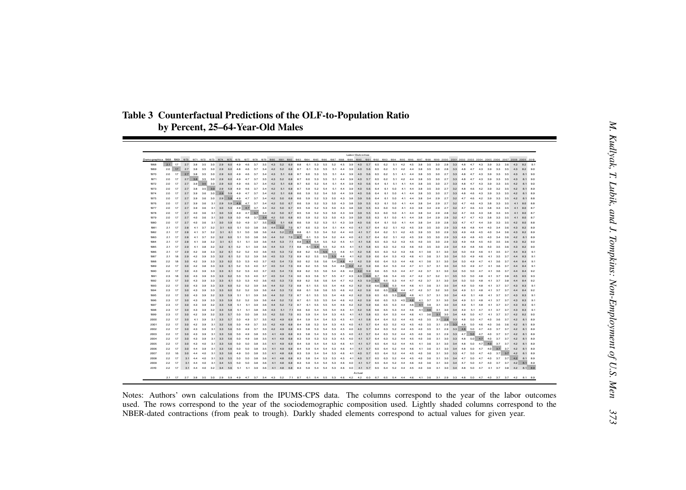**Table 3 Counterfactual Predictions of the OLF-to-Population Ratio**

|               |                 |    |           |                                                                                                                        |                  |                 |               |                             |         |                                                     |           |                         |            |            |                |                                                                                                                |           |            |                 | Labor Outcomes |                                         |                         |            |                |         |                                                                                                                                                                                                                                                  |     |                                     |       |     |             |                                 |  |     |    |  |
|---------------|-----------------|----|-----------|------------------------------------------------------------------------------------------------------------------------|------------------|-----------------|---------------|-----------------------------|---------|-----------------------------------------------------|-----------|-------------------------|------------|------------|----------------|----------------------------------------------------------------------------------------------------------------|-----------|------------|-----------------|----------------|-----------------------------------------|-------------------------|------------|----------------|---------|--------------------------------------------------------------------------------------------------------------------------------------------------------------------------------------------------------------------------------------------------|-----|-------------------------------------|-------|-----|-------------|---------------------------------|--|-----|----|--|
| Demo graphics | $2.1$ 17        |    |           | 1969 1970 1971 1972 1973 1974 1975 1976 1977 1978 1979 1980 1981 1982 1983 1984<br>2.7 3.8 3.5 3.0 2.9 6.0 4.9 4.6 3.7 |                  |                 |               |                             |         |                                                     | 3.5       | 4.3<br>5.2              |            |            | 6.1            | 1985 1986 1987 1988 1989 1990 1991 1992 1993                                                                   | 5.5       | 5.2<br>4.5 | 39              | 4.0            | 5.7                                     | 65<br>62                | 5.1        |                |         |                                                                                                                                                                                                                                                  | 30  |                                     |       |     |             |                                 |  |     |    |  |
| 1968<br>1969  | 20 <sup>1</sup> |    |           | 3.8 3.5 3.0 2.9                                                                                                        |                  |                 | 6.0           |                             |         | 37                                                  | 34        | 5.2<br>42               |            | 87         |                |                                                                                                                |           |            |                 |                |                                         |                         |            |                |         |                                                                                                                                                                                                                                                  |     |                                     |       |     |             |                                 |  |     | 90 |  |
| 1970          |                 |    |           | 2.7 3.8 3.5                                                                                                            |                  | $3.0\quad 2.9$  | 6.0           |                             |         |                                                     |           |                         |            |            |                |                                                                                                                |           |            |                 |                |                                         |                         |            |                |         |                                                                                                                                                                                                                                                  |     |                                     |       |     |             |                                 |  |     |    |  |
| 1971          |                 |    |           |                                                                                                                        | 3.5 3.0          |                 | 6.0 4.9       |                             |         |                                                     |           |                         |            |            |                |                                                                                                                |           |            |                 |                |                                         |                         | 5.1        |                |         |                                                                                                                                                                                                                                                  |     |                                     |       |     |             |                                 |  |     |    |  |
| 1972          |                 | 17 |           | 3.9 3.5 3.0                                                                                                            |                  |                 | 2.9 6.0 4.9   |                             | 46 37   |                                                     | 34        | 4.2<br>5.1              |            | 87         |                |                                                                                                                |           |            |                 |                |                                         |                         | 6.1<br>5.1 | 41             |         |                                                                                                                                                                                                                                                  |     |                                     |       |     |             |                                 |  |     |    |  |
| 1973          |                 | 17 |           | 2.7 3.8 3.5 3.0 2.9 5.9 4.9                                                                                            |                  |                 |               |                             | 4.6 3.7 |                                                     | 34        | 4.2                     | 5.1 6.8    | 8.7        |                |                                                                                                                |           |            |                 |                |                                         |                         |            |                |         |                                                                                                                                                                                                                                                  |     |                                     |       |     |             |                                 |  |     |    |  |
| 1974<br>1975  |                 | 17 | 27<br>2.7 | 3.9 3.6 3.0 2.9 5.9 4.9 4.7 3.7 3.4 4.2 5.0 6.8                                                                        |                  |                 |               | 3.6 3.0 2.9 5.9 4.9 4.7 3.7 |         |                                                     | $3.4$ 4.2 |                         | 5.1 6.8    | 8.6<br>8.6 | 5.9 5.2        | 52                                                                                                             |           |            |                 |                |                                         |                         |            |                |         |                                                                                                                                                                                                                                                  |     |                                     | 3.2   |     |             |                                 |  |     |    |  |
| 1976          |                 |    |           |                                                                                                                        |                  |                 |               |                             |         | 3.1 2.9 5.9 4.9 4.7 3.7 3.4 4.2 5.0 6.7 8.6 5.9 5.2 |           |                         |            |            |                | 5.3                                                                                                            |           | 4.3        |                 |                |                                         |                         |            |                |         |                                                                                                                                                                                                                                                  |     |                                     |       |     |             |                                 |  |     |    |  |
| 1977          |                 |    |           | $3.9$ $3.6$                                                                                                            |                  |                 |               |                             |         |                                                     |           |                         |            |            |                | 3.1 3.0 5.9 4.9 4.7 3.7 3.4 4.2 5.0 6.7 8.5 5.9 5.2 5.3                                                        |           | 5.0<br>4.3 | 3.8             | 39             | 5.5                                     | 6.3<br>60               | 5.0        | 4.1            | 43      | 34                                                                                                                                                                                                                                               | 2.9 | 27                                  | 3.2   |     |             |                                 |  |     |    |  |
| 1978          |                 | 17 |           |                                                                                                                        |                  |                 |               |                             |         |                                                     |           |                         |            |            |                | 3.1 3.0 5.9 4.9 4.7 3.7 3.4 4.2 5.0 6.7 8.5 5.9 5.2 5.3                                                        | 5.0       | 4.3        | 39              | 39             | 55                                      | 6.3                     | 50         | 41             |         |                                                                                                                                                                                                                                                  |     | 2.8                                 | 3.2   |     |             |                                 |  |     |    |  |
| 1979          |                 |    |           |                                                                                                                        |                  |                 |               |                             |         |                                                     |           |                         |            |            |                | 3.0 5.9 5.0 4.8 3.7 3.4 4.2 5.0 6.8 8.5 5.9 5.2 5.3 5.0 4.3                                                    |           |            | 39              | 39             | 55.                                     | 63.<br>6.1              | 50         | 41             |         | 34                                                                                                                                                                                                                                               | 29  | 2R                                  |       |     |             |                                 |  |     |    |  |
| 1980<br>1981  |                 |    |           |                                                                                                                        |                  |                 |               | 3.1 6.0 5.1 5.0 3.8         |         |                                                     |           |                         |            |            |                | 3.0 5.9 5.0 4.9 3.7 3.5 4.3 5.1 6.8 8.6 5.9 5.2 5.3 5.1 4.3 3.9<br>3.6 4.4 5.2 7.0 8.7 6.0 5.3 5.4 5.1 4.4 4.0 |           |            |                 | 40<br>41       | 5.6<br>5.7 6.4                          | 6.2                     | 5.1        |                |         |                                                                                                                                                                                                                                                  | 3.0 |                                     | 3.3   |     |             |                                 |  |     |    |  |
| 1982          |                 |    |           |                                                                                                                        |                  |                 |               | 3.1 6.1 5.1 5.0 3.8         |         |                                                     |           | 3.6 4.4 5.2 7.1         |            |            |                | 8.8 6.1 5.3 5.4 5.2 4.4 4.0 4.1 5.7 6.4 6.2                                                                    |           |            |                 |                |                                         |                         | 5.1        | 42             | 4.5     | 39                                                                                                                                                                                                                                               |     | 3.5 3.0 2.9 3.3                     |       |     |             | $45 - 40$                       |  |     |    |  |
| 1983          |                 |    |           |                                                                                                                        |                  |                 |               | 3.2 6.0 5.1 5.0 3.8         |         |                                                     |           |                         |            |            |                | 3.6 44 52 7.0 8.7 6.1 5.3 5.4 5.2 4.4 4.0 4.1 5.7 6.4 6.2 5.1 4.2 4.5                                          |           |            |                 |                |                                         |                         |            |                |         | 3.9 3.5 3.0 2.9 3.3 4.9                                                                                                                                                                                                                          |     |                                     |       |     | 4.8 4.5 4.0 |                                 |  |     |    |  |
| 1984          |                 |    |           |                                                                                                                        | 32               |                 | $3.1$ 6.1 5.1 |                             | 5.1 3.9 |                                                     |           |                         |            |            |                | 3.6 4.4 5.3 7.1 8.8 6.1 5.4 5.5 5.2 4.5 4.1 4.1 5.8 6.5 6.3 5.2 4.3                                            |           |            |                 |                |                                         |                         |            |                | 4.5     | 4.0 3.5 3.0 2.9 3.3                                                                                                                                                                                                                              |     |                                     |       |     |             |                                 |  |     | 90 |  |
| 1985          |                 |    |           |                                                                                                                        |                  |                 |               |                             |         |                                                     |           |                         |            |            |                |                                                                                                                |           |            |                 |                |                                         |                         |            |                |         | 32  32  6.1  52  5.1  3.9  3.6  4.4  5.3  7.1  8.8  6.1  5.4  5.5  5.2  4.5  4.1  4.1  5.8  6.5  6.3  5.2  4.3  4.6  4.0  3.5  3.0  2.9                                                                                                          |     |                                     | 34.49 |     |             |                                 |  |     |    |  |
| 1987          |                 |    |           | 4.2 3.9                                                                                                                | 33               |                 |               |                             |         |                                                     |           |                         |            |            |                |                                                                                                                |           |            |                 |                |                                         |                         |            |                |         | 32 6.1 52 52 4.0 3.6 4.5 5.3 7.2 8.9 6.2 5.5 5.5 5.3 4.6 4.1 4.2 5.8 6.5 6.3 5.2 4.3 4.6 4.1 3.6 3.1 3.0<br>32 6.1 52 52 3.9 3.6 4.5 5.3 7.2 8.9 6.2 5.5 5.5 5.3 4.6 4.1 4.2 5.9 6.6 6.4 5.3 4.3 4.6 4.1 3.6 3.1 3.0 3.4 5.0 4.9 4.6 4.1 3.5 3.7 |     |                                     |       |     |             |                                 |  |     |    |  |
| 1988          |                 |    |           |                                                                                                                        |                  |                 | 6.2 5.3       |                             |         | 5.3 4.0 3.7 4.5 5.4                                 |           |                         | 7.3        | 9.0        | 6.2 5.6        |                                                                                                                | 5.6       |            |                 |                | 5.4 4.6 4.2 4.2 5.9 6.6 6.4 5.3 4.4 4.6 |                         |            |                |         | 4.1 3.6                                                                                                                                                                                                                                          | 3.1 | 3.0                                 | 3.4   | 5.0 | 4.7         |                                 |  |     |    |  |
| 1989          |                 | 17 |           |                                                                                                                        |                  |                 |               |                             |         | 33 33 6.1 52 53 4.0 3.7 4.5 5.4 7.3                 |           |                         |            |            |                | 8.9 6.2 5.5 5.6                                                                                                |           |            |                 |                |                                         |                         |            |                |         | 54 46 42 42 59 66 64 53 44 47 41 37 31 30 34 50                                                                                                                                                                                                  |     |                                     |       | 4.9 | 4.7         |                                 |  |     | 91 |  |
| 1990          |                 |    |           |                                                                                                                        |                  |                 |               |                             |         | 33  33  6.1  52  53  4.0  3.7  4.5  5.4  7.3  8.9   |           |                         |            |            |                | 6.2 5.5 5.6                                                                                                    | 5.4       |            |                 |                |                                         |                         |            |                |         | 4.6 4.2 4.2 5.9 6.6 6.5 5.3 4.4 4.7 4.2 3.7 3.1 3.0 3.4 5.0 5.0 4.7                                                                                                                                                                              |     |                                     |       |     |             |                                 |  |     |    |  |
| 1991          |                 |    |           |                                                                                                                        |                  |                 |               |                             |         |                                                     |           |                         |            | 9.0        | 63 56          |                                                                                                                | 5.7<br>名長 |            |                 |                |                                         |                         |            |                |         | 4.7 4.3 4.3 6.0 6.7 6.6 5.4 4.5 4.7 4.2 3.7 3.2 3.1 3.5 5.0 5.0 4.8                                                                                                                                                                              |     |                                     |       |     |             |                                 |  |     |    |  |
| 1992<br>1993  |                 | 17 |           | 4.3 3.9<br>3.9                                                                                                         | 3.3 <sup>1</sup> |                 | 3.3 6.0 5.2   | 33 33 61 53 53 40           | 5.2     | 39                                                  | 3.6<br>36 | 4.5 5.3 7.3<br>44<br>52 | 7.2        | 8.9<br>8.8 |                | $62$ $5.6$ $5.6$<br>6.1 5.5 5.5                                                                                |           | 5.4 4.6    | 4.2             |                |                                         |                         |            |                |         | 5.4 4.7 4.2 4.3 5.9 6.7 6.5 5.3 4.4 4.7 4.2 3.7 3.1 3.0 3.4 5.0 5.0 4.8 4.1 3.7<br>42 59 66 65 53 44 46 41 36 31 30 34 49 50 48                                                                                                                  |     |                                     |       |     |             | $-41$                           |  |     |    |  |
| 1994          |                 |    |           | 3.9                                                                                                                    |                  |                 |               | 33 33 60 52 52 39           |         |                                                     |           | 44<br>5.3               | 7.2        | 8.8        |                | $6.1\quad 5.6\quad 5.6$                                                                                        |           | 5.5 4.6    | 4.2             | 42             | 5.9                                     | 6.6 6.5 5.4             |            |                |         | 4.4 4.7 4.2 3.7 3.2 3.0 3.4 4.9 5.1 4.8                                                                                                                                                                                                          |     |                                     |       |     |             |                                 |  |     |    |  |
| 1995          |                 |    |           | 3.9                                                                                                                    |                  |                 |               | 32 33 59 51 51 39           |         |                                                     |           |                         |            |            |                | 3.6 4.4 5.2 7.2 8.7 6.1 5.5 5.5 5.4 4.6 4.2                                                                    |           |            |                 |                |                                         |                         |            |                |         | 42 59 65 65 53 44 46 41 37 31 30 34 49 51 48 41 37                                                                                                                                                                                               |     |                                     |       |     |             |                                 |  |     |    |  |
| 1996          |                 |    |           |                                                                                                                        |                  |                 |               | 33 33 59 52 52 39           |         |                                                     |           | 5.2                     |            | 8.7        |                | 6.1 5.5 5.5                                                                                                    |           |            | 5.4 4.6 4.2     | 42             |                                         | 5.9 6.6 6.5 5.3 4.5 4.6 |            |                |         | 4.1 3.7 3.1 3.0 3.4 4.9 5.1 4.8 4.1 3.7                                                                                                                                                                                                          |     |                                     |       |     |             |                                 |  |     |    |  |
| 1997          |                 |    |           | 4.3 3.9 3.2 3.3 5.8 5.1 5.1 3.9                                                                                        |                  |                 |               |                             |         |                                                     |           | 3.6 4.4 5.2 7.2         |            | 8.7        |                |                                                                                                                |           |            |                 |                |                                         |                         |            |                |         | 6.1 5.5 5.5 5.4 4.6 4.2 4.2 5.9 6.6 6.5 5.3 4.4 4.6 4.1 3.6 3.1 3.0 3.4 4.9 5.1 4.8 4.1 3.7 3.7                                                                                                                                                  |     |                                     |       |     |             |                                 |  | 8.3 |    |  |
| 1998          |                 | 17 |           | 39                                                                                                                     |                  |                 |               | 32 3.3 5.8 5.1 5.1 3.8      |         |                                                     | $3.6$ 4.3 | 5.1                     | 7.1<br>7.0 | 8.6        | 6.0<br>8.5 5.9 | 5.4 5.5<br>5.4 5.4 5.3 4.5 4.1 4.1 5.8 6.5                                                                     |           | 5.4 4.6    |                 | 4.1 4.2 5.8    |                                         | 6.6 6.5<br>6.4          | 5.3<br>5.3 | 4.4 4.6<br>4.4 | 4.6     | $4.1\quad 3.6$<br>4.1 3.6 3.1 3.0 3.4 4.8 5.0 4.7 4.1 3.7 3.7 4.2 8.2                                                                                                                                                                            |     | 3.1 3.0 3.4 4.9 5.1 4.7 4.1 3.7 3.7 |       |     |             |                                 |  |     |    |  |
| 1999<br>2000  |                 |    |           |                                                                                                                        |                  |                 |               |                             |         | 32  3.3  5.7  5.0  5.0  3.8  3.5  4.2  5.0          |           |                         |            |            |                | 3.3 5.7 5.0 4.9 3.7 3.5 4.2 4.9 6.9 8.4 5.9 5.4 5.4                                                            |           | 5.3 4.5    |                 |                | 4.1 4.1 5.8 6.4 6.4                     |                         | 5.2        | 4.4            | 45      | 4.0 3.5 3.1 2.9 3.3 4.8 5.0 4.7 4.0 3.6 3.7 4.2 8.1                                                                                                                                                                                              |     |                                     |       |     |             |                                 |  |     |    |  |
| 2001          |                 |    |           |                                                                                                                        |                  |                 |               |                             |         |                                                     |           |                         |            |            |                | 5.6 5.0 4.9 3.7 3.5 4.2 4.9 6.8 8.4 5.8 5.3 5.4                                                                | 53.       | 4.5        | 40              | 41             | 5.7 6.4                                 | 6.3                     | 5.2        | 4.3            | 4.5     | 4.0 3.5 3.1 2.9 3.3 4.8 5.0 4.6 4.0 3.6 3.6 4.2 8.1 8.9                                                                                                                                                                                          |     |                                     |       |     |             |                                 |  |     |    |  |
| 2002          |                 |    |           |                                                                                                                        |                  |                 |               |                             |         |                                                     |           |                         |            |            |                | 3.1 3.3 5.6 5.0 4.9 3.7 3.5 4.2 4.9 6.8 8.3 5.8 5.3 5.4                                                        |           | 53 45      | 40 <sup>1</sup> |                | 4.0 5.7 6.4 6.3 5.2                     |                         |            | 44             | 4.5     | 4.0 3.5 3.1 2.9 3.3 4.8 5.0 4.7 4.0 3.7 3.7 4.2 8.1 8.9                                                                                                                                                                                          |     |                                     |       |     |             |                                 |  |     |    |  |
| 2003          |                 |    |           |                                                                                                                        | 31               |                 | 5.6           | 5.0                         |         |                                                     |           |                         |            |            |                | 4.9 3.8 3.5 4.1 4.9 6.8 8.3 5.8 5.4 5.3                                                                        | 53.       | 45         | 40 <sup>1</sup> |                |                                         |                         |            |                |         | 4.1 5.7 6.4 6.3 5.2 4.4 4.5 4.0 3.6 3.1 2.9 3.3 4.7 5.0 4.7 4.0 3.7 3.7 4.2 8.1 8.9                                                                                                                                                              |     |                                     |       |     |             |                                 |  |     |    |  |
| 2004<br>2005  |                 |    |           |                                                                                                                        |                  |                 | 后段            |                             |         | 3.8<br>5.0 3.8 3.5                                  |           |                         |            |            |                | 3.5 4.1 4.9 6.8 8.3 5.9 5.3 5.3<br>4.1 4.9 6.9 8.4 5.9 5.4 5.4 5.3 4.6                                         | 5.3       | 4.5        | 4.0             | 41             | 5.7<br>4.1 4.1 5.7 6.5 6.4 5.2 4.4 4.5  | 6.4 6.3 5.2             |            |                | 4.4 4.5 | 4.0 3.6 3.1 3.0 3.3 4.8 5.0 4.7 4.0 3.7 3.7 4.2 8.1<br>4.1 3.6 3.1 3.0 3.4 4.8 5.0 4.7 4.0 3.7 3.7 4.2 8.1 8.9                                                                                                                                   |     |                                     |       |     |             |                                 |  |     |    |  |
| 2006          |                 |    |           |                                                                                                                        |                  |                 |               |                             |         |                                                     | 3.5       |                         |            |            |                | 4.1 4.9 6.8 8.4 5.9 5.4 5.4                                                                                    | 5.3       | 4.6        | 4.1             |                | 5.7 6.5                                 | 6.4                     | 5.2        | 44             | 4.6     | $4.1$ $3.6$ $3.1$ $3.0$ $3.4$ $4.8$                                                                                                                                                                                                              |     |                                     |       |     |             | $4.7$ $4.0$ $3.7$               |  |     |    |  |
| 2007          |                 |    |           | 40                                                                                                                     |                  | 3.1 3.3 5.6 4.9 |               |                             |         |                                                     |           |                         |            |            |                |                                                                                                                |           |            |                 |                |                                         |                         |            |                |         | 5.0 3.8 3.5 4.1 4.8 6.8 8.3 5.9 5.4 5.4 5.3 4.6 4.1 4.0 5.7 6.5 6.4 5.2 4.4 4.5 4.0 3.6 3.1 3.0 3.3 4.7 5.0 4.7 4.0 3.7 3.7 4.2 8.1 8.9                                                                                                          |     |                                     |       |     |             |                                 |  |     |    |  |
| 2008          |                 |    |           | 40                                                                                                                     | 31               |                 | 5.5 5.0       |                             |         | 38                                                  | 36        |                         |            |            |                | 4.1 4.8 6.8 8.3 5.8 5.4 5.3 5.3 4.5                                                                            |           |            |                 |                | 4.1 4.0 5.7 6.5 6.3 5.2 4.4 4.5         |                         |            |                |         | 4.0 3.6 3.1 3.0 3.4 4.7                                                                                                                                                                                                                          |     |                                     |       |     |             | 5.0 4.7 4.0 3.7 3.7 4.2 8.1 8.9 |  |     |    |  |
| 2009          |                 |    | 3.1       | 44.40                                                                                                                  |                  | 3.1 3.4 5.5 5.0 |               |                             | 5.0 3.8 |                                                     | 3.6       |                         |            |            |                |                                                                                                                |           |            |                 |                |                                         |                         |            |                |         | 4.1 4.8 6.8 8.3 5.9 5.4 5.4 5.3 4.6 4.0 4.1 5.7 6.5 6.4 5.2 4.4 4.6 4.0 3.6 3.1 3.0 3.4                                                                                                                                                          |     |                                     |       |     |             | 50 47 40 37 37 42 81 89         |  |     |    |  |
| 2010          |                 |    | 31        |                                                                                                                        |                  |                 |               |                             |         |                                                     |           |                         |            |            |                |                                                                                                                |           |            |                 | Actual         |                                         |                         |            |                |         | 4.4 4.0 3.2 3.4 5.6 5.1 5.1 3.9 3.6 4.1 4.8 6.8 8.3 5.9 5.4 5.4 5.3 4.6 4.0 4.1 5.7 6.5 6.4 5.2 4.4 4.5 4.0 3.6 3.1 3.0 3.4 4.8 5.0 4.7 4.1 3.7 3.8 4.2 8.1 8.9                                                                                  |     |                                     |       |     |             |                                 |  |     |    |  |
|               |                 |    |           |                                                                                                                        |                  |                 |               |                             |         |                                                     |           |                         |            |            |                |                                                                                                                |           |            |                 |                |                                         |                         |            |                |         | 21 17 27 38 35 30 29 59 49 47 37 34 43 52 71 87 61 54 55 53 46 42 42 60 67 65 54 44 46 41 36 31 29 33 48 50 47 40 37 37 42 81 89                                                                                                                 |     |                                     |       |     |             |                                 |  |     |    |  |
|               |                 |    |           |                                                                                                                        |                  |                 |               |                             |         |                                                     |           |                         |            |            |                |                                                                                                                |           |            |                 |                |                                         |                         |            |                |         |                                                                                                                                                                                                                                                  |     |                                     |       |     |             |                                 |  |     |    |  |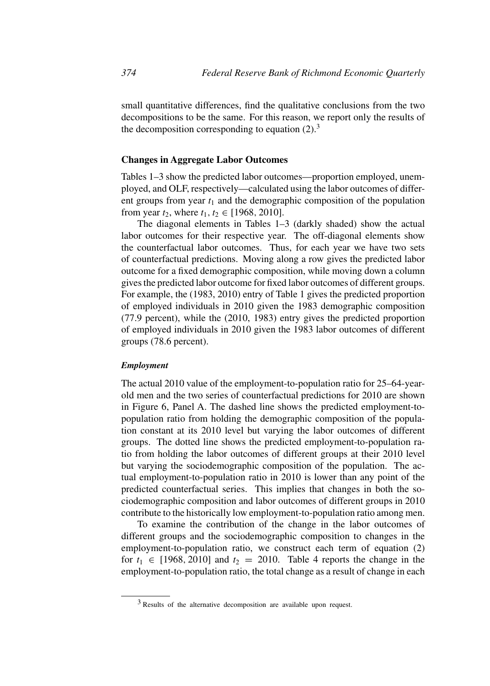small quantitative differences, find the qualitative conclusions from the two decompositions to be the same. For this reason, we report only the results of the decomposition corresponding to equation  $(2)$ .<sup>3</sup>

### **Changes in Aggregate Labor Outcomes**

Tables 1–3 show the predicted labor outcomes—proportion employed, unemployed, and OLF, respectively—calculated using the labor outcomes of different groups from year  $t_1$  and the demographic composition of the population from year  $t_2$ , where  $t_1, t_2 \in [1968, 2010]$ .

The diagonal elements in Tables 1–3 (darkly shaded) show the actual labor outcomes for their respective year. The off-diagonal elements show the counterfactual labor outcomes. Thus, for each year we have two sets of counterfactual predictions. Moving along a row gives the predicted labor outcome for a fixed demographic composition, while moving down a column gives the predicted labor outcome for fixed labor outcomes of different groups. For example, the (1983, 2010) entry of Table 1 gives the predicted proportion of employed individuals in 2010 given the 1983 demographic composition (77.9 percent), while the (2010, 1983) entry gives the predicted proportion of employed individuals in 2010 given the 1983 labor outcomes of different groups (78.6 percent).

### *Employment*

The actual 2010 value of the employment-to-population ratio for 25–64-yearold men and the two series of counterfactual predictions for 2010 are shown in Figure 6, Panel A. The dashed line shows the predicted employment-topopulation ratio from holding the demographic composition of the population constant at its 2010 level but varying the labor outcomes of different groups. The dotted line shows the predicted employment-to-population ratio from holding the labor outcomes of different groups at their 2010 level but varying the sociodemographic composition of the population. The actual employment-to-population ratio in 2010 is lower than any point of the predicted counterfactual series. This implies that changes in both the sociodemographic composition and labor outcomes of different groups in 2010 contribute to the historically low employment-to-population ratio among men.

To examine the contribution of the change in the labor outcomes of different groups and the sociodemographic composition to changes in the employment-to-population ratio, we construct each term of equation (2) for  $t_1 \in [1968, 2010]$  and  $t_2 = 2010$ . Table 4 reports the change in the employment-to-population ratio, the total change as a result of change in each

<sup>3</sup> Results of the alternative decomposition are available upon request.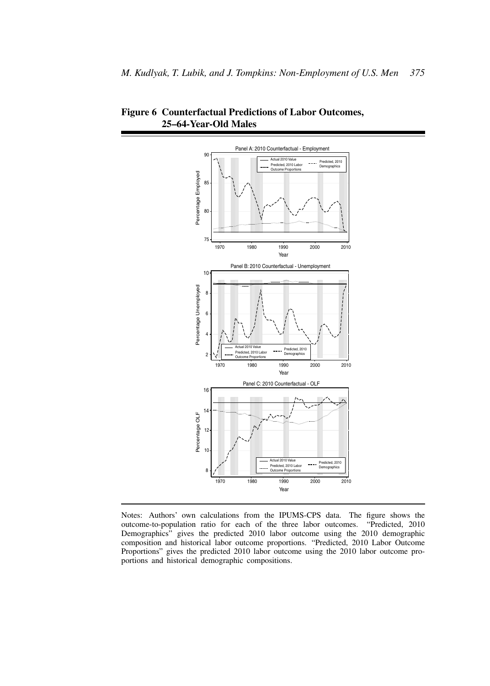

**Figure 6 Counterfactual Predictions of Labor Outcomes, 25–64-Year-Old Males**

Notes: Authors' own calculations from the IPUMS-CPS data. The figure shows the outcome-to-population ratio for each of the three labor outcomes. "Predicted, 2010 outcome-to-population ratio for each of the three labor outcomes. Demographics" gives the predicted 2010 labor outcome using the 2010 demographic composition and historical labor outcome proportions. "Predicted, 2010 Labor Outcome Proportions" gives the predicted 2010 labor outcome using the 2010 labor outcome proportions and historical demographic compositions.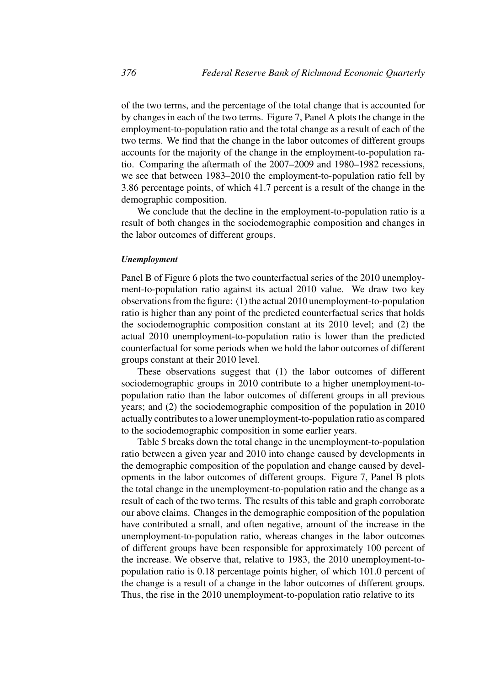of the two terms, and the percentage of the total change that is accounted for by changes in each of the two terms. Figure 7, Panel A plots the change in the employment-to-population ratio and the total change as a result of each of the two terms. We find that the change in the labor outcomes of different groups accounts for the majority of the change in the employment-to-population ratio. Comparing the aftermath of the 2007–2009 and 1980–1982 recessions, we see that between 1983–2010 the employment-to-population ratio fell by 3.86 percentage points, of which 41.7 percent is a result of the change in the demographic composition.

We conclude that the decline in the employment-to-population ratio is a result of both changes in the sociodemographic composition and changes in the labor outcomes of different groups.

### *Unemployment*

Panel B of Figure 6 plots the two counterfactual series of the 2010 unemployment-to-population ratio against its actual 2010 value. We draw two key observations from the figure: (1) the actual 2010 unemployment-to-population ratio is higher than any point of the predicted counterfactual series that holds the sociodemographic composition constant at its 2010 level; and (2) the actual 2010 unemployment-to-population ratio is lower than the predicted counterfactual for some periods when we hold the labor outcomes of different groups constant at their 2010 level.

These observations suggest that (1) the labor outcomes of different sociodemographic groups in 2010 contribute to a higher unemployment-topopulation ratio than the labor outcomes of different groups in all previous years; and (2) the sociodemographic composition of the population in 2010 actually contributes to a lower unemployment-to-population ratio as compared to the sociodemographic composition in some earlier years.

Table 5 breaks down the total change in the unemployment-to-population ratio between a given year and 2010 into change caused by developments in the demographic composition of the population and change caused by developments in the labor outcomes of different groups. Figure 7, Panel B plots the total change in the unemployment-to-population ratio and the change as a result of each of the two terms. The results of this table and graph corroborate our above claims. Changes in the demographic composition of the population have contributed a small, and often negative, amount of the increase in the unemployment-to-population ratio, whereas changes in the labor outcomes of different groups have been responsible for approximately 100 percent of the increase. We observe that, relative to 1983, the 2010 unemployment-topopulation ratio is 0.18 percentage points higher, of which 101.0 percent of the change is a result of a change in the labor outcomes of different groups. Thus, the rise in the 2010 unemployment-to-population ratio relative to its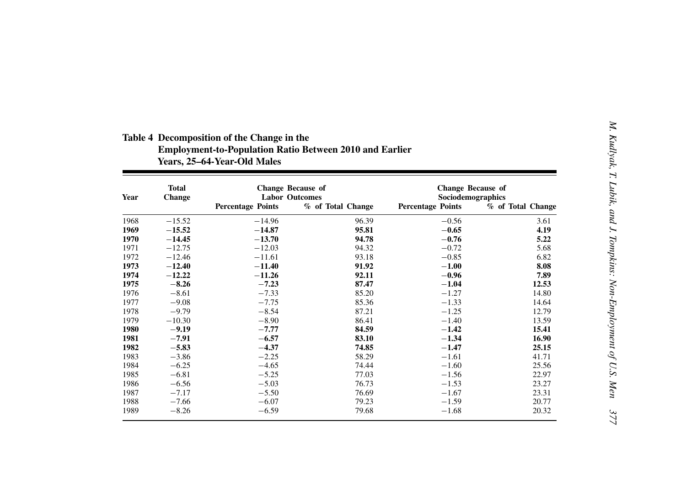| Year | <b>Total</b><br><b>Change</b> | <b>Change Because of</b><br><b>Labor Outcomes</b> |                   | <b>Change Because of</b><br>Sociodemographics |                   |
|------|-------------------------------|---------------------------------------------------|-------------------|-----------------------------------------------|-------------------|
|      |                               | <b>Percentage Points</b>                          | % of Total Change | <b>Percentage Points</b>                      | % of Total Change |
| 1968 | $-15.52$                      | $-14.96$                                          | 96.39             | $-0.56$                                       | 3.61              |
| 1969 | $-15.52$                      | $-14.87$                                          | 95.81             | $-0.65$                                       | 4.19              |
| 1970 | $-14.45$                      | $-13.70$                                          | 94.78             | $-0.76$                                       | 5.22              |
| 1971 | $-12.75$                      | $-12.03$                                          | 94.32             | $-0.72$                                       | 5.68              |
| 1972 | $-12.46$                      | $-11.61$                                          | 93.18             | $-0.85$                                       | 6.82              |
| 1973 | $-12.40$                      | $-11.40$                                          | 91.92             | $-1.00$                                       | 8.08              |
| 1974 | $-12.22$                      | $-11.26$                                          | 92.11             | $-0.96$                                       | 7.89              |
| 1975 | $-8.26$                       | $-7.23$                                           | 87.47             | $-1.04$                                       | 12.53             |
| 1976 | $-8.61$                       | $-7.33$                                           | 85.20             | $-1.27$                                       | 14.80             |
| 1977 | $-9.08$                       | $-7.75$                                           | 85.36             | $-1.33$                                       | 14.64             |
| 1978 | $-9.79$                       | $-8.54$                                           | 87.21             | $-1.25$                                       | 12.79             |
| 1979 | $-10.30$                      | $-8.90$                                           | 86.41             | $-1.40$                                       | 13.59             |
| 1980 | $-9.19$                       | $-7.77$                                           | 84.59             | $-1.42$                                       | 15.41             |
| 1981 | $-7.91$                       | $-6.57$                                           | 83.10             | $-1.34$                                       | 16.90             |
| 1982 | $-5.83$                       | $-4.37$                                           | 74.85             | $-1.47$                                       | 25.15             |
| 1983 | $-3.86$                       | $-2.25$                                           | 58.29             | $-1.61$                                       | 41.71             |
| 1984 | $-6.25$                       | $-4.65$                                           | 74.44             | $-1.60$                                       | 25.56             |
| 1985 | $-6.81$                       | $-5.25$                                           | 77.03             | $-1.56$                                       | 22.97             |
| 1986 | $-6.56$                       | $-5.03$                                           | 76.73             | $-1.53$                                       | 23.27             |
| 1987 | $-7.17$                       | $-5.50$                                           | 76.69             | $-1.67$                                       | 23.31             |
| 1988 | $-7.66$                       | $-6.07$                                           | 79.23             | $-1.59$                                       | 20.77             |
| 1989 | $-8.26$                       | $-6.59$                                           | 79.68             | $-1.68$                                       | 20.32             |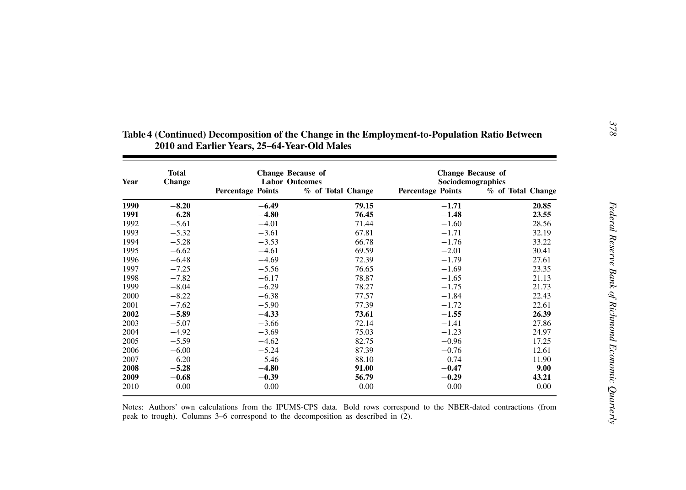| Year | <b>Total</b><br><b>Change</b> | <b>Change Because of</b><br><b>Labor Outcomes</b> |                   | <b>Change Because of</b><br>Sociodemographics |                   |
|------|-------------------------------|---------------------------------------------------|-------------------|-----------------------------------------------|-------------------|
|      |                               | <b>Percentage Points</b>                          | % of Total Change | <b>Percentage Points</b>                      | % of Total Change |
| 1990 | $-8.20$                       | $-6.49$                                           | 79.15             | $-1.71$                                       | 20.85             |
| 1991 | $-6.28$                       | $-4.80$                                           | 76.45             | $-1.48$                                       | 23.55             |
| 1992 | $-5.61$                       | $-4.01$                                           | 71.44             | $-1.60$                                       | 28.56             |
| 1993 | $-5.32$                       | $-3.61$                                           | 67.81             | $-1.71$                                       | 32.19             |
| 1994 | $-5.28$                       | $-3.53$                                           | 66.78             | $-1.76$                                       | 33.22             |
| 1995 | $-6.62$                       | $-4.61$                                           | 69.59             | $-2.01$                                       | 30.41             |
| 1996 | $-6.48$                       | $-4.69$                                           | 72.39             | $-1.79$                                       | 27.61             |
| 1997 | $-7.25$                       | $-5.56$                                           | 76.65             | $-1.69$                                       | 23.35             |
| 1998 | $-7.82$                       | $-6.17$                                           | 78.87             | $-1.65$                                       | 21.13             |
| 1999 | $-8.04$                       | $-6.29$                                           | 78.27             | $-1.75$                                       | 21.73             |
| 2000 | $-8.22$                       | $-6.38$                                           | 77.57             | $-1.84$                                       | 22.43             |
| 2001 | $-7.62$                       | $-5.90$                                           | 77.39             | $-1.72$                                       | 22.61             |
| 2002 | $-5.89$                       | $-4.33$                                           | 73.61             | $-1.55$                                       | 26.39             |
| 2003 | $-5.07$                       | $-3.66$                                           | 72.14             | $-1.41$                                       | 27.86             |
| 2004 | $-4.92$                       | $-3.69$                                           | 75.03             | $-1.23$                                       | 24.97             |
| 2005 | $-5.59$                       | $-4.62$                                           | 82.75             | $-0.96$                                       | 17.25             |
| 2006 | $-6.00$                       | $-5.24$                                           | 87.39             | $-0.76$                                       | 12.61             |
| 2007 | $-6.20$                       | $-5.46$                                           | 88.10             | $-0.74$                                       | 11.90             |
| 2008 | $-5.28$                       | $-4.80$                                           | 91.00             | $-0.47$                                       | 9.00              |
| 2009 | $-0.68$                       | $-0.39$                                           | 56.79             | $-0.29$                                       | 43.21             |
| 2010 | 0.00                          | 0.00                                              | 0.00              | 0.00                                          | 0.00              |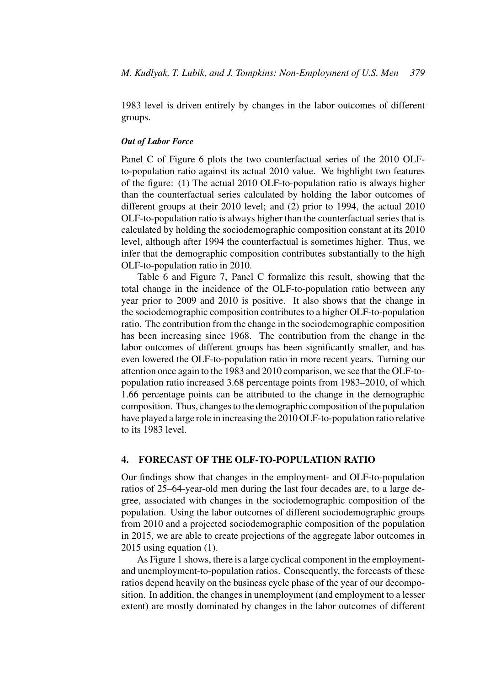1983 level is driven entirely by changes in the labor outcomes of different groups.

### *Out of Labor Force*

Panel C of Figure 6 plots the two counterfactual series of the 2010 OLFto-population ratio against its actual 2010 value. We highlight two features of the figure: (1) The actual 2010 OLF-to-population ratio is always higher than the counterfactual series calculated by holding the labor outcomes of different groups at their 2010 level; and (2) prior to 1994, the actual 2010 OLF-to-population ratio is always higher than the counterfactual series that is calculated by holding the sociodemographic composition constant at its 2010 level, although after 1994 the counterfactual is sometimes higher. Thus, we infer that the demographic composition contributes substantially to the high OLF-to-population ratio in 2010.

Table 6 and Figure 7, Panel C formalize this result, showing that the total change in the incidence of the OLF-to-population ratio between any year prior to 2009 and 2010 is positive. It also shows that the change in the sociodemographic composition contributes to a higher OLF-to-population ratio. The contribution from the change in the sociodemographic composition has been increasing since 1968. The contribution from the change in the labor outcomes of different groups has been significantly smaller, and has even lowered the OLF-to-population ratio in more recent years. Turning our attention once again to the 1983 and 2010 comparison, we see that the OLF-topopulation ratio increased 3.68 percentage points from 1983–2010, of which 1.66 percentage points can be attributed to the change in the demographic composition. Thus, changes to the demographic composition of the population have played a large role in increasing the 2010 OLF-to-population ratio relative to its 1983 level.

# **4. FORECAST OF THE OLF-TO-POPULATION RATIO**

Our findings show that changes in the employment- and OLF-to-population ratios of 25–64-year-old men during the last four decades are, to a large degree, associated with changes in the sociodemographic composition of the population. Using the labor outcomes of different sociodemographic groups from 2010 and a projected sociodemographic composition of the population in 2015, we are able to create projections of the aggregate labor outcomes in 2015 using equation (1).

As Figure 1 shows, there is a large cyclical component in the employmentand unemployment-to-population ratios. Consequently, the forecasts of these ratios depend heavily on the business cycle phase of the year of our decomposition. In addition, the changes in unemployment (and employment to a lesser extent) are mostly dominated by changes in the labor outcomes of different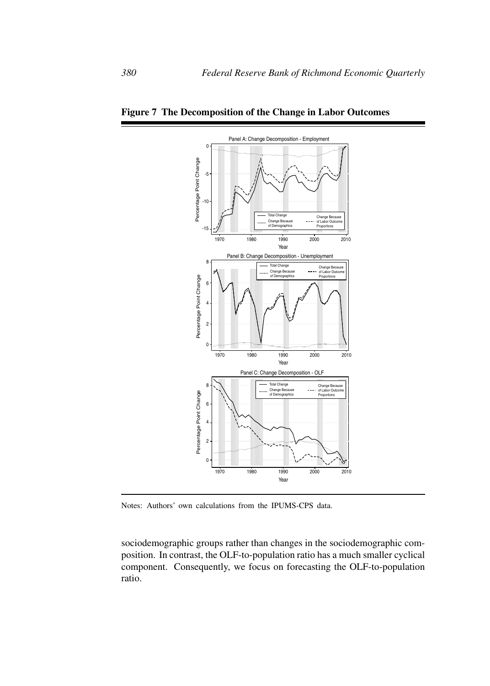

**Figure 7 The Decomposition of the Change in Labor Outcomes**

Notes: Authors' own calculations from the IPUMS-CPS data.

sociodemographic groups rather than changes in the sociodemographic composition. In contrast, the OLF-to-population ratio has a much smaller cyclical component. Consequently, we focus on forecasting the OLF-to-population ratio.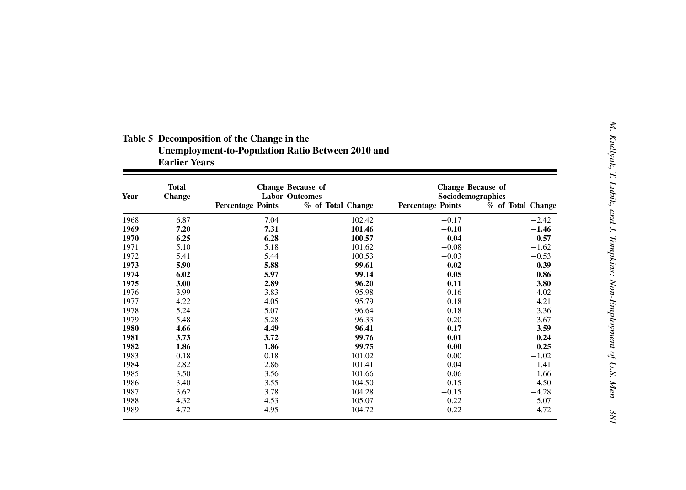|      |                               | <b>Earlier Years</b>     |                                                   |                                               |                   |
|------|-------------------------------|--------------------------|---------------------------------------------------|-----------------------------------------------|-------------------|
| Year | <b>Total</b><br><b>Change</b> |                          | <b>Change Because of</b><br><b>Labor Outcomes</b> | <b>Change Because of</b><br>Sociodemographics |                   |
|      |                               | <b>Percentage Points</b> | % of Total Change                                 | <b>Percentage Points</b>                      | % of Total Change |
| 1968 | 6.87                          | 7.04                     | 102.42                                            | $-0.17$                                       | $-2.42$           |
| 1969 | 7.20                          | 7.31                     | 101.46                                            | $-0.10$                                       | $-1.46$           |
| 1970 | 6.25                          | 6.28                     | 100.57                                            | $-0.04$                                       | $-0.57$           |
| 1971 | 5.10                          | 5.18                     | 101.62                                            | $-0.08$                                       | $-1.62$           |
| 1972 | 5.41                          | 5.44                     | 100.53                                            | $-0.03$                                       | $-0.53$           |
| 1973 | 5.90                          | 5.88                     | 99.61                                             | 0.02                                          | 0.39              |
| 1974 | 6.02                          | 5.97                     | 99.14                                             | 0.05                                          | 0.86              |
| 1975 | 3.00                          | 2.89                     | 96.20                                             | 0.11                                          | 3.80              |
| 1976 | 3.99                          | 3.83                     | 95.98                                             | 0.16                                          | 4.02              |
| 1977 | 4.22                          | 4.05                     | 95.79                                             | 0.18                                          | 4.21              |
| 1978 | 5.24                          | 5.07                     | 96.64                                             | 0.18                                          | 3.36              |
| 1979 | 5.48                          | 5.28                     | 96.33                                             | 0.20                                          | 3.67              |
| 1980 | 4.66                          | 4.49                     | 96.41                                             | 0.17                                          | 3.59              |
| 1981 | 3.73                          | 3.72                     | 99.76                                             | 0.01                                          | 0.24              |
| 1982 | 1.86                          | 1.86                     | 99.75                                             | 0.00                                          | 0.25              |
| 1983 | 0.18                          | 0.18                     | 101.02                                            | 0.00                                          | $-1.02$           |
| 1984 | 2.82                          | 2.86                     | 101.41                                            | $-0.04$                                       | $-1.41$           |
| 1985 | 3.50                          | 3.56                     | 101.66                                            | $-0.06$                                       | $-1.66$           |
| 1986 | 3.40                          | 3.55                     | 104.50                                            | $-0.15$                                       | $-4.50$           |
| 1987 | 3.62                          | 3.78                     | 104.28                                            | $-0.15$                                       | $-4.28$           |
| 1988 | 4.32                          | 4.53                     | 105.07                                            | $-0.22$                                       | $-5.07$           |
| 1989 | 4.72                          | 4.95                     | 104.72                                            | $-0.22$                                       | $-4.72$           |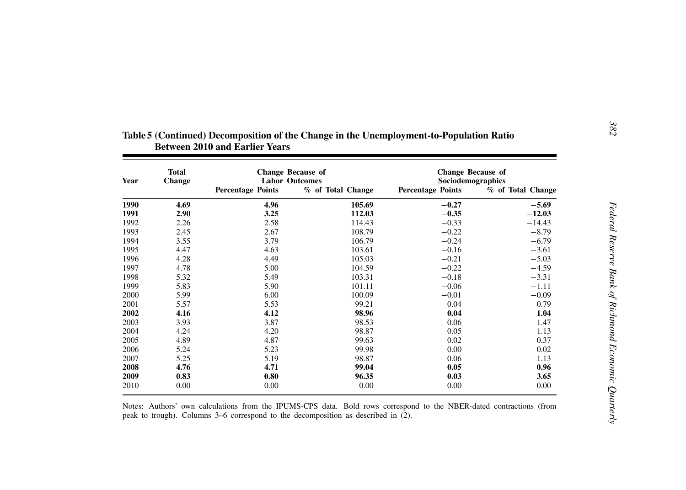| Year | <b>Total</b><br><b>Change</b> | <b>Change Because of</b><br><b>Labor Outcomes</b> |                   | <b>Change Because of</b><br>Sociodemographics |                   |
|------|-------------------------------|---------------------------------------------------|-------------------|-----------------------------------------------|-------------------|
|      |                               | <b>Percentage Points</b>                          | % of Total Change | <b>Percentage Points</b>                      | % of Total Change |
| 1990 | 4.69                          | 4.96                                              | 105.69            | $-0.27$                                       | $-5.69$           |
| 1991 | 2.90                          | 3.25                                              | 112.03            | $-0.35$                                       | $-12.03$          |
| 1992 | 2.26                          | 2.58                                              | 114.43            | $-0.33$                                       | $-14.43$          |
| 1993 | 2.45                          | 2.67                                              | 108.79            | $-0.22$                                       | $-8.79$           |
| 1994 | 3.55                          | 3.79                                              | 106.79            | $-0.24$                                       | $-6.79$           |
| 1995 | 4.47                          | 4.63                                              | 103.61            | $-0.16$                                       | $-3.61$           |
| 1996 | 4.28                          | 4.49                                              | 105.03            | $-0.21$                                       | $-5.03$           |
| 1997 | 4.78                          | 5.00                                              | 104.59            | $-0.22$                                       | $-4.59$           |
| 1998 | 5.32                          | 5.49                                              | 103.31            | $-0.18$                                       | $-3.31$           |
| 1999 | 5.83                          | 5.90                                              | 101.11            | $-0.06$                                       | $-1.11$           |
| 2000 | 5.99                          | 6.00                                              | 100.09            | $-0.01$                                       | $-0.09$           |
| 2001 | 5.57                          | 5.53                                              | 99.21             | 0.04                                          | 0.79              |
| 2002 | 4.16                          | 4.12                                              | 98.96             | 0.04                                          | 1.04              |
| 2003 | 3.93                          | 3.87                                              | 98.53             | 0.06                                          | 1.47              |
| 2004 | 4.24                          | 4.20                                              | 98.87             | 0.05                                          | 1.13              |
| 2005 | 4.89                          | 4.87                                              | 99.63             | 0.02                                          | 0.37              |
| 2006 | 5.24                          | 5.23                                              | 99.98             | 0.00                                          | 0.02              |
| 2007 | 5.25                          | 5.19                                              | 98.87             | 0.06                                          | 1.13              |
| 2008 | 4.76                          | 4.71                                              | 99.04             | 0.05                                          | 0.96              |
| 2009 | 0.83                          | 0.80                                              | 96.35             | 0.03                                          | 3.65              |
| 2010 | 0.00                          | 0.00                                              | $0.00\,$          | 0.00                                          | 0.00              |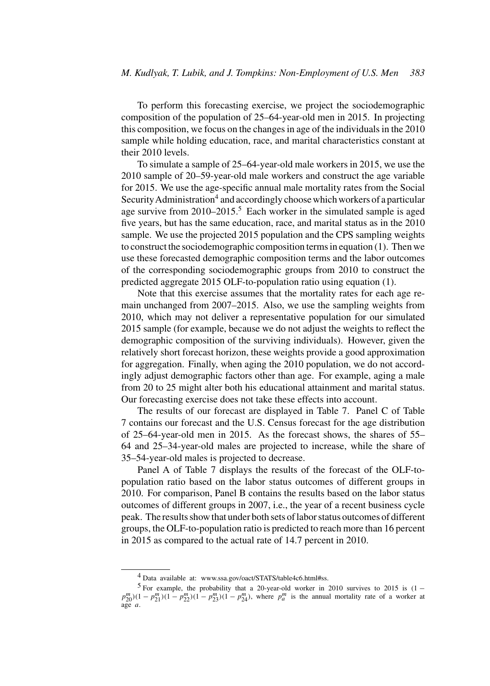To perform this forecasting exercise, we project the sociodemographic composition of the population of 25–64-year-old men in 2015. In projecting this composition, we focus on the changes in age of the individuals in the 2010 sample while holding education, race, and marital characteristics constant at their 2010 levels.

To simulate a sample of 25–64-year-old male workers in 2015, we use the 2010 sample of 20–59-year-old male workers and construct the age variable for 2015. We use the age-specific annual male mortality rates from the Social Security Administration<sup>4</sup> and accordingly choose which workers of a particular age survive from  $2010-2015$ <sup>5</sup> Each worker in the simulated sample is aged five years, but has the same education, race, and marital status as in the 2010 sample. We use the projected 2015 population and the CPS sampling weights to construct the sociodemographic composition terms in equation (1). Then we use these forecasted demographic composition terms and the labor outcomes of the corresponding sociodemographic groups from 2010 to construct the predicted aggregate 2015 OLF-to-population ratio using equation (1).

Note that this exercise assumes that the mortality rates for each age remain unchanged from 2007–2015. Also, we use the sampling weights from 2010, which may not deliver a representative population for our simulated 2015 sample (for example, because we do not adjust the weights to reflect the demographic composition of the surviving individuals). However, given the relatively short forecast horizon, these weights provide a good approximation for aggregation. Finally, when aging the 2010 population, we do not accordingly adjust demographic factors other than age. For example, aging a male from 20 to 25 might alter both his educational attainment and marital status. Our forecasting exercise does not take these effects into account.

The results of our forecast are displayed in Table 7. Panel C of Table 7 contains our forecast and the U.S. Census forecast for the age distribution of 25–64-year-old men in 2015. As the forecast shows, the shares of 55– 64 and 25–34-year-old males are projected to increase, while the share of 35–54-year-old males is projected to decrease.

Panel A of Table 7 displays the results of the forecast of the OLF-topopulation ratio based on the labor status outcomes of different groups in 2010. For comparison, Panel B contains the results based on the labor status outcomes of different groups in 2007, i.e., the year of a recent business cycle peak. The results show that under both sets of labor status outcomes of different groups, the OLF-to-population ratio is predicted to reach more than 16 percent in 2015 as compared to the actual rate of 14.7 percent in 2010.

<sup>4</sup> Data available at: www.ssa.gov/oact/STATS/table4c6.html#ss.

<sup>&</sup>lt;sup>5</sup> For example, the probability that a 20-year-old worker in 2010 survives to 2015 is  $(1$  $p_{20}^m(1-p_{21}^m)(1-p_{22}^m)(1-p_{23}^m)(1-p_{24}^m)$ , where  $p_a^m$  is the annual mortality rate of a worker at age a.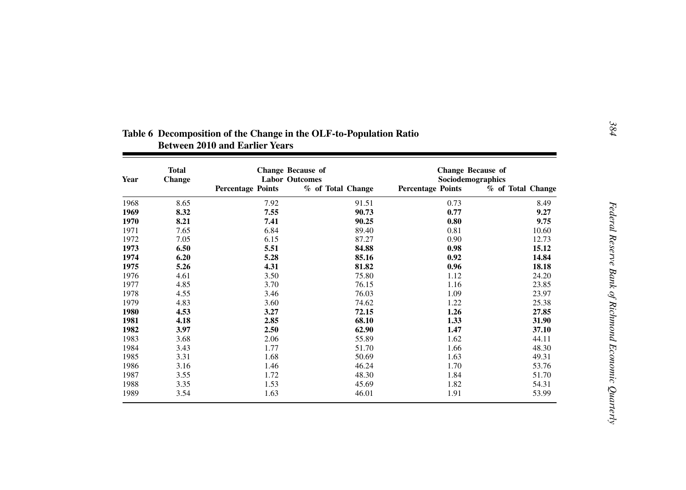| Year | <b>Total</b><br><b>Change</b> |                          | <b>Change Because of</b><br><b>Labor Outcomes</b> | <b>Change Because of</b><br>Sociodemographics |                   |
|------|-------------------------------|--------------------------|---------------------------------------------------|-----------------------------------------------|-------------------|
|      |                               | <b>Percentage Points</b> | % of Total Change                                 | <b>Percentage Points</b>                      | % of Total Change |
| 1968 | 8.65                          | 7.92                     | 91.51                                             | 0.73                                          | 8.49              |
| 1969 | 8.32                          | 7.55                     | 90.73                                             | 0.77                                          | 9.27              |
| 1970 | 8.21                          | 7.41                     | 90.25                                             | 0.80                                          | 9.75              |
| 1971 | 7.65                          | 6.84                     | 89.40                                             | 0.81                                          | 10.60             |
| 1972 | 7.05                          | 6.15                     | 87.27                                             | 0.90                                          | 12.73             |
| 1973 | 6.50                          | 5.51                     | 84.88                                             | 0.98                                          | 15.12             |
| 1974 | 6.20                          | 5.28                     | 85.16                                             | 0.92                                          | 14.84             |
| 1975 | 5.26                          | 4.31                     | 81.82                                             | 0.96                                          | 18.18             |
| 1976 | 4.61                          | 3.50                     | 75.80                                             | 1.12                                          | 24.20             |
| 1977 | 4.85                          | 3.70                     | 76.15                                             | 1.16                                          | 23.85             |
| 1978 | 4.55                          | 3.46                     | 76.03                                             | 1.09                                          | 23.97             |
| 1979 | 4.83                          | 3.60                     | 74.62                                             | 1.22                                          | 25.38             |
| 1980 | 4.53                          | 3.27                     | 72.15                                             | 1.26                                          | 27.85             |
| 1981 | 4.18                          | 2.85                     | 68.10                                             | 1.33                                          | 31.90             |
| 1982 | 3.97                          | 2.50                     | 62.90                                             | 1.47                                          | 37.10             |
| 1983 | 3.68                          | 2.06                     | 55.89                                             | 1.62                                          | 44.11             |
| 1984 | 3.43                          | 1.77                     | 51.70                                             | 1.66                                          | 48.30             |
| 1985 | 3.31                          | 1.68                     | 50.69                                             | 1.63                                          | 49.31             |
| 1986 | 3.16                          | 1.46                     | 46.24                                             | 1.70                                          | 53.76             |
| 1987 | 3.55                          | 1.72                     | 48.30                                             | 1.84                                          | 51.70             |
| 1988 | 3.35                          | 1.53                     | 45.69                                             | 1.82                                          | 54.31             |
| 1989 | 3.54                          | 1.63                     | 46.01                                             | 1.91                                          | 53.99             |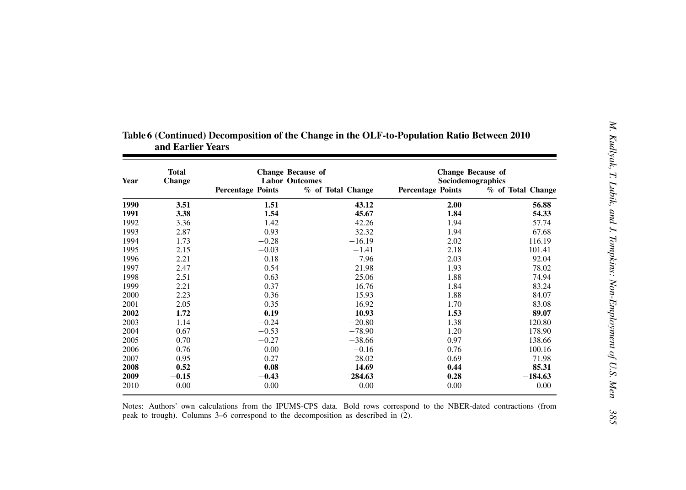| Year | <b>Total</b><br><b>Change</b> | <b>Change Because of</b><br><b>Labor Outcomes</b> |                   | <b>Change Because of</b><br>Sociodemographics |                   |
|------|-------------------------------|---------------------------------------------------|-------------------|-----------------------------------------------|-------------------|
|      |                               | <b>Percentage Points</b>                          | % of Total Change | <b>Percentage Points</b>                      | % of Total Change |
| 1990 | 3.51                          | 1.51                                              | 43.12             | 2.00                                          | 56.88             |
| 1991 | 3.38                          | 1.54                                              | 45.67             | 1.84                                          | 54.33             |
| 1992 | 3.36                          | 1.42                                              | 42.26             | 1.94                                          | 57.74             |
| 1993 | 2.87                          | 0.93                                              | 32.32             | 1.94                                          | 67.68             |
| 1994 | 1.73                          | $-0.28$                                           | $-16.19$          | 2.02                                          | 116.19            |
| 1995 | 2.15                          | $-0.03$                                           | $-1.41$           | 2.18                                          | 101.41            |
| 1996 | 2.21                          | 0.18                                              | 7.96              | 2.03                                          | 92.04             |
| 1997 | 2.47                          | 0.54                                              | 21.98             | 1.93                                          | 78.02             |
| 1998 | 2.51                          | 0.63                                              | 25.06             | 1.88                                          | 74.94             |
| 1999 | 2.21                          | 0.37                                              | 16.76             | 1.84                                          | 83.24             |
| 2000 | 2.23                          | 0.36                                              | 15.93             | 1.88                                          | 84.07             |
| 2001 | 2.05                          | 0.35                                              | 16.92             | 1.70                                          | 83.08             |
| 2002 | 1.72                          | 0.19                                              | 10.93             | 1.53                                          | 89.07             |
| 2003 | 1.14                          | $-0.24$                                           | $-20.80$          | 1.38                                          | 120.80            |
| 2004 | 0.67                          | $-0.53$                                           | $-78.90$          | 1.20                                          | 178.90            |
| 2005 | 0.70                          | $-0.27$                                           | $-38.66$          | 0.97                                          | 138.66            |
| 2006 | 0.76                          | 0.00                                              | $-0.16$           | 0.76                                          | 100.16            |
| 2007 | 0.95                          | 0.27                                              | 28.02             | 0.69                                          | 71.98             |
| 2008 | 0.52                          | 0.08                                              | 14.69             | 0.44                                          | 85.31             |
| 2009 | $-0.15$                       | $-0.43$                                           | 284.63            | 0.28                                          | $-184.63$         |
| 2010 | 0.00                          | 0.00                                              | 0.00              | 0.00                                          | 0.00              |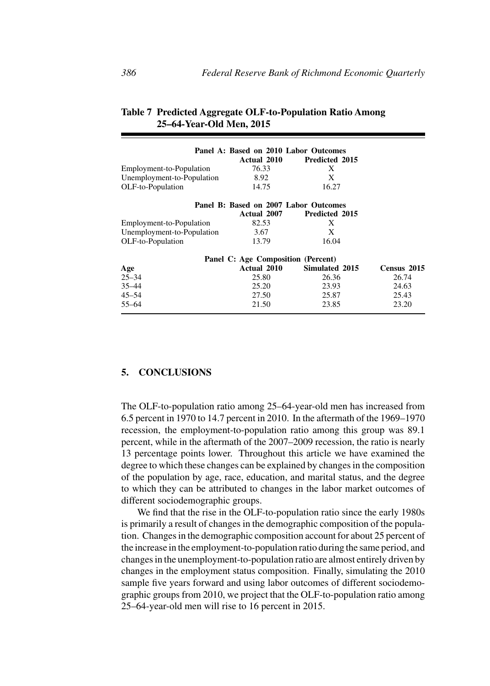|                            | Panel A: Based on 2010 Labor Outcomes |                       |             |
|----------------------------|---------------------------------------|-----------------------|-------------|
|                            | Actual 2010                           | <b>Predicted 2015</b> |             |
| Employment-to-Population   | 76.33                                 | X                     |             |
| Unemployment-to-Population | 8.92                                  | X                     |             |
| OLF-to-Population          | 14.75                                 | 16.27                 |             |
|                            | Panel B: Based on 2007 Labor Outcomes |                       |             |
|                            | Actual 2007                           | <b>Predicted 2015</b> |             |
| Employment-to-Population   | 82.53                                 | X                     |             |
| Unemployment-to-Population | 3.67                                  | X                     |             |
| OLF-to-Population          | 13.79                                 | 16.04                 |             |
|                            | Panel C: Age Composition (Percent)    |                       |             |
| Age                        | Actual 2010                           | Simulated 2015        | Census 2015 |
| $25 - 34$                  | 25.80                                 | 26.36                 | 26.74       |
| $35 - 44$                  | 25.20                                 | 23.93                 | 24.63       |
| $45 - 54$                  | 27.50                                 | 25.87                 | 25.43       |
| $55 - 64$                  | 21.50                                 | 23.85                 | 23.20       |

# **Table 7 Predicted Aggregate OLF-to-Population Ratio Among 25–64-Year-Old Men, 2015**

# **5. CONCLUSIONS**

The OLF-to-population ratio among 25–64-year-old men has increased from 6.5 percent in 1970 to 14.7 percent in 2010. In the aftermath of the 1969–1970 recession, the employment-to-population ratio among this group was 89.1 percent, while in the aftermath of the 2007–2009 recession, the ratio is nearly 13 percentage points lower. Throughout this article we have examined the degree to which these changes can be explained by changes in the composition of the population by age, race, education, and marital status, and the degree to which they can be attributed to changes in the labor market outcomes of different sociodemographic groups.

We find that the rise in the OLF-to-population ratio since the early 1980s is primarily a result of changes in the demographic composition of the population. Changes in the demographic composition account for about 25 percent of the increase in the employment-to-population ratio during the same period, and changes in the unemployment-to-population ratio are almost entirely driven by changes in the employment status composition. Finally, simulating the 2010 sample five years forward and using labor outcomes of different sociodemographic groups from 2010, we project that the OLF-to-population ratio among 25–64-year-old men will rise to 16 percent in 2015.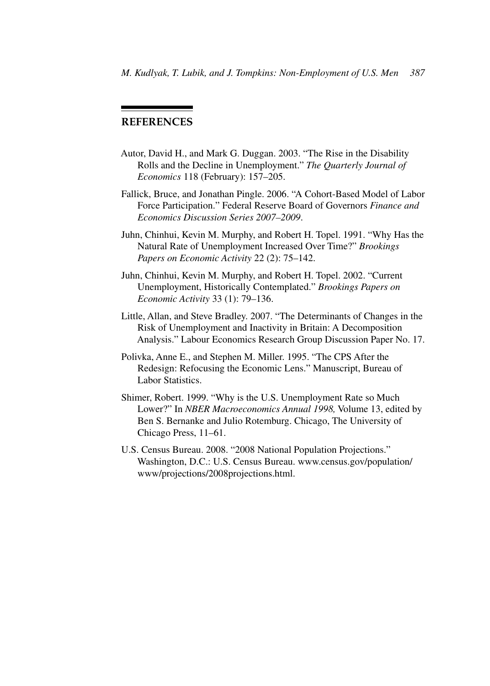# **REFERENCES**

- Autor, David H., and Mark G. Duggan. 2003. "The Rise in the Disability Rolls and the Decline in Unemployment." *The Quarterly Journal of Economics* 118 (February): 157–205.
- Fallick, Bruce, and Jonathan Pingle. 2006. "A Cohort-Based Model of Labor Force Participation." Federal Reserve Board of Governors *Finance and Economics Discussion Series 2007–2009*.
- Juhn, Chinhui, Kevin M. Murphy, and Robert H. Topel. 1991. "Why Has the Natural Rate of Unemployment Increased Over Time?" *Brookings Papers on Economic Activity* 22 (2): 75–142.
- Juhn, Chinhui, Kevin M. Murphy, and Robert H. Topel. 2002. "Current Unemployment, Historically Contemplated." *Brookings Papers on Economic Activity* 33 (1): 79–136.
- Little, Allan, and Steve Bradley. 2007. "The Determinants of Changes in the Risk of Unemployment and Inactivity in Britain: A Decomposition Analysis." Labour Economics Research Group Discussion Paper No. 17.
- Polivka, Anne E., and Stephen M. Miller. 1995. "The CPS After the Redesign: Refocusing the Economic Lens." Manuscript, Bureau of Labor Statistics.
- Shimer, Robert. 1999. "Why is the U.S. Unemployment Rate so Much Lower?" In *NBER Macroeconomics Annual 1998,* Volume 13, edited by Ben S. Bernanke and Julio Rotemburg. Chicago, The University of Chicago Press, 11–61.
- U.S. Census Bureau. 2008. "2008 National Population Projections." Washington, D.C.: U.S. Census Bureau. www.census.gov/population/ www/projections/2008projections.html.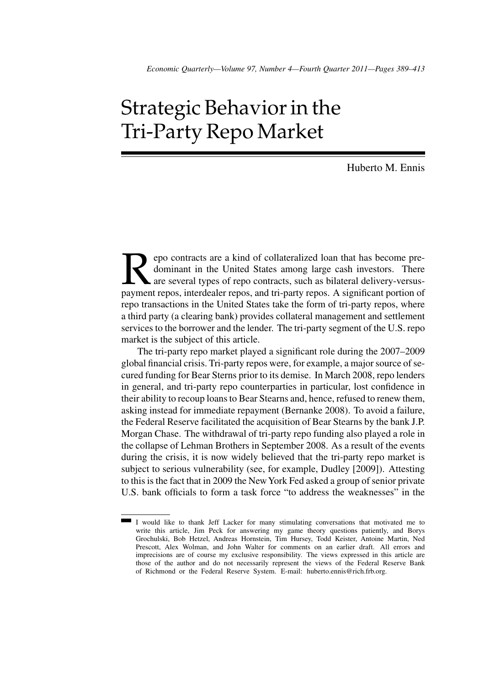# Strategic Behavior in the Tri-Party Repo Market

Huberto M. Ennis

France of contracts are a kind of collateralized loan that has become pre-<br>dominant in the United States among large cash investors. There<br>are several types of repo contracts, such as bilateral delivery-versus-<br>payment rep dominant in the United States among large cash investors. There are several types of repo contracts, such as bilateral delivery-versuspayment repos, interdealer repos, and tri-party repos. A significant portion of repo transactions in the United States take the form of tri-party repos, where a third party (a clearing bank) provides collateral management and settlement services to the borrower and the lender. The tri-party segment of the U.S. repo market is the subject of this article.

The tri-party repo market played a significant role during the 2007–2009 global financial crisis. Tri-party repos were, for example, a major source of secured funding for Bear Sterns prior to its demise. In March 2008, repo lenders in general, and tri-party repo counterparties in particular, lost confidence in their ability to recoup loans to Bear Stearns and, hence, refused to renew them, asking instead for immediate repayment (Bernanke 2008). To avoid a failure, the Federal Reserve facilitated the acquisition of Bear Stearns by the bank J.P. Morgan Chase. The withdrawal of tri-party repo funding also played a role in the collapse of Lehman Brothers in September 2008. As a result of the events during the crisis, it is now widely believed that the tri-party repo market is subject to serious vulnerability (see, for example, Dudley [2009]). Attesting to this is the fact that in 2009 the NewYork Fed asked a group of senior private U.S. bank officials to form a task force "to address the weaknesses" in the

I would like to thank Jeff Lacker for many stimulating conversations that motivated me to write this article, Jim Peck for answering my game theory questions patiently, and Borys Grochulski, Bob Hetzel, Andreas Hornstein, Tim Hursey, Todd Keister, Antoine Martin, Ned Prescott, Alex Wolman, and John Walter for comments on an earlier draft. All errors and imprecisions are of course my exclusive responsibility. The views expressed in this article are those of the author and do not necessarily represent the views of the Federal Reserve Bank of Richmond or the Federal Reserve System. E-mail: huberto.ennis@rich.frb.org.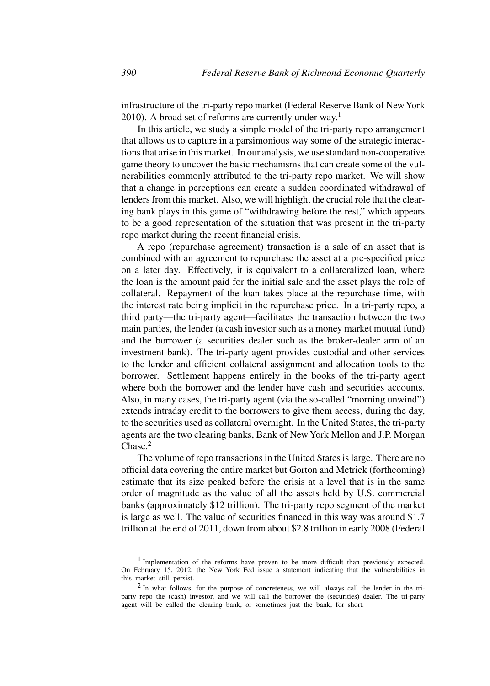infrastructure of the tri-party repo market (Federal Reserve Bank of NewYork 2010). A broad set of reforms are currently under way.<sup>1</sup>

In this article, we study a simple model of the tri-party repo arrangement that allows us to capture in a parsimonious way some of the strategic interactions that arise in this market. In our analysis, we use standard non-cooperative game theory to uncover the basic mechanisms that can create some of the vulnerabilities commonly attributed to the tri-party repo market. We will show that a change in perceptions can create a sudden coordinated withdrawal of lenders from this market. Also, we will highlight the crucial role that the clearing bank plays in this game of "withdrawing before the rest," which appears to be a good representation of the situation that was present in the tri-party repo market during the recent financial crisis.

A repo (repurchase agreement) transaction is a sale of an asset that is combined with an agreement to repurchase the asset at a pre-specified price on a later day. Effectively, it is equivalent to a collateralized loan, where the loan is the amount paid for the initial sale and the asset plays the role of collateral. Repayment of the loan takes place at the repurchase time, with the interest rate being implicit in the repurchase price. In a tri-party repo, a third party—the tri-party agent—facilitates the transaction between the two main parties, the lender (a cash investor such as a money market mutual fund) and the borrower (a securities dealer such as the broker-dealer arm of an investment bank). The tri-party agent provides custodial and other services to the lender and efficient collateral assignment and allocation tools to the borrower. Settlement happens entirely in the books of the tri-party agent where both the borrower and the lender have cash and securities accounts. Also, in many cases, the tri-party agent (via the so-called "morning unwind") extends intraday credit to the borrowers to give them access, during the day, to the securities used as collateral overnight. In the United States, the tri-party agents are the two clearing banks, Bank of New York Mellon and J.P. Morgan Chase.<sup>2</sup>

The volume of repo transactions in the United States is large. There are no official data covering the entire market but Gorton and Metrick (forthcoming) estimate that its size peaked before the crisis at a level that is in the same order of magnitude as the value of all the assets held by U.S. commercial banks (approximately \$12 trillion). The tri-party repo segment of the market is large as well. The value of securities financed in this way was around \$1.7 trillion at the end of 2011, down from about \$2.8 trillion in early 2008 (Federal

<sup>1</sup> Implementation of the reforms have proven to be more difficult than previously expected. On February 15, 2012, the New York Fed issue a statement indicating that the vulnerabilities in this market still persist.

 $2$  In what follows, for the purpose of concreteness, we will always call the lender in the triparty repo the (cash) investor, and we will call the borrower the (securities) dealer. The tri-party agent will be called the clearing bank, or sometimes just the bank, for short.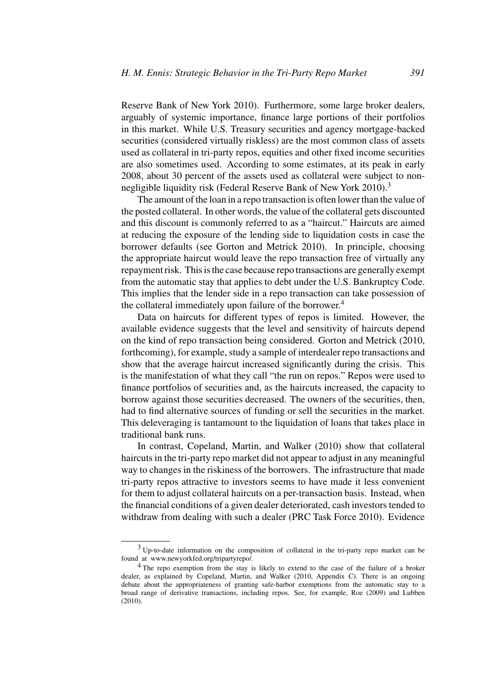Reserve Bank of New York 2010). Furthermore, some large broker dealers, arguably of systemic importance, finance large portions of their portfolios in this market. While U.S. Treasury securities and agency mortgage-backed securities (considered virtually riskless) are the most common class of assets used as collateral in tri-party repos, equities and other fixed income securities are also sometimes used. According to some estimates, at its peak in early 2008, about 30 percent of the assets used as collateral were subject to nonnegligible liquidity risk (Federal Reserve Bank of New York 2010).<sup>3</sup>

The amount of the loan in a repo transaction is often lower than the value of the posted collateral. In other words, the value of the collateral gets discounted and this discount is commonly referred to as a "haircut." Haircuts are aimed at reducing the exposure of the lending side to liquidation costs in case the borrower defaults (see Gorton and Metrick 2010). In principle, choosing the appropriate haircut would leave the repo transaction free of virtually any repayment risk. This is the case because repo transactions are generally exempt from the automatic stay that applies to debt under the U.S. Bankruptcy Code. This implies that the lender side in a repo transaction can take possession of the collateral immediately upon failure of the borrower.<sup>4</sup>

Data on haircuts for different types of repos is limited. However, the available evidence suggests that the level and sensitivity of haircuts depend on the kind of repo transaction being considered. Gorton and Metrick (2010, forthcoming), for example, study a sample of interdealer repo transactions and show that the average haircut increased significantly during the crisis. This is the manifestation of what they call "the run on repos." Repos were used to finance portfolios of securities and, as the haircuts increased, the capacity to borrow against those securities decreased. The owners of the securities, then, had to find alternative sources of funding or sell the securities in the market. This deleveraging is tantamount to the liquidation of loans that takes place in traditional bank runs.

In contrast, Copeland, Martin, and Walker (2010) show that collateral haircuts in the tri-party repo market did not appear to adjust in any meaningful way to changes in the riskiness of the borrowers. The infrastructure that made tri-party repos attractive to investors seems to have made it less convenient for them to adjust collateral haircuts on a per-transaction basis. Instead, when the financial conditions of a given dealer deteriorated, cash investors tended to withdraw from dealing with such a dealer (PRC Task Force 2010). Evidence

 $3$  Up-to-date information on the composition of collateral in the tri-party repo market can be found at www.newyorkfed.org/tripartyrepo/.

<sup>&</sup>lt;sup>4</sup> The repo exemption from the stay is likely to extend to the case of the failure of a broker dealer, as explained by Copeland, Martin, and Walker (2010, Appendix C). There is an ongoing debate about the appropriateness of granting safe-harbor exemptions from the automatic stay to a broad range of derivative transactions, including repos. See, for example, Roe (2009) and Lubben (2010).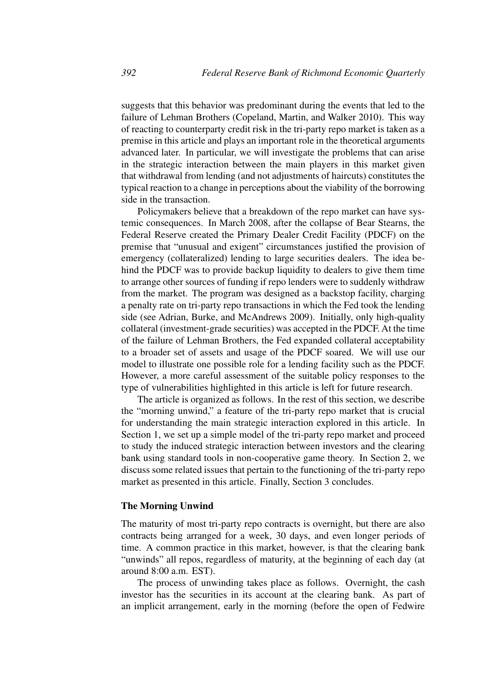suggests that this behavior was predominant during the events that led to the failure of Lehman Brothers (Copeland, Martin, and Walker 2010). This way of reacting to counterparty credit risk in the tri-party repo market is taken as a premise in this article and plays an important role in the theoretical arguments advanced later. In particular, we will investigate the problems that can arise in the strategic interaction between the main players in this market given that withdrawal from lending (and not adjustments of haircuts) constitutes the typical reaction to a change in perceptions about the viability of the borrowing side in the transaction.

Policymakers believe that a breakdown of the repo market can have systemic consequences. In March 2008, after the collapse of Bear Stearns, the Federal Reserve created the Primary Dealer Credit Facility (PDCF) on the premise that "unusual and exigent" circumstances justified the provision of emergency (collateralized) lending to large securities dealers. The idea behind the PDCF was to provide backup liquidity to dealers to give them time to arrange other sources of funding if repo lenders were to suddenly withdraw from the market. The program was designed as a backstop facility, charging a penalty rate on tri-party repo transactions in which the Fed took the lending side (see Adrian, Burke, and McAndrews 2009). Initially, only high-quality collateral (investment-grade securities) was accepted in the PDCF. At the time of the failure of Lehman Brothers, the Fed expanded collateral acceptability to a broader set of assets and usage of the PDCF soared. We will use our model to illustrate one possible role for a lending facility such as the PDCF. However, a more careful assessment of the suitable policy responses to the type of vulnerabilities highlighted in this article is left for future research.

The article is organized as follows. In the rest of this section, we describe the "morning unwind," a feature of the tri-party repo market that is crucial for understanding the main strategic interaction explored in this article. In Section 1, we set up a simple model of the tri-party repo market and proceed to study the induced strategic interaction between investors and the clearing bank using standard tools in non-cooperative game theory. In Section 2, we discuss some related issues that pertain to the functioning of the tri-party repo market as presented in this article. Finally, Section 3 concludes.

## **The Morning Unwind**

The maturity of most tri-party repo contracts is overnight, but there are also contracts being arranged for a week, 30 days, and even longer periods of time. A common practice in this market, however, is that the clearing bank "unwinds" all repos, regardless of maturity, at the beginning of each day (at around 8:00 a.m. EST).

The process of unwinding takes place as follows. Overnight, the cash investor has the securities in its account at the clearing bank. As part of an implicit arrangement, early in the morning (before the open of Fedwire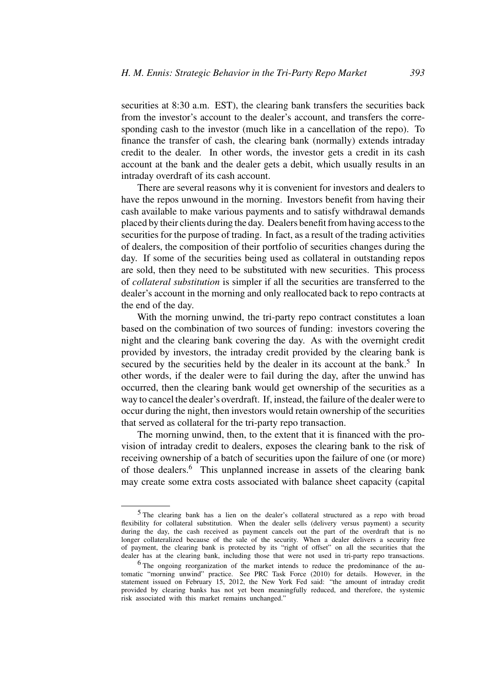securities at 8:30 a.m. EST), the clearing bank transfers the securities back from the investor's account to the dealer's account, and transfers the corresponding cash to the investor (much like in a cancellation of the repo). To finance the transfer of cash, the clearing bank (normally) extends intraday credit to the dealer. In other words, the investor gets a credit in its cash account at the bank and the dealer gets a debit, which usually results in an intraday overdraft of its cash account.

There are several reasons why it is convenient for investors and dealers to have the repos unwound in the morning. Investors benefit from having their cash available to make various payments and to satisfy withdrawal demands placed by their clients during the day. Dealers benefit from having access to the securities for the purpose of trading. In fact, as a result of the trading activities of dealers, the composition of their portfolio of securities changes during the day. If some of the securities being used as collateral in outstanding repos are sold, then they need to be substituted with new securities. This process of *collateral substitution* is simpler if all the securities are transferred to the dealer's account in the morning and only reallocated back to repo contracts at the end of the day.

With the morning unwind, the tri-party repo contract constitutes a loan based on the combination of two sources of funding: investors covering the night and the clearing bank covering the day. As with the overnight credit provided by investors, the intraday credit provided by the clearing bank is secured by the securities held by the dealer in its account at the bank.<sup>5</sup> In other words, if the dealer were to fail during the day, after the unwind has occurred, then the clearing bank would get ownership of the securities as a way to cancel the dealer's overdraft. If, instead, the failure of the dealer were to occur during the night, then investors would retain ownership of the securities that served as collateral for the tri-party repo transaction.

The morning unwind, then, to the extent that it is financed with the provision of intraday credit to dealers, exposes the clearing bank to the risk of receiving ownership of a batch of securities upon the failure of one (or more) of those dealers.<sup>6</sup> This unplanned increase in assets of the clearing bank may create some extra costs associated with balance sheet capacity (capital

<sup>&</sup>lt;sup>5</sup> The clearing bank has a lien on the dealer's collateral structured as a repo with broad flexibility for collateral substitution. When the dealer sells (delivery versus payment) a security during the day, the cash received as payment cancels out the part of the overdraft that is no longer collateralized because of the sale of the security. When a dealer delivers a security free of payment, the clearing bank is protected by its "right of offset" on all the securities that the dealer has at the clearing bank, including those that were not used in tri-party repo transactions.

<sup>&</sup>lt;sup>6</sup> The ongoing reorganization of the market intends to reduce the predominance of the automatic "morning unwind" practice. See PRC Task Force (2010) for details. However, in the statement issued on February 15, 2012, the New York Fed said: "the amount of intraday credit provided by clearing banks has not yet been meaningfully reduced, and therefore, the systemic risk associated with this market remains unchanged."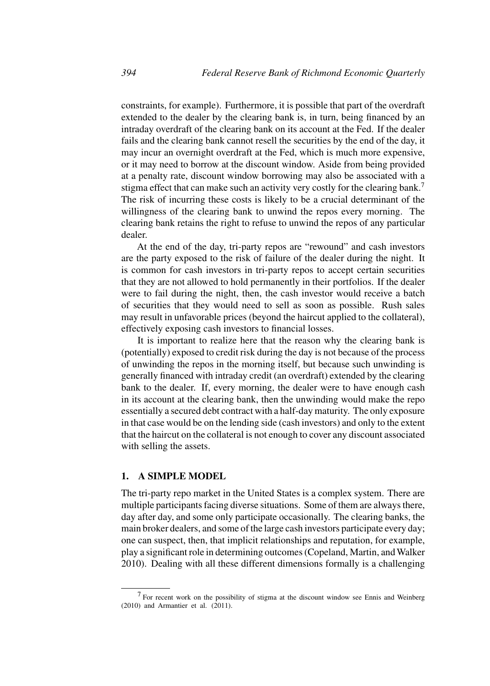constraints, for example). Furthermore, it is possible that part of the overdraft extended to the dealer by the clearing bank is, in turn, being financed by an intraday overdraft of the clearing bank on its account at the Fed. If the dealer fails and the clearing bank cannot resell the securities by the end of the day, it may incur an overnight overdraft at the Fed, which is much more expensive, or it may need to borrow at the discount window. Aside from being provided at a penalty rate, discount window borrowing may also be associated with a stigma effect that can make such an activity very costly for the clearing bank.<sup>7</sup> The risk of incurring these costs is likely to be a crucial determinant of the willingness of the clearing bank to unwind the repos every morning. The clearing bank retains the right to refuse to unwind the repos of any particular dealer.

At the end of the day, tri-party repos are "rewound" and cash investors are the party exposed to the risk of failure of the dealer during the night. It is common for cash investors in tri-party repos to accept certain securities that they are not allowed to hold permanently in their portfolios. If the dealer were to fail during the night, then, the cash investor would receive a batch of securities that they would need to sell as soon as possible. Rush sales may result in unfavorable prices (beyond the haircut applied to the collateral), effectively exposing cash investors to financial losses.

It is important to realize here that the reason why the clearing bank is (potentially) exposed to credit risk during the day is not because of the process of unwinding the repos in the morning itself, but because such unwinding is generally financed with intraday credit (an overdraft) extended by the clearing bank to the dealer. If, every morning, the dealer were to have enough cash in its account at the clearing bank, then the unwinding would make the repo essentially a secured debt contract with a half-day maturity. The only exposure in that case would be on the lending side (cash investors) and only to the extent that the haircut on the collateral is not enough to cover any discount associated with selling the assets.

# **1. A SIMPLE MODEL**

The tri-party repo market in the United States is a complex system. There are multiple participants facing diverse situations. Some of them are always there, day after day, and some only participate occasionally. The clearing banks, the main broker dealers, and some of the large cash investors participate every day; one can suspect, then, that implicit relationships and reputation, for example, play a significant role in determining outcomes (Copeland, Martin, and Walker 2010). Dealing with all these different dimensions formally is a challenging

<sup>7</sup> For recent work on the possibility of stigma at the discount window see Ennis and Weinberg (2010) and Armantier et al. (2011).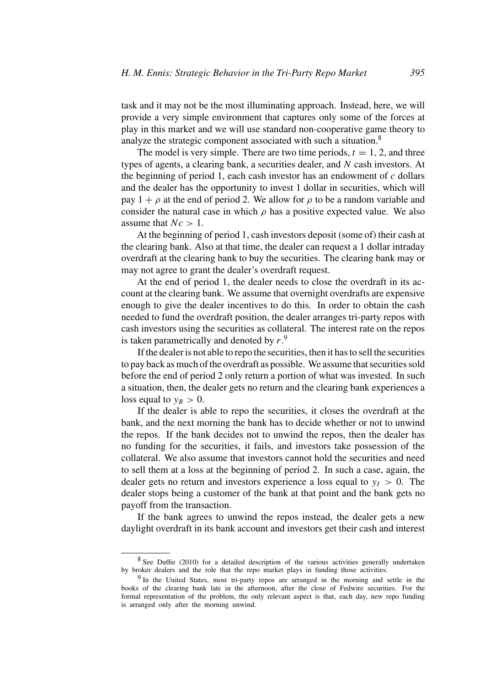task and it may not be the most illuminating approach. Instead, here, we will provide a very simple environment that captures only some of the forces at play in this market and we will use standard non-cooperative game theory to analyze the strategic component associated with such a situation.<sup>8</sup>

The model is very simple. There are two time periods,  $t = 1, 2$ , and three types of agents, a clearing bank, a securities dealer, and N cash investors. At the beginning of period 1, each cash investor has an endowment of  $c$  dollars and the dealer has the opportunity to invest 1 dollar in securities, which will pay  $1 + \rho$  at the end of period 2. We allow for  $\rho$  to be a random variable and consider the natural case in which  $\rho$  has a positive expected value. We also assume that  $Nc > 1$ .

At the beginning of period 1, cash investors deposit (some of) their cash at the clearing bank. Also at that time, the dealer can request a 1 dollar intraday overdraft at the clearing bank to buy the securities. The clearing bank may or may not agree to grant the dealer's overdraft request.

At the end of period 1, the dealer needs to close the overdraft in its account at the clearing bank. We assume that overnight overdrafts are expensive enough to give the dealer incentives to do this. In order to obtain the cash needed to fund the overdraft position, the dealer arranges tri-party repos with cash investors using the securities as collateral. The interest rate on the repos is taken parametrically and denoted by  $r<sup>9</sup>$ .

If the dealer is not able to repo the securities, then it has to sell the securities to pay back as much of the overdraft as possible. We assume that securities sold before the end of period 2 only return a portion of what was invested. In such a situation, then, the dealer gets no return and the clearing bank experiences a loss equal to  $y_B > 0$ .

If the dealer is able to repo the securities, it closes the overdraft at the bank, and the next morning the bank has to decide whether or not to unwind the repos. If the bank decides not to unwind the repos, then the dealer has no funding for the securities, it fails, and investors take possession of the collateral. We also assume that investors cannot hold the securities and need to sell them at a loss at the beginning of period 2. In such a case, again, the dealer gets no return and investors experience a loss equal to  $y_I > 0$ . The dealer stops being a customer of the bank at that point and the bank gets no payoff from the transaction.

If the bank agrees to unwind the repos instead, the dealer gets a new daylight overdraft in its bank account and investors get their cash and interest

<sup>8</sup> See Duffie (2010) for a detailed description of the various activities generally undertaken by broker dealers and the role that the repo market plays in funding those activities.

<sup>&</sup>lt;sup>9</sup> In the United States, most tri-party repos are arranged in the morning and settle in the books of the clearing bank late in the afternoon, after the close of Fedwire securities. For the formal representation of the problem, the only relevant aspect is that, each day, new repo funding is arranged only after the morning unwind.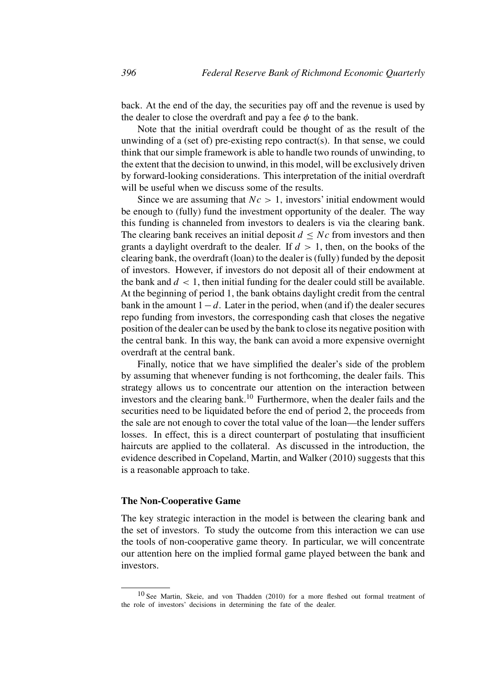back. At the end of the day, the securities pay off and the revenue is used by the dealer to close the overdraft and pay a fee  $\phi$  to the bank.

Note that the initial overdraft could be thought of as the result of the unwinding of a (set of) pre-existing repo contract(s). In that sense, we could think that our simple framework is able to handle two rounds of unwinding, to the extent that the decision to unwind, in this model, will be exclusively driven by forward-looking considerations. This interpretation of the initial overdraft will be useful when we discuss some of the results.

Since we are assuming that  $Nc > 1$ , investors' initial endowment would be enough to (fully) fund the investment opportunity of the dealer. The way this funding is channeled from investors to dealers is via the clearing bank. The clearing bank receives an initial deposit  $d \leq Nc$  from investors and then grants a daylight overdraft to the dealer. If  $d > 1$ , then, on the books of the clearing bank, the overdraft (loan) to the dealer is (fully) funded by the deposit of investors. However, if investors do not deposit all of their endowment at the bank and  $d < 1$ , then initial funding for the dealer could still be available. At the beginning of period 1, the bank obtains daylight credit from the central bank in the amount  $1-d$ . Later in the period, when (and if) the dealer secures repo funding from investors, the corresponding cash that closes the negative position of the dealer can be used by the bank to close its negative position with the central bank. In this way, the bank can avoid a more expensive overnight overdraft at the central bank.

Finally, notice that we have simplified the dealer's side of the problem by assuming that whenever funding is not forthcoming, the dealer fails. This strategy allows us to concentrate our attention on the interaction between investors and the clearing bank.<sup>10</sup> Furthermore, when the dealer fails and the securities need to be liquidated before the end of period 2, the proceeds from the sale are not enough to cover the total value of the loan—the lender suffers losses. In effect, this is a direct counterpart of postulating that insufficient haircuts are applied to the collateral. As discussed in the introduction, the evidence described in Copeland, Martin, and Walker (2010) suggests that this is a reasonable approach to take.

# **The Non-Cooperative Game**

The key strategic interaction in the model is between the clearing bank and the set of investors. To study the outcome from this interaction we can use the tools of non-cooperative game theory. In particular, we will concentrate our attention here on the implied formal game played between the bank and investors.

<sup>10</sup> See Martin, Skeie, and von Thadden (2010) for a more fleshed out formal treatment of the role of investors' decisions in determining the fate of the dealer.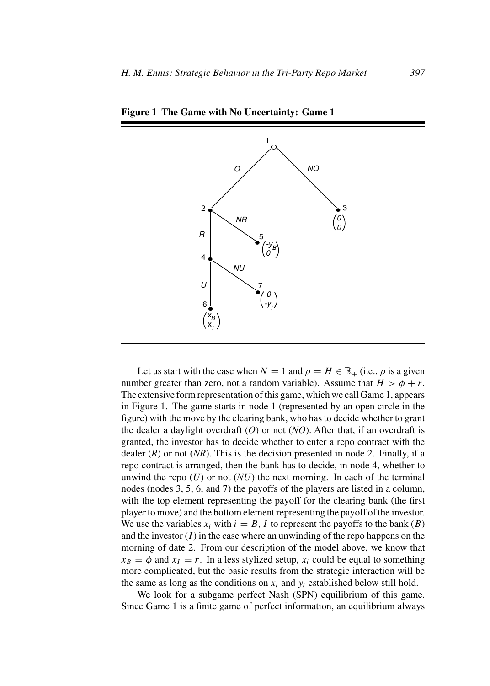

**Figure 1 The Game with No Uncertainty: Game 1**

Let us start with the case when  $N = 1$  and  $\rho = H \in \mathbb{R}_+$  (i.e.,  $\rho$  is a given number greater than zero, not a random variable). Assume that  $H > \phi + r$ . The extensive form representation of this game, which we call Game 1, appears in Figure 1. The game starts in node 1 (represented by an open circle in the figure) with the move by the clearing bank, who has to decide whether to grant the dealer a daylight overdraft (*O*) or not (*NO*). After that, if an overdraft is granted, the investor has to decide whether to enter a repo contract with the dealer  $(R)$  or not  $(NR)$ . This is the decision presented in node 2. Finally, if a repo contract is arranged, then the bank has to decide, in node 4, whether to unwind the repo  $(U)$  or not  $(NU)$  the next morning. In each of the terminal nodes (nodes 3, 5, 6, and 7) the payoffs of the players are listed in a column, with the top element representing the payoff for the clearing bank (the first player to move) and the bottom element representing the payoff of the investor. We use the variables  $x_i$  with  $i = B$ , I to represent the payoffs to the bank  $(B)$ and the investor  $(I)$  in the case where an unwinding of the repo happens on the morning of date 2. From our description of the model above, we know that  $x_B = \phi$  and  $x_I = r$ . In a less stylized setup,  $x_i$  could be equal to something more complicated, but the basic results from the strategic interaction will be the same as long as the conditions on  $x_i$  and  $y_i$  established below still hold.

We look for a subgame perfect Nash (SPN) equilibrium of this game. Since Game 1 is a finite game of perfect information, an equilibrium always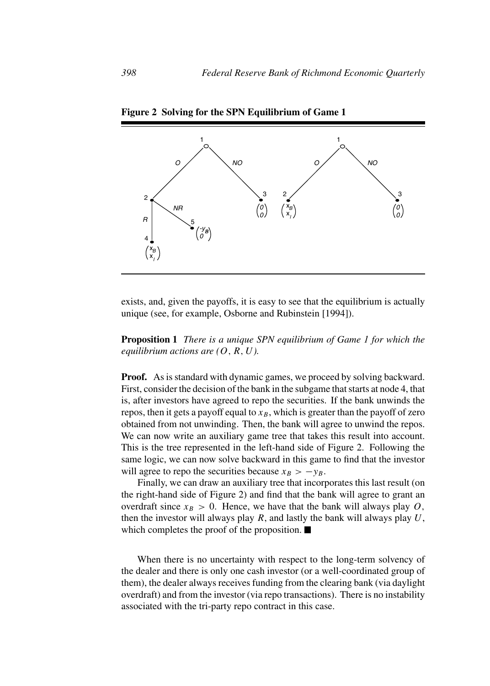

**Figure 2 Solving for the SPN Equilibrium of Game 1**

exists, and, given the payoffs, it is easy to see that the equilibrium is actually unique (see, for example, Osborne and Rubinstein [1994]).

**Proposition 1** *There is a unique SPN equilibrium of Game 1 for which the equilibrium actions are*  $(O, R, U)$ *.* 

**Proof.** As is standard with dynamic games, we proceed by solving backward. First, consider the decision of the bank in the subgame that starts at node 4, that is, after investors have agreed to repo the securities. If the bank unwinds the repos, then it gets a payoff equal to  $x_B$ , which is greater than the payoff of zero obtained from not unwinding. Then, the bank will agree to unwind the repos. We can now write an auxiliary game tree that takes this result into account. This is the tree represented in the left-hand side of Figure 2. Following the same logic, we can now solve backward in this game to find that the investor will agree to repo the securities because  $x_B > -y_B$ .

Finally, we can draw an auxiliary tree that incorporates this last result (on the right-hand side of Figure 2) and find that the bank will agree to grant an overdraft since  $x_B > 0$ . Hence, we have that the bank will always play O, then the investor will always play  $R$ , and lastly the bank will always play  $U$ , which completes the proof of the proposition.  $\blacksquare$ 

When there is no uncertainty with respect to the long-term solvency of the dealer and there is only one cash investor (or a well-coordinated group of them), the dealer always receives funding from the clearing bank (via daylight overdraft) and from the investor (via repo transactions). There is no instability associated with the tri-party repo contract in this case.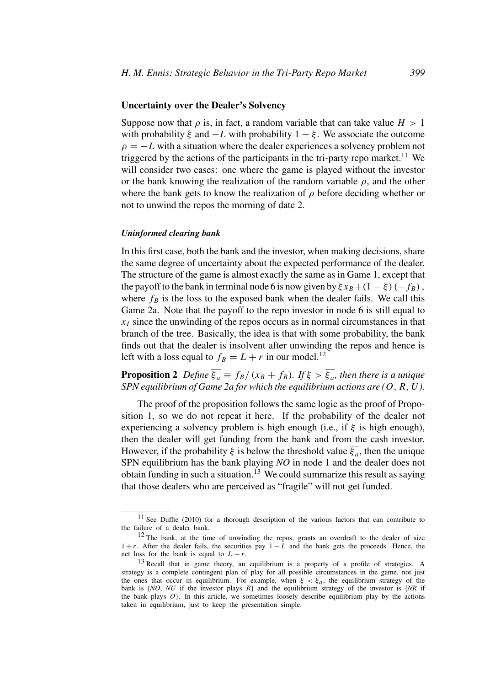## **Uncertainty over the Dealer's Solvency**

Suppose now that  $\rho$  is, in fact, a random variable that can take value  $H > 1$ with probability  $\xi$  and  $-L$  with probability  $1 - \xi$ . We associate the outcome  $\rho = -L$  with a situation where the dealer experiences a solvency problem not triggered by the actions of the participants in the tri-party repo market.<sup>11</sup> We will consider two cases: one where the game is played without the investor or the bank knowing the realization of the random variable  $\rho$ , and the other where the bank gets to know the realization of  $\rho$  before deciding whether or not to unwind the repos the morning of date 2.

#### *Uninformed clearing bank*

In this first case, both the bank and the investor, when making decisions, share the same degree of uncertainty about the expected performance of the dealer. The structure of the game is almost exactly the same as in Game 1, except that the payoff to the bank in terminal node 6 is now given by  $\xi x_B + (1 - \xi) (-f_B)$ , where  $f_B$  is the loss to the exposed bank when the dealer fails. We call this Game 2a. Note that the payoff to the repo investor in node 6 is still equal to  $x<sub>I</sub>$  since the unwinding of the repos occurs as in normal circumstances in that branch of the tree. Basically, the idea is that with some probability, the bank finds out that the dealer is insolvent after unwinding the repos and hence is left with a loss equal to  $f_B = L + r$  in our model.<sup>12</sup>

**Proposition 2** *Define*  $\overline{\xi_a} \equiv f_B/(x_B + f_B)$ *.* If  $\xi > \overline{\xi_a}$ *, then there is a unique SPN equilibrium of Game 2a for which the equilibrium actions are (*O,R,U*).*

The proof of the proposition follows the same logic as the proof of Proposition 1, so we do not repeat it here. If the probability of the dealer not experiencing a solvency problem is high enough (i.e., if  $\xi$  is high enough), then the dealer will get funding from the bank and from the cash investor. However, if the probability ξ is below the threshold value  $\overline{\xi_a}$ , then the unique SPN equilibrium has the bank playing *NO* in node 1 and the dealer does not obtain funding in such a situation.<sup>13</sup> We could summarize this result as saying that those dealers who are perceived as "fragile" will not get funded.

<sup>11</sup> See Duffie (2010) for a thorough description of the various factors that can contribute to the failure of a dealer bank.

 $12$  The bank, at the time of unwinding the repos, grants an overdraft to the dealer of size  $1 + r$ . After the dealer fails, the securities pay  $1 - L$  and the bank gets the proceeds. Hence, the net loss for the bank is equal to  $L + r$ .

<sup>&</sup>lt;sup>13</sup> Recall that in game theory, an equilibrium is a property of a profile of strategies. A strategy is a complete contingent plan of play for all possible circumstances in the game, not just the ones that occur in equilibrium. For example, when  $\xi < \overline{\xi_a}$ , the equilibrium strategy of the bank is {*NO*, *NU* if the investor plays R} and the equilibrium strategy of the investor is {*NR* if the bank plays  $O$ . In this article, we sometimes loosely describe equilibrium play by the actions taken in equilibrium, just to keep the presentation simple.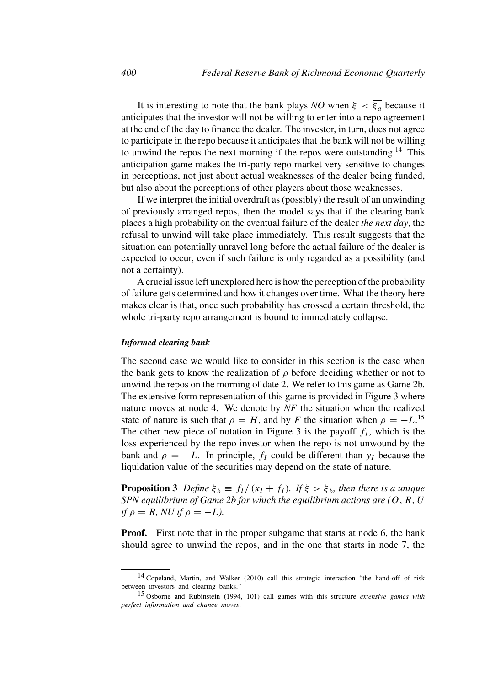It is interesting to note that the bank plays *NO* when  $\xi < \overline{\xi_a}$  because it anticipates that the investor will not be willing to enter into a repo agreement at the end of the day to finance the dealer. The investor, in turn, does not agree to participate in the repo because it anticipates that the bank will not be willing to unwind the repos the next morning if the repos were outstanding.<sup>14</sup> This anticipation game makes the tri-party repo market very sensitive to changes in perceptions, not just about actual weaknesses of the dealer being funded, but also about the perceptions of other players about those weaknesses.

If we interpret the initial overdraft as (possibly) the result of an unwinding of previously arranged repos, then the model says that if the clearing bank places a high probability on the eventual failure of the dealer *the next day*, the refusal to unwind will take place immediately. This result suggests that the situation can potentially unravel long before the actual failure of the dealer is expected to occur, even if such failure is only regarded as a possibility (and not a certainty).

A crucial issue left unexplored here is how the perception of the probability of failure gets determined and how it changes over time. What the theory here makes clear is that, once such probability has crossed a certain threshold, the whole tri-party repo arrangement is bound to immediately collapse.

#### *Informed clearing bank*

The second case we would like to consider in this section is the case when the bank gets to know the realization of  $\rho$  before deciding whether or not to unwind the repos on the morning of date 2. We refer to this game as Game 2b. The extensive form representation of this game is provided in Figure 3 where nature moves at node 4. We denote by *NF* the situation when the realized state of nature is such that  $\rho = H$ , and by F the situation when  $\rho = -L$ .<sup>15</sup> The other new piece of notation in Figure 3 is the payoff  $f_l$ , which is the loss experienced by the repo investor when the repo is not unwound by the bank and  $\rho = -L$ . In principle,  $f_I$  could be different than  $y_I$  because the liquidation value of the securities may depend on the state of nature.

**Proposition 3** *Define*  $\overline{\xi_b} \equiv f_l/(x_l + f_l)$ *. If*  $\xi > \overline{\xi_b}$ *, then there is a unique SPN equilibrium of Game 2b for which the equilibrium actions are (*O,R,U *if*  $\rho = R$ *, NU if*  $\rho = -L$ *).* 

**Proof.** First note that in the proper subgame that starts at node 6, the bank should agree to unwind the repos, and in the one that starts in node 7, the

<sup>14</sup> Copeland, Martin, and Walker (2010) call this strategic interaction "the hand-off of risk between investors and clearing banks."

<sup>15</sup> Osborne and Rubinstein (1994, 101) call games with this structure *extensive games with perfect information and chance moves*.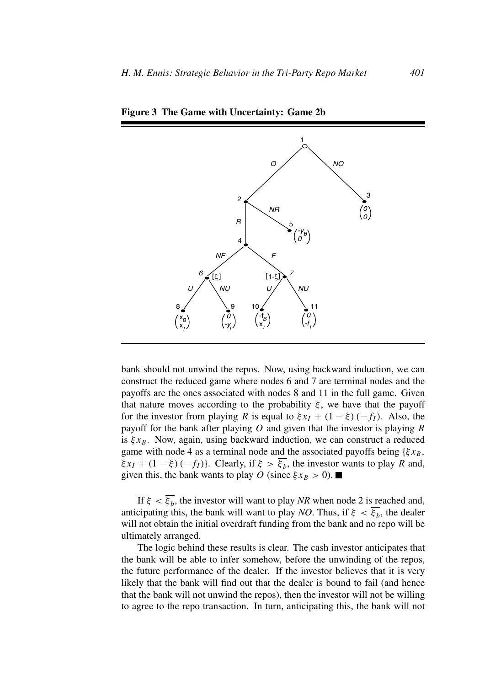

**Figure 3 The Game with Uncertainty: Game 2b**

bank should not unwind the repos. Now, using backward induction, we can construct the reduced game where nodes 6 and 7 are terminal nodes and the payoffs are the ones associated with nodes 8 and 11 in the full game. Given that nature moves according to the probability  $\xi$ , we have that the payoff for the investor from playing R is equal to  $\xi x_I + (1 - \xi)(-f_I)$ . Also, the payoff for the bank after playing  $O$  and given that the investor is playing  $R$ is  $\xi x_B$ . Now, again, using backward induction, we can construct a reduced game with node 4 as a terminal node and the associated payoffs being  ${\xi x_B}$ ,  $\xi x_I + (1 - \xi) (-f_I)$ . Clearly, if  $\xi > \xi_b$ , the investor wants to play R and, given this, the bank wants to play O (since  $\xi x_B > 0$ ).

If  $\xi < \overline{\xi_b}$ , the investor will want to play *NR* when node 2 is reached and, anticipating this, the bank will want to play *NO*. Thus, if  $\xi < \overline{\xi_b}$ , the dealer will not obtain the initial overdraft funding from the bank and no repo will be ultimately arranged.

The logic behind these results is clear. The cash investor anticipates that the bank will be able to infer somehow, before the unwinding of the repos, the future performance of the dealer. If the investor believes that it is very likely that the bank will find out that the dealer is bound to fail (and hence that the bank will not unwind the repos), then the investor will not be willing to agree to the repo transaction. In turn, anticipating this, the bank will not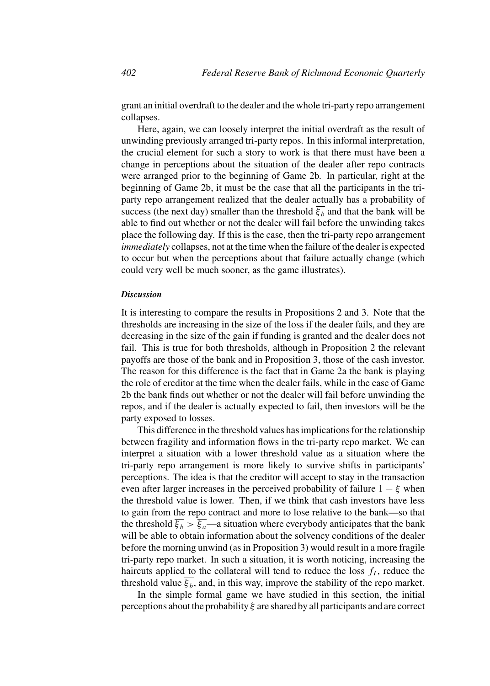grant an initial overdraft to the dealer and the whole tri-party repo arrangement collapses.

Here, again, we can loosely interpret the initial overdraft as the result of unwinding previously arranged tri-party repos. In this informal interpretation, the crucial element for such a story to work is that there must have been a change in perceptions about the situation of the dealer after repo contracts were arranged prior to the beginning of Game 2b. In particular, right at the beginning of Game 2b, it must be the case that all the participants in the triparty repo arrangement realized that the dealer actually has a probability of success (the next day) smaller than the threshold  $\overline{\xi_h}$  and that the bank will be able to find out whether or not the dealer will fail before the unwinding takes place the following day. If this is the case, then the tri-party repo arrangement *immediately* collapses, not at the time when the failure of the dealer is expected to occur but when the perceptions about that failure actually change (which could very well be much sooner, as the game illustrates).

#### *Discussion*

It is interesting to compare the results in Propositions 2 and 3. Note that the thresholds are increasing in the size of the loss if the dealer fails, and they are decreasing in the size of the gain if funding is granted and the dealer does not fail. This is true for both thresholds, although in Proposition 2 the relevant payoffs are those of the bank and in Proposition 3, those of the cash investor. The reason for this difference is the fact that in Game 2a the bank is playing the role of creditor at the time when the dealer fails, while in the case of Game 2b the bank finds out whether or not the dealer will fail before unwinding the repos, and if the dealer is actually expected to fail, then investors will be the party exposed to losses.

This difference in the threshold values has implications for the relationship between fragility and information flows in the tri-party repo market. We can interpret a situation with a lower threshold value as a situation where the tri-party repo arrangement is more likely to survive shifts in participants' perceptions. The idea is that the creditor will accept to stay in the transaction even after larger increases in the perceived probability of failure  $1 - \xi$  when the threshold value is lower. Then, if we think that cash investors have less to gain from the repo contract and more to lose relative to the bank—so that the threshold  $\overline{\xi_b} > \overline{\xi_a}$ —a situation where everybody anticipates that the bank will be able to obtain information about the solvency conditions of the dealer before the morning unwind (as in Proposition 3) would result in a more fragile tri-party repo market. In such a situation, it is worth noticing, increasing the haircuts applied to the collateral will tend to reduce the loss  $f_I$ , reduce the threshold value  $\overline{\xi_b}$ , and, in this way, improve the stability of the repo market.

In the simple formal game we have studied in this section, the initial perceptions about the probability  $\xi$  are shared by all participants and are correct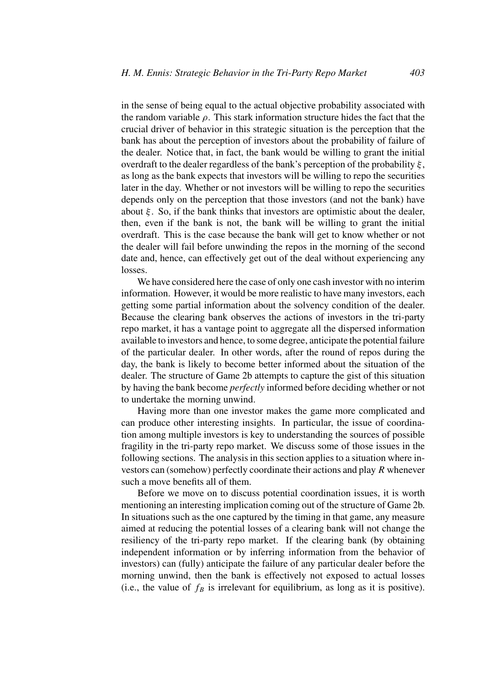in the sense of being equal to the actual objective probability associated with the random variable  $\rho$ . This stark information structure hides the fact that the crucial driver of behavior in this strategic situation is the perception that the bank has about the perception of investors about the probability of failure of the dealer. Notice that, in fact, the bank would be willing to grant the initial overdraft to the dealer regardless of the bank's perception of the probability  $\xi$ , as long as the bank expects that investors will be willing to repo the securities later in the day. Whether or not investors will be willing to repo the securities depends only on the perception that those investors (and not the bank) have about  $\xi$ . So, if the bank thinks that investors are optimistic about the dealer, then, even if the bank is not, the bank will be willing to grant the initial overdraft. This is the case because the bank will get to know whether or not the dealer will fail before unwinding the repos in the morning of the second date and, hence, can effectively get out of the deal without experiencing any losses.

We have considered here the case of only one cash investor with no interim information. However, it would be more realistic to have many investors, each getting some partial information about the solvency condition of the dealer. Because the clearing bank observes the actions of investors in the tri-party repo market, it has a vantage point to aggregate all the dispersed information available to investors and hence, to some degree, anticipate the potential failure of the particular dealer. In other words, after the round of repos during the day, the bank is likely to become better informed about the situation of the dealer. The structure of Game 2b attempts to capture the gist of this situation by having the bank become *perfectly* informed before deciding whether or not to undertake the morning unwind.

Having more than one investor makes the game more complicated and can produce other interesting insights. In particular, the issue of coordination among multiple investors is key to understanding the sources of possible fragility in the tri-party repo market. We discuss some of those issues in the following sections. The analysis in this section applies to a situation where investors can (somehow) perfectly coordinate their actions and play R whenever such a move benefits all of them.

Before we move on to discuss potential coordination issues, it is worth mentioning an interesting implication coming out of the structure of Game 2b. In situations such as the one captured by the timing in that game, any measure aimed at reducing the potential losses of a clearing bank will not change the resiliency of the tri-party repo market. If the clearing bank (by obtaining independent information or by inferring information from the behavior of investors) can (fully) anticipate the failure of any particular dealer before the morning unwind, then the bank is effectively not exposed to actual losses (i.e., the value of  $f_B$  is irrelevant for equilibrium, as long as it is positive).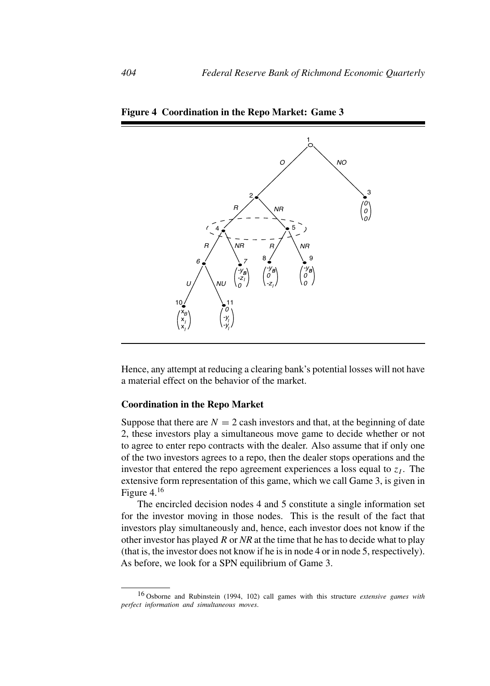

**Figure 4 Coordination in the Repo Market: Game 3**

Hence, any attempt at reducing a clearing bank's potential losses will not have a material effect on the behavior of the market.

# **Coordination in the Repo Market**

Suppose that there are  $N = 2$  cash investors and that, at the beginning of date 2, these investors play a simultaneous move game to decide whether or not to agree to enter repo contracts with the dealer. Also assume that if only one of the two investors agrees to a repo, then the dealer stops operations and the investor that entered the repo agreement experiences a loss equal to  $z<sub>I</sub>$ . The extensive form representation of this game, which we call Game 3, is given in Figure 4.<sup>16</sup>

The encircled decision nodes 4 and 5 constitute a single information set for the investor moving in those nodes. This is the result of the fact that investors play simultaneously and, hence, each investor does not know if the other investor has played R or *NR* at the time that he has to decide what to play (that is, the investor does not know if he is in node 4 or in node 5, respectively). As before, we look for a SPN equilibrium of Game 3.

<sup>16</sup> Osborne and Rubinstein (1994, 102) call games with this structure *extensive games with perfect information and simultaneous moves*.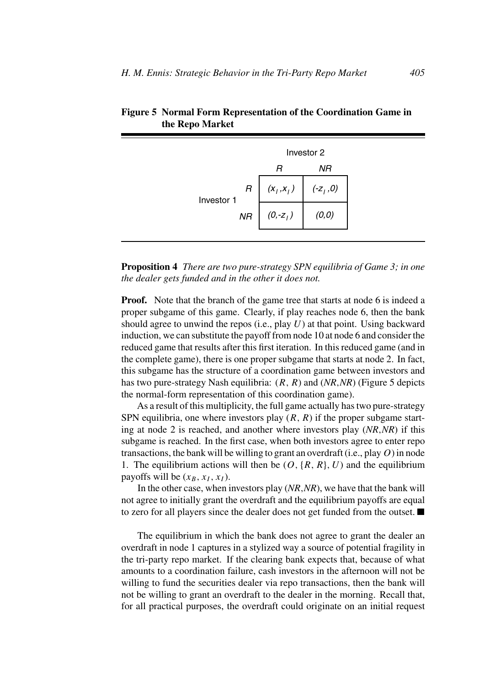|                 | Investor 2                 |           |  |
|-----------------|----------------------------|-----------|--|
|                 | R                          | ΝR        |  |
| R<br>Investor 1 | $\left(x_{i},x_{i}\right)$ | $(-z1,0)$ |  |
| NR              | $(0,-z_{1})$               | (0,0)     |  |

**Figure 5 Normal Form Representation of the Coordination Game in the Repo Market**

**Proposition 4** *There are two pure-strategy SPN equilibria of Game 3; in one the dealer gets funded and in the other it does not.*

**Proof.** Note that the branch of the game tree that starts at node 6 is indeed a proper subgame of this game. Clearly, if play reaches node 6, then the bank should agree to unwind the repos (i.e., play  $U$ ) at that point. Using backward induction, we can substitute the payoff from node 10 at node 6 and consider the reduced game that results after this first iteration. In this reduced game (and in the complete game), there is one proper subgame that starts at node 2. In fact, this subgame has the structure of a coordination game between investors and has two pure-strategy Nash equilibria: (R,R) and (*NR*,*NR*) (Figure 5 depicts the normal-form representation of this coordination game).

As a result of this multiplicity, the full game actually has two pure-strategy SPN equilibria, one where investors play  $(R, R)$  if the proper subgame starting at node 2 is reached, and another where investors play (*NR*,*NR*) if this subgame is reached. In the first case, when both investors agree to enter repo transactions, the bank will be willing to grant an overdraft (i.e., play  $O$ ) in node 1. The equilibrium actions will then be  $(O, {R, R}, U)$  and the equilibrium payoffs will be  $(x_B, x_I, x_I)$ .

In the other case, when investors play (*NR*,*NR*), we have that the bank will not agree to initially grant the overdraft and the equilibrium payoffs are equal to zero for all players since the dealer does not get funded from the outset.

The equilibrium in which the bank does not agree to grant the dealer an overdraft in node 1 captures in a stylized way a source of potential fragility in the tri-party repo market. If the clearing bank expects that, because of what amounts to a coordination failure, cash investors in the afternoon will not be willing to fund the securities dealer via repo transactions, then the bank will not be willing to grant an overdraft to the dealer in the morning. Recall that, for all practical purposes, the overdraft could originate on an initial request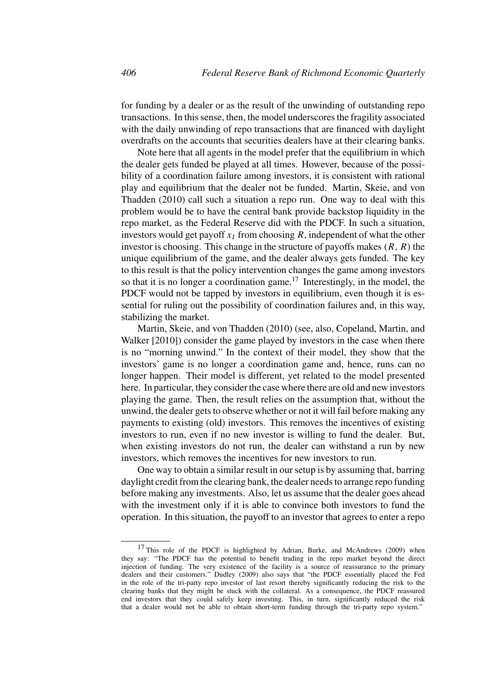for funding by a dealer or as the result of the unwinding of outstanding repo transactions. In this sense, then, the model underscores the fragility associated with the daily unwinding of repo transactions that are financed with daylight overdrafts on the accounts that securities dealers have at their clearing banks.

Note here that all agents in the model prefer that the equilibrium in which the dealer gets funded be played at all times. However, because of the possibility of a coordination failure among investors, it is consistent with rational play and equilibrium that the dealer not be funded. Martin, Skeie, and von Thadden (2010) call such a situation a repo run. One way to deal with this problem would be to have the central bank provide backstop liquidity in the repo market, as the Federal Reserve did with the PDCF. In such a situation, investors would get payoff  $x_I$  from choosing R, independent of what the other investor is choosing. This change in the structure of payoffs makes  $(R, R)$  the unique equilibrium of the game, and the dealer always gets funded. The key to this result is that the policy intervention changes the game among investors so that it is no longer a coordination game.<sup>17</sup> Interestingly, in the model, the PDCF would not be tapped by investors in equilibrium, even though it is essential for ruling out the possibility of coordination failures and, in this way, stabilizing the market.

Martin, Skeie, and von Thadden (2010) (see, also, Copeland, Martin, and Walker [2010]) consider the game played by investors in the case when there is no "morning unwind." In the context of their model, they show that the investors' game is no longer a coordination game and, hence, runs can no longer happen. Their model is different, yet related to the model presented here. In particular, they consider the case where there are old and new investors playing the game. Then, the result relies on the assumption that, without the unwind, the dealer gets to observe whether or not it will fail before making any payments to existing (old) investors. This removes the incentives of existing investors to run, even if no new investor is willing to fund the dealer. But, when existing investors do not run, the dealer can withstand a run by new investors, which removes the incentives for new investors to run.

One way to obtain a similar result in our setup is by assuming that, barring daylight credit from the clearing bank, the dealer needs to arrange repo funding before making any investments. Also, let us assume that the dealer goes ahead with the investment only if it is able to convince both investors to fund the operation. In this situation, the payoff to an investor that agrees to enter a repo

<sup>&</sup>lt;sup>17</sup> This role of the PDCF is highlighted by Adrian, Burke, and McAndrews (2009) when they say: "The PDCF has the potential to benefit trading in the repo market beyond the direct injection of funding. The very existence of the facility is a source of reassurance to the primary dealers and their customers." Dudley (2009) also says that "the PDCF essentially placed the Fed in the role of the tri-party repo investor of last resort thereby significantly reducing the risk to the clearing banks that they might be stuck with the collateral. As a consequence, the PDCF reassured end investors that they could safely keep investing. This, in turn, significantly reduced the risk that a dealer would not be able to obtain short-term funding through the tri-party repo system."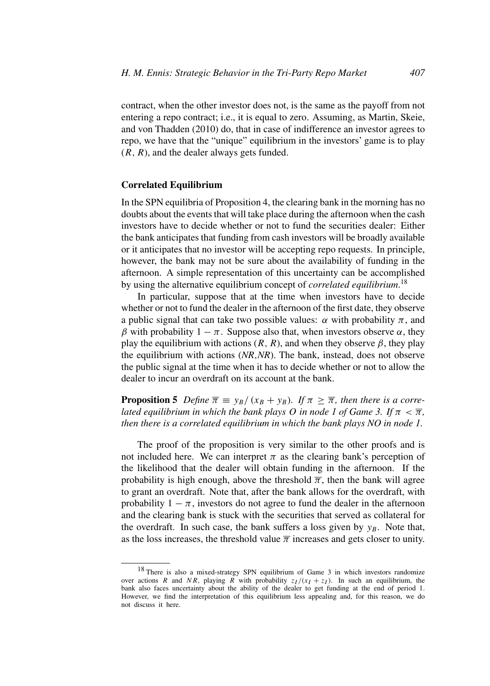contract, when the other investor does not, is the same as the payoff from not entering a repo contract; i.e., it is equal to zero. Assuming, as Martin, Skeie, and von Thadden (2010) do, that in case of indifference an investor agrees to repo, we have that the "unique" equilibrium in the investors' game is to play  $(R, R)$ , and the dealer always gets funded.

### **Correlated Equilibrium**

In the SPN equilibria of Proposition 4, the clearing bank in the morning has no doubts about the events that will take place during the afternoon when the cash investors have to decide whether or not to fund the securities dealer: Either the bank anticipates that funding from cash investors will be broadly available or it anticipates that no investor will be accepting repo requests. In principle, however, the bank may not be sure about the availability of funding in the afternoon. A simple representation of this uncertainty can be accomplished by using the alternative equilibrium concept of *correlated equilibrium*. 18

In particular, suppose that at the time when investors have to decide whether or not to fund the dealer in the afternoon of the first date, they observe a public signal that can take two possible values:  $\alpha$  with probability  $\pi$ , and β with probability  $1 - π$ . Suppose also that, when investors observe  $\alpha$ , they play the equilibrium with actions  $(R, R)$ , and when they observe  $\beta$ , they play the equilibrium with actions (*NR*,*NR*). The bank, instead, does not observe the public signal at the time when it has to decide whether or not to allow the dealer to incur an overdraft on its account at the bank.

**Proposition 5** *Define*  $\overline{\pi} \equiv y_B/(x_B + y_B)$ *. If*  $\pi \geq \overline{\pi}$ *, then there is a correlated equilibrium in which the bank plays O in node 1 of Game 3. If*  $\pi < \overline{\pi}$ , *then there is a correlated equilibrium in which the bank plays NO in node 1.*

The proof of the proposition is very similar to the other proofs and is not included here. We can interpret  $\pi$  as the clearing bank's perception of the likelihood that the dealer will obtain funding in the afternoon. If the probability is high enough, above the threshold  $\bar{\pi}$ , then the bank will agree to grant an overdraft. Note that, after the bank allows for the overdraft, with probability  $1 - \pi$ , investors do not agree to fund the dealer in the afternoon and the clearing bank is stuck with the securities that served as collateral for the overdraft. In such case, the bank suffers a loss given by  $y_B$ . Note that, as the loss increases, the threshold value  $\bar{\pi}$  increases and gets closer to unity.

<sup>18</sup> There is also a mixed-strategy SPN equilibrium of Game 3 in which investors randomize over actions R and NR, playing R with probability  $z_I/(x_I + z_I)$ . In such an equilibrium, the bank also faces uncertainty about the ability of the dealer to get funding at the end of period 1. However, we find the interpretation of this equilibrium less appealing and, for this reason, we do not discuss it here.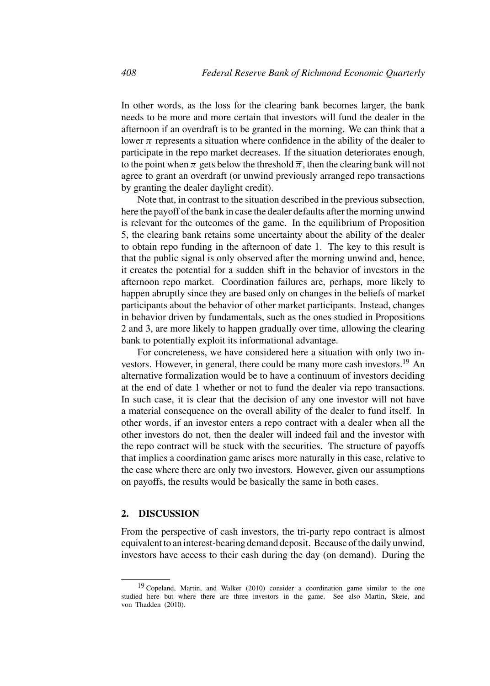In other words, as the loss for the clearing bank becomes larger, the bank needs to be more and more certain that investors will fund the dealer in the afternoon if an overdraft is to be granted in the morning. We can think that a lower  $\pi$  represents a situation where confidence in the ability of the dealer to participate in the repo market decreases. If the situation deteriorates enough, to the point when  $\pi$  gets below the threshold  $\overline{\pi}$ , then the clearing bank will not agree to grant an overdraft (or unwind previously arranged repo transactions by granting the dealer daylight credit).

Note that, in contrast to the situation described in the previous subsection, here the payoff of the bank in case the dealer defaults after the morning unwind is relevant for the outcomes of the game. In the equilibrium of Proposition 5, the clearing bank retains some uncertainty about the ability of the dealer to obtain repo funding in the afternoon of date 1. The key to this result is that the public signal is only observed after the morning unwind and, hence, it creates the potential for a sudden shift in the behavior of investors in the afternoon repo market. Coordination failures are, perhaps, more likely to happen abruptly since they are based only on changes in the beliefs of market participants about the behavior of other market participants. Instead, changes in behavior driven by fundamentals, such as the ones studied in Propositions 2 and 3, are more likely to happen gradually over time, allowing the clearing bank to potentially exploit its informational advantage.

For concreteness, we have considered here a situation with only two investors. However, in general, there could be many more cash investors.<sup>19</sup> An alternative formalization would be to have a continuum of investors deciding at the end of date 1 whether or not to fund the dealer via repo transactions. In such case, it is clear that the decision of any one investor will not have a material consequence on the overall ability of the dealer to fund itself. In other words, if an investor enters a repo contract with a dealer when all the other investors do not, then the dealer will indeed fail and the investor with the repo contract will be stuck with the securities. The structure of payoffs that implies a coordination game arises more naturally in this case, relative to the case where there are only two investors. However, given our assumptions on payoffs, the results would be basically the same in both cases.

# **2. DISCUSSION**

From the perspective of cash investors, the tri-party repo contract is almost equivalent to an interest-bearing demand deposit. Because of the daily unwind, investors have access to their cash during the day (on demand). During the

 $19$  Copeland, Martin, and Walker (2010) consider a coordination game similar to the one studied here but where there are three investors in the game. See also Martin, Skeie, and von Thadden (2010).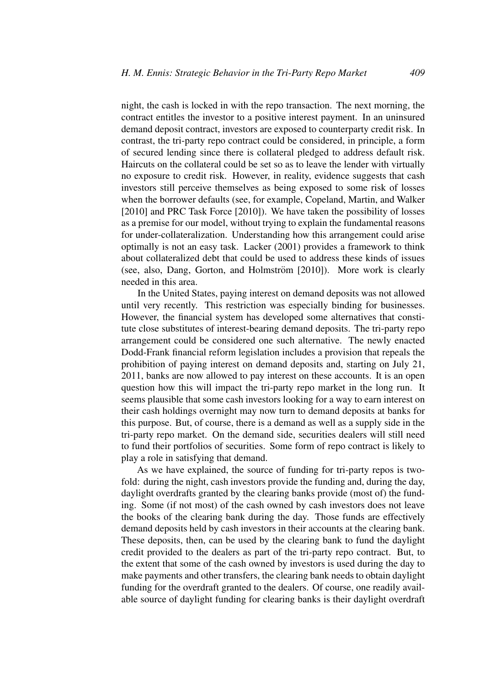night, the cash is locked in with the repo transaction. The next morning, the contract entitles the investor to a positive interest payment. In an uninsured demand deposit contract, investors are exposed to counterparty credit risk. In contrast, the tri-party repo contract could be considered, in principle, a form of secured lending since there is collateral pledged to address default risk. Haircuts on the collateral could be set so as to leave the lender with virtually no exposure to credit risk. However, in reality, evidence suggests that cash investors still perceive themselves as being exposed to some risk of losses when the borrower defaults (see, for example, Copeland, Martin, and Walker [2010] and PRC Task Force [2010]). We have taken the possibility of losses as a premise for our model, without trying to explain the fundamental reasons for under-collateralization. Understanding how this arrangement could arise optimally is not an easy task. Lacker (2001) provides a framework to think about collateralized debt that could be used to address these kinds of issues (see, also, Dang, Gorton, and Holmström  $[2010]$ ). More work is clearly needed in this area.

In the United States, paying interest on demand deposits was not allowed until very recently. This restriction was especially binding for businesses. However, the financial system has developed some alternatives that constitute close substitutes of interest-bearing demand deposits. The tri-party repo arrangement could be considered one such alternative. The newly enacted Dodd-Frank financial reform legislation includes a provision that repeals the prohibition of paying interest on demand deposits and, starting on July 21, 2011, banks are now allowed to pay interest on these accounts. It is an open question how this will impact the tri-party repo market in the long run. It seems plausible that some cash investors looking for a way to earn interest on their cash holdings overnight may now turn to demand deposits at banks for this purpose. But, of course, there is a demand as well as a supply side in the tri-party repo market. On the demand side, securities dealers will still need to fund their portfolios of securities. Some form of repo contract is likely to play a role in satisfying that demand.

As we have explained, the source of funding for tri-party repos is twofold: during the night, cash investors provide the funding and, during the day, daylight overdrafts granted by the clearing banks provide (most of) the funding. Some (if not most) of the cash owned by cash investors does not leave the books of the clearing bank during the day. Those funds are effectively demand deposits held by cash investors in their accounts at the clearing bank. These deposits, then, can be used by the clearing bank to fund the daylight credit provided to the dealers as part of the tri-party repo contract. But, to the extent that some of the cash owned by investors is used during the day to make payments and other transfers, the clearing bank needs to obtain daylight funding for the overdraft granted to the dealers. Of course, one readily available source of daylight funding for clearing banks is their daylight overdraft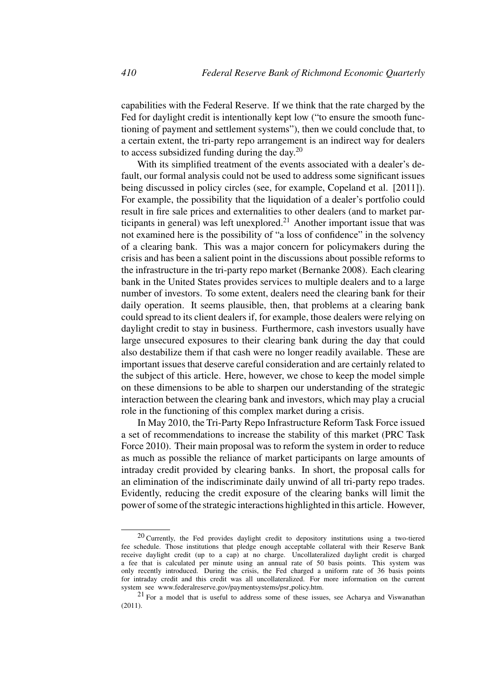capabilities with the Federal Reserve. If we think that the rate charged by the Fed for daylight credit is intentionally kept low ("to ensure the smooth functioning of payment and settlement systems"), then we could conclude that, to a certain extent, the tri-party repo arrangement is an indirect way for dealers to access subsidized funding during the day.<sup>20</sup>

With its simplified treatment of the events associated with a dealer's default, our formal analysis could not be used to address some significant issues being discussed in policy circles (see, for example, Copeland et al. [2011]). For example, the possibility that the liquidation of a dealer's portfolio could result in fire sale prices and externalities to other dealers (and to market participants in general) was left unexplored.<sup>21</sup> Another important issue that was not examined here is the possibility of "a loss of confidence" in the solvency of a clearing bank. This was a major concern for policymakers during the crisis and has been a salient point in the discussions about possible reforms to the infrastructure in the tri-party repo market (Bernanke 2008). Each clearing bank in the United States provides services to multiple dealers and to a large number of investors. To some extent, dealers need the clearing bank for their daily operation. It seems plausible, then, that problems at a clearing bank could spread to its client dealers if, for example, those dealers were relying on daylight credit to stay in business. Furthermore, cash investors usually have large unsecured exposures to their clearing bank during the day that could also destabilize them if that cash were no longer readily available. These are important issues that deserve careful consideration and are certainly related to the subject of this article. Here, however, we chose to keep the model simple on these dimensions to be able to sharpen our understanding of the strategic interaction between the clearing bank and investors, which may play a crucial role in the functioning of this complex market during a crisis.

In May 2010, the Tri-Party Repo Infrastructure Reform Task Force issued a set of recommendations to increase the stability of this market (PRC Task Force 2010). Their main proposal was to reform the system in order to reduce as much as possible the reliance of market participants on large amounts of intraday credit provided by clearing banks. In short, the proposal calls for an elimination of the indiscriminate daily unwind of all tri-party repo trades. Evidently, reducing the credit exposure of the clearing banks will limit the power of some of the strategic interactions highlighted in this article. However,

<sup>20</sup> Currently, the Fed provides daylight credit to depository institutions using a two-tiered fee schedule. Those institutions that pledge enough acceptable collateral with their Reserve Bank receive daylight credit (up to a cap) at no charge. Uncollateralized daylight credit is charged a fee that is calculated per minute using an annual rate of 50 basis points. This system was only recently introduced. During the crisis, the Fed charged a uniform rate of 36 basis points for intraday credit and this credit was all uncollateralized. For more information on the current system see www.federalreserve.gov/paymentsystems/psr policy.htm.

 $21$  For a model that is useful to address some of these issues, see Acharya and Viswanathan (2011).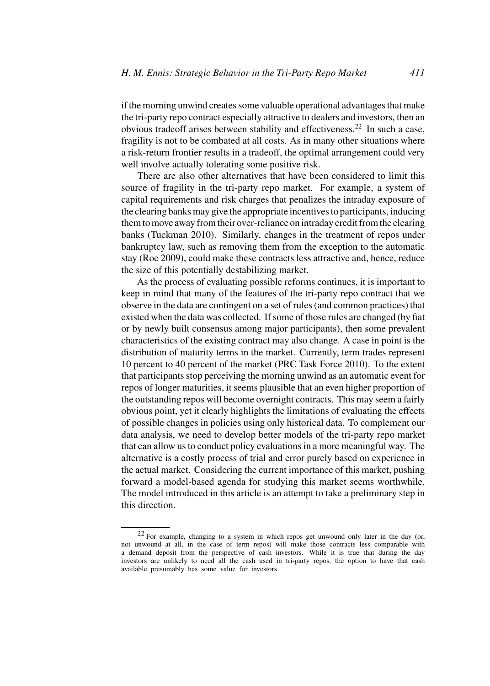if the morning unwind creates some valuable operational advantages that make the tri-party repo contract especially attractive to dealers and investors, then an obvious tradeoff arises between stability and effectiveness.<sup>22</sup> In such a case, fragility is not to be combated at all costs. As in many other situations where a risk-return frontier results in a tradeoff, the optimal arrangement could very well involve actually tolerating some positive risk.

There are also other alternatives that have been considered to limit this source of fragility in the tri-party repo market. For example, a system of capital requirements and risk charges that penalizes the intraday exposure of the clearing banks may give the appropriate incentives to participants, inducing them to move away from their over-reliance on intraday credit from the clearing banks (Tuckman 2010). Similarly, changes in the treatment of repos under bankruptcy law, such as removing them from the exception to the automatic stay (Roe 2009), could make these contracts less attractive and, hence, reduce the size of this potentially destabilizing market.

As the process of evaluating possible reforms continues, it is important to keep in mind that many of the features of the tri-party repo contract that we observe in the data are contingent on a set of rules (and common practices) that existed when the data was collected. If some of those rules are changed (by fiat or by newly built consensus among major participants), then some prevalent characteristics of the existing contract may also change. A case in point is the distribution of maturity terms in the market. Currently, term trades represent 10 percent to 40 percent of the market (PRC Task Force 2010). To the extent that participants stop perceiving the morning unwind as an automatic event for repos of longer maturities, it seems plausible that an even higher proportion of the outstanding repos will become overnight contracts. This may seem a fairly obvious point, yet it clearly highlights the limitations of evaluating the effects of possible changes in policies using only historical data. To complement our data analysis, we need to develop better models of the tri-party repo market that can allow us to conduct policy evaluations in a more meaningful way. The alternative is a costly process of trial and error purely based on experience in the actual market. Considering the current importance of this market, pushing forward a model-based agenda for studying this market seems worthwhile. The model introduced in this article is an attempt to take a preliminary step in this direction.

<sup>22</sup> For example, changing to a system in which repos get unwound only later in the day (or, not unwound at all, in the case of term repos) will make those contracts less comparable with a demand deposit from the perspective of cash investors. While it is true that during the day investors are unlikely to need all the cash used in tri-party repos, the option to have that cash available presumably has some value for investors.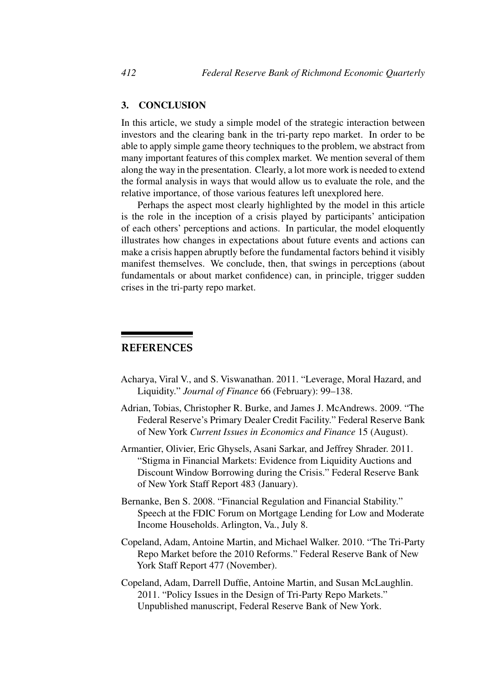# **3. CONCLUSION**

In this article, we study a simple model of the strategic interaction between investors and the clearing bank in the tri-party repo market. In order to be able to apply simple game theory techniques to the problem, we abstract from many important features of this complex market. We mention several of them along the way in the presentation. Clearly, a lot more work is needed to extend the formal analysis in ways that would allow us to evaluate the role, and the relative importance, of those various features left unexplored here.

Perhaps the aspect most clearly highlighted by the model in this article is the role in the inception of a crisis played by participants' anticipation of each others' perceptions and actions. In particular, the model eloquently illustrates how changes in expectations about future events and actions can make a crisis happen abruptly before the fundamental factors behind it visibly manifest themselves. We conclude, then, that swings in perceptions (about fundamentals or about market confidence) can, in principle, trigger sudden crises in the tri-party repo market.

# **REFERENCES**

- Acharya, Viral V., and S. Viswanathan. 2011. "Leverage, Moral Hazard, and Liquidity." *Journal of Finance* 66 (February): 99–138.
- Adrian, Tobias, Christopher R. Burke, and James J. McAndrews. 2009. "The Federal Reserve's Primary Dealer Credit Facility." Federal Reserve Bank of New York *Current Issues in Economics and Finance* 15 (August).
- Armantier, Olivier, Eric Ghysels, Asani Sarkar, and Jeffrey Shrader. 2011. "Stigma in Financial Markets: Evidence from Liquidity Auctions and Discount Window Borrowing during the Crisis." Federal Reserve Bank of New York Staff Report 483 (January).
- Bernanke, Ben S. 2008. "Financial Regulation and Financial Stability." Speech at the FDIC Forum on Mortgage Lending for Low and Moderate Income Households. Arlington, Va., July 8.
- Copeland, Adam, Antoine Martin, and Michael Walker. 2010. "The Tri-Party Repo Market before the 2010 Reforms." Federal Reserve Bank of New York Staff Report 477 (November).
- Copeland, Adam, Darrell Duffie, Antoine Martin, and Susan McLaughlin. 2011. "Policy Issues in the Design of Tri-Party Repo Markets." Unpublished manuscript, Federal Reserve Bank of New York.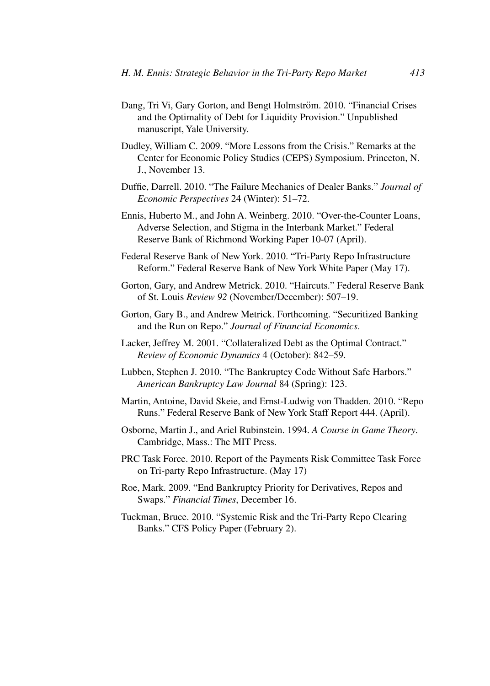- Dang, Tri Vi, Gary Gorton, and Bengt Holmström. 2010. "Financial Crises and the Optimality of Debt for Liquidity Provision." Unpublished manuscript, Yale University.
- Dudley, William C. 2009. "More Lessons from the Crisis." Remarks at the Center for Economic Policy Studies (CEPS) Symposium. Princeton, N. J., November 13.
- Duffie, Darrell. 2010. "The Failure Mechanics of Dealer Banks." *Journal of Economic Perspectives* 24 (Winter): 51–72.
- Ennis, Huberto M., and John A. Weinberg. 2010. "Over-the-Counter Loans, Adverse Selection, and Stigma in the Interbank Market." Federal Reserve Bank of Richmond Working Paper 10-07 (April).
- Federal Reserve Bank of New York. 2010. "Tri-Party Repo Infrastructure Reform." Federal Reserve Bank of New York White Paper (May 17).
- Gorton, Gary, and Andrew Metrick. 2010. "Haircuts." Federal Reserve Bank of St. Louis *Review 92* (November/December): 507–19.
- Gorton, Gary B., and Andrew Metrick. Forthcoming. "Securitized Banking and the Run on Repo." *Journal of Financial Economics*.
- Lacker, Jeffrey M. 2001. "Collateralized Debt as the Optimal Contract." *Review of Economic Dynamics* 4 (October): 842–59.
- Lubben, Stephen J. 2010. "The Bankruptcy Code Without Safe Harbors." *American Bankruptcy Law Journal* 84 (Spring): 123.
- Martin, Antoine, David Skeie, and Ernst-Ludwig von Thadden. 2010. "Repo Runs." Federal Reserve Bank of New York Staff Report 444. (April).
- Osborne, Martin J., and Ariel Rubinstein. 1994. *A Course in Game Theory*. Cambridge, Mass.: The MIT Press.
- PRC Task Force. 2010. Report of the Payments Risk Committee Task Force on Tri-party Repo Infrastructure. (May 17)
- Roe, Mark. 2009. "End Bankruptcy Priority for Derivatives, Repos and Swaps." *Financial Times*, December 16.
- Tuckman, Bruce. 2010. "Systemic Risk and the Tri-Party Repo Clearing Banks." CFS Policy Paper (February 2).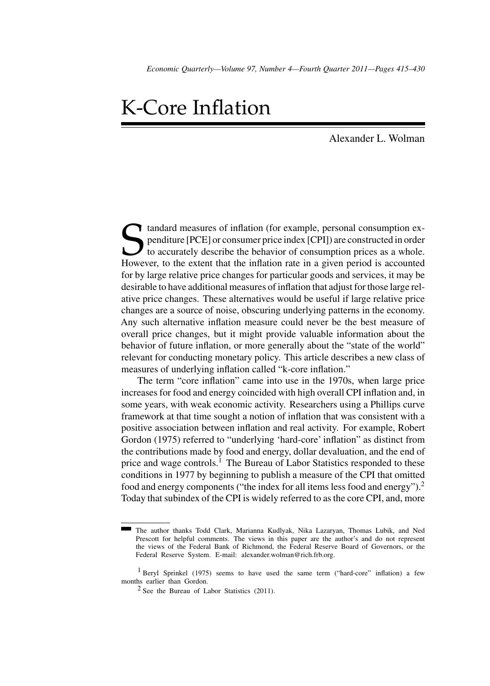# K-Core Inflation

Alexander L. Wolman

Standard measures of inflation (for example, personal consumption expenditure [PCE] or consumer price index [CPI]) are constructed in order to accurately describe the behavior of consumption prices as a whole.<br>However, to penditure [PCE] or consumer price index [CPI]) are constructed in order to accurately describe the behavior of consumption prices as a whole. However, to the extent that the inflation rate in a given period is accounted for by large relative price changes for particular goods and services, it may be desirable to have additional measures of inflation that adjust for those large relative price changes. These alternatives would be useful if large relative price changes are a source of noise, obscuring underlying patterns in the economy. Any such alternative inflation measure could never be the best measure of overall price changes, but it might provide valuable information about the behavior of future inflation, or more generally about the "state of the world" relevant for conducting monetary policy. This article describes a new class of measures of underlying inflation called "k-core inflation."

The term "core inflation" came into use in the 1970s, when large price increases for food and energy coincided with high overall CPI inflation and, in some years, with weak economic activity. Researchers using a Phillips curve framework at that time sought a notion of inflation that was consistent with a positive association between inflation and real activity. For example, Robert Gordon (1975) referred to "underlying 'hard-core' inflation" as distinct from the contributions made by food and energy, dollar devaluation, and the end of price and wage controls.<sup>1</sup> The Bureau of Labor Statistics responded to these conditions in 1977 by beginning to publish a measure of the CPI that omitted food and energy components ("the index for all items less food and energy").<sup>2</sup> Today that subindex of the CPI is widely referred to as the core CPI, and, more

The author thanks Todd Clark, Marianna Kudlyak, Nika Lazaryan, Thomas Lubik, and Ned Prescott for helpful comments. The views in this paper are the author's and do not represent the views of the Federal Bank of Richmond, the Federal Reserve Board of Governors, or the Federal Reserve System. E-mail: alexander.wolman@rich.frb.org.

<sup>&</sup>lt;sup>1</sup> Beryl Sprinkel (1975) seems to have used the same term ("hard-core" inflation) a few months earlier than Gordon.

 $2$  See the Bureau of Labor Statistics (2011).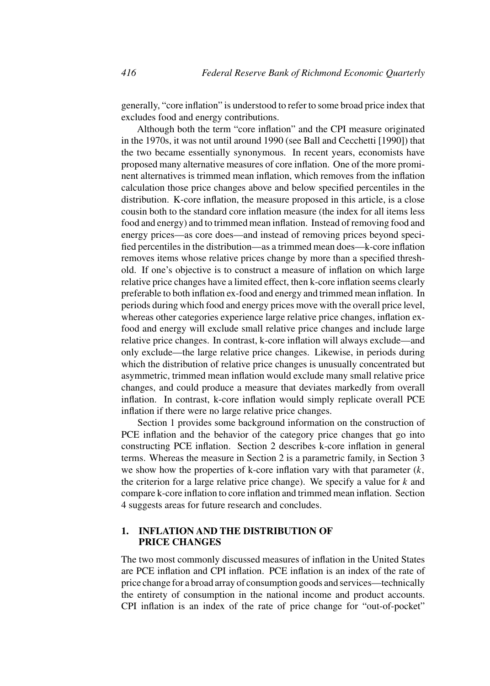generally, "core inflation" is understood to refer to some broad price index that excludes food and energy contributions.

Although both the term "core inflation" and the CPI measure originated in the 1970s, it was not until around 1990 (see Ball and Cecchetti [1990]) that the two became essentially synonymous. In recent years, economists have proposed many alternative measures of core inflation. One of the more prominent alternatives is trimmed mean inflation, which removes from the inflation calculation those price changes above and below specified percentiles in the distribution. K-core inflation, the measure proposed in this article, is a close cousin both to the standard core inflation measure (the index for all items less food and energy) and to trimmed mean inflation. Instead of removing food and energy prices—as core does—and instead of removing prices beyond specified percentiles in the distribution—as a trimmed mean does—k-core inflation removes items whose relative prices change by more than a specified threshold. If one's objective is to construct a measure of inflation on which large relative price changes have a limited effect, then k-core inflation seems clearly preferable to both inflation ex-food and energy and trimmed mean inflation. In periods during which food and energy prices move with the overall price level, whereas other categories experience large relative price changes, inflation exfood and energy will exclude small relative price changes and include large relative price changes. In contrast, k-core inflation will always exclude—and only exclude—the large relative price changes. Likewise, in periods during which the distribution of relative price changes is unusually concentrated but asymmetric, trimmed mean inflation would exclude many small relative price changes, and could produce a measure that deviates markedly from overall inflation. In contrast, k-core inflation would simply replicate overall PCE inflation if there were no large relative price changes.

Section 1 provides some background information on the construction of PCE inflation and the behavior of the category price changes that go into constructing PCE inflation. Section 2 describes k-core inflation in general terms. Whereas the measure in Section 2 is a parametric family, in Section 3 we show how the properties of k-core inflation vary with that parameter  $(k,$ the criterion for a large relative price change). We specify a value for  $k$  and compare k-core inflation to core inflation and trimmed mean inflation. Section 4 suggests areas for future research and concludes.

# **1. INFLATION AND THE DISTRIBUTION OF PRICE CHANGES**

The two most commonly discussed measures of inflation in the United States are PCE inflation and CPI inflation. PCE inflation is an index of the rate of price change for a broad array of consumption goods and services—technically the entirety of consumption in the national income and product accounts. CPI inflation is an index of the rate of price change for "out-of-pocket"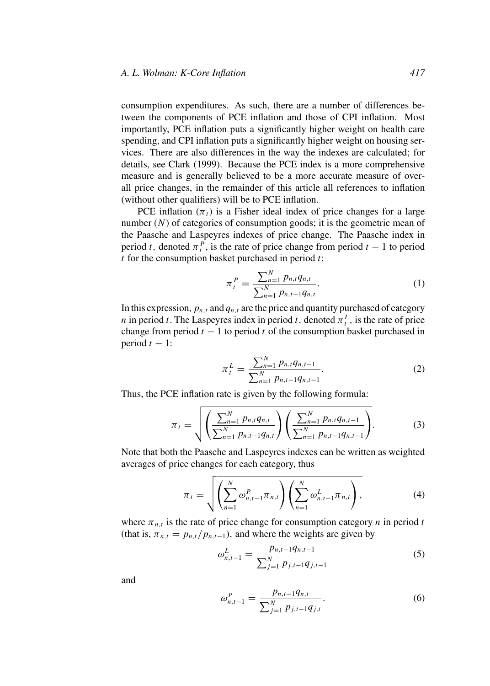consumption expenditures. As such, there are a number of differences between the components of PCE inflation and those of CPI inflation. Most importantly, PCE inflation puts a significantly higher weight on health care spending, and CPI inflation puts a significantly higher weight on housing services. There are also differences in the way the indexes are calculated; for details, see Clark (1999). Because the PCE index is a more comprehensive measure and is generally believed to be a more accurate measure of overall price changes, in the remainder of this article all references to inflation (without other qualifiers) will be to PCE inflation.

PCE inflation  $(\pi_t)$  is a Fisher ideal index of price changes for a large number  $(N)$  of categories of consumption goods; it is the geometric mean of the Paasche and Laspeyres indexes of price change. The Paasche index in period t, denoted  $\pi_t^P$ , is the rate of price change from period  $t - 1$  to period  $t$  for the consumption basket purchased in period  $t$ :

$$
\pi_t^P = \frac{\sum_{n=1}^N p_{n,t} q_{n,t}}{\sum_{n=1}^N p_{n,t-1} q_{n,t}}.
$$
\n(1)

In this expression,  $p_{n,t}$  and  $q_{n,t}$  are the price and quantity purchased of category *n* in period *t*. The Laspeyres index in period *t*, denoted  $\pi_t^L$ , is the rate of price change from period  $t - 1$  to period t of the consumption basket purchased in period  $t - 1$ :

$$
\pi_t^L = \frac{\sum_{n=1}^N p_{n,t} q_{n,t-1}}{\sum_{n=1}^N p_{n,t-1} q_{n,t-1}}.
$$
\n(2)

Thus, the PCE inflation rate is given by the following formula:

$$
\pi_t = \sqrt{\left(\frac{\sum_{n=1}^N p_{n,t} q_{n,t}}{\sum_{n=1}^N p_{n,t-1} q_{n,t}}\right) \left(\frac{\sum_{n=1}^N p_{n,t} q_{n,t-1}}{\sum_{n=1}^N p_{n,t-1} q_{n,t-1}}\right)}.
$$
(3)

Note that both the Paasche and Laspeyres indexes can be written as weighted averages of price changes for each category, thus

$$
\pi_{t} = \sqrt{\left(\sum_{n=1}^{N} \omega_{n,t-1}^{P} \pi_{n,t}\right) \left(\sum_{n=1}^{N} \omega_{n,t-1}^{L} \pi_{n,t}\right)},
$$
(4)

where  $\pi_{n,t}$  is the rate of price change for consumption category n in period t (that is,  $\pi_{n,t} = p_{n,t}/p_{n,t-1}$ ), and where the weights are given by

$$
\omega_{n,t-1}^L = \frac{p_{n,t-1}q_{n,t-1}}{\sum_{j=1}^N p_{j,t-1}q_{j,t-1}}
$$
(5)

and

$$
\omega_{n,t-1}^P = \frac{p_{n,t-1}q_{n,t}}{\sum_{j=1}^N p_{j,t-1}q_{j,t}}.
$$
\n(6)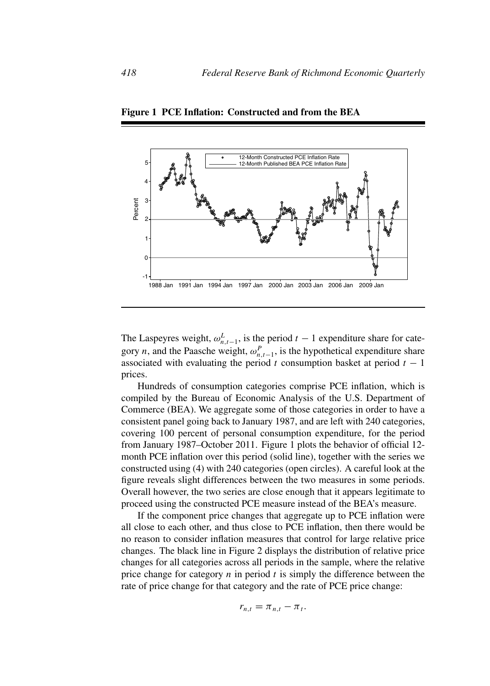

**Figure 1 PCE Inflation: Constructed and from the BEA**

The Laspeyres weight,  $\omega_{n,t-1}^L$ , is the period  $t-1$  expenditure share for category *n*, and the Paasche weight,  $\omega_{n,t-1}^P$ , is the hypothetical expenditure share associated with evaluating the period t consumption basket at period  $t - 1$ prices.

Hundreds of consumption categories comprise PCE inflation, which is compiled by the Bureau of Economic Analysis of the U.S. Department of Commerce (BEA). We aggregate some of those categories in order to have a consistent panel going back to January 1987, and are left with 240 categories, covering 100 percent of personal consumption expenditure, for the period from January 1987–October 2011. Figure 1 plots the behavior of official 12 month PCE inflation over this period (solid line), together with the series we constructed using (4) with 240 categories (open circles). A careful look at the figure reveals slight differences between the two measures in some periods. Overall however, the two series are close enough that it appears legitimate to proceed using the constructed PCE measure instead of the BEA's measure.

If the component price changes that aggregate up to PCE inflation were all close to each other, and thus close to PCE inflation, then there would be no reason to consider inflation measures that control for large relative price changes. The black line in Figure 2 displays the distribution of relative price changes for all categories across all periods in the sample, where the relative price change for category  $n$  in period  $t$  is simply the difference between the rate of price change for that category and the rate of PCE price change:

$$
r_{n,t} = \pi_{n,t} - \pi_t.
$$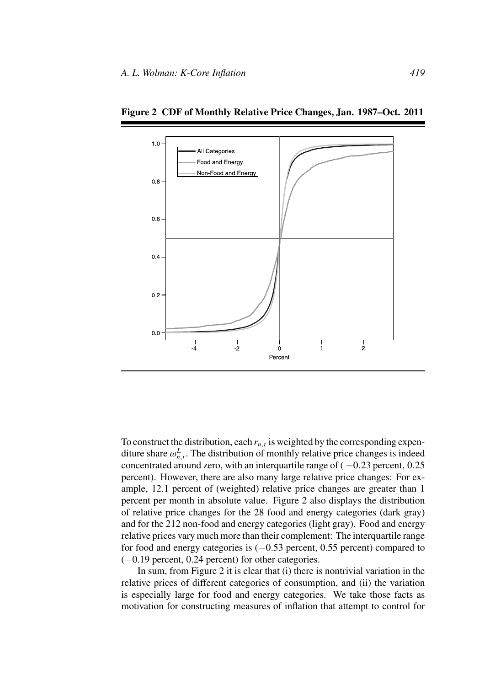

**Figure 2 CDF of Monthly Relative Price Changes, Jan. 1987–Oct. 2011**

To construct the distribution, each  $r_{n,t}$  is weighted by the corresponding expenditure share  $\omega_{n,t}^L$ . The distribution of monthly relative price changes is indeed concentrated around zero, with an interquartile range of  $(-0.23$  percent, 0.25 percent). However, there are also many large relative price changes: For example, 12.1 percent of (weighted) relative price changes are greater than 1 percent per month in absolute value. Figure 2 also displays the distribution of relative price changes for the 28 food and energy categories (dark gray) and for the 212 non-food and energy categories (light gray). Food and energy relative prices vary much more than their complement: The interquartile range for food and energy categories is  $(-0.53$  percent, 0.55 percent) compared to (−0.19 percent, 0.24 percent) for other categories.

In sum, from Figure 2 it is clear that (i) there is nontrivial variation in the relative prices of different categories of consumption, and (ii) the variation is especially large for food and energy categories. We take those facts as motivation for constructing measures of inflation that attempt to control for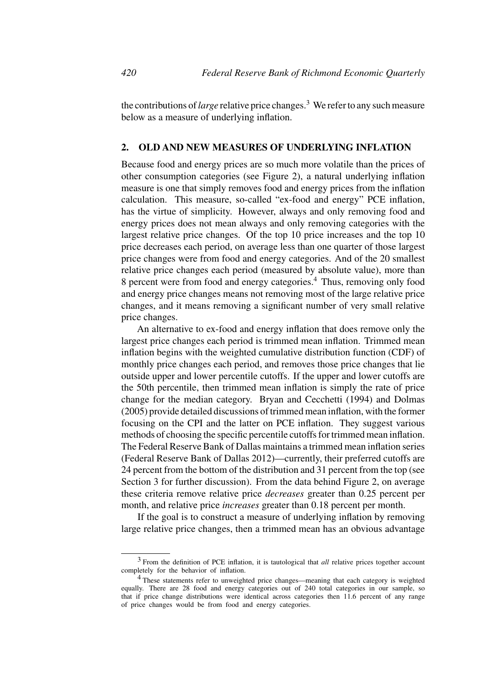the contributions of*large* relative price changes.<sup>3</sup> We refer to any such measure below as a measure of underlying inflation.

# **2. OLD AND NEW MEASURES OF UNDERLYING INFLATION**

Because food and energy prices are so much more volatile than the prices of other consumption categories (see Figure 2), a natural underlying inflation measure is one that simply removes food and energy prices from the inflation calculation. This measure, so-called "ex-food and energy" PCE inflation, has the virtue of simplicity. However, always and only removing food and energy prices does not mean always and only removing categories with the largest relative price changes. Of the top 10 price increases and the top 10 price decreases each period, on average less than one quarter of those largest price changes were from food and energy categories. And of the 20 smallest relative price changes each period (measured by absolute value), more than 8 percent were from food and energy categories.<sup>4</sup> Thus, removing only food and energy price changes means not removing most of the large relative price changes, and it means removing a significant number of very small relative price changes.

An alternative to ex-food and energy inflation that does remove only the largest price changes each period is trimmed mean inflation. Trimmed mean inflation begins with the weighted cumulative distribution function (CDF) of monthly price changes each period, and removes those price changes that lie outside upper and lower percentile cutoffs. If the upper and lower cutoffs are the 50th percentile, then trimmed mean inflation is simply the rate of price change for the median category. Bryan and Cecchetti (1994) and Dolmas (2005) provide detailed discussions of trimmed mean inflation, with the former focusing on the CPI and the latter on PCE inflation. They suggest various methods of choosing the specific percentile cutoffs for trimmed mean inflation. The Federal Reserve Bank of Dallas maintains a trimmed mean inflation series (Federal Reserve Bank of Dallas 2012)—currently, their preferred cutoffs are 24 percent from the bottom of the distribution and 31 percent from the top (see Section 3 for further discussion). From the data behind Figure 2, on average these criteria remove relative price *decreases* greater than 0.25 percent per month, and relative price *increases* greater than 0.18 percent per month.

If the goal is to construct a measure of underlying inflation by removing large relative price changes, then a trimmed mean has an obvious advantage

<sup>3</sup> From the definition of PCE inflation, it is tautological that *all* relative prices together account completely for the behavior of inflation.

<sup>4</sup> These statements refer to unweighted price changes—meaning that each category is weighted equally. There are 28 food and energy categories out of 240 total categories in our sample, so that if price change distributions were identical across categories then 11.6 percent of any range of price changes would be from food and energy categories.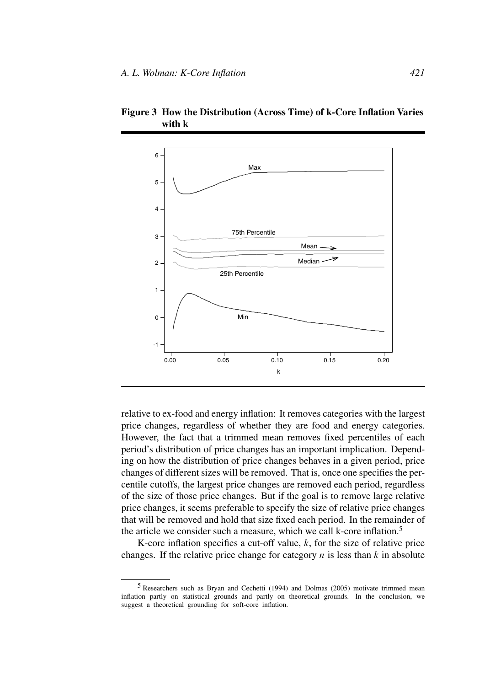

**Figure 3 How the Distribution (Across Time) of k-Core Inflation Varies with k**

relative to ex-food and energy inflation: It removes categories with the largest price changes, regardless of whether they are food and energy categories. However, the fact that a trimmed mean removes fixed percentiles of each period's distribution of price changes has an important implication. Depending on how the distribution of price changes behaves in a given period, price changes of different sizes will be removed. That is, once one specifies the percentile cutoffs, the largest price changes are removed each period, regardless of the size of those price changes. But if the goal is to remove large relative price changes, it seems preferable to specify the size of relative price changes that will be removed and hold that size fixed each period. In the remainder of the article we consider such a measure, which we call k-core inflation.<sup>5</sup>

K-core inflation specifies a cut-off value,  $k$ , for the size of relative price changes. If the relative price change for category  $n$  is less than  $k$  in absolute

<sup>5</sup> Researchers such as Bryan and Cechetti (1994) and Dolmas (2005) motivate trimmed mean inflation partly on statistical grounds and partly on theoretical grounds. In the conclusion, we suggest a theoretical grounding for soft-core inflation.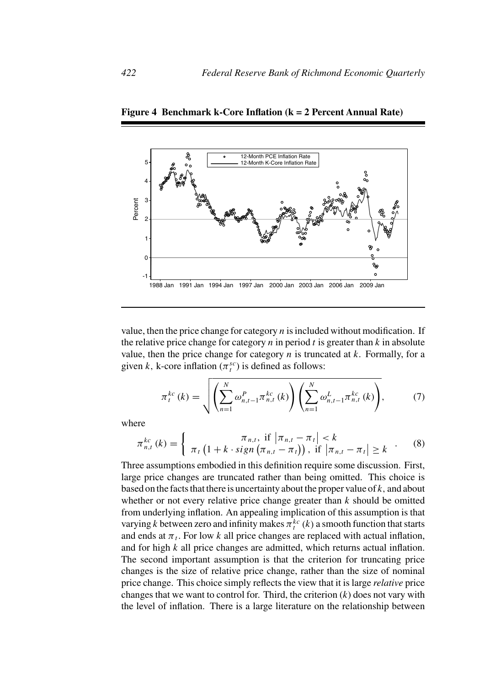

**Figure 4 Benchmark k-Core Inflation (k = 2 Percent Annual Rate)**

value, then the price change for category  $n$  is included without modification. If the relative price change for category  $n$  in period  $t$  is greater than  $k$  in absolute value, then the price change for category  $n$  is truncated at  $k$ . Formally, for a given k, k-core inflation  $(\pi_t^{sc})$  is defined as follows:

$$
\pi_t^{kc}(k) = \sqrt{\left(\sum_{n=1}^N \omega_{n,t-1}^P \pi_{n,t}^{kc}(k)\right) \left(\sum_{n=1}^N \omega_{n,t-1}^L \pi_{n,t}^{kc}(k)\right)},
$$
(7)

where

$$
\pi_{n,t}^{kc}(k) = \begin{cases}\n\pi_{n,t}, & \text{if } |\pi_{n,t} - \pi_t| < k \\
\pi_t \left(1 + k \cdot sign\left(\pi_{n,t} - \pi_t\right)\right), & \text{if } |\pi_{n,t} - \pi_t| \ge k\n\end{cases} \tag{8}
$$

Three assumptions embodied in this definition require some discussion. First, large price changes are truncated rather than being omitted. This choice is based on the facts that there is uncertainty about the proper value of  $k$ , and about whether or not every relative price change greater than  $k$  should be omitted from underlying inflation. An appealing implication of this assumption is that varying k between zero and infinity makes  $\pi_t^{kc}(k)$  a smooth function that starts and ends at  $\pi_t$ . For low k all price changes are replaced with actual inflation, and for high k all price changes are admitted, which returns actual inflation. The second important assumption is that the criterion for truncating price changes is the size of relative price change, rather than the size of nominal price change. This choice simply reflects the view that it is large *relative* price changes that we want to control for. Third, the criterion  $(k)$  does not vary with the level of inflation. There is a large literature on the relationship between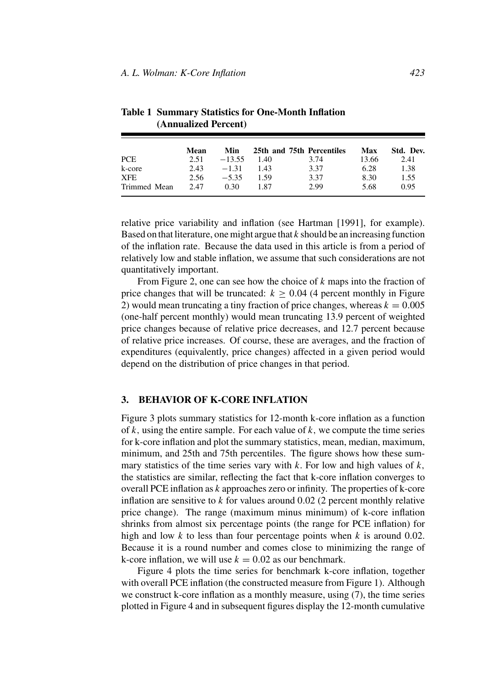|              | Mean | Min      |      | 25th and 75th Percentiles | Max   | Std. Dev. |
|--------------|------|----------|------|---------------------------|-------|-----------|
| <b>PCE</b>   | 2.51 | $-13.55$ | 1.40 | 3.74                      | 13.66 | 2.41      |
| k-core       | 2.43 | $-1.31$  | 143  | 3.37                      | 6.28  | 1.38      |
| <b>XFE</b>   | 2.56 | $-5.35$  | 1.59 | 3.37                      | 8.30  | 1.55      |
| Trimmed Mean | 2.47 | 0.30     | 1.87 | 2.99                      | 5.68  | 0.95      |

**Table 1 Summary Statistics for One-Month Inflation (Annualized Percent)**

relative price variability and inflation (see Hartman [1991], for example). Based on that literature, one might argue that  $k$  should be an increasing function of the inflation rate. Because the data used in this article is from a period of relatively low and stable inflation, we assume that such considerations are not quantitatively important.

From Figure 2, one can see how the choice of  $k$  maps into the fraction of price changes that will be truncated:  $k \geq 0.04$  (4 percent monthly in Figure 2) would mean truncating a tiny fraction of price changes, whereas  $k = 0.005$ (one-half percent monthly) would mean truncating 13.9 percent of weighted price changes because of relative price decreases, and 12.7 percent because of relative price increases. Of course, these are averages, and the fraction of expenditures (equivalently, price changes) affected in a given period would depend on the distribution of price changes in that period.

# **3. BEHAVIOR OF K-CORE INFLATION**

Figure 3 plots summary statistics for 12-month k-core inflation as a function of k, using the entire sample. For each value of  $k$ , we compute the time series for k-core inflation and plot the summary statistics, mean, median, maximum, minimum, and 25th and 75th percentiles. The figure shows how these summary statistics of the time series vary with  $k$ . For low and high values of  $k$ , the statistics are similar, reflecting the fact that k-core inflation converges to overall PCE inflation as k approaches zero or infinity. The properties of k-core inflation are sensitive to  $k$  for values around 0.02 (2 percent monthly relative price change). The range (maximum minus minimum) of k-core inflation shrinks from almost six percentage points (the range for PCE inflation) for high and low k to less than four percentage points when k is around 0.02. Because it is a round number and comes close to minimizing the range of k-core inflation, we will use  $k = 0.02$  as our benchmark.

Figure 4 plots the time series for benchmark k-core inflation, together with overall PCE inflation (the constructed measure from Figure 1). Although we construct k-core inflation as a monthly measure, using (7), the time series plotted in Figure 4 and in subsequent figures display the 12-month cumulative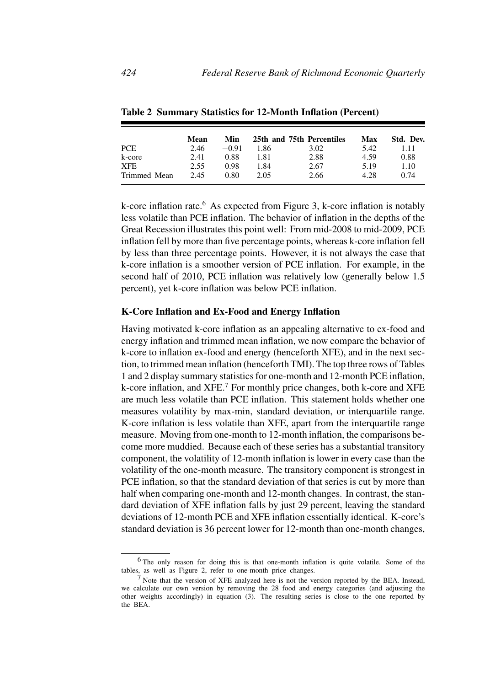|              | Mean | <b>Min</b> |      | 25th and 75th Percentiles | Max  | Std. Dev. |
|--------------|------|------------|------|---------------------------|------|-----------|
| <b>PCE</b>   | 2.46 | $-0.91$    | 1.86 | 3.02                      | 5.42 | 1.11      |
| k-core       | 2.41 | 0.88       | 1.81 | 2.88                      | 4.59 | 0.88      |
| <b>XFE</b>   | 2.55 | 0.98       | 1.84 | 2.67                      | 5.19 | 1.10      |
| Trimmed Mean | 2.45 | 0.80       | 2.05 | 2.66                      | 4.28 | 0.74      |

**Table 2 Summary Statistics for 12-Month Inflation (Percent)**

k-core inflation rate.<sup>6</sup> As expected from Figure 3, k-core inflation is notably less volatile than PCE inflation. The behavior of inflation in the depths of the Great Recession illustrates this point well: From mid-2008 to mid-2009, PCE inflation fell by more than five percentage points, whereas k-core inflation fell by less than three percentage points. However, it is not always the case that k-core inflation is a smoother version of PCE inflation. For example, in the second half of 2010, PCE inflation was relatively low (generally below 1.5 percent), yet k-core inflation was below PCE inflation.

# **K-Core Inflation and Ex-Food and Energy Inflation**

Having motivated k-core inflation as an appealing alternative to ex-food and energy inflation and trimmed mean inflation, we now compare the behavior of k-core to inflation ex-food and energy (henceforth XFE), and in the next section, to trimmed mean inflation (henceforth TMI). The top three rows of Tables 1 and 2 display summary statistics for one-month and 12-month PCE inflation, k-core inflation, and  $XFE$ <sup>7</sup> For monthly price changes, both k-core and  $XFE$ are much less volatile than PCE inflation. This statement holds whether one measures volatility by max-min, standard deviation, or interquartile range. K-core inflation is less volatile than XFE, apart from the interquartile range measure. Moving from one-month to 12-month inflation, the comparisons become more muddied. Because each of these series has a substantial transitory component, the volatility of 12-month inflation is lower in every case than the volatility of the one-month measure. The transitory component is strongest in PCE inflation, so that the standard deviation of that series is cut by more than half when comparing one-month and 12-month changes. In contrast, the standard deviation of XFE inflation falls by just 29 percent, leaving the standard deviations of 12-month PCE and XFE inflation essentially identical. K-core's standard deviation is 36 percent lower for 12-month than one-month changes,

<sup>6</sup> The only reason for doing this is that one-month inflation is quite volatile. Some of the tables, as well as Figure 2, refer to one-month price changes.

<sup>7</sup> Note that the version of XFE analyzed here is not the version reported by the BEA. Instead, we calculate our own version by removing the 28 food and energy categories (and adjusting the other weights accordingly) in equation (3). The resulting series is close to the one reported by the BEA.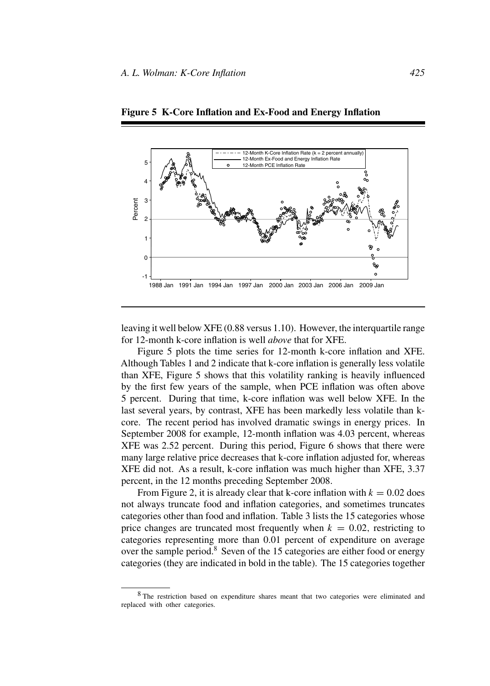

**Figure 5 K-Core Inflation and Ex-Food and Energy Inflation**

leaving it well below XFE (0.88 versus 1.10). However, the interquartile range for 12-month k-core inflation is well *above* that for XFE.

Figure 5 plots the time series for 12-month k-core inflation and XFE. Although Tables 1 and 2 indicate that k-core inflation is generally less volatile than XFE, Figure 5 shows that this volatility ranking is heavily influenced by the first few years of the sample, when PCE inflation was often above 5 percent. During that time, k-core inflation was well below XFE. In the last several years, by contrast, XFE has been markedly less volatile than kcore. The recent period has involved dramatic swings in energy prices. In September 2008 for example, 12-month inflation was 4.03 percent, whereas XFE was 2.52 percent. During this period, Figure 6 shows that there were many large relative price decreases that k-core inflation adjusted for, whereas XFE did not. As a result, k-core inflation was much higher than XFE, 3.37 percent, in the 12 months preceding September 2008.

From Figure 2, it is already clear that k-core inflation with  $k = 0.02$  does not always truncate food and inflation categories, and sometimes truncates categories other than food and inflation. Table 3 lists the 15 categories whose price changes are truncated most frequently when  $k = 0.02$ , restricting to categories representing more than 0.01 percent of expenditure on average over the sample period. $8$  Seven of the 15 categories are either food or energy categories (they are indicated in bold in the table). The 15 categories together

<sup>8</sup> The restriction based on expenditure shares meant that two categories were eliminated and replaced with other categories.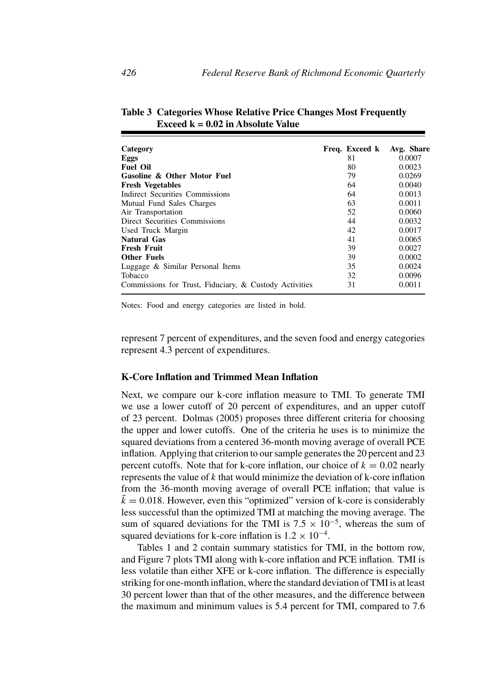| Category                                               | Freq. Exceed k | Avg. Share |
|--------------------------------------------------------|----------------|------------|
| Eggs                                                   | 81             | 0.0007     |
| <b>Fuel Oil</b>                                        | 80             | 0.0023     |
| <b>Gasoline &amp; Other Motor Fuel</b>                 | 79             | 0.0269     |
| <b>Fresh Vegetables</b>                                | 64             | 0.0040     |
| Indirect Securities Commissions                        | 64             | 0.0013     |
| Mutual Fund Sales Charges                              | 63             | 0.0011     |
| Air Transportation                                     | 52             | 0.0060     |
| Direct Securities Commissions                          | 44             | 0.0032     |
| Used Truck Margin                                      | 42             | 0.0017     |
| <b>Natural Gas</b>                                     | 41             | 0.0065     |
| <b>Fresh Fruit</b>                                     | 39             | 0.0027     |
| <b>Other Fuels</b>                                     | 39             | 0.0002     |
| Luggage & Similar Personal Items                       | 35             | 0.0024     |
| <b>Tobacco</b>                                         | 32             | 0.0096     |
| Commissions for Trust, Fiduciary, & Custody Activities | 31             | 0.0011     |

**Table 3 Categories Whose Relative Price Changes Most Frequently Exceed k = 0.02 in Absolute Value**

Notes: Food and energy categories are listed in bold.

represent 7 percent of expenditures, and the seven food and energy categories represent 4.3 percent of expenditures.

## **K-Core Inflation and Trimmed Mean Inflation**

Next, we compare our k-core inflation measure to TMI. To generate TMI we use a lower cutoff of 20 percent of expenditures, and an upper cutoff of 23 percent. Dolmas (2005) proposes three different criteria for choosing the upper and lower cutoffs. One of the criteria he uses is to minimize the squared deviations from a centered 36-month moving average of overall PCE inflation. Applying that criterion to our sample generates the 20 percent and 23 percent cutoffs. Note that for k-core inflation, our choice of  $k = 0.02$  nearly represents the value of  $k$  that would minimize the deviation of  $k$ -core inflation from the 36-month moving average of overall PCE inflation; that value is  $k = 0.018$ . However, even this "optimized" version of k-core is considerably less successful than the optimized TMI at matching the moving average. The sum of squared deviations for the TMI is  $7.5 \times 10^{-5}$ , whereas the sum of squared deviations for k-core inflation is  $1.2 \times 10^{-4}$ .

Tables 1 and 2 contain summary statistics for TMI, in the bottom row, and Figure 7 plots TMI along with k-core inflation and PCE inflation. TMI is less volatile than either XFE or k-core inflation. The difference is especially striking for one-month inflation, where the standard deviation of TMI is at least 30 percent lower than that of the other measures, and the difference between the maximum and minimum values is 5.4 percent for TMI, compared to 7.6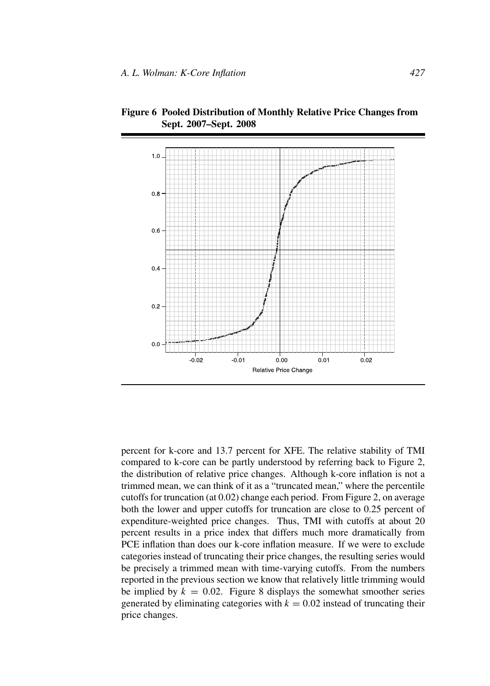

**Figure 6 Pooled Distribution of Monthly Relative Price Changes from Sept. 2007–Sept. 2008**

percent for k-core and 13.7 percent for XFE. The relative stability of TMI compared to k-core can be partly understood by referring back to Figure 2, the distribution of relative price changes. Although k-core inflation is not a trimmed mean, we can think of it as a "truncated mean," where the percentile cutoffs for truncation (at 0.02) change each period. From Figure 2, on average both the lower and upper cutoffs for truncation are close to 0.25 percent of expenditure-weighted price changes. Thus, TMI with cutoffs at about 20 percent results in a price index that differs much more dramatically from PCE inflation than does our k-core inflation measure. If we were to exclude categories instead of truncating their price changes, the resulting series would be precisely a trimmed mean with time-varying cutoffs. From the numbers reported in the previous section we know that relatively little trimming would be implied by  $k = 0.02$ . Figure 8 displays the somewhat smoother series generated by eliminating categories with  $k = 0.02$  instead of truncating their price changes.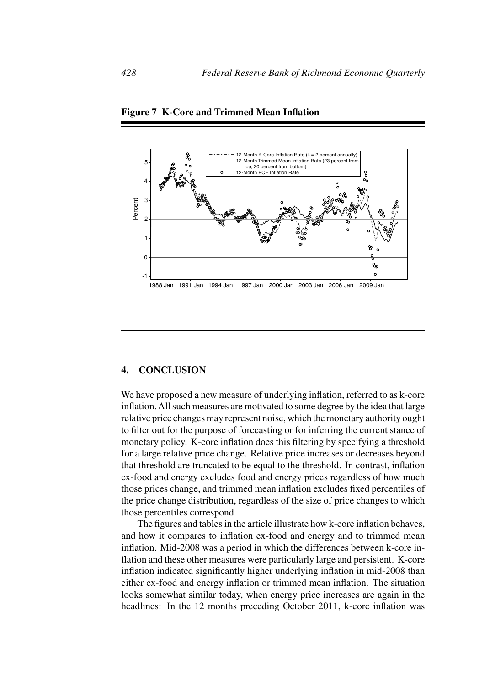

**Figure 7 K-Core and Trimmed Mean Inflation**

# **4. CONCLUSION**

We have proposed a new measure of underlying inflation, referred to as k-core inflation.All such measures are motivated to some degree by the idea that large relative price changes may represent noise, which the monetary authority ought to filter out for the purpose of forecasting or for inferring the current stance of monetary policy. K-core inflation does this filtering by specifying a threshold for a large relative price change. Relative price increases or decreases beyond that threshold are truncated to be equal to the threshold. In contrast, inflation ex-food and energy excludes food and energy prices regardless of how much those prices change, and trimmed mean inflation excludes fixed percentiles of the price change distribution, regardless of the size of price changes to which those percentiles correspond.

The figures and tables in the article illustrate how k-core inflation behaves, and how it compares to inflation ex-food and energy and to trimmed mean inflation. Mid-2008 was a period in which the differences between k-core inflation and these other measures were particularly large and persistent. K-core inflation indicated significantly higher underlying inflation in mid-2008 than either ex-food and energy inflation or trimmed mean inflation. The situation looks somewhat similar today, when energy price increases are again in the headlines: In the 12 months preceding October 2011, k-core inflation was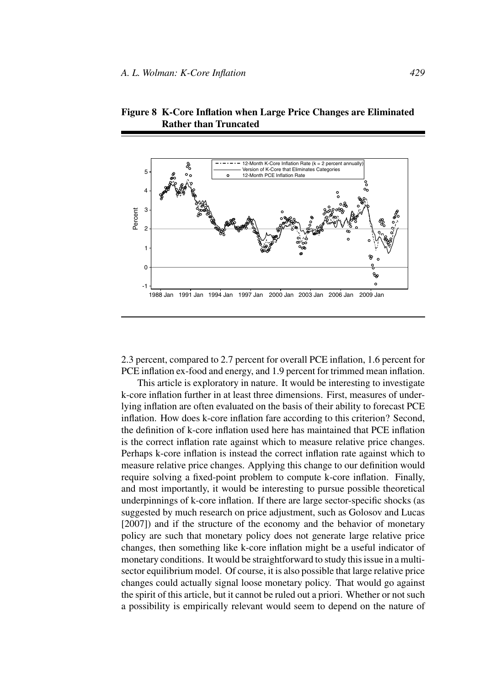

**Figure 8 K-Core Inflation when Large Price Changes are Eliminated Rather than Truncated**

2.3 percent, compared to 2.7 percent for overall PCE inflation, 1.6 percent for PCE inflation ex-food and energy, and 1.9 percent for trimmed mean inflation.

This article is exploratory in nature. It would be interesting to investigate k-core inflation further in at least three dimensions. First, measures of underlying inflation are often evaluated on the basis of their ability to forecast PCE inflation. How does k-core inflation fare according to this criterion? Second, the definition of k-core inflation used here has maintained that PCE inflation is the correct inflation rate against which to measure relative price changes. Perhaps k-core inflation is instead the correct inflation rate against which to measure relative price changes. Applying this change to our definition would require solving a fixed-point problem to compute k-core inflation. Finally, and most importantly, it would be interesting to pursue possible theoretical underpinnings of k-core inflation. If there are large sector-specific shocks (as suggested by much research on price adjustment, such as Golosov and Lucas [2007]) and if the structure of the economy and the behavior of monetary policy are such that monetary policy does not generate large relative price changes, then something like k-core inflation might be a useful indicator of monetary conditions. It would be straightforward to study this issue in a multisector equilibrium model. Of course, it is also possible that large relative price changes could actually signal loose monetary policy. That would go against the spirit of this article, but it cannot be ruled out a priori. Whether or not such a possibility is empirically relevant would seem to depend on the nature of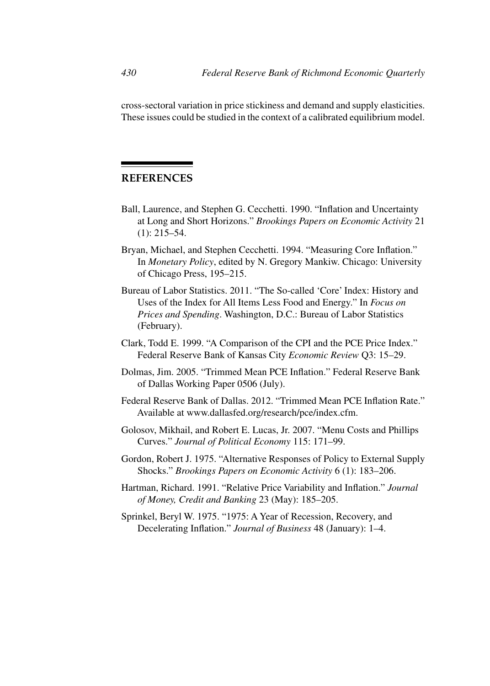cross-sectoral variation in price stickiness and demand and supply elasticities. These issues could be studied in the context of a calibrated equilibrium model.

# **REFERENCES**

- Ball, Laurence, and Stephen G. Cecchetti. 1990. "Inflation and Uncertainty at Long and Short Horizons." *Brookings Papers on Economic Activity* 21 (1): 215–54.
- Bryan, Michael, and Stephen Cecchetti. 1994. "Measuring Core Inflation." In *Monetary Policy*, edited by N. Gregory Mankiw. Chicago: University of Chicago Press, 195–215.
- Bureau of Labor Statistics. 2011. "The So-called 'Core' Index: History and Uses of the Index for All Items Less Food and Energy." In *Focus on Prices and Spending*. Washington, D.C.: Bureau of Labor Statistics (February).
- Clark, Todd E. 1999. "A Comparison of the CPI and the PCE Price Index." Federal Reserve Bank of Kansas City *Economic Review* Q3: 15–29.
- Dolmas, Jim. 2005. "Trimmed Mean PCE Inflation." Federal Reserve Bank of Dallas Working Paper 0506 (July).
- Federal Reserve Bank of Dallas. 2012. "Trimmed Mean PCE Inflation Rate." Available at www.dallasfed.org/research/pce/index.cfm.
- Golosov, Mikhail, and Robert E. Lucas, Jr. 2007. "Menu Costs and Phillips Curves." *Journal of Political Economy* 115: 171–99.
- Gordon, Robert J. 1975. "Alternative Responses of Policy to External Supply Shocks." *Brookings Papers on Economic Activity* 6 (1): 183–206.
- Hartman, Richard. 1991. "Relative Price Variability and Inflation." *Journal of Money, Credit and Banking* 23 (May): 185–205.
- Sprinkel, Beryl W. 1975. "1975: A Year of Recession, Recovery, and Decelerating Inflation." *Journal of Business* 48 (January): 1–4.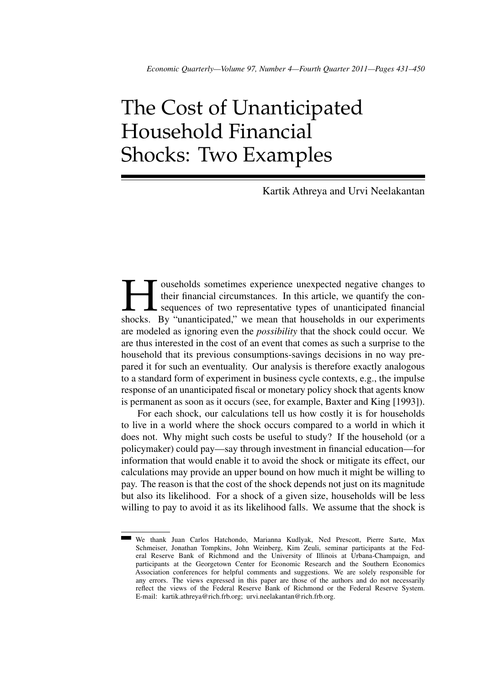# The Cost of Unanticipated Household Financial Shocks: Two Examples

Kartik Athreya and Urvi Neelakantan

The duration of their financial circumstances. In this article, we quantify the consequences of two representative types of unanticipated financial shocks. By "unanticipated," we mean that households in our experiments their financial circumstances. In this article, we quantify the consequences of two representative types of unanticipated financial shocks. By "unanticipated," we mean that households in our experiments are modeled as ignoring even the *possibility* that the shock could occur. We are thus interested in the cost of an event that comes as such a surprise to the household that its previous consumptions-savings decisions in no way prepared it for such an eventuality. Our analysis is therefore exactly analogous to a standard form of experiment in business cycle contexts, e.g., the impulse response of an unanticipated fiscal or monetary policy shock that agents know is permanent as soon as it occurs (see, for example, Baxter and King [1993]).

For each shock, our calculations tell us how costly it is for households to live in a world where the shock occurs compared to a world in which it does not. Why might such costs be useful to study? If the household (or a policymaker) could pay—say through investment in financial education—for information that would enable it to avoid the shock or mitigate its effect, our calculations may provide an upper bound on how much it might be willing to pay. The reason is that the cost of the shock depends not just on its magnitude but also its likelihood. For a shock of a given size, households will be less willing to pay to avoid it as its likelihood falls. We assume that the shock is

We thank Juan Carlos Hatchondo, Marianna Kudlyak, Ned Prescott, Pierre Sarte, Max Schmeiser, Jonathan Tompkins, John Weinberg, Kim Zeuli, seminar participants at the Federal Reserve Bank of Richmond and the University of Illinois at Urbana-Champaign, and participants at the Georgetown Center for Economic Research and the Southern Economics Association conferences for helpful comments and suggestions. We are solely responsible for any errors. The views expressed in this paper are those of the authors and do not necessarily reflect the views of the Federal Reserve Bank of Richmond or the Federal Reserve System. E-mail: kartik.athreya@rich.frb.org; urvi.neelakantan@rich.frb.org.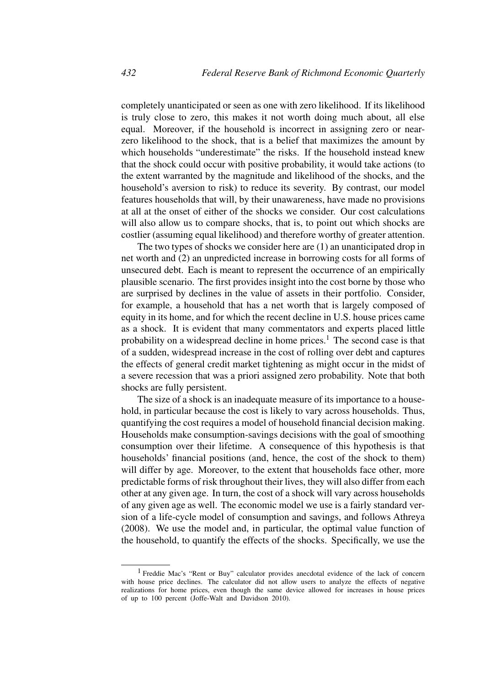completely unanticipated or seen as one with zero likelihood. If its likelihood is truly close to zero, this makes it not worth doing much about, all else equal. Moreover, if the household is incorrect in assigning zero or nearzero likelihood to the shock, that is a belief that maximizes the amount by which households "underestimate" the risks. If the household instead knew that the shock could occur with positive probability, it would take actions (to the extent warranted by the magnitude and likelihood of the shocks, and the household's aversion to risk) to reduce its severity. By contrast, our model features households that will, by their unawareness, have made no provisions at all at the onset of either of the shocks we consider. Our cost calculations will also allow us to compare shocks, that is, to point out which shocks are costlier (assuming equal likelihood) and therefore worthy of greater attention.

The two types of shocks we consider here are (1) an unanticipated drop in net worth and (2) an unpredicted increase in borrowing costs for all forms of unsecured debt. Each is meant to represent the occurrence of an empirically plausible scenario. The first provides insight into the cost borne by those who are surprised by declines in the value of assets in their portfolio. Consider, for example, a household that has a net worth that is largely composed of equity in its home, and for which the recent decline in U.S. house prices came as a shock. It is evident that many commentators and experts placed little probability on a widespread decline in home prices.<sup>1</sup> The second case is that of a sudden, widespread increase in the cost of rolling over debt and captures the effects of general credit market tightening as might occur in the midst of a severe recession that was a priori assigned zero probability. Note that both shocks are fully persistent.

The size of a shock is an inadequate measure of its importance to a household, in particular because the cost is likely to vary across households. Thus, quantifying the cost requires a model of household financial decision making. Households make consumption-savings decisions with the goal of smoothing consumption over their lifetime. A consequence of this hypothesis is that households' financial positions (and, hence, the cost of the shock to them) will differ by age. Moreover, to the extent that households face other, more predictable forms of risk throughout their lives, they will also differ from each other at any given age. In turn, the cost of a shock will vary across households of any given age as well. The economic model we use is a fairly standard version of a life-cycle model of consumption and savings, and follows Athreya (2008). We use the model and, in particular, the optimal value function of the household, to quantify the effects of the shocks. Specifically, we use the

<sup>1</sup> Freddie Mac's "Rent or Buy" calculator provides anecdotal evidence of the lack of concern with house price declines. The calculator did not allow users to analyze the effects of negative realizations for home prices, even though the same device allowed for increases in house prices of up to 100 percent (Joffe-Walt and Davidson 2010).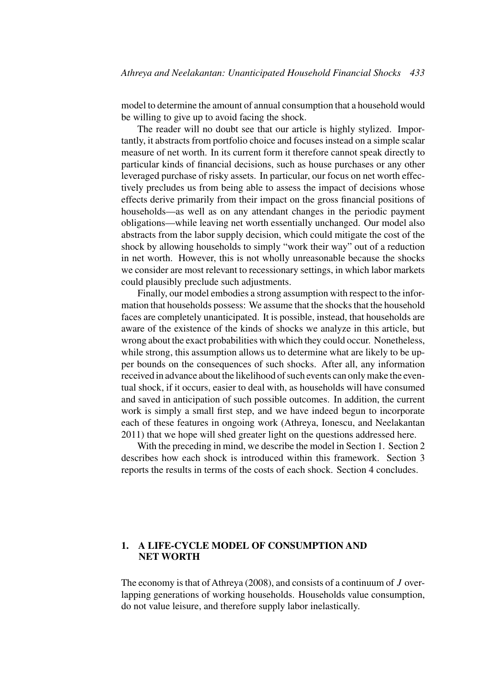model to determine the amount of annual consumption that a household would be willing to give up to avoid facing the shock.

The reader will no doubt see that our article is highly stylized. Importantly, it abstracts from portfolio choice and focuses instead on a simple scalar measure of net worth. In its current form it therefore cannot speak directly to particular kinds of financial decisions, such as house purchases or any other leveraged purchase of risky assets. In particular, our focus on net worth effectively precludes us from being able to assess the impact of decisions whose effects derive primarily from their impact on the gross financial positions of households—as well as on any attendant changes in the periodic payment obligations—while leaving net worth essentially unchanged. Our model also abstracts from the labor supply decision, which could mitigate the cost of the shock by allowing households to simply "work their way" out of a reduction in net worth. However, this is not wholly unreasonable because the shocks we consider are most relevant to recessionary settings, in which labor markets could plausibly preclude such adjustments.

Finally, our model embodies a strong assumption with respect to the information that households possess: We assume that the shocks that the household faces are completely unanticipated. It is possible, instead, that households are aware of the existence of the kinds of shocks we analyze in this article, but wrong about the exact probabilities with which they could occur. Nonetheless, while strong, this assumption allows us to determine what are likely to be upper bounds on the consequences of such shocks. After all, any information received in advance about the likelihood of such events can only make the eventual shock, if it occurs, easier to deal with, as households will have consumed and saved in anticipation of such possible outcomes. In addition, the current work is simply a small first step, and we have indeed begun to incorporate each of these features in ongoing work (Athreya, Ionescu, and Neelakantan 2011) that we hope will shed greater light on the questions addressed here.

With the preceding in mind, we describe the model in Section 1. Section 2 describes how each shock is introduced within this framework. Section 3 reports the results in terms of the costs of each shock. Section 4 concludes.

# **1. A LIFE-CYCLE MODEL OF CONSUMPTION AND NET WORTH**

The economy is that of Athreya (2008), and consists of a continuum of J overlapping generations of working households. Households value consumption, do not value leisure, and therefore supply labor inelastically.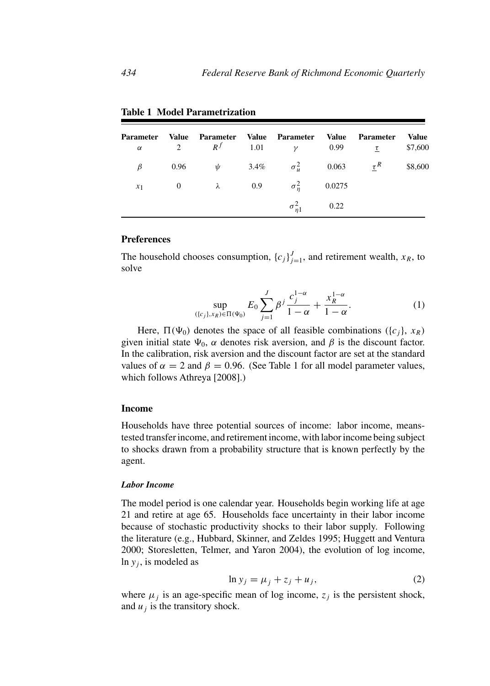| <b>Parameter</b><br>$\alpha$ | Value | Parameter Value Parameter |                                           | Value | <b>Parameter</b><br>2 $R^f$ 1.01 $\gamma$ 0.99 $\tau$ | Value<br>\$7,600 |
|------------------------------|-------|---------------------------|-------------------------------------------|-------|-------------------------------------------------------|------------------|
| $\beta$                      |       |                           |                                           |       | 0.96 $\psi$ 3.4% $\sigma_u^2$ 0.063 $\tau^R$          | \$8,600          |
|                              |       |                           | $x_1$ 0 $\lambda$ 0.9 $\sigma_n^2$ 0.0275 |       |                                                       |                  |
|                              |       |                           | $\sigma_{n1}^2$ 0.22                      |       |                                                       |                  |

**Table 1 Model Parametrization**

#### **Preferences**

The household chooses consumption,  ${c_j}_{j=1}^J$ , and retirement wealth,  $x_R$ , to solve

$$
\sup_{(\{c_j\}, x_R) \in \Pi(\Psi_0)} E_0 \sum_{j=1}^J \beta^j \frac{c_j^{1-\alpha}}{1-\alpha} + \frac{x_R^{1-\alpha}}{1-\alpha}.
$$
 (1)

Here,  $\Pi(\Psi_0)$  denotes the space of all feasible combinations ({c<sub>i</sub>}, x<sub>R</sub>) given initial state  $\Psi_0$ ,  $\alpha$  denotes risk aversion, and  $\beta$  is the discount factor. In the calibration, risk aversion and the discount factor are set at the standard values of  $\alpha = 2$  and  $\beta = 0.96$ . (See Table 1 for all model parameter values, which follows Athreya [2008].)

## **Income**

Households have three potential sources of income: labor income, meanstested transfer income, and retirement income, with labor income being subject to shocks drawn from a probability structure that is known perfectly by the agent.

#### *Labor Income*

The model period is one calendar year. Households begin working life at age 21 and retire at age 65. Households face uncertainty in their labor income because of stochastic productivity shocks to their labor supply. Following the literature (e.g., Hubbard, Skinner, and Zeldes 1995; Huggett and Ventura 2000; Storesletten, Telmer, and Yaron 2004), the evolution of log income, ln  $y_j$ , is modeled as

$$
\ln y_j = \mu_j + z_j + u_j,\tag{2}
$$

where  $\mu_i$  is an age-specific mean of log income,  $z_j$  is the persistent shock, and  $u_i$  is the transitory shock.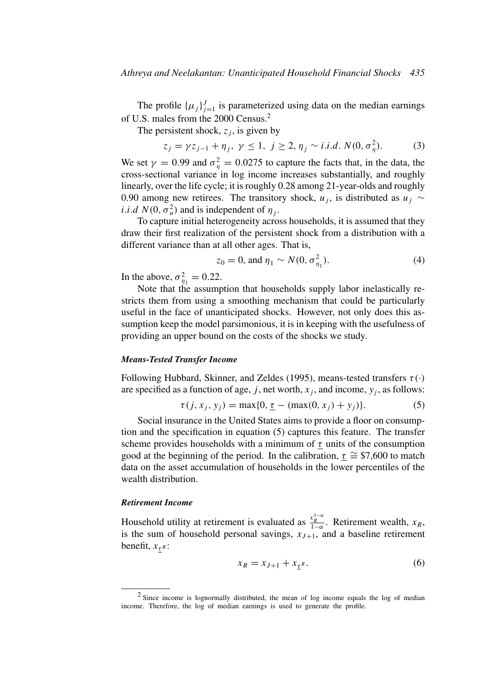The profile  $\{\mu_j\}_{j=1}^J$  is parameterized using data on the median earnings of U.S. males from the 2000 Census.<sup>2</sup>

The persistent shock,  $z_i$ , is given by

$$
z_j = \gamma z_{j-1} + \eta_j, \ \gamma \le 1, \ j \ge 2, \eta_j \sim i.i.d. \ N(0, \sigma_\eta^2). \tag{3}
$$

We set  $\gamma = 0.99$  and  $\sigma_{\eta}^2 = 0.0275$  to capture the facts that, in the data, the cross-sectional variance in log income increases substantially, and roughly linearly, over the life cycle; it is roughly 0.28 among 21-year-olds and roughly 0.90 among new retirees. The transitory shock,  $u_j$ , is distributed as  $u_j \sim$ *i.i.d*  $N(0, \sigma_u^2)$  and is independent of  $\eta_j$ .

To capture initial heterogeneity across households, it is assumed that they draw their first realization of the persistent shock from a distribution with a different variance than at all other ages. That is,

$$
z_0 = 0, \text{ and } \eta_1 \sim N(0, \sigma_{\eta_1}^2). \tag{4}
$$

In the above,  $\sigma_{\eta_1}^2 = 0.22$ .

Note that the assumption that households supply labor inelastically restricts them from using a smoothing mechanism that could be particularly useful in the face of unanticipated shocks. However, not only does this assumption keep the model parsimonious, it is in keeping with the usefulness of providing an upper bound on the costs of the shocks we study.

#### *Means-Tested Transfer Income*

Following Hubbard, Skinner, and Zeldes (1995), means-tested transfers  $\tau(\cdot)$ are specified as a function of age, j, net worth,  $x_i$ , and income,  $y_i$ , as follows:

$$
\tau(j, x_j, y_j) = \max\{0, \underline{\tau} - (\max(0, x_j) + y_j)\}.
$$
 (5)

Social insurance in the United States aims to provide a floor on consumption and the specification in equation (5) captures this feature. The transfer scheme provides households with a minimum of  $\tau$  units of the consumption good at the beginning of the period. In the calibration,  $\tau \approx$  \$7,600 to match data on the asset accumulation of households in the lower percentiles of the wealth distribution.

#### *Retirement Income*

Household utility at retirement is evaluated as  $\frac{x_R^{1-\alpha}}{1-\alpha}$ . Retirement wealth,  $x_R$ , is the sum of household personal savings,  $x_{J+1}$ , and a baseline retirement benefit,  $x_{\tau}$   $\in$ :

$$
x_R = x_{J+1} + x_{\underline{\tau}^R}.\tag{6}
$$

<sup>2</sup> Since income is lognormally distributed, the mean of log income equals the log of median income. Therefore, the log of median earnings is used to generate the profile.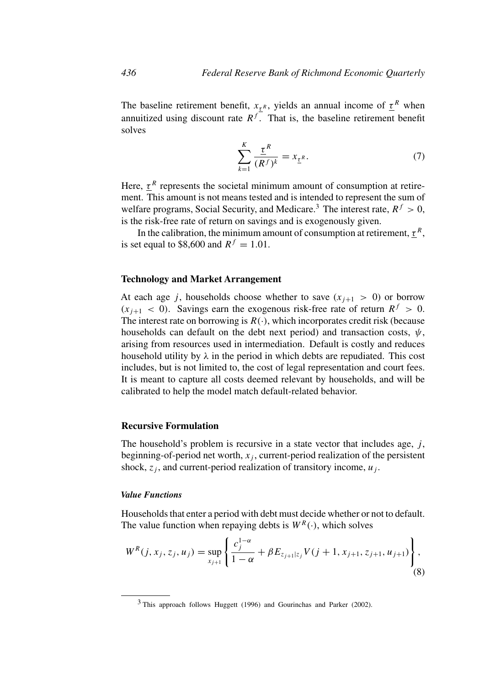The baseline retirement benefit,  $x_{\tau}$ <sup>R</sup>, yields an annual income of  $\tau$ <sup>R</sup> when annuitized using discount rate  $R^f$ . That is, the baseline retirement benefit solves

$$
\sum_{k=1}^{K} \frac{\underline{\tau}^R}{(R^f)^k} = x_{\underline{\tau}^R}.
$$
 (7)

Here,  $\tau^R$  represents the societal minimum amount of consumption at retirement. This amount is not means tested and is intended to represent the sum of welfare programs, Social Security, and Medicare.<sup>3</sup> The interest rate,  $R^f > 0$ , is the risk-free rate of return on savings and is exogenously given.

In the calibration, the minimum amount of consumption at retirement,  $\tau^R$ , is set equal to \$8,600 and  $R<sup>f</sup> = 1.01$ .

## **Technology and Market Arrangement**

At each age j, households choose whether to save  $(x_{i+1} > 0)$  or borrow  $(x_{i+1} < 0)$ . Savings earn the exogenous risk-free rate of return  $R^f > 0$ . The interest rate on borrowing is  $R(.)$ , which incorporates credit risk (because households can default on the debt next period) and transaction costs,  $\psi$ , arising from resources used in intermediation. Default is costly and reduces household utility by  $\lambda$  in the period in which debts are repudiated. This cost includes, but is not limited to, the cost of legal representation and court fees. It is meant to capture all costs deemed relevant by households, and will be calibrated to help the model match default-related behavior.

#### **Recursive Formulation**

The household's problem is recursive in a state vector that includes age,  $j$ , beginning-of-period net worth,  $x_i$ , current-period realization of the persistent shock,  $z_i$ , and current-period realization of transitory income,  $u_i$ .

## *Value Functions*

Households that enter a period with debt must decide whether or not to default. The value function when repaying debts is  $W^R(\cdot)$ , which solves

$$
W^{R}(j, x_{j}, z_{j}, u_{j}) = \sup_{x_{j+1}} \left\{ \frac{c_{j}^{1-\alpha}}{1-\alpha} + \beta E_{z_{j+1}|z_{j}} V(j+1, x_{j+1}, z_{j+1}, u_{j+1}) \right\},\tag{8}
$$

 $3$  This approach follows Huggett (1996) and Gourinchas and Parker (2002).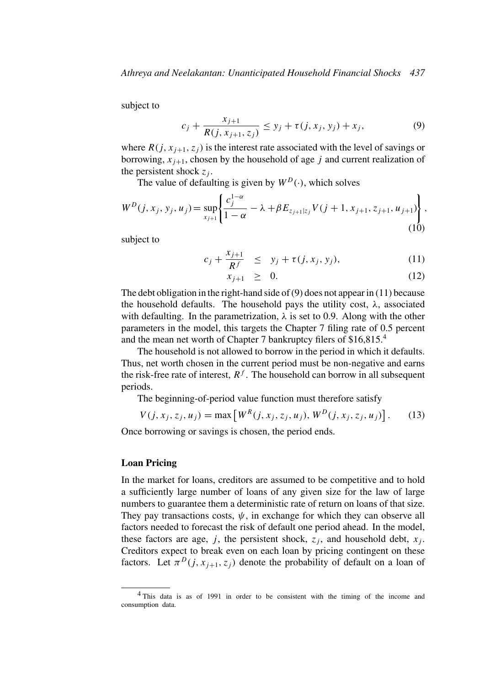subject to

$$
c_j + \frac{x_{j+1}}{R(j, x_{j+1}, z_j)} \le y_j + \tau(j, x_j, y_j) + x_j,
$$
\n(9)

where  $R(j, x_{j+1}, z_j)$  is the interest rate associated with the level of savings or borrowing,  $x_{i+1}$ , chosen by the household of age j and current realization of the persistent shock  $z_i$ .

The value of defaulting is given by  $W^D(\cdot)$ , which solves

$$
W^{D}(j, x_{j}, y_{j}, u_{j}) = \sup_{x_{j+1}} \left\{ \frac{c_{j}^{1-\alpha}}{1-\alpha} - \lambda + \beta E_{z_{j+1}|z_{j}} V(j+1, x_{j+1}, z_{j+1}, u_{j+1}) \right\},
$$
\n(10)

subject to

$$
c_j + \frac{x_{j+1}}{R^f} \le y_j + \tau(j, x_j, y_j), \qquad (11)
$$

$$
x_{j+1} \geq 0. \tag{12}
$$

The debt obligation in the right-hand side of  $(9)$  does not appear in  $(11)$  because the household defaults. The household pays the utility cost,  $\lambda$ , associated with defaulting. In the parametrization,  $\lambda$  is set to 0.9. Along with the other parameters in the model, this targets the Chapter 7 filing rate of 0.5 percent and the mean net worth of Chapter 7 bankruptcy filers of \$16,815.<sup>4</sup>

The household is not allowed to borrow in the period in which it defaults. Thus, net worth chosen in the current period must be non-negative and earns the risk-free rate of interest,  $R<sup>f</sup>$ . The household can borrow in all subsequent periods.

The beginning-of-period value function must therefore satisfy

$$
V(j, x_j, z_j, u_j) = \max[W^{R}(j, x_j, z_j, u_j), W^{D}(j, x_j, z_j, u_j)].
$$
 (13)

Once borrowing or savings is chosen, the period ends.

## **Loan Pricing**

In the market for loans, creditors are assumed to be competitive and to hold a sufficiently large number of loans of any given size for the law of large numbers to guarantee them a deterministic rate of return on loans of that size. They pay transactions costs,  $\psi$ , in exchange for which they can observe all factors needed to forecast the risk of default one period ahead. In the model, these factors are age, j, the persistent shock,  $z_i$ , and household debt,  $x_i$ . Creditors expect to break even on each loan by pricing contingent on these factors. Let  $\pi^{D}(j, x_{j+1}, z_j)$  denote the probability of default on a loan of

<sup>4</sup> This data is as of 1991 in order to be consistent with the timing of the income and consumption data.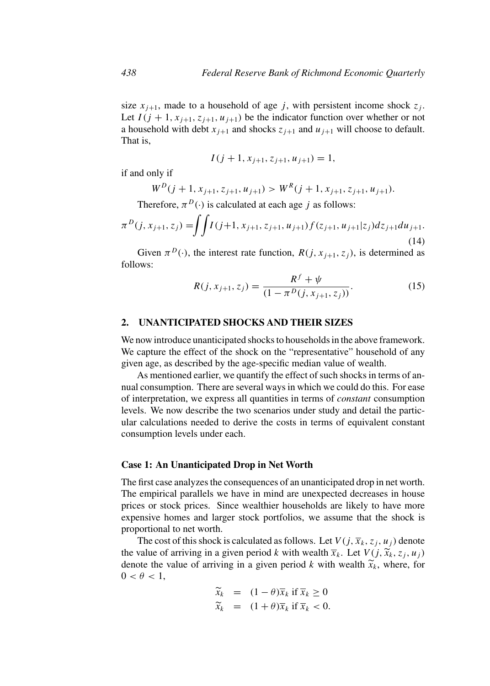size  $x_{i+1}$ , made to a household of age j, with persistent income shock  $z_i$ . Let  $I(j + 1, x_{j+1}, z_{j+1}, u_{j+1})$  be the indicator function over whether or not a household with debt  $x_{i+1}$  and shocks  $z_{i+1}$  and  $u_{i+1}$  will choose to default. That is,

$$
I(j+1, x_{j+1}, z_{j+1}, u_{j+1}) = 1,
$$

if and only if

$$
W^{D}(j+1, x_{j+1}, z_{j+1}, u_{j+1}) > W^{R}(j+1, x_{j+1}, z_{j+1}, u_{j+1}).
$$

Therefore,  $\pi^{D}(\cdot)$  is calculated at each age j as follows:

$$
\pi^{D}(j, x_{j+1}, z_j) = \iint I(j+1, x_{j+1}, z_{j+1}, u_{j+1}) f(z_{j+1}, u_{j+1}|z_j) dz_{j+1} du_{j+1}.
$$
\n(14)

Given  $\pi^{D}(\cdot)$ , the interest rate function,  $R(j, x_{i+1}, z_i)$ , is determined as follows:

$$
R(j, x_{j+1}, z_j) = \frac{R^f + \psi}{(1 - \pi^D(j, x_{j+1}, z_j))}.
$$
 (15)

## **2. UNANTICIPATED SHOCKS AND THEIR SIZES**

We now introduce unanticipated shocks to households in the above framework. We capture the effect of the shock on the "representative" household of any given age, as described by the age-specific median value of wealth.

As mentioned earlier, we quantify the effect of such shocks in terms of annual consumption. There are several ways in which we could do this. For ease of interpretation, we express all quantities in terms of *constant* consumption levels. We now describe the two scenarios under study and detail the particular calculations needed to derive the costs in terms of equivalent constant consumption levels under each.

#### **Case 1: An Unanticipated Drop in Net Worth**

The first case analyzes the consequences of an unanticipated drop in net worth. The empirical parallels we have in mind are unexpected decreases in house prices or stock prices. Since wealthier households are likely to have more expensive homes and larger stock portfolios, we assume that the shock is proportional to net worth.

The cost of this shock is calculated as follows. Let  $V(j, \overline{x}_k, z_j, u_j)$  denote the value of arriving in a given period k with wealth  $\overline{x}_k$ . Let  $V(j, \widetilde{x}_k, z_j, u_j)$ denote the value of arriving in a given period k with wealth  $\tilde{x}_k$ , where, for  $0 < \theta < 1$ ,

$$
\widetilde{x}_k = (1 - \theta)\overline{x}_k \text{ if } \overline{x}_k \ge 0
$$
  

$$
\widetilde{x}_k = (1 + \theta)\overline{x}_k \text{ if } \overline{x}_k < 0.
$$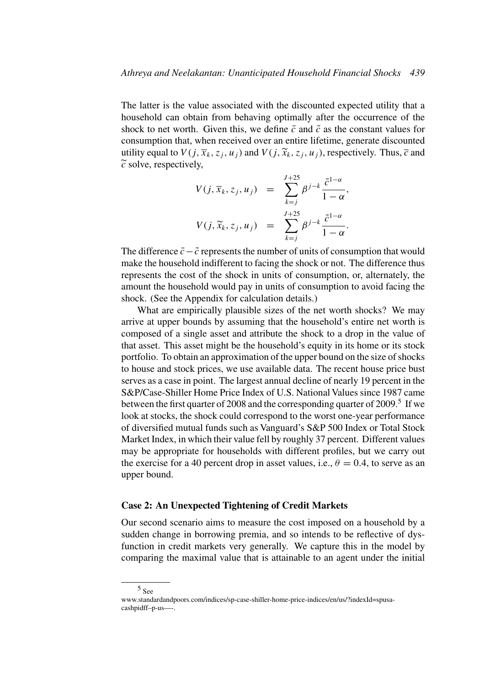The latter is the value associated with the discounted expected utility that a household can obtain from behaving optimally after the occurrence of the shock to net worth. Given this, we define  $\bar{c}$  and  $\tilde{c}$  as the constant values for consumption that, when received over an entire lifetime, generate discounted utility equal to  $V(j, \overline{x}_k, z_i, u_i)$  and  $V(j, \widetilde{x}_k, z_i, u_i)$ , respectively. Thus,  $\overline{c}$  and  $\tilde{c}$  solve, respectively,

$$
V(j, \overline{x}_k, z_j, u_j) = \sum_{k=j}^{J+25} \beta^{j-k} \frac{\overline{c}^{1-\alpha}}{1-\alpha},
$$
  

$$
V(j, \widetilde{x}_k, z_j, u_j) = \sum_{k=j}^{J+25} \beta^{j-k} \frac{\overline{c}^{1-\alpha}}{1-\alpha}.
$$

The difference  $\bar{c}$ − $\tilde{c}$  represents the number of units of consumption that would make the household indifferent to facing the shock or not. The difference thus represents the cost of the shock in units of consumption, or, alternately, the amount the household would pay in units of consumption to avoid facing the shock. (See the Appendix for calculation details.)

What are empirically plausible sizes of the net worth shocks? We may arrive at upper bounds by assuming that the household's entire net worth is composed of a single asset and attribute the shock to a drop in the value of that asset. This asset might be the household's equity in its home or its stock portfolio. To obtain an approximation of the upper bound on the size of shocks to house and stock prices, we use available data. The recent house price bust serves as a case in point. The largest annual decline of nearly 19 percent in the S&P/Case-Shiller Home Price Index of U.S. National Values since 1987 came between the first quarter of 2008 and the corresponding quarter of 2009.<sup>5</sup> If we look at stocks, the shock could correspond to the worst one-year performance of diversified mutual funds such as Vanguard's S&P 500 Index or Total Stock Market Index, in which their value fell by roughly 37 percent. Different values may be appropriate for households with different profiles, but we carry out the exercise for a 40 percent drop in asset values, i.e.,  $\theta = 0.4$ , to serve as an upper bound.

## **Case 2: An Unexpected Tightening of Credit Markets**

Our second scenario aims to measure the cost imposed on a household by a sudden change in borrowing premia, and so intends to be reflective of dysfunction in credit markets very generally. We capture this in the model by comparing the maximal value that is attainable to an agent under the initial

<sup>5</sup> See

www.standardandpoors.com/indices/sp-case-shiller-home-price-indices/en/us/?indexId=spusacashpidff–p-us—-.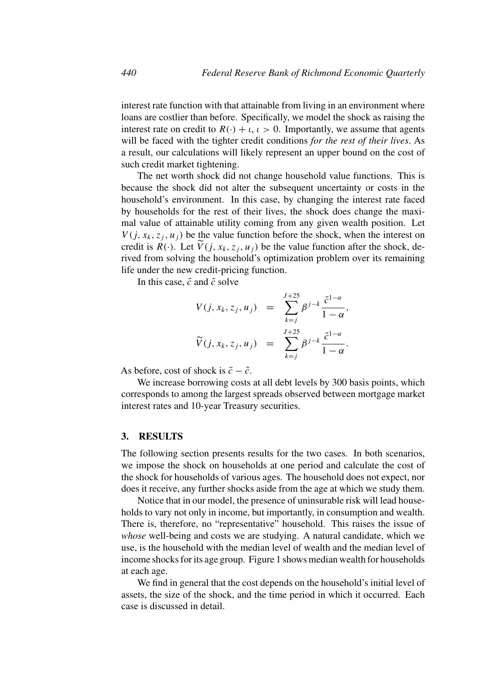interest rate function with that attainable from living in an environment where loans are costlier than before. Specifically, we model the shock as raising the interest rate on credit to  $R(\cdot) + \iota$ ,  $\iota > 0$ . Importantly, we assume that agents will be faced with the tighter credit conditions *for the rest of their lives*. As a result, our calculations will likely represent an upper bound on the cost of such credit market tightening.

The net worth shock did not change household value functions. This is because the shock did not alter the subsequent uncertainty or costs in the household's environment. In this case, by changing the interest rate faced by households for the rest of their lives, the shock does change the maximal value of attainable utility coming from any given wealth position. Let  $V(j, x_k, z_i, u_i)$  be the value function before the shock, when the interest on credit is  $R(\cdot)$ . Let  $\widetilde{V}(j, x_k, z_i, u_j)$  be the value function after the shock, derived from solving the household's optimization problem over its remaining life under the new credit-pricing function.

In this case,  $\bar{c}$  and  $\tilde{c}$  solve

$$
V(j, x_k, z_j, u_j) = \sum_{k=j}^{J+25} \beta^{j-k} \frac{\bar{c}^{1-\alpha}}{1-\alpha},
$$
  

$$
\widetilde{V}(j, x_k, z_j, u_j) = \sum_{k=j}^{J+25} \beta^{j-k} \frac{\tilde{c}^{1-\alpha}}{1-\alpha}.
$$

As before, cost of shock is  $\bar{c} - \tilde{c}$ .

We increase borrowing costs at all debt levels by 300 basis points, which corresponds to among the largest spreads observed between mortgage market interest rates and 10-year Treasury securities.

#### **3. RESULTS**

The following section presents results for the two cases. In both scenarios, we impose the shock on households at one period and calculate the cost of the shock for households of various ages. The household does not expect, nor does it receive, any further shocks aside from the age at which we study them.

Notice that in our model, the presence of uninsurable risk will lead households to vary not only in income, but importantly, in consumption and wealth. There is, therefore, no "representative" household. This raises the issue of *whose* well-being and costs we are studying. A natural candidate, which we use, is the household with the median level of wealth and the median level of income shocks for its age group. Figure 1 shows median wealth for households at each age.

We find in general that the cost depends on the household's initial level of assets, the size of the shock, and the time period in which it occurred. Each case is discussed in detail.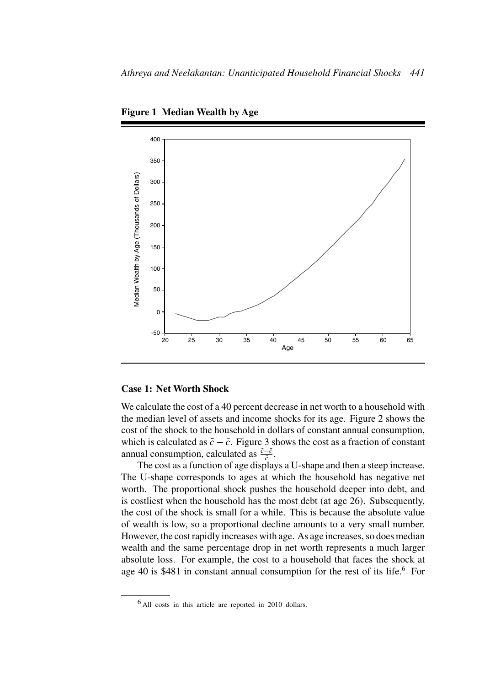

**Figure 1 Median Wealth by Age**

#### **Case 1: Net Worth Shock**

We calculate the cost of a 40 percent decrease in net worth to a household with the median level of assets and income shocks for its age. Figure 2 shows the cost of the shock to the household in dollars of constant annual consumption, which is calculated as  $\tilde{c} - \bar{c}$ . Figure 3 shows the cost as a fraction of constant annual consumption, calculated as  $\frac{\tilde{c} - \bar{c}}{\tilde{c}}$ .

The cost as a function of age displays a U-shape and then a steep increase. The U-shape corresponds to ages at which the household has negative net worth. The proportional shock pushes the household deeper into debt, and is costliest when the household has the most debt (at age 26). Subsequently, the cost of the shock is small for a while. This is because the absolute value of wealth is low, so a proportional decline amounts to a very small number. However, the cost rapidly increases with age. As age increases, so does median wealth and the same percentage drop in net worth represents a much larger absolute loss. For example, the cost to a household that faces the shock at age 40 is  $$481$  in constant annual consumption for the rest of its life.<sup>6</sup> For

 $6$  All costs in this article are reported in 2010 dollars.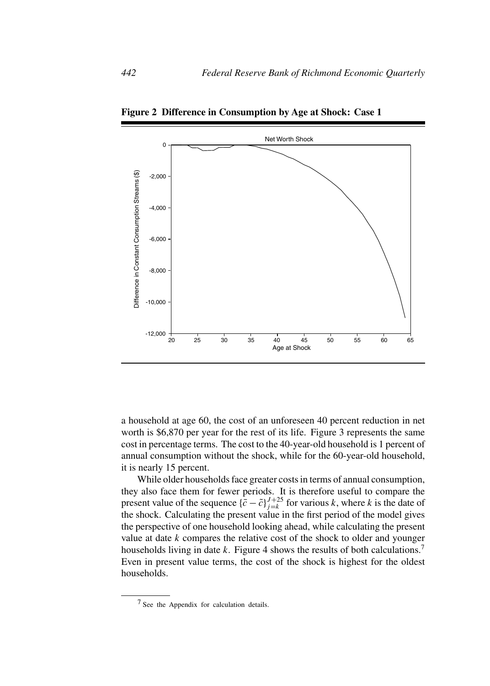

**Figure 2 Difference in Consumption by Age at Shock: Case 1**

a household at age 60, the cost of an unforeseen 40 percent reduction in net worth is \$6,870 per year for the rest of its life. Figure 3 represents the same cost in percentage terms. The cost to the 40-year-old household is 1 percent of annual consumption without the shock, while for the 60-year-old household, it is nearly 15 percent.

While older households face greater costs in terms of annual consumption, they also face them for fewer periods. It is therefore useful to compare the present value of the sequence  $\{\bar{c} - \tilde{c}\}_{j=k}^{J+25}$  for various k, where k is the date of the shock. Calculating the present value in the first period of the model gives the perspective of one household looking ahead, while calculating the present value at date  $k$  compares the relative cost of the shock to older and younger households living in date k. Figure 4 shows the results of both calculations.<sup>7</sup> Even in present value terms, the cost of the shock is highest for the oldest households.

<sup>7</sup> See the Appendix for calculation details.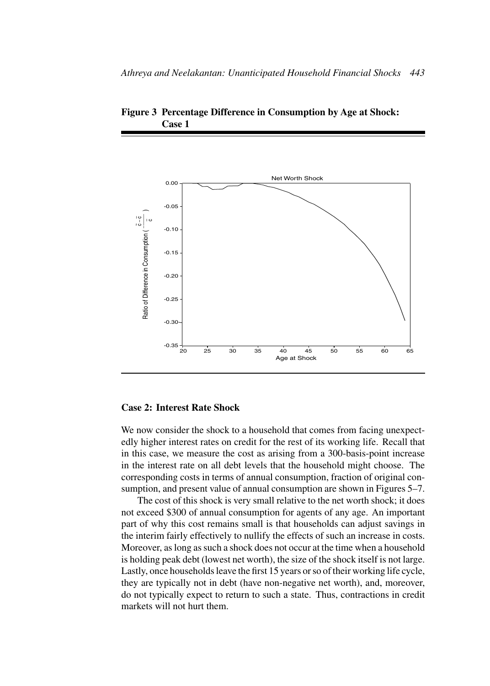

**Figure 3 Percentage Difference in Consumption by Age at Shock: Case 1**

## **Case 2: Interest Rate Shock**

We now consider the shock to a household that comes from facing unexpectedly higher interest rates on credit for the rest of its working life. Recall that in this case, we measure the cost as arising from a 300-basis-point increase in the interest rate on all debt levels that the household might choose. The corresponding costs in terms of annual consumption, fraction of original consumption, and present value of annual consumption are shown in Figures 5–7.

The cost of this shock is very small relative to the net worth shock; it does not exceed \$300 of annual consumption for agents of any age. An important part of why this cost remains small is that households can adjust savings in the interim fairly effectively to nullify the effects of such an increase in costs. Moreover, as long as such a shock does not occur at the time when a household is holding peak debt (lowest net worth), the size of the shock itself is not large. Lastly, once households leave the first 15 years or so of their working life cycle, they are typically not in debt (have non-negative net worth), and, moreover, do not typically expect to return to such a state. Thus, contractions in credit markets will not hurt them.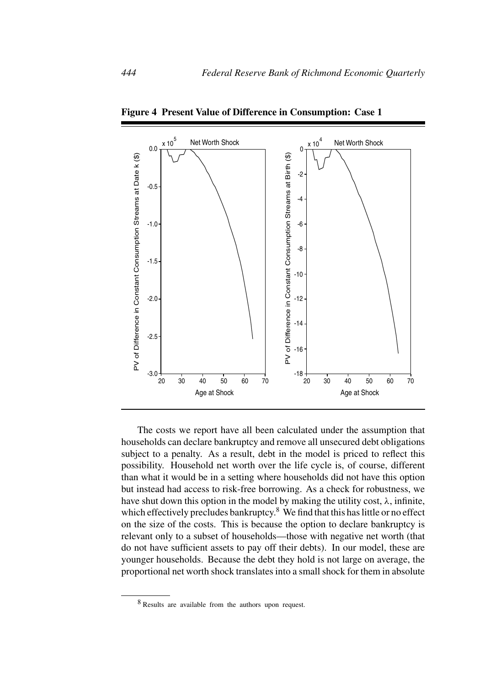

**Figure 4 Present Value of Difference in Consumption: Case 1**

The costs we report have all been calculated under the assumption that households can declare bankruptcy and remove all unsecured debt obligations subject to a penalty. As a result, debt in the model is priced to reflect this possibility. Household net worth over the life cycle is, of course, different than what it would be in a setting where households did not have this option but instead had access to risk-free borrowing. As a check for robustness, we have shut down this option in the model by making the utility cost,  $\lambda$ , infinite, which effectively precludes bankruptcy.<sup>8</sup> We find that this has little or no effect on the size of the costs. This is because the option to declare bankruptcy is relevant only to a subset of households—those with negative net worth (that do not have sufficient assets to pay off their debts). In our model, these are younger households. Because the debt they hold is not large on average, the proportional net worth shock translates into a small shock for them in absolute

<sup>8</sup> Results are available from the authors upon request.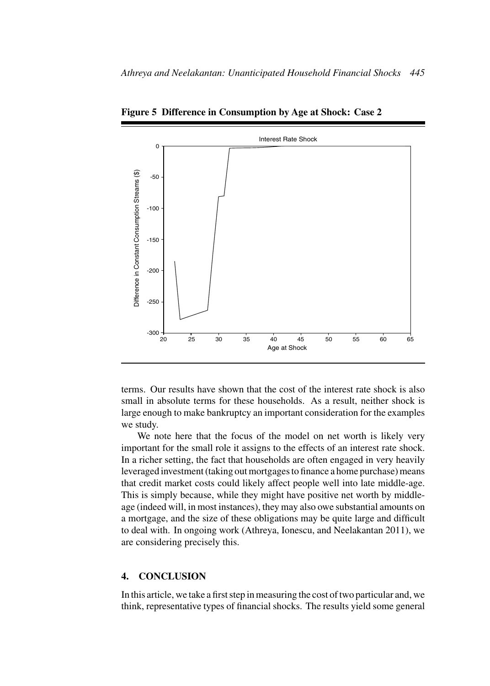

**Figure 5 Difference in Consumption by Age at Shock: Case 2**

terms. Our results have shown that the cost of the interest rate shock is also small in absolute terms for these households. As a result, neither shock is large enough to make bankruptcy an important consideration for the examples we study.

We note here that the focus of the model on net worth is likely very important for the small role it assigns to the effects of an interest rate shock. In a richer setting, the fact that households are often engaged in very heavily leveraged investment (taking out mortgages to finance a home purchase) means that credit market costs could likely affect people well into late middle-age. This is simply because, while they might have positive net worth by middleage (indeed will, in most instances), they may also owe substantial amounts on a mortgage, and the size of these obligations may be quite large and difficult to deal with. In ongoing work (Athreya, Ionescu, and Neelakantan 2011), we are considering precisely this.

## **4. CONCLUSION**

In this article, we take a first step in measuring the cost of two particular and, we think, representative types of financial shocks. The results yield some general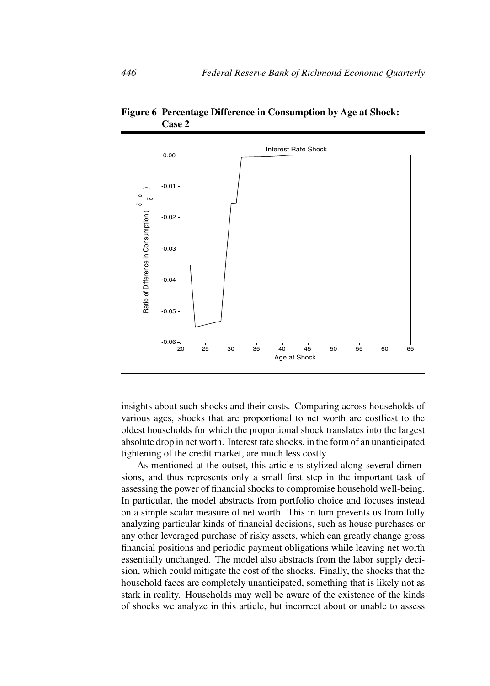

**Figure 6 Percentage Difference in Consumption by Age at Shock: Case 2**

insights about such shocks and their costs. Comparing across households of various ages, shocks that are proportional to net worth are costliest to the oldest households for which the proportional shock translates into the largest absolute drop in net worth. Interest rate shocks, in the form of an unanticipated tightening of the credit market, are much less costly.

As mentioned at the outset, this article is stylized along several dimensions, and thus represents only a small first step in the important task of assessing the power of financial shocks to compromise household well-being. In particular, the model abstracts from portfolio choice and focuses instead on a simple scalar measure of net worth. This in turn prevents us from fully analyzing particular kinds of financial decisions, such as house purchases or any other leveraged purchase of risky assets, which can greatly change gross financial positions and periodic payment obligations while leaving net worth essentially unchanged. The model also abstracts from the labor supply decision, which could mitigate the cost of the shocks. Finally, the shocks that the household faces are completely unanticipated, something that is likely not as stark in reality. Households may well be aware of the existence of the kinds of shocks we analyze in this article, but incorrect about or unable to assess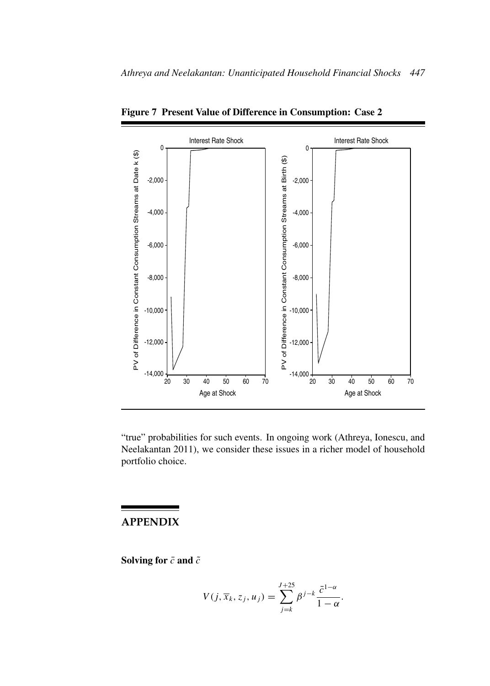

**Figure 7 Present Value of Difference in Consumption: Case 2**

"true" probabilities for such events. In ongoing work (Athreya, Ionescu, and Neelakantan 2011), we consider these issues in a richer model of household portfolio choice.

## **APPENDIX**

**Solving for**  $\bar{c}$  **and**  $\tilde{c}$ 

$$
V(j, \overline{x}_k, z_j, u_j) = \sum_{j=k}^{J+25} \beta^{j-k} \frac{\bar{c}^{1-\alpha}}{1-\alpha}.
$$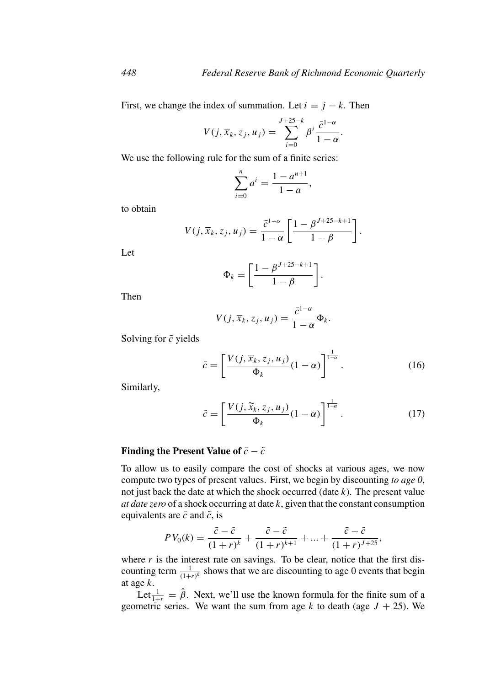First, we change the index of summation. Let  $i = j - k$ . Then

$$
V(j,\overline{x}_k,z_j,u_j)=\sum_{i=0}^{J+25-k}\beta^i\frac{\bar{c}^{1-\alpha}}{1-\alpha}.
$$

We use the following rule for the sum of a finite series:

$$
\sum_{i=0}^{n} a^{i} = \frac{1 - a^{n+1}}{1 - a},
$$

to obtain

$$
V(j, \overline{x}_k, z_j, u_j) = \frac{\overline{c}^{1-\alpha}}{1-\alpha} \left[ \frac{1-\beta^{J+25-k+1}}{1-\beta} \right].
$$

Let

$$
\Phi_k = \left[\frac{1 - \beta^{J+25-k+1}}{1 - \beta}\right].
$$

Then

$$
V(j, \overline{x}_k, z_j, u_j) = \frac{\bar{c}^{1-\alpha}}{1-\alpha} \Phi_k.
$$

Solving for  $\bar{c}$  yields

$$
\bar{c} = \left[ \frac{V(j, \overline{x}_k, z_j, u_j)}{\Phi_k} (1 - \alpha) \right]^{\frac{1}{1 - \alpha}}.
$$
 (16)

Similarly,

$$
\tilde{c} = \left[ \frac{V(j, \tilde{x}_k, z_j, u_j)}{\Phi_k} (1 - \alpha) \right]^{\frac{1}{1 - \alpha}}.
$$
\n(17)

## **Finding the Present Value of**  $\bar{c} - \tilde{c}$

To allow us to easily compare the cost of shocks at various ages, we now compute two types of present values. First, we begin by discounting *to age 0*, not just back the date at which the shock occurred (date  $k$ ). The present value *at date zero* of a shock occurring at date k, given that the constant consumption equivalents are  $\bar{c}$  and  $\tilde{c}$ , is

$$
PV_0(k) = \frac{\bar{c} - \tilde{c}}{(1+r)^k} + \frac{\bar{c} - \tilde{c}}{(1+r)^{k+1}} + \dots + \frac{\bar{c} - \tilde{c}}{(1+r)^{J+25}},
$$

where  $r$  is the interest rate on savings. To be clear, notice that the first discounting term  $\frac{1}{(1+r)^k}$  shows that we are discounting to age 0 events that begin at age k.

Let  $\frac{1}{1+r} = \hat{\beta}$ . Next, we'll use the known formula for the finite sum of a geometric series. We want the sum from age k to death (age  $J + 25$ ). We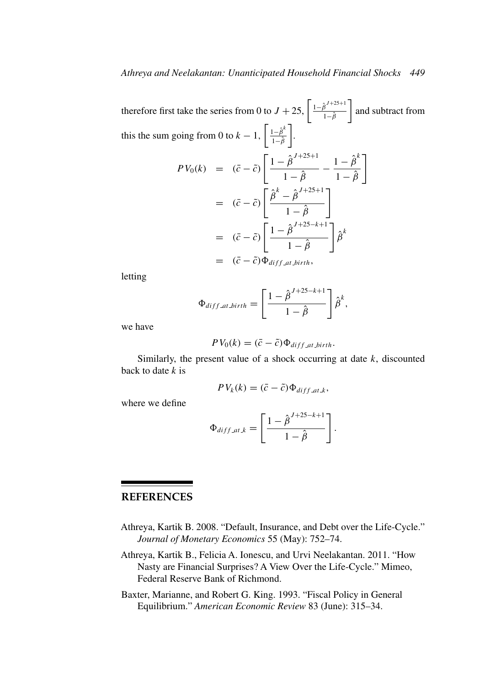therefore first take the series from 0 to  $J + 25$ ,  $\left[ \frac{1 - \hat{\beta}^{J+25+1}}{1 - \hat{\beta}} \right]$  $1-\hat{\beta}$ and subtract from this the sum going from 0 to  $k-1$ ,  $\int \frac{1-\hat{\beta}^{k}}{\frac{1}{2-\hat{\beta}}}$  $1-\hat{\beta}$  .  $PV_0(k) = (\bar{c} - \tilde{c}) \left[ \frac{1 - \hat{\beta}^{J+25+1}}{1 - \hat{\beta}} - \frac{1 - \hat{\beta}^k}{1 - \hat{\beta}} \right]$ ן  $=$   $\left(\bar{c}-\tilde{c}\right)\left[\frac{\hat{\beta}^k-\hat{\beta}^{J+25+1}}{1-\hat{c}}\right]$  $1 - \hat{\beta}$ ٦  $= (\bar{c} - \tilde{c}) \left[ \frac{1 - \hat{\beta}^{J+25-k+1}}{1 - \hat{c}} \right]$  $1-\hat{\beta}$  $\bigg \} {\hat \beta}^k$  $=$   $(\bar{c} - \tilde{c})\Phi_{diff\_at\_birth}$ ,

letting

$$
\Phi_{diff\_at\_birth} = \left[\frac{1-\hat{\beta}^{J+25-k+1}}{1-\hat{\beta}}\right]\hat{\beta}^k,
$$

we have

$$
PV_0(k) = (\bar{c} - \tilde{c})\Phi_{diff\_at\_birth}.
$$

Similarly, the present value of a shock occurring at date  $k$ , discounted back to date  $k$  is

$$
PV_k(k) = (\bar{c} - \tilde{c})\Phi_{diff\_at\_k},
$$

where we define

$$
\Phi_{diff\_att,k} = \left[\frac{1 - \hat{\beta}^{J+25-k+1}}{1 - \hat{\beta}}\right]
$$

.

# **REFERENCES**

- Athreya, Kartik B. 2008. "Default, Insurance, and Debt over the Life-Cycle." *Journal of Monetary Economics* 55 (May): 752–74.
- Athreya, Kartik B., Felicia A. Ionescu, and Urvi Neelakantan. 2011. "How Nasty are Financial Surprises? A View Over the Life-Cycle." Mimeo, Federal Reserve Bank of Richmond.
- Baxter, Marianne, and Robert G. King. 1993. "Fiscal Policy in General Equilibrium." *American Economic Review* 83 (June): 315–34.